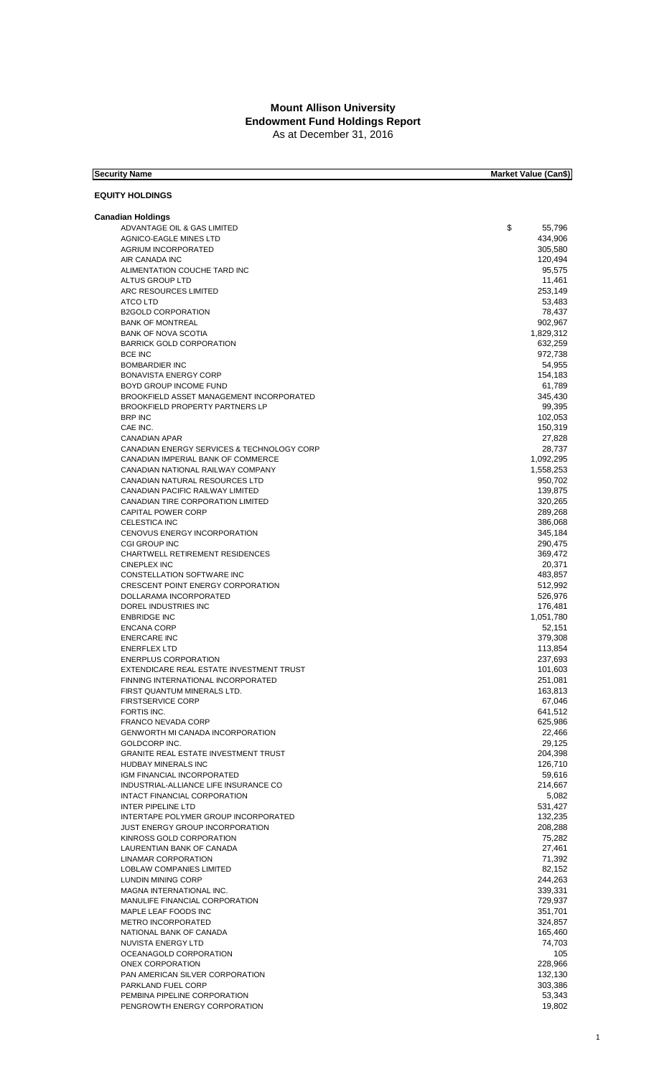## **Mount Allison University** As at December 31, 2016 **Endowment Fund Holdings Report**

| <b>Security Name</b>                                                  | <b>Market Value (Can\$)</b> |
|-----------------------------------------------------------------------|-----------------------------|
|                                                                       |                             |
| <b>EQUITY HOLDINGS</b>                                                |                             |
| <b>Canadian Holdings</b>                                              |                             |
| ADVANTAGE OIL & GAS LIMITED                                           | \$<br>55,796                |
| <b>AGNICO-EAGLE MINES LTD</b>                                         | 434,906                     |
| <b>AGRIUM INCORPORATED</b>                                            | 305,580                     |
| AIR CANADA INC<br>ALIMENTATION COUCHE TARD INC                        | 120,494<br>95,575           |
| ALTUS GROUP LTD                                                       | 11,461                      |
| ARC RESOURCES LIMITED                                                 | 253,149                     |
| <b>ATCO LTD</b>                                                       | 53,483                      |
| <b>B2GOLD CORPORATION</b>                                             | 78,437                      |
| <b>BANK OF MONTREAL</b>                                               | 902,967                     |
| <b>BANK OF NOVA SCOTIA</b><br><b>BARRICK GOLD CORPORATION</b>         | 1,829,312<br>632,259        |
| <b>BCE INC</b>                                                        | 972,738                     |
| <b>BOMBARDIER INC</b>                                                 | 54,955                      |
| <b>BONAVISTA ENERGY CORP</b>                                          | 154,183                     |
| BOYD GROUP INCOME FUND                                                | 61,789                      |
| BROOKFIELD ASSET MANAGEMENT INCORPORATED                              | 345,430                     |
| BROOKFIELD PROPERTY PARTNERS LP<br><b>BRP INC</b>                     | 99,395<br>102,053           |
| CAE INC.                                                              | 150,319                     |
| <b>CANADIAN APAR</b>                                                  | 27,828                      |
| CANADIAN ENERGY SERVICES & TECHNOLOGY CORP                            | 28,737                      |
| CANADIAN IMPERIAL BANK OF COMMERCE                                    | 1,092,295                   |
| CANADIAN NATIONAL RAILWAY COMPANY                                     | 1,558,253                   |
| CANADIAN NATURAL RESOURCES LTD                                        | 950,702                     |
| CANADIAN PACIFIC RAILWAY LIMITED<br>CANADIAN TIRE CORPORATION LIMITED | 139,875<br>320,265          |
| <b>CAPITAL POWER CORP</b>                                             | 289,268                     |
| <b>CELESTICA INC</b>                                                  | 386,068                     |
| CENOVUS ENERGY INCORPORATION                                          | 345,184                     |
| <b>CGI GROUP INC</b>                                                  | 290,475                     |
| CHARTWELL RETIREMENT RESIDENCES                                       | 369,472                     |
| <b>CINEPLEX INC</b><br>CONSTELLATION SOFTWARE INC                     | 20,371<br>483,857           |
| <b>CRESCENT POINT ENERGY CORPORATION</b>                              | 512,992                     |
| DOLLARAMA INCORPORATED                                                | 526,976                     |
| DOREL INDUSTRIES INC                                                  | 176,481                     |
| <b>ENBRIDGE INC</b>                                                   | 1,051,780                   |
| <b>ENCANA CORP</b>                                                    | 52,151                      |
| <b>ENERCARE INC</b><br><b>ENERFLEX LTD</b>                            | 379,308<br>113,854          |
| <b>ENERPLUS CORPORATION</b>                                           | 237,693                     |
| EXTENDICARE REAL ESTATE INVESTMENT TRUST                              | 101,603                     |
| FINNING INTERNATIONAL INCORPORATED                                    | 251,081                     |
| FIRST QUANTUM MINERALS LTD.                                           | 163,813                     |
| <b>FIRSTSERVICE CORP</b><br>FORTIS INC.                               | 67,046                      |
| FRANCO NEVADA CORP                                                    | 641,512<br>625,986          |
| <b>GENWORTH MI CANADA INCORPORATION</b>                               | 22,466                      |
| GOLDCORP INC.                                                         | 29,125                      |
| <b>GRANITE REAL ESTATE INVESTMENT TRUST</b>                           | 204,398                     |
| <b>HUDBAY MINERALS INC</b>                                            | 126,710                     |
| IGM FINANCIAL INCORPORATED                                            | 59,616                      |
| INDUSTRIAL-ALLIANCE LIFE INSURANCE CO<br>INTACT FINANCIAL CORPORATION | 214,667<br>5,082            |
| <b>INTER PIPELINE LTD</b>                                             | 531,427                     |
| INTERTAPE POLYMER GROUP INCORPORATED                                  | 132,235                     |
| <b>JUST ENERGY GROUP INCORPORATION</b>                                | 208,288                     |
| KINROSS GOLD CORPORATION                                              | 75,282                      |
| LAURENTIAN BANK OF CANADA                                             | 27,461                      |
| <b>LINAMAR CORPORATION</b><br><b>LOBLAW COMPANIES LIMITED</b>         | 71,392<br>82,152            |
| LUNDIN MINING CORP                                                    | 244,263                     |
| MAGNA INTERNATIONAL INC.                                              | 339,331                     |
| MANULIFE FINANCIAL CORPORATION                                        | 729,937                     |
| MAPLE LEAF FOODS INC                                                  | 351,701                     |
| <b>METRO INCORPORATED</b>                                             | 324,857                     |
| NATIONAL BANK OF CANADA                                               | 165,460                     |
| NUVISTA ENERGY LTD<br>OCEANAGOLD CORPORATION                          | 74,703<br>105               |
| ONEX CORPORATION                                                      | 228,966                     |
| PAN AMERICAN SILVER CORPORATION                                       | 132,130                     |
| PARKLAND FUEL CORP                                                    | 303,386                     |
| PEMBINA PIPELINE CORPORATION                                          | 53,343                      |
| PENGROWTH ENERGY CORPORATION                                          | 19,802                      |

1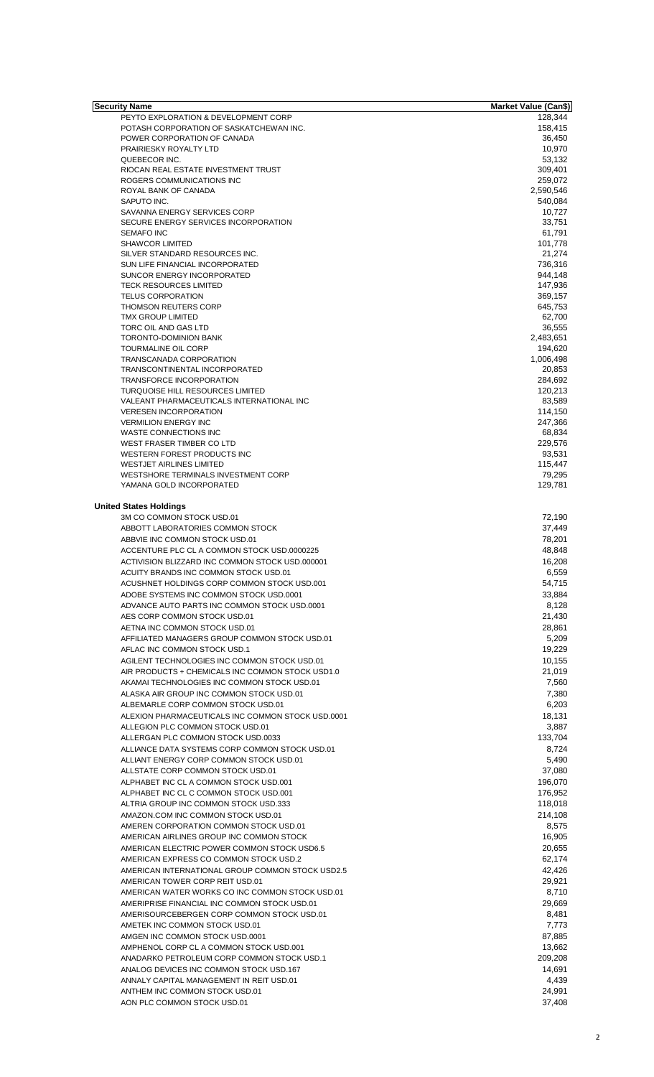| <b>Security Name</b>                                      | <b>Market Value (Can\$)</b> |
|-----------------------------------------------------------|-----------------------------|
| PEYTO EXPLORATION & DEVELOPMENT CORP                      | 128,344                     |
| POTASH CORPORATION OF SASKATCHEWAN INC.                   | 158,415                     |
| POWER CORPORATION OF CANADA                               | 36,450                      |
| PRAIRIESKY ROYALTY LTD                                    | 10,970                      |
| QUEBECOR INC.                                             | 53,132                      |
| RIOCAN REAL ESTATE INVESTMENT TRUST                       | 309,401                     |
| ROGERS COMMUNICATIONS INC                                 | 259,072                     |
| ROYAL BANK OF CANADA                                      | 2,590,546                   |
| SAPUTO INC.<br>SAVANNA ENERGY SERVICES CORP               | 540,084                     |
|                                                           | 10,727<br>33,751            |
| SECURE ENERGY SERVICES INCORPORATION<br><b>SEMAFO INC</b> | 61,791                      |
| <b>SHAWCOR LIMITED</b>                                    | 101,778                     |
| SILVER STANDARD RESOURCES INC.                            | 21,274                      |
| SUN LIFE FINANCIAL INCORPORATED                           | 736,316                     |
| SUNCOR ENERGY INCORPORATED                                | 944,148                     |
| <b>TECK RESOURCES LIMITED</b>                             | 147,936                     |
| <b>TELUS CORPORATION</b>                                  | 369,157                     |
| <b>THOMSON REUTERS CORP</b>                               | 645,753                     |
| <b>TMX GROUP LIMITED</b>                                  | 62,700                      |
| TORC OIL AND GAS LTD                                      | 36,555                      |
| TORONTO-DOMINION BANK                                     | 2,483,651                   |
| <b>TOURMALINE OIL CORP</b>                                | 194,620                     |
| TRANSCANADA CORPORATION                                   | 1,006,498                   |
| TRANSCONTINENTAL INCORPORATED                             | 20,853                      |
| TRANSFORCE INCORPORATION                                  | 284,692                     |
| TURQUOISE HILL RESOURCES LIMITED                          | 120,213                     |
| VALEANT PHARMACEUTICALS INTERNATIONAL INC                 | 83,589                      |
| <b>VERESEN INCORPORATION</b>                              | 114,150                     |
| <b>VERMILION ENERGY INC</b>                               | 247,366                     |
| WASTE CONNECTIONS INC                                     | 68,834                      |
| WEST FRASER TIMBER CO LTD                                 | 229,576                     |
| WESTERN FOREST PRODUCTS INC                               | 93,531                      |
| <b>WESTJET AIRLINES LIMITED</b>                           | 115,447                     |
| WESTSHORE TERMINALS INVESTMENT CORP                       | 79,295                      |
| YAMANA GOLD INCORPORATED                                  | 129,781                     |
|                                                           |                             |
| <b>United States Holdings</b>                             |                             |
| 3M CO COMMON STOCK USD.01                                 | 72,190                      |
| ABBOTT LABORATORIES COMMON STOCK                          | 37,449                      |
| ABBVIE INC COMMON STOCK USD.01                            | 78,201                      |
| ACCENTURE PLC CL A COMMON STOCK USD.0000225               | 48,848                      |
| ACTIVISION BLIZZARD INC COMMON STOCK USD.000001           |                             |
|                                                           | 16,208                      |
| ACUITY BRANDS INC COMMON STOCK USD.01                     | 6,559                       |
| ACUSHNET HOLDINGS CORP COMMON STOCK USD.001               | 54,715                      |
| ADOBE SYSTEMS INC COMMON STOCK USD.0001                   | 33,884                      |
| ADVANCE AUTO PARTS INC COMMON STOCK USD.0001              | 8,128                       |
| AES CORP COMMON STOCK USD.01                              | 21,430                      |
| AETNA INC COMMON STOCK USD.01                             | 28,861                      |
| AFFILIATED MANAGERS GROUP COMMON STOCK USD.01             | 5,209                       |
| AFLAC INC COMMON STOCK USD.1                              | 19,229                      |
| AGILENT TECHNOLOGIES INC COMMON STOCK USD.01              | 10,155                      |
| AIR PRODUCTS + CHEMICALS INC COMMON STOCK USD1.0          | 21,019                      |
| AKAMAI TECHNOLOGIES INC COMMON STOCK USD.01               | 7,560                       |
| ALASKA AIR GROUP INC COMMON STOCK USD.01                  | 7,380                       |
| ALBEMARLE CORP COMMON STOCK USD.01                        | 6,203                       |
| ALEXION PHARMACEUTICALS INC COMMON STOCK USD.0001         | 18,131                      |
| ALLEGION PLC COMMON STOCK USD.01                          | 3,887                       |
| ALLERGAN PLC COMMON STOCK USD.0033                        | 133,704                     |
| ALLIANCE DATA SYSTEMS CORP COMMON STOCK USD.01            | 8,724                       |
| ALLIANT ENERGY CORP COMMON STOCK USD.01                   | 5,490                       |
|                                                           |                             |
| ALLSTATE CORP COMMON STOCK USD.01                         | 37,080                      |
| ALPHABET INC CL A COMMON STOCK USD.001                    | 196,070                     |
| ALPHABET INC CL C COMMON STOCK USD.001                    | 176,952                     |
| ALTRIA GROUP INC COMMON STOCK USD.333                     | 118,018                     |
| AMAZON.COM INC COMMON STOCK USD.01                        | 214,108                     |
| AMEREN CORPORATION COMMON STOCK USD.01                    | 8,575                       |
| AMERICAN AIRLINES GROUP INC COMMON STOCK                  | 16,905                      |
| AMERICAN ELECTRIC POWER COMMON STOCK USD6.5               | 20,655                      |
| AMERICAN EXPRESS CO COMMON STOCK USD.2                    | 62,174                      |
| AMERICAN INTERNATIONAL GROUP COMMON STOCK USD2.5          | 42,426                      |
| AMERICAN TOWER CORP REIT USD.01                           | 29,921                      |
| AMERICAN WATER WORKS CO INC COMMON STOCK USD.01           | 8,710                       |
| AMERIPRISE FINANCIAL INC COMMON STOCK USD.01              | 29,669                      |
| AMERISOURCEBERGEN CORP COMMON STOCK USD.01                | 8,481                       |
| AMETEK INC COMMON STOCK USD.01                            | 7,773                       |
| AMGEN INC COMMON STOCK USD.0001                           | 87,885                      |
|                                                           |                             |
| AMPHENOL CORP CL A COMMON STOCK USD.001                   | 13,662                      |
| ANADARKO PETROLEUM CORP COMMON STOCK USD.1                | 209,208                     |
| ANALOG DEVICES INC COMMON STOCK USD.167                   | 14,691                      |
| ANNALY CAPITAL MANAGEMENT IN REIT USD.01                  | 4,439                       |
| ANTHEM INC COMMON STOCK USD.01                            | 24,991                      |
| AON PLC COMMON STOCK USD.01                               | 37,408                      |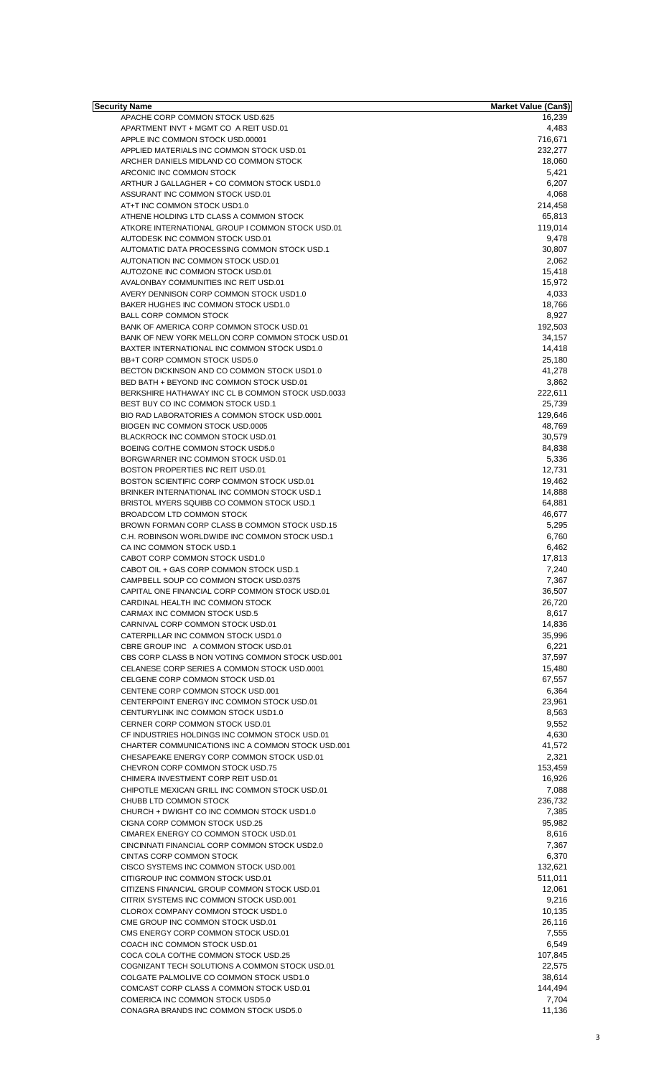| Security Name                                                                       | <b>Market Value (Can\$)</b> |
|-------------------------------------------------------------------------------------|-----------------------------|
| APACHE CORP COMMON STOCK USD.625                                                    | 16,239                      |
| APARTMENT INVT + MGMT CO A REIT USD.01                                              | 4,483                       |
| APPLE INC COMMON STOCK USD.00001                                                    | 716,671                     |
| APPLIED MATERIALS INC COMMON STOCK USD.01<br>ARCHER DANIELS MIDLAND CO COMMON STOCK | 232,277<br>18,060           |
| ARCONIC INC COMMON STOCK                                                            | 5,421                       |
| ARTHUR J GALLAGHER + CO COMMON STOCK USD1.0                                         | 6,207                       |
| ASSURANT INC COMMON STOCK USD.01                                                    | 4,068                       |
| AT+T INC COMMON STOCK USD1.0                                                        | 214,458                     |
| ATHENE HOLDING LTD CLASS A COMMON STOCK                                             | 65,813                      |
| ATKORE INTERNATIONAL GROUP I COMMON STOCK USD.01                                    | 119,014                     |
| AUTODESK INC COMMON STOCK USD.01                                                    | 9,478                       |
| AUTOMATIC DATA PROCESSING COMMON STOCK USD.1                                        | 30,807                      |
| AUTONATION INC COMMON STOCK USD.01                                                  | 2,062                       |
| AUTOZONE INC COMMON STOCK USD.01                                                    | 15,418                      |
| AVALONBAY COMMUNITIES INC REIT USD.01                                               | 15,972                      |
| AVERY DENNISON CORP COMMON STOCK USD1.0                                             | 4,033                       |
| BAKER HUGHES INC COMMON STOCK USD1.0                                                | 18,766                      |
| <b>BALL CORP COMMON STOCK</b>                                                       | 8,927                       |
| BANK OF AMERICA CORP COMMON STOCK USD.01                                            | 192,503                     |
| BANK OF NEW YORK MELLON CORP COMMON STOCK USD.01                                    | 34,157                      |
| BAXTER INTERNATIONAL INC COMMON STOCK USD1.0                                        | 14,418                      |
| BB+T CORP COMMON STOCK USD5.0                                                       | 25,180                      |
| BECTON DICKINSON AND CO COMMON STOCK USD1.0                                         | 41,278                      |
| BED BATH + BEYOND INC COMMON STOCK USD.01                                           | 3,862<br>222,611            |
| BERKSHIRE HATHAWAY INC CL B COMMON STOCK USD.0033                                   | 25,739                      |
| BEST BUY CO INC COMMON STOCK USD.1<br>BIO RAD LABORATORIES A COMMON STOCK USD.0001  |                             |
| BIOGEN INC COMMON STOCK USD.0005                                                    | 129,646<br>48,769           |
| BLACKROCK INC COMMON STOCK USD.01                                                   | 30,579                      |
| BOEING CO/THE COMMON STOCK USD5.0                                                   | 84,838                      |
| BORGWARNER INC COMMON STOCK USD.01                                                  | 5,336                       |
| BOSTON PROPERTIES INC REIT USD.01                                                   | 12,731                      |
| BOSTON SCIENTIFIC CORP COMMON STOCK USD.01                                          | 19,462                      |
| BRINKER INTERNATIONAL INC COMMON STOCK USD.1                                        | 14,888                      |
| BRISTOL MYERS SQUIBB CO COMMON STOCK USD.1                                          | 64,881                      |
| BROADCOM LTD COMMON STOCK                                                           | 46,677                      |
| BROWN FORMAN CORP CLASS B COMMON STOCK USD.15                                       | 5,295                       |
| C.H. ROBINSON WORLDWIDE INC COMMON STOCK USD.1                                      | 6,760                       |
| CA INC COMMON STOCK USD.1                                                           | 6,462                       |
| CABOT CORP COMMON STOCK USD1.0                                                      | 17,813                      |
| CABOT OIL + GAS CORP COMMON STOCK USD.1                                             | 7,240                       |
| CAMPBELL SOUP CO COMMON STOCK USD.0375                                              | 7,367                       |
| CAPITAL ONE FINANCIAL CORP COMMON STOCK USD.01                                      | 36,507                      |
| CARDINAL HEALTH INC COMMON STOCK                                                    | 26,720                      |
| CARMAX INC COMMON STOCK USD.5                                                       | 8,617                       |
| CARNIVAL CORP COMMON STOCK USD.01                                                   | 14,836                      |
| CATERPILLAR INC COMMON STOCK USD1.0                                                 | 35,996                      |
| CBRE GROUP INC A COMMON STOCK USD.01                                                | 6,221                       |
| CBS CORP CLASS B NON VOTING COMMON STOCK USD.001                                    | 37,597                      |
| CELANESE CORP SERIES A COMMON STOCK USD.0001                                        | 15,480                      |
| CELGENE CORP COMMON STOCK USD.01                                                    | 67,557                      |
| CENTENE CORP COMMON STOCK USD.001                                                   | 6,364                       |
| CENTERPOINT ENERGY INC COMMON STOCK USD.01                                          | 23,961                      |
| CENTURYLINK INC COMMON STOCK USD1.0                                                 | 8,563                       |
| CERNER CORP COMMON STOCK USD.01                                                     | 9,552                       |
| CF INDUSTRIES HOLDINGS INC COMMON STOCK USD.01                                      | 4,630                       |
| CHARTER COMMUNICATIONS INC A COMMON STOCK USD.001                                   | 41,572                      |
| CHESAPEAKE ENERGY CORP COMMON STOCK USD.01                                          | 2,321                       |
| CHEVRON CORP COMMON STOCK USD.75                                                    | 153,459                     |
| CHIMERA INVESTMENT CORP REIT USD.01                                                 | 16,926                      |
| CHIPOTLE MEXICAN GRILL INC COMMON STOCK USD.01                                      | 7,088                       |
| CHUBB LTD COMMON STOCK                                                              | 236,732                     |
| CHURCH + DWIGHT CO INC COMMON STOCK USD1.0                                          | 7,385                       |
| CIGNA CORP COMMON STOCK USD.25                                                      | 95,982                      |
| CIMAREX ENERGY CO COMMON STOCK USD.01                                               | 8,616                       |
| CINCINNATI FINANCIAL CORP COMMON STOCK USD2.0                                       | 7,367                       |
| CINTAS CORP COMMON STOCK                                                            | 6,370                       |
| CISCO SYSTEMS INC COMMON STOCK USD.001                                              | 132,621                     |
| CITIGROUP INC COMMON STOCK USD.01                                                   | 511,011                     |
| CITIZENS FINANCIAL GROUP COMMON STOCK USD.01                                        | 12,061<br>9,216             |
| CITRIX SYSTEMS INC COMMON STOCK USD.001                                             |                             |
| CLOROX COMPANY COMMON STOCK USD1.0                                                  | 10,135                      |
| CME GROUP INC COMMON STOCK USD.01<br>CMS ENERGY CORP COMMON STOCK USD.01            | 26,116<br>7,555             |
| COACH INC COMMON STOCK USD.01                                                       | 6,549                       |
| COCA COLA CO/THE COMMON STOCK USD.25                                                | 107,845                     |
| COGNIZANT TECH SOLUTIONS A COMMON STOCK USD.01                                      | 22,575                      |
| COLGATE PALMOLIVE CO COMMON STOCK USD1.0                                            | 38,614                      |
| COMCAST CORP CLASS A COMMON STOCK USD.01                                            | 144,494                     |
| COMERICA INC COMMON STOCK USD5.0                                                    | 7,704                       |
| CONAGRA BRANDS INC COMMON STOCK USD5.0                                              | 11,136                      |
|                                                                                     |                             |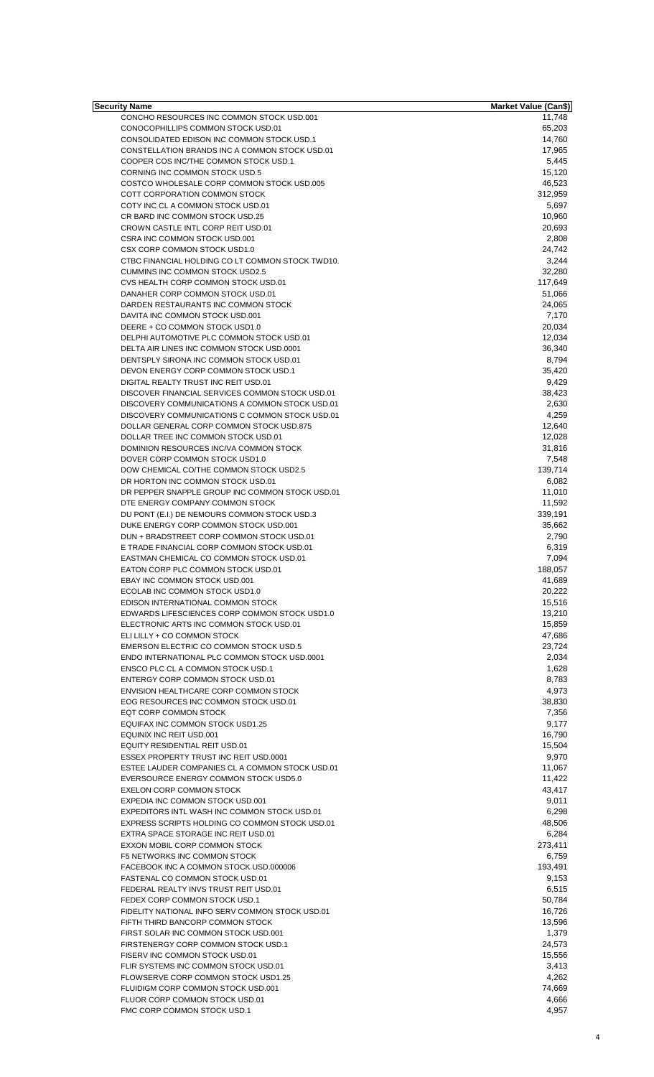| Security Name                                                                           | Market Value (Can\$) |
|-----------------------------------------------------------------------------------------|----------------------|
| CONCHO RESOURCES INC COMMON STOCK USD.001                                               | 11,748               |
| CONOCOPHILLIPS COMMON STOCK USD.01                                                      | 65,203               |
| CONSOLIDATED EDISON INC COMMON STOCK USD.1                                              | 14,760<br>17,965     |
| CONSTELLATION BRANDS INC A COMMON STOCK USD.01<br>COOPER COS INC/THE COMMON STOCK USD.1 | 5,445                |
| <b>CORNING INC COMMON STOCK USD.5</b>                                                   | 15,120               |
| COSTCO WHOLESALE CORP COMMON STOCK USD.005                                              | 46,523               |
| COTT CORPORATION COMMON STOCK                                                           | 312,959              |
| COTY INC CL A COMMON STOCK USD.01                                                       | 5,697                |
| CR BARD INC COMMON STOCK USD.25                                                         | 10,960               |
| CROWN CASTLE INTL CORP REIT USD.01                                                      | 20,693               |
| CSRA INC COMMON STOCK USD.001                                                           | 2,808                |
| CSX CORP COMMON STOCK USD1.0                                                            | 24,742               |
| CTBC FINANCIAL HOLDING CO LT COMMON STOCK TWD10.                                        | 3,244                |
| <b>CUMMINS INC COMMON STOCK USD2.5</b>                                                  | 32,280               |
| CVS HEALTH CORP COMMON STOCK USD.01                                                     | 117,649              |
| DANAHER CORP COMMON STOCK USD.01                                                        | 51,066               |
| DARDEN RESTAURANTS INC COMMON STOCK                                                     | 24,065               |
| DAVITA INC COMMON STOCK USD.001                                                         | 7,170                |
| DEERE + CO COMMON STOCK USD1.0                                                          | 20,034               |
| DELPHI AUTOMOTIVE PLC COMMON STOCK USD.01                                               | 12,034               |
| DELTA AIR LINES INC COMMON STOCK USD.0001                                               | 36,340               |
| DENTSPLY SIRONA INC COMMON STOCK USD.01                                                 | 8,794                |
| DEVON ENERGY CORP COMMON STOCK USD.1                                                    | 35,420               |
| DIGITAL REALTY TRUST INC REIT USD.01                                                    | 9,429                |
| DISCOVER FINANCIAL SERVICES COMMON STOCK USD.01                                         | 38,423               |
| DISCOVERY COMMUNICATIONS A COMMON STOCK USD.01                                          | 2,630                |
| DISCOVERY COMMUNICATIONS C COMMON STOCK USD.01                                          | 4,259                |
| DOLLAR GENERAL CORP COMMON STOCK USD.875                                                | 12,640               |
| DOLLAR TREE INC COMMON STOCK USD.01                                                     | 12,028               |
| DOMINION RESOURCES INC/VA COMMON STOCK                                                  | 31,816               |
| DOVER CORP COMMON STOCK USD1.0                                                          | 7,548                |
| DOW CHEMICAL CO/THE COMMON STOCK USD2.5                                                 | 139,714              |
| DR HORTON INC COMMON STOCK USD.01                                                       | 6,082                |
| DR PEPPER SNAPPLE GROUP INC COMMON STOCK USD.01                                         | 11,010               |
| DTE ENERGY COMPANY COMMON STOCK                                                         | 11,592               |
| DU PONT (E.I.) DE NEMOURS COMMON STOCK USD.3                                            | 339,191              |
| DUKE ENERGY CORP COMMON STOCK USD.001                                                   | 35,662               |
| DUN + BRADSTREET CORP COMMON STOCK USD.01<br>E TRADE FINANCIAL CORP COMMON STOCK USD.01 | 2,790                |
| EASTMAN CHEMICAL CO COMMON STOCK USD.01                                                 | 6,319                |
| EATON CORP PLC COMMON STOCK USD.01                                                      | 7,094<br>188,057     |
| EBAY INC COMMON STOCK USD.001                                                           | 41,689               |
| ECOLAB INC COMMON STOCK USD1.0                                                          | 20,222               |
| EDISON INTERNATIONAL COMMON STOCK                                                       | 15,516               |
| EDWARDS LIFESCIENCES CORP COMMON STOCK USD1.0                                           | 13,210               |
| ELECTRONIC ARTS INC COMMON STOCK USD.01                                                 | 15,859               |
| ELI LILLY + CO COMMON STOCK                                                             | 47,686               |
| EMERSON ELECTRIC CO COMMON STOCK USD.5                                                  | 23,724               |
| ENDO INTERNATIONAL PLC COMMON STOCK USD.0001                                            | 2,034                |
| ENSCO PLC CL A COMMON STOCK USD.1                                                       | 1,628                |
| ENTERGY CORP COMMON STOCK USD.01                                                        | 8,783                |
| ENVISION HEALTHCARE CORP COMMON STOCK                                                   | 4,973                |
| EOG RESOURCES INC COMMON STOCK USD.01                                                   | 38,830               |
| EQT CORP COMMON STOCK                                                                   | 7,356                |
| EQUIFAX INC COMMON STOCK USD1.25                                                        | 9,177                |
| EQUINIX INC REIT USD.001                                                                | 16,790               |
| EQUITY RESIDENTIAL REIT USD.01                                                          | 15,504               |
| ESSEX PROPERTY TRUST INC REIT USD.0001                                                  | 9,970                |
| ESTEE LAUDER COMPANIES CL A COMMON STOCK USD.01                                         | 11,067               |
| EVERSOURCE ENERGY COMMON STOCK USD5.0                                                   | 11,422               |
| <b>EXELON CORP COMMON STOCK</b>                                                         | 43,417               |
| EXPEDIA INC COMMON STOCK USD.001                                                        | 9,011                |
| EXPEDITORS INTL WASH INC COMMON STOCK USD.01                                            | 6,298                |
| EXPRESS SCRIPTS HOLDING CO COMMON STOCK USD.01                                          | 48,506               |
| EXTRA SPACE STORAGE INC REIT USD.01                                                     | 6,284                |
| EXXON MOBIL CORP COMMON STOCK                                                           | 273,411              |
| F5 NETWORKS INC COMMON STOCK                                                            | 6,759                |
| FACEBOOK INC A COMMON STOCK USD.000006                                                  | 193,491              |
| FASTENAL CO COMMON STOCK USD.01                                                         | 9,153                |
| FEDERAL REALTY INVS TRUST REIT USD.01                                                   | 6,515                |
| FEDEX CORP COMMON STOCK USD.1                                                           | 50,784               |
| FIDELITY NATIONAL INFO SERV COMMON STOCK USD.01                                         | 16,726               |
| FIFTH THIRD BANCORP COMMON STOCK                                                        | 13,596               |
| FIRST SOLAR INC COMMON STOCK USD.001                                                    | 1,379                |
| FIRSTENERGY CORP COMMON STOCK USD.1                                                     | 24,573               |
| FISERV INC COMMON STOCK USD.01                                                          | 15,556               |
| FLIR SYSTEMS INC COMMON STOCK USD.01                                                    | 3,413                |
| FLOWSERVE CORP COMMON STOCK USD1.25                                                     | 4,262                |
| FLUIDIGM CORP COMMON STOCK USD.001                                                      | 74,669               |
| FLUOR CORP COMMON STOCK USD.01                                                          | 4,666                |
| FMC CORP COMMON STOCK USD.1                                                             | 4,957                |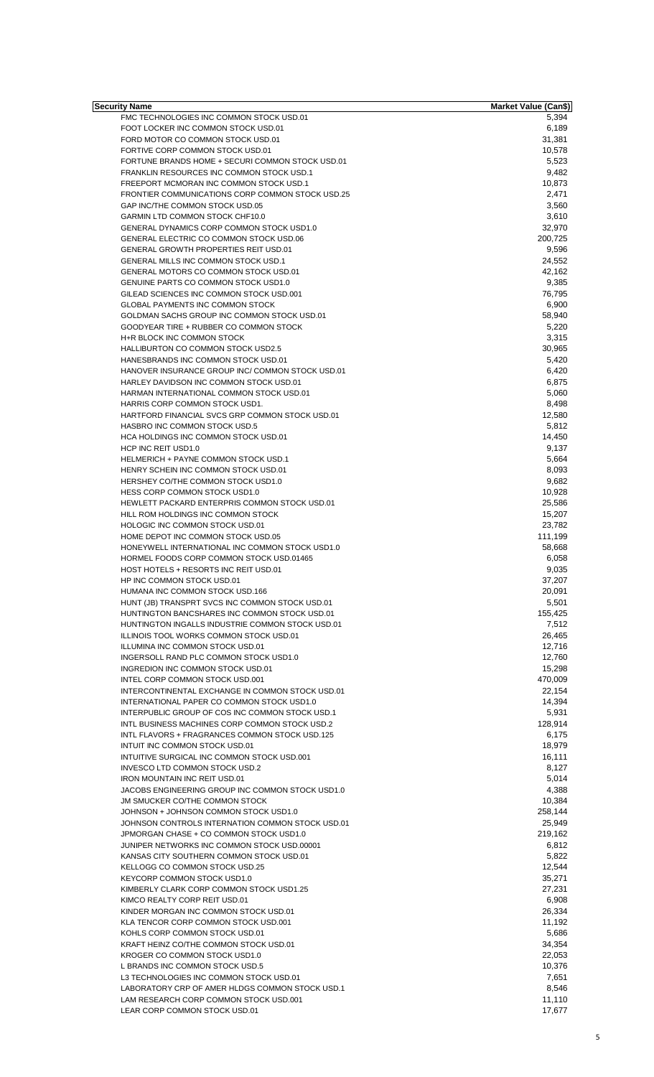| Security Name                                                                             | Market Value (Can\$) |
|-------------------------------------------------------------------------------------------|----------------------|
| FMC TECHNOLOGIES INC COMMON STOCK USD.01                                                  | 5,394                |
| FOOT LOCKER INC COMMON STOCK USD.01<br>FORD MOTOR CO COMMON STOCK USD.01                  | 6,189<br>31,381      |
| FORTIVE CORP COMMON STOCK USD.01                                                          | 10,578               |
| FORTUNE BRANDS HOME + SECURI COMMON STOCK USD.01                                          | 5,523                |
| FRANKLIN RESOURCES INC COMMON STOCK USD.1                                                 | 9,482                |
| FREEPORT MCMORAN INC COMMON STOCK USD.1                                                   | 10,873               |
| FRONTIER COMMUNICATIONS CORP COMMON STOCK USD.25                                          | 2,471                |
| GAP INC/THE COMMON STOCK USD.05                                                           | 3,560                |
| GARMIN LTD COMMON STOCK CHF10.0                                                           | 3,610                |
| GENERAL DYNAMICS CORP COMMON STOCK USD1.0                                                 | 32,970               |
| GENERAL ELECTRIC CO COMMON STOCK USD.06                                                   | 200,725              |
| <b>GENERAL GROWTH PROPERTIES REIT USD.01</b>                                              | 9,596                |
| GENERAL MILLS INC COMMON STOCK USD.1                                                      | 24,552               |
| GENERAL MOTORS CO COMMON STOCK USD.01                                                     | 42,162               |
| GENUINE PARTS CO COMMON STOCK USD1.0                                                      | 9,385                |
| GILEAD SCIENCES INC COMMON STOCK USD.001                                                  | 76,795               |
| <b>GLOBAL PAYMENTS INC COMMON STOCK</b>                                                   | 6,900                |
| GOLDMAN SACHS GROUP INC COMMON STOCK USD.01                                               | 58,940               |
| GOODYEAR TIRE + RUBBER CO COMMON STOCK                                                    | 5,220                |
| H+R BLOCK INC COMMON STOCK                                                                | 3,315                |
| HALLIBURTON CO COMMON STOCK USD2.5                                                        | 30,965               |
| HANESBRANDS INC COMMON STOCK USD.01<br>HANOVER INSURANCE GROUP INC/ COMMON STOCK USD.01   | 5,420                |
| HARLEY DAVIDSON INC COMMON STOCK USD.01                                                   | 6,420<br>6,875       |
| HARMAN INTERNATIONAL COMMON STOCK USD.01                                                  | 5,060                |
| HARRIS CORP COMMON STOCK USD1.                                                            | 8,498                |
| HARTFORD FINANCIAL SVCS GRP COMMON STOCK USD.01                                           | 12,580               |
| HASBRO INC COMMON STOCK USD.5                                                             | 5,812                |
| HCA HOLDINGS INC COMMON STOCK USD.01                                                      | 14,450               |
| HCP INC REIT USD1.0                                                                       | 9,137                |
| <b>HELMERICH + PAYNE COMMON STOCK USD.1</b>                                               | 5,664                |
| HENRY SCHEIN INC COMMON STOCK USD.01                                                      | 8,093                |
| HERSHEY CO/THE COMMON STOCK USD1.0                                                        | 9,682                |
| HESS CORP COMMON STOCK USD1.0                                                             | 10,928               |
| HEWLETT PACKARD ENTERPRIS COMMON STOCK USD.01                                             | 25,586               |
| HILL ROM HOLDINGS INC COMMON STOCK                                                        | 15,207               |
| HOLOGIC INC COMMON STOCK USD.01                                                           | 23,782               |
| HOME DEPOT INC COMMON STOCK USD.05                                                        | 111,199              |
| HONEYWELL INTERNATIONAL INC COMMON STOCK USD1.0                                           | 58,668               |
| HORMEL FOODS CORP COMMON STOCK USD.01465                                                  | 6,058                |
| HOST HOTELS + RESORTS INC REIT USD.01                                                     | 9,035                |
| HP INC COMMON STOCK USD.01                                                                | 37,207               |
| HUMANA INC COMMON STOCK USD.166                                                           | 20,091               |
| HUNT (JB) TRANSPRT SVCS INC COMMON STOCK USD.01                                           | 5,501                |
| HUNTINGTON BANCSHARES INC COMMON STOCK USD.01                                             | 155,425              |
| HUNTINGTON INGALLS INDUSTRIE COMMON STOCK USD.01                                          | 7,512                |
| ILLINOIS TOOL WORKS COMMON STOCK USD.01                                                   | 26,465               |
| ILLUMINA INC COMMON STOCK USD.01                                                          | 12,716               |
| INGERSOLL RAND PLC COMMON STOCK USD1.0                                                    | 12,760               |
| INGREDION INC COMMON STOCK USD.01                                                         | 15,298               |
| INTEL CORP COMMON STOCK USD.001                                                           | 470,009              |
| INTERCONTINENTAL EXCHANGE IN COMMON STOCK USD.01                                          | 22,154               |
| INTERNATIONAL PAPER CO COMMON STOCK USD1.0                                                | 14,394               |
| INTERPUBLIC GROUP OF COS INC COMMON STOCK USD.1                                           | 5,931                |
| INTL BUSINESS MACHINES CORP COMMON STOCK USD.2                                            | 128,914              |
| INTL FLAVORS + FRAGRANCES COMMON STOCK USD.125                                            | 6,175                |
| INTUIT INC COMMON STOCK USD.01                                                            | 18,979               |
| INTUITIVE SURGICAL INC COMMON STOCK USD.001                                               | 16,111               |
| INVESCO LTD COMMON STOCK USD.2                                                            | 8,127                |
| <b>IRON MOUNTAIN INC REIT USD.01</b>                                                      | 5,014                |
| JACOBS ENGINEERING GROUP INC COMMON STOCK USD1.0                                          | 4,388                |
| JM SMUCKER CO/THE COMMON STOCK                                                            | 10,384               |
| JOHNSON + JOHNSON COMMON STOCK USD1.0<br>JOHNSON CONTROLS INTERNATION COMMON STOCK USD.01 | 258,144<br>25,949    |
| JPMORGAN CHASE + CO COMMON STOCK USD1.0                                                   | 219,162              |
| JUNIPER NETWORKS INC COMMON STOCK USD.00001                                               | 6,812                |
| KANSAS CITY SOUTHERN COMMON STOCK USD.01                                                  | 5,822                |
| KELLOGG CO COMMON STOCK USD.25                                                            | 12,544               |
| KEYCORP COMMON STOCK USD1.0                                                               | 35,271               |
| KIMBERLY CLARK CORP COMMON STOCK USD1.25                                                  | 27,231               |
| KIMCO REALTY CORP REIT USD.01                                                             | 6,908                |
| KINDER MORGAN INC COMMON STOCK USD.01                                                     | 26,334               |
| KLA TENCOR CORP COMMON STOCK USD.001                                                      | 11,192               |
| KOHLS CORP COMMON STOCK USD.01                                                            | 5,686                |
| KRAFT HEINZ CO/THE COMMON STOCK USD.01                                                    | 34,354               |
| KROGER CO COMMON STOCK USD1.0                                                             | 22,053               |
| L BRANDS INC COMMON STOCK USD.5                                                           | 10,376               |
| L3 TECHNOLOGIES INC COMMON STOCK USD.01                                                   | 7,651                |
| LABORATORY CRP OF AMER HLDGS COMMON STOCK USD.1                                           | 8,546                |
| LAM RESEARCH CORP COMMON STOCK USD.001                                                    | 11,110               |
| LEAR CORP COMMON STOCK USD.01                                                             | 17,677               |
|                                                                                           |                      |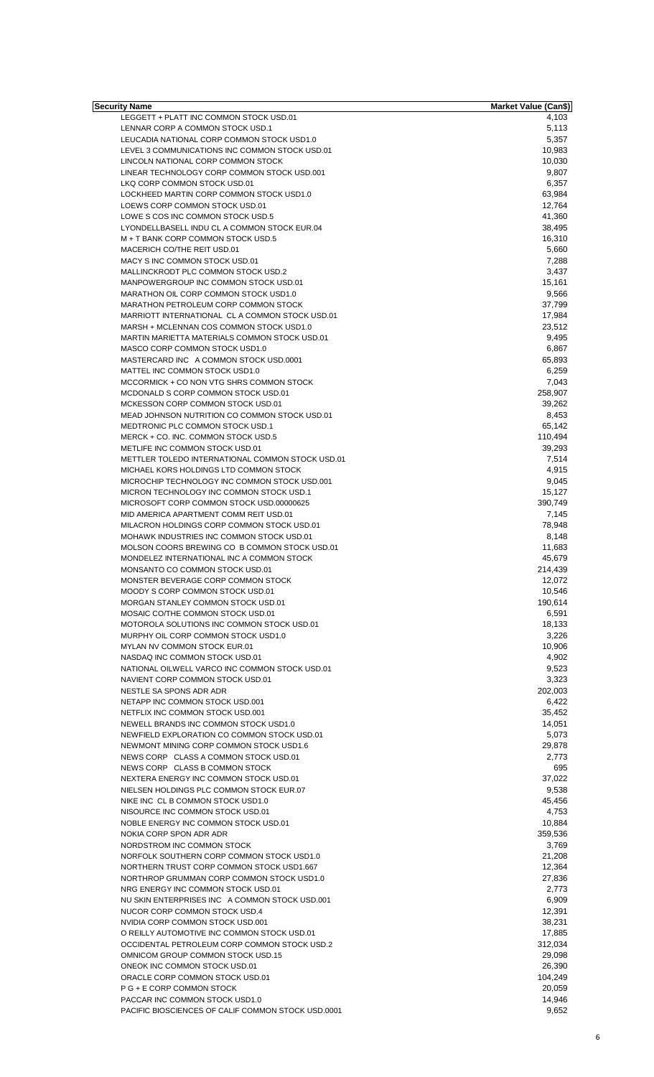| <b>Security Name</b>                               | <b>Market Value (Can\$)</b> |
|----------------------------------------------------|-----------------------------|
| LEGGETT + PLATT INC COMMON STOCK USD.01            | 4,103                       |
| LENNAR CORP A COMMON STOCK USD.1                   | 5,113                       |
| LEUCADIA NATIONAL CORP COMMON STOCK USD1.0         | 5,357                       |
| LEVEL 3 COMMUNICATIONS INC COMMON STOCK USD.01     | 10,983                      |
| LINCOLN NATIONAL CORP COMMON STOCK                 | 10,030                      |
| LINEAR TECHNOLOGY CORP COMMON STOCK USD.001        | 9,807                       |
| LKQ CORP COMMON STOCK USD.01                       | 6,357                       |
| LOCKHEED MARTIN CORP COMMON STOCK USD1.0           | 63,984                      |
| LOEWS CORP COMMON STOCK USD.01                     | 12,764                      |
| LOWE S COS INC COMMON STOCK USD.5                  | 41,360                      |
| LYONDELLBASELL INDU CL A COMMON STOCK EUR.04       | 38,495                      |
| M + T BANK CORP COMMON STOCK USD.5                 | 16,310                      |
| MACERICH CO/THE REIT USD.01                        | 5,660                       |
| MACY S INC COMMON STOCK USD.01                     | 7,288                       |
| MALLINCKRODT PLC COMMON STOCK USD.2                | 3,437                       |
| MANPOWERGROUP INC COMMON STOCK USD.01              | 15,161                      |
| MARATHON OIL CORP COMMON STOCK USD1.0              | 9,566                       |
| MARATHON PETROLEUM CORP COMMON STOCK               | 37,799                      |
| MARRIOTT INTERNATIONAL CL A COMMON STOCK USD.01    | 17,984                      |
| MARSH + MCLENNAN COS COMMON STOCK USD1.0           | 23,512                      |
| MARTIN MARIETTA MATERIALS COMMON STOCK USD.01      | 9,495                       |
| MASCO CORP COMMON STOCK USD1.0                     | 6,867                       |
| MASTERCARD INC A COMMON STOCK USD.0001             | 65,893                      |
| MATTEL INC COMMON STOCK USD1.0                     | 6,259                       |
| MCCORMICK + CO NON VTG SHRS COMMON STOCK           | 7,043                       |
| MCDONALD S CORP COMMON STOCK USD.01                | 258,907                     |
| MCKESSON CORP COMMON STOCK USD.01                  | 39,262                      |
| MEAD JOHNSON NUTRITION CO COMMON STOCK USD.01      | 8,453                       |
| MEDTRONIC PLC COMMON STOCK USD.1                   | 65,142                      |
| MERCK + CO. INC. COMMON STOCK USD.5                | 110,494                     |
| METLIFE INC COMMON STOCK USD.01                    | 39,293                      |
| METTLER TOLEDO INTERNATIONAL COMMON STOCK USD.01   | 7,514                       |
| MICHAEL KORS HOLDINGS LTD COMMON STOCK             | 4,915                       |
| MICROCHIP TECHNOLOGY INC COMMON STOCK USD.001      | 9,045                       |
| MICRON TECHNOLOGY INC COMMON STOCK USD.1           | 15,127                      |
| MICROSOFT CORP COMMON STOCK USD.00000625           | 390,749                     |
| MID AMERICA APARTMENT COMM REIT USD.01             | 7,145                       |
| MILACRON HOLDINGS CORP COMMON STOCK USD.01         | 78,948                      |
| MOHAWK INDUSTRIES INC COMMON STOCK USD.01          | 8,148                       |
| MOLSON COORS BREWING CO B COMMON STOCK USD.01      | 11,683                      |
| MONDELEZ INTERNATIONAL INC A COMMON STOCK          | 45,679                      |
| MONSANTO CO COMMON STOCK USD.01                    | 214,439                     |
| MONSTER BEVERAGE CORP COMMON STOCK                 | 12,072                      |
| MOODY S CORP COMMON STOCK USD.01                   | 10,546                      |
| MORGAN STANLEY COMMON STOCK USD.01                 | 190,614                     |
| MOSAIC CO/THE COMMON STOCK USD.01                  | 6,591                       |
| MOTOROLA SOLUTIONS INC COMMON STOCK USD.01         | 18,133                      |
| MURPHY OIL CORP COMMON STOCK USD1.0                | 3,226                       |
| MYLAN NV COMMON STOCK EUR.01                       | 10,906                      |
| NASDAQ INC COMMON STOCK USD.01                     | 4,902                       |
| NATIONAL OILWELL VARCO INC COMMON STOCK USD.01     |                             |
| NAVIENT CORP COMMON STOCK USD.01                   | 9,523                       |
|                                                    | 3,323                       |
| NESTLE SA SPONS ADR ADR                            | 202,003                     |
| NETAPP INC COMMON STOCK USD.001                    | 6,422                       |
| NETFLIX INC COMMON STOCK USD.001                   | 35,452                      |
| NEWELL BRANDS INC COMMON STOCK USD1.0              | 14,051                      |
| NEWFIELD EXPLORATION CO COMMON STOCK USD.01        | 5,073                       |
| NEWMONT MINING CORP COMMON STOCK USD1.6            | 29,878                      |
| NEWS CORP CLASS A COMMON STOCK USD.01              | 2,773                       |
| NEWS CORP CLASS B COMMON STOCK                     | 695                         |
| NEXTERA ENERGY INC COMMON STOCK USD.01             | 37,022                      |
| NIELSEN HOLDINGS PLC COMMON STOCK EUR.07           | 9,538                       |
| NIKE INC CL B COMMON STOCK USD1.0                  | 45,456                      |
| NISOURCE INC COMMON STOCK USD.01                   | 4,753                       |
| NOBLE ENERGY INC COMMON STOCK USD.01               | 10,884                      |
| NOKIA CORP SPON ADR ADR                            | 359,536                     |
| NORDSTROM INC COMMON STOCK                         | 3,769                       |
| NORFOLK SOUTHERN CORP COMMON STOCK USD1.0          | 21,208                      |
| NORTHERN TRUST CORP COMMON STOCK USD1.667          | 12,364                      |
| NORTHROP GRUMMAN CORP COMMON STOCK USD1.0          | 27,836                      |
| NRG ENERGY INC COMMON STOCK USD.01                 | 2,773                       |
| NU SKIN ENTERPRISES INC A COMMON STOCK USD.001     | 6,909                       |
| NUCOR CORP COMMON STOCK USD.4                      | 12,391                      |
| NVIDIA CORP COMMON STOCK USD.001                   | 38,231                      |
| O REILLY AUTOMOTIVE INC COMMON STOCK USD.01        | 17,885                      |
| OCCIDENTAL PETROLEUM CORP COMMON STOCK USD.2       | 312,034                     |
| OMNICOM GROUP COMMON STOCK USD.15                  | 29,098                      |
| ONEOK INC COMMON STOCK USD.01                      | 26,390                      |
| ORACLE CORP COMMON STOCK USD.01                    | 104,249                     |
| P G + E CORP COMMON STOCK                          | 20,059                      |
| PACCAR INC COMMON STOCK USD1.0                     | 14,946                      |
| PACIFIC BIOSCIENCES OF CALIF COMMON STOCK USD.0001 | 9,652                       |
|                                                    |                             |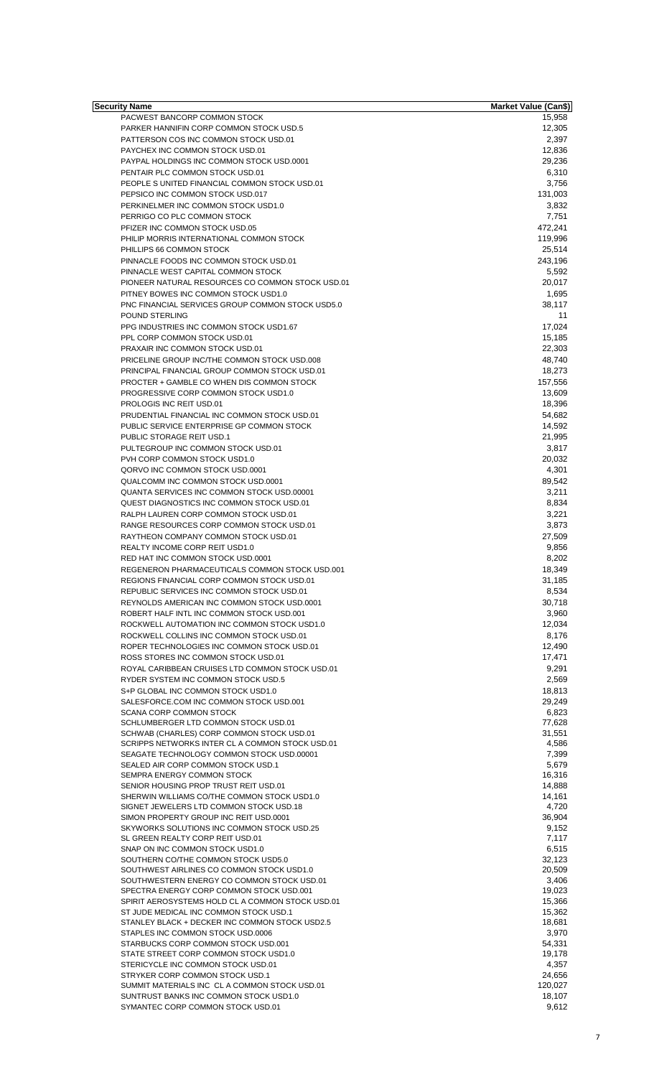| Security Name                                                                            | <b>Market Value (Can\$)</b> |
|------------------------------------------------------------------------------------------|-----------------------------|
| PACWEST BANCORP COMMON STOCK<br>PARKER HANNIFIN CORP COMMON STOCK USD.5                  | 15,958                      |
| PATTERSON COS INC COMMON STOCK USD.01                                                    | 12,305<br>2,397             |
| PAYCHEX INC COMMON STOCK USD.01                                                          | 12,836                      |
| PAYPAL HOLDINGS INC COMMON STOCK USD.0001                                                | 29,236                      |
| PENTAIR PLC COMMON STOCK USD.01                                                          | 6,310                       |
| PEOPLE SUNITED FINANCIAL COMMON STOCK USD.01                                             | 3,756                       |
| PEPSICO INC COMMON STOCK USD.017                                                         | 131,003                     |
| PERKINELMER INC COMMON STOCK USD1.0                                                      | 3,832                       |
| PERRIGO CO PLC COMMON STOCK                                                              | 7,751                       |
| PFIZER INC COMMON STOCK USD.05                                                           | 472,241                     |
| PHILIP MORRIS INTERNATIONAL COMMON STOCK                                                 | 119,996                     |
| PHILLIPS 66 COMMON STOCK<br>PINNACLE FOODS INC COMMON STOCK USD.01                       | 25,514<br>243,196           |
| PINNACLE WEST CAPITAL COMMON STOCK                                                       | 5,592                       |
| PIONEER NATURAL RESOURCES CO COMMON STOCK USD.01                                         | 20,017                      |
| PITNEY BOWES INC COMMON STOCK USD1.0                                                     | 1,695                       |
| PNC FINANCIAL SERVICES GROUP COMMON STOCK USD5.0                                         | 38,117                      |
| POUND STERLING                                                                           | 11                          |
| PPG INDUSTRIES INC COMMON STOCK USD1.67                                                  | 17,024                      |
| PPL CORP COMMON STOCK USD.01                                                             | 15,185                      |
| PRAXAIR INC COMMON STOCK USD.01                                                          | 22,303                      |
| PRICELINE GROUP INC/THE COMMON STOCK USD.008                                             | 48,740                      |
| PRINCIPAL FINANCIAL GROUP COMMON STOCK USD.01                                            | 18,273                      |
| PROCTER + GAMBLE CO WHEN DIS COMMON STOCK                                                | 157,556                     |
| PROGRESSIVE CORP COMMON STOCK USD1.0                                                     | 13,609                      |
| PROLOGIS INC REIT USD.01                                                                 | 18,396                      |
| PRUDENTIAL FINANCIAL INC COMMON STOCK USD.01                                             | 54,682                      |
| PUBLIC SERVICE ENTERPRISE GP COMMON STOCK<br>PUBLIC STORAGE REIT USD.1                   | 14,592<br>21,995            |
| PULTEGROUP INC COMMON STOCK USD.01                                                       | 3,817                       |
| PVH CORP COMMON STOCK USD1.0                                                             | 20,032                      |
| QORVO INC COMMON STOCK USD.0001                                                          | 4,301                       |
| QUALCOMM INC COMMON STOCK USD.0001                                                       | 89,542                      |
| QUANTA SERVICES INC COMMON STOCK USD.00001                                               | 3,211                       |
| QUEST DIAGNOSTICS INC COMMON STOCK USD.01                                                | 8,834                       |
| RALPH LAUREN CORP COMMON STOCK USD.01                                                    | 3,221                       |
| RANGE RESOURCES CORP COMMON STOCK USD.01                                                 | 3,873                       |
| RAYTHEON COMPANY COMMON STOCK USD.01                                                     | 27,509                      |
| <b>REALTY INCOME CORP REIT USD1.0</b>                                                    | 9,856                       |
| RED HAT INC COMMON STOCK USD.0001                                                        | 8,202                       |
| REGENERON PHARMACEUTICALS COMMON STOCK USD.001                                           | 18,349                      |
| REGIONS FINANCIAL CORP COMMON STOCK USD.01                                               | 31,185                      |
| REPUBLIC SERVICES INC COMMON STOCK USD.01                                                | 8,534                       |
| REYNOLDS AMERICAN INC COMMON STOCK USD.0001                                              | 30,718                      |
| ROBERT HALF INTL INC COMMON STOCK USD.001<br>ROCKWELL AUTOMATION INC COMMON STOCK USD1.0 | 3,960<br>12,034             |
| ROCKWELL COLLINS INC COMMON STOCK USD.01                                                 | 8,176                       |
| ROPER TECHNOLOGIES INC COMMON STOCK USD.01                                               | 12,490                      |
| ROSS STORES INC COMMON STOCK USD.01                                                      | 17.471                      |
| ROYAL CARIBBEAN CRUISES LTD COMMON STOCK USD.01                                          | 9,291                       |
| RYDER SYSTEM INC COMMON STOCK USD.5                                                      | 2,569                       |
| S+P GLOBAL INC COMMON STOCK USD1.0                                                       | 18,813                      |
| SALESFORCE.COM INC COMMON STOCK USD.001                                                  | 29,249                      |
| <b>SCANA CORP COMMON STOCK</b>                                                           | 6,823                       |
| SCHLUMBERGER LTD COMMON STOCK USD.01                                                     | 77,628                      |
| SCHWAB (CHARLES) CORP COMMON STOCK USD.01                                                | 31,551                      |
| SCRIPPS NETWORKS INTER CL A COMMON STOCK USD.01                                          | 4,586                       |
| SEAGATE TECHNOLOGY COMMON STOCK USD.00001                                                | 7,399                       |
| SEALED AIR CORP COMMON STOCK USD.1<br>SEMPRA ENERGY COMMON STOCK                         | 5,679<br>16,316             |
| SENIOR HOUSING PROP TRUST REIT USD.01                                                    | 14,888                      |
| SHERWIN WILLIAMS CO/THE COMMON STOCK USD1.0                                              | 14,161                      |
| SIGNET JEWELERS LTD COMMON STOCK USD.18                                                  | 4,720                       |
| SIMON PROPERTY GROUP INC REIT USD.0001                                                   | 36,904                      |
| SKYWORKS SOLUTIONS INC COMMON STOCK USD.25                                               | 9,152                       |
| SL GREEN REALTY CORP REIT USD.01                                                         | 7,117                       |
| SNAP ON INC COMMON STOCK USD1.0                                                          | 6,515                       |
| SOUTHERN CO/THE COMMON STOCK USD5.0                                                      | 32,123                      |
| SOUTHWEST AIRLINES CO COMMON STOCK USD1.0<br>SOUTHWESTERN ENERGY CO COMMON STOCK USD.01  | 20,509<br>3,406             |
| SPECTRA ENERGY CORP COMMON STOCK USD.001                                                 | 19,023                      |
| SPIRIT AEROSYSTEMS HOLD CL A COMMON STOCK USD.01                                         | 15,366                      |
| ST JUDE MEDICAL INC COMMON STOCK USD.1                                                   | 15,362                      |
| STANLEY BLACK + DECKER INC COMMON STOCK USD2.5                                           | 18,681                      |
| STAPLES INC COMMON STOCK USD.0006                                                        | 3,970                       |
| STARBUCKS CORP COMMON STOCK USD.001                                                      | 54,331                      |
| STATE STREET CORP COMMON STOCK USD1.0                                                    | 19,178                      |
| STERICYCLE INC COMMON STOCK USD.01                                                       | 4,357                       |
| STRYKER CORP COMMON STOCK USD.1                                                          | 24,656                      |
| SUMMIT MATERIALS INC CL A COMMON STOCK USD.01<br>SUNTRUST BANKS INC COMMON STOCK USD1.0  | 120,027<br>18,107           |
| SYMANTEC CORP COMMON STOCK USD.01                                                        | 9,612                       |
|                                                                                          |                             |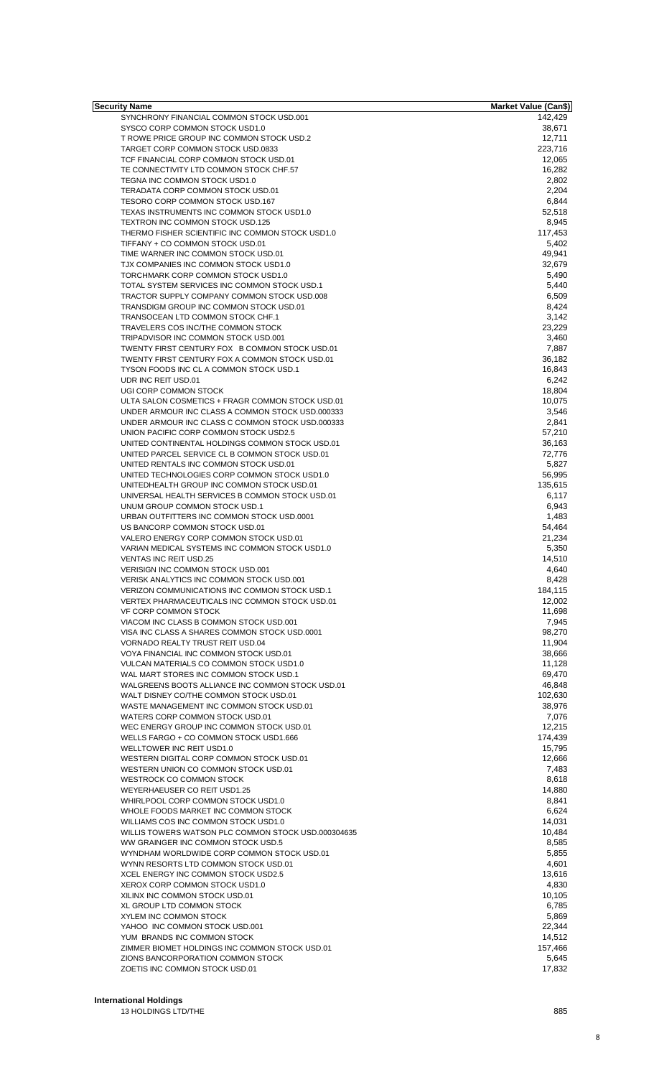| Security Name                                                                              | <b>Market Value (Can\$)</b> |
|--------------------------------------------------------------------------------------------|-----------------------------|
| SYNCHRONY FINANCIAL COMMON STOCK USD.001                                                   | 142,429                     |
| SYSCO CORP COMMON STOCK USD1.0<br>T ROWE PRICE GROUP INC COMMON STOCK USD.2                | 38,671<br>12,711            |
| TARGET CORP COMMON STOCK USD.0833                                                          | 223,716                     |
| TCF FINANCIAL CORP COMMON STOCK USD.01                                                     | 12,065                      |
| TE CONNECTIVITY LTD COMMON STOCK CHF.57                                                    | 16,282                      |
| TEGNA INC COMMON STOCK USD1.0                                                              | 2,802                       |
| TERADATA CORP COMMON STOCK USD.01                                                          | 2,204                       |
| TESORO CORP COMMON STOCK USD.167                                                           | 6,844                       |
| TEXAS INSTRUMENTS INC COMMON STOCK USD1.0<br>TEXTRON INC COMMON STOCK USD.125              | 52,518                      |
| THERMO FISHER SCIENTIFIC INC COMMON STOCK USD1.0                                           | 8,945<br>117,453            |
| TIFFANY + CO COMMON STOCK USD.01                                                           | 5,402                       |
| TIME WARNER INC COMMON STOCK USD.01                                                        | 49,941                      |
| TJX COMPANIES INC COMMON STOCK USD1.0                                                      | 32,679                      |
| TORCHMARK CORP COMMON STOCK USD1.0                                                         | 5,490                       |
| TOTAL SYSTEM SERVICES INC COMMON STOCK USD.1                                               | 5,440                       |
| TRACTOR SUPPLY COMPANY COMMON STOCK USD.008                                                | 6,509                       |
| TRANSDIGM GROUP INC COMMON STOCK USD.01<br>TRANSOCEAN LTD COMMON STOCK CHF.1               | 8,424<br>3,142              |
| TRAVELERS COS INC/THE COMMON STOCK                                                         | 23,229                      |
| TRIPADVISOR INC COMMON STOCK USD.001                                                       | 3,460                       |
| TWENTY FIRST CENTURY FOX B COMMON STOCK USD.01                                             | 7,887                       |
| TWENTY FIRST CENTURY FOX A COMMON STOCK USD.01                                             | 36,182                      |
| TYSON FOODS INC CL A COMMON STOCK USD.1                                                    | 16,843                      |
| UDR INC REIT USD.01                                                                        | 6,242                       |
| UGI CORP COMMON STOCK                                                                      | 18,804                      |
| ULTA SALON COSMETICS + FRAGR COMMON STOCK USD.01                                           | 10,075                      |
| UNDER ARMOUR INC CLASS A COMMON STOCK USD.000333                                           | 3,546                       |
| UNDER ARMOUR INC CLASS C COMMON STOCK USD.000333<br>UNION PACIFIC CORP COMMON STOCK USD2.5 | 2,841<br>57,210             |
| UNITED CONTINENTAL HOLDINGS COMMON STOCK USD.01                                            | 36,163                      |
| UNITED PARCEL SERVICE CL B COMMON STOCK USD.01                                             | 72,776                      |
| UNITED RENTALS INC COMMON STOCK USD.01                                                     | 5,827                       |
| UNITED TECHNOLOGIES CORP COMMON STOCK USD1.0                                               | 56,995                      |
| UNITEDHEALTH GROUP INC COMMON STOCK USD.01                                                 | 135,615                     |
| UNIVERSAL HEALTH SERVICES B COMMON STOCK USD.01                                            | 6,117                       |
| UNUM GROUP COMMON STOCK USD.1                                                              | 6,943                       |
| URBAN OUTFITTERS INC COMMON STOCK USD.0001                                                 | 1,483                       |
| US BANCORP COMMON STOCK USD.01                                                             | 54,464                      |
| VALERO ENERGY CORP COMMON STOCK USD.01<br>VARIAN MEDICAL SYSTEMS INC COMMON STOCK USD1.0   | 21,234<br>5,350             |
| <b>VENTAS INC REIT USD.25</b>                                                              | 14,510                      |
| VERISIGN INC COMMON STOCK USD.001                                                          | 4,640                       |
| VERISK ANALYTICS INC COMMON STOCK USD.001                                                  | 8,428                       |
| VERIZON COMMUNICATIONS INC COMMON STOCK USD.1                                              | 184,115                     |
| VERTEX PHARMACEUTICALS INC COMMON STOCK USD.01                                             | 12,002                      |
| VF CORP COMMON STOCK                                                                       | 11,698                      |
| VIACOM INC CLASS B COMMON STOCK USD.001                                                    | 7.945                       |
| VISA INC CLASS A SHARES COMMON STOCK USD.0001                                              | 98,270                      |
| VORNADO REALTY TRUST REIT USD.04                                                           | 11,904                      |
| VOYA FINANCIAL INC COMMON STOCK USD.01<br>VULCAN MATERIALS CO COMMON STOCK USD1.0          | 38,666<br>11,128            |
| WAL MART STORES INC COMMON STOCK USD.1                                                     | 69,470                      |
| WALGREENS BOOTS ALLIANCE INC COMMON STOCK USD.01                                           | 46,848                      |
| WALT DISNEY CO/THE COMMON STOCK USD.01                                                     | 102,630                     |
| WASTE MANAGEMENT INC COMMON STOCK USD.01                                                   | 38,976                      |
| WATERS CORP COMMON STOCK USD.01                                                            | 7,076                       |
| WEC ENERGY GROUP INC COMMON STOCK USD.01                                                   | 12,215                      |
| WELLS FARGO + CO COMMON STOCK USD1.666                                                     | 174,439                     |
| WELLTOWER INC REIT USD1.0                                                                  | 15,795                      |
| WESTERN DIGITAL CORP COMMON STOCK USD.01<br>WESTERN UNION CO COMMON STOCK USD.01           | 12,666<br>7,483             |
| WESTROCK CO COMMON STOCK                                                                   | 8,618                       |
| WEYERHAEUSER CO REIT USD1.25                                                               | 14,880                      |
| WHIRLPOOL CORP COMMON STOCK USD1.0                                                         | 8,841                       |
| WHOLE FOODS MARKET INC COMMON STOCK                                                        | 6,624                       |
| WILLIAMS COS INC COMMON STOCK USD1.0                                                       | 14,031                      |
| WILLIS TOWERS WATSON PLC COMMON STOCK USD.000304635                                        | 10,484                      |
| WW GRAINGER INC COMMON STOCK USD.5                                                         | 8,585                       |
| WYNDHAM WORLDWIDE CORP COMMON STOCK USD.01                                                 | 5,855                       |
| WYNN RESORTS LTD COMMON STOCK USD.01<br>XCEL ENERGY INC COMMON STOCK USD2.5                | 4,601<br>13,616             |
| XEROX CORP COMMON STOCK USD1.0                                                             | 4,830                       |
| XILINX INC COMMON STOCK USD.01                                                             | 10,105                      |
| XL GROUP LTD COMMON STOCK                                                                  | 6,785                       |
| XYLEM INC COMMON STOCK                                                                     | 5,869                       |
| YAHOO INC COMMON STOCK USD.001                                                             | 22,344                      |
| YUM BRANDS INC COMMON STOCK                                                                | 14,512                      |
| ZIMMER BIOMET HOLDINGS INC COMMON STOCK USD.01                                             | 157,466                     |
| ZIONS BANCORPORATION COMMON STOCK                                                          | 5,645                       |
| ZOETIS INC COMMON STOCK USD.01                                                             | 17,832                      |

## **International Holdings**

13 HOLDINGS LTD/THE 885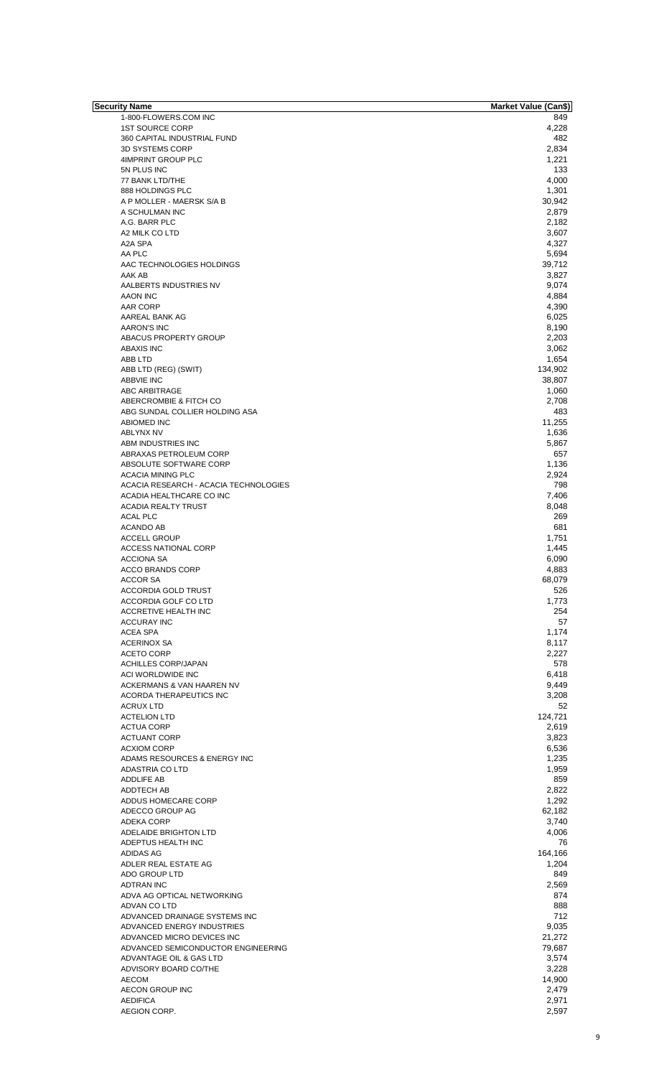| Security Name                         | <b>Market Value (Can\$)</b> |
|---------------------------------------|-----------------------------|
| 1-800-FLOWERS.COM INC                 | 849                         |
| <b>1ST SOURCE CORP</b>                | 4,228                       |
| 360 CAPITAL INDUSTRIAL FUND           | 482                         |
|                                       |                             |
| 3D SYSTEMS CORP                       | 2,834                       |
| 4IMPRINT GROUP PLC                    | 1,221                       |
| 5N PLUS INC                           | 133                         |
| 77 BANK LTD/THE                       | 4,000                       |
| 888 HOLDINGS PLC                      | 1,301                       |
|                                       |                             |
| A P MOLLER - MAERSK S/A B             | 30,942                      |
| A SCHULMAN INC                        | 2,879                       |
| A.G. BARR PLC                         | 2,182                       |
| A2 MILK CO LTD                        | 3,607                       |
| A2A SPA                               | 4,327                       |
| AA PLC                                |                             |
|                                       | 5,694                       |
| AAC TECHNOLOGIES HOLDINGS             | 39,712                      |
| AAK AB                                | 3,827                       |
| AALBERTS INDUSTRIES NV                | 9,074                       |
| AAON INC                              | 4,884                       |
|                                       |                             |
| AAR CORP                              | 4,390                       |
| AAREAL BANK AG                        | 6,025                       |
| <b>AARON'S INC</b>                    | 8,190                       |
| ABACUS PROPERTY GROUP                 | 2,203                       |
| <b>ABAXIS INC</b>                     | 3,062                       |
|                                       |                             |
| ABB LTD                               | 1,654                       |
| ABB LTD (REG) (SWIT)                  | 134,902                     |
| ABBVIE INC                            | 38,807                      |
| ABC ARBITRAGE                         | 1,060                       |
| ABERCROMBIE & FITCH CO                | 2,708                       |
| ABG SUNDAL COLLIER HOLDING ASA        | 483                         |
|                                       |                             |
| <b>ABIOMED INC</b>                    | 11,255                      |
| <b>ABLYNX NV</b>                      | 1,636                       |
| ABM INDUSTRIES INC                    | 5,867                       |
| ABRAXAS PETROLEUM CORP                | 657                         |
|                                       |                             |
| ABSOLUTE SOFTWARE CORP                | 1,136                       |
| <b>ACACIA MINING PLC</b>              | 2,924                       |
| ACACIA RESEARCH - ACACIA TECHNOLOGIES | 798                         |
| ACADIA HEALTHCARE CO INC              | 7,406                       |
| <b>ACADIA REALTY TRUST</b>            | 8,048                       |
|                                       |                             |
| <b>ACAL PLC</b>                       | 269                         |
| ACANDO AB                             | 681                         |
| <b>ACCELL GROUP</b>                   | 1,751                       |
| <b>ACCESS NATIONAL CORP</b>           | 1,445                       |
| <b>ACCIONA SA</b>                     | 6,090                       |
|                                       |                             |
| <b>ACCO BRANDS CORP</b>               | 4,883                       |
| ACCOR SA                              | 68,079                      |
| <b>ACCORDIA GOLD TRUST</b>            | 526                         |
| ACCORDIA GOLF CO LTD                  | 1,773                       |
| ACCRETIVE HEALTH INC                  | 254                         |
|                                       |                             |
| <b>ACCURAY INC</b>                    | 57                          |
| <b>ACEA SPA</b>                       | 1,174                       |
| <b>ACERINOX SA</b>                    | 8,117                       |
| <b>ACETO CORP</b>                     | 2,227                       |
| <b>ACHILLES CORP/JAPAN</b>            | 578                         |
|                                       |                             |
| ACI WORLDWIDE INC                     | 6,418                       |
| ACKERMANS & VAN HAAREN NV             | 9,449                       |
| ACORDA THERAPEUTICS INC               | 3,208                       |
| <b>ACRUX LTD</b>                      | 52                          |
| <b>ACTELION LTD</b>                   | 124,721                     |
|                                       |                             |
| <b>ACTUA CORP</b>                     | 2,619                       |
| <b>ACTUANT CORP</b>                   | 3,823                       |
| <b>ACXIOM CORP</b>                    | 6,536                       |
| ADAMS RESOURCES & ENERGY INC          | 1,235                       |
| ADASTRIA CO LTD                       | 1,959                       |
|                                       | 859                         |
| ADDLIFE AB                            |                             |
| ADDTECH AB                            | 2,822                       |
| ADDUS HOMECARE CORP                   | 1,292                       |
| ADECCO GROUP AG                       | 62,182                      |
| ADEKA CORP                            | 3,740                       |
| ADELAIDE BRIGHTON LTD                 | 4,006                       |
|                                       |                             |
| ADEPTUS HEALTH INC                    | 76                          |
| ADIDAS AG                             | 164,166                     |
| ADLER REAL ESTATE AG                  | 1,204                       |
| ADO GROUP LTD                         | 849                         |
| <b>ADTRAN INC</b>                     | 2,569                       |
| ADVA AG OPTICAL NETWORKING            | 874                         |
|                                       |                             |
| ADVAN CO LTD                          | 888                         |
| ADVANCED DRAINAGE SYSTEMS INC         | 712                         |
| ADVANCED ENERGY INDUSTRIES            | 9,035                       |
| ADVANCED MICRO DEVICES INC            | 21,272                      |
| ADVANCED SEMICONDUCTOR ENGINEERING    | 79,687                      |
|                                       |                             |
| ADVANTAGE OIL & GAS LTD               | 3,574                       |
| ADVISORY BOARD CO/THE                 | 3,228                       |
| <b>AECOM</b>                          | 14,900                      |
| AECON GROUP INC                       | 2,479                       |
| <b>AEDIFICA</b>                       | 2,971                       |
|                                       |                             |
| AEGION CORP.                          | 2,597                       |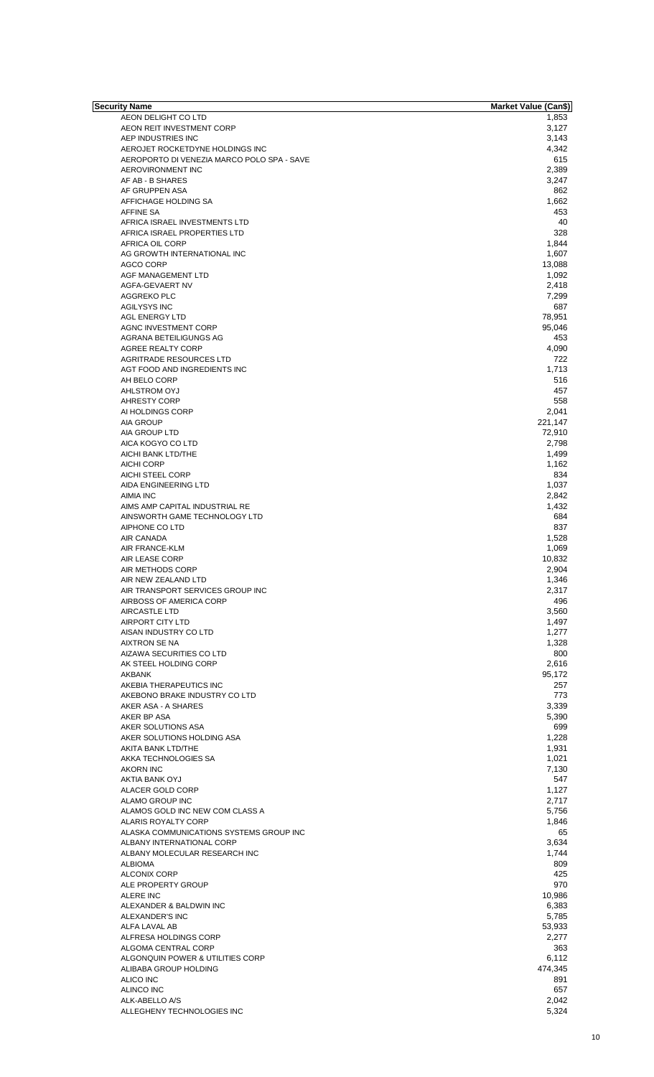| <b>Security Name</b>                       | <b>Market Value (Can\$)</b> |
|--------------------------------------------|-----------------------------|
| AEON DELIGHT CO LTD                        | 1,853                       |
| AEON REIT INVESTMENT CORP                  | 3,127                       |
| AEP INDUSTRIES INC                         | 3,143                       |
| AEROJET ROCKETDYNE HOLDINGS INC            | 4,342                       |
| AEROPORTO DI VENEZIA MARCO POLO SPA - SAVE | 615                         |
| AEROVIRONMENT INC                          | 2,389                       |
| AF AB - B SHARES                           | 3,247                       |
| AF GRUPPEN ASA                             | 862                         |
| AFFICHAGE HOLDING SA                       | 1,662                       |
| <b>AFFINE SA</b>                           | 453                         |
| AFRICA ISRAEL INVESTMENTS LTD              | 40                          |
| AFRICA ISRAEL PROPERTIES LTD               | 328                         |
| AFRICA OIL CORP                            | 1,844                       |
| AG GROWTH INTERNATIONAL INC                | 1,607                       |
| <b>AGCO CORP</b>                           | 13,088                      |
| AGF MANAGEMENT LTD                         | 1,092                       |
| AGFA-GEVAERT NV                            | 2,418                       |
| AGGREKO PLC                                | 7,299                       |
| <b>AGILYSYS INC</b>                        | 687                         |
| AGL ENERGY LTD                             | 78,951                      |
| AGNC INVESTMENT CORP                       | 95,046                      |
| AGRANA BETEILIGUNGS AG                     | 453                         |
| <b>AGREE REALTY CORP</b>                   | 4,090                       |
| <b>AGRITRADE RESOURCES LTD</b>             | 722                         |
|                                            |                             |
| AGT FOOD AND INGREDIENTS INC               | 1,713                       |
| AH BELO CORP                               | 516                         |
| AHLSTROM OYJ                               | 457                         |
| <b>AHRESTY CORP</b>                        | 558                         |
| AI HOLDINGS CORP                           | 2,041                       |
| <b>AIA GROUP</b>                           | 221,147                     |
| AIA GROUP LTD                              | 72,910                      |
| AICA KOGYO CO LTD                          | 2,798                       |
| AICHI BANK LTD/THE                         | 1,499                       |
| <b>AICHI CORP</b>                          | 1,162                       |
| AICHI STEEL CORP                           | 834                         |
| AIDA ENGINEERING LTD                       | 1,037                       |
| <b>AIMIA INC</b>                           | 2,842                       |
| AIMS AMP CAPITAL INDUSTRIAL RE             | 1,432                       |
| AINSWORTH GAME TECHNOLOGY LTD              | 684                         |
| AIPHONE CO LTD                             | 837                         |
| AIR CANADA                                 | 1,528                       |
| <b>AIR FRANCE-KLM</b>                      | 1,069                       |
| <b>AIR LEASE CORP</b>                      | 10,832                      |
| AIR METHODS CORP                           | 2,904                       |
| AIR NEW ZEALAND LTD                        | 1,346                       |
| AIR TRANSPORT SERVICES GROUP INC           | 2,317                       |
| AIRBOSS OF AMERICA CORP                    | 496                         |
| AIRCASTLE LTD                              | 3,560                       |
| <b>AIRPORT CITY LTD</b>                    | 1,497                       |
| AISAN INDUSTRY CO LTD                      | 1,277                       |
|                                            |                             |
| AIXTRON SE NA<br>AIZAWA SECURITIES CO LTD  | 1,328                       |
|                                            | 800                         |
| AK STEEL HOLDING CORP                      | 2,616                       |
| AKBANK                                     | 95,172                      |
| AKEBIA THERAPEUTICS INC                    | 257                         |
| AKEBONO BRAKE INDUSTRY CO LTD              | 773                         |
| AKER ASA - A SHARES                        | 3,339                       |
| AKER BP ASA                                | 5,390                       |
| AKER SOLUTIONS ASA                         | 699                         |
| AKER SOLUTIONS HOLDING ASA                 | 1,228                       |
| AKITA BANK LTD/THE                         | 1,931                       |
| AKKA TECHNOLOGIES SA                       | 1,021                       |
| <b>AKORN INC</b>                           | 7,130                       |
| AKTIA BANK OYJ                             | 547                         |
| ALACER GOLD CORP                           | 1,127                       |
| ALAMO GROUP INC                            | 2,717                       |
| ALAMOS GOLD INC NEW COM CLASS A            | 5,756                       |
| ALARIS ROYALTY CORP                        | 1,846                       |
| ALASKA COMMUNICATIONS SYSTEMS GROUP INC    | 65                          |
| ALBANY INTERNATIONAL CORP                  | 3,634                       |
| ALBANY MOLECULAR RESEARCH INC              | 1,744                       |
| <b>ALBIOMA</b>                             | 809                         |
| <b>ALCONIX CORP</b>                        | 425                         |
| ALE PROPERTY GROUP                         | 970                         |
| <b>ALERE INC</b>                           | 10,986                      |
| ALEXANDER & BALDWIN INC                    | 6,383                       |
| ALEXANDER'S INC                            | 5,785                       |
| ALFA LAVAL AB                              | 53,933                      |
| ALFRESA HOLDINGS CORP                      | 2,277                       |
| ALGOMA CENTRAL CORP                        | 363                         |
|                                            |                             |
| ALGONQUIN POWER & UTILITIES CORP           | 6,112                       |
| ALIBABA GROUP HOLDING                      | 474,345                     |
| ALICO INC                                  | 891                         |
| ALINCO INC                                 | 657                         |
| ALK-ABELLO A/S                             | 2,042                       |
| ALLEGHENY TECHNOLOGIES INC                 | 5,324                       |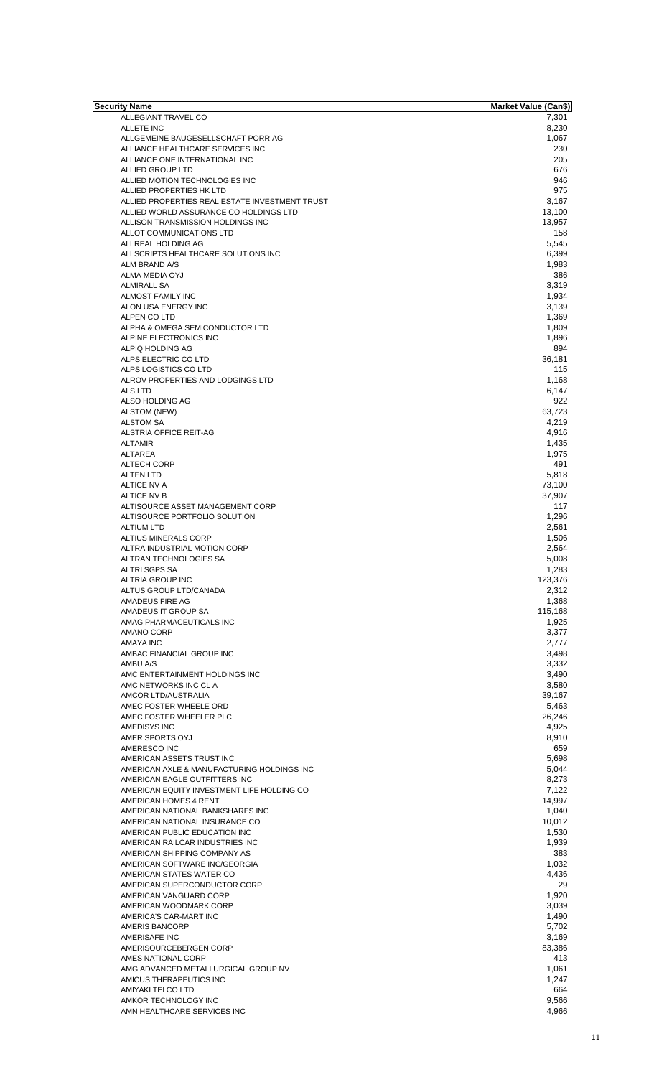| Security Name                                  | <b>Market Value (Can\$)</b> |
|------------------------------------------------|-----------------------------|
| ALLEGIANT TRAVEL CO                            | 7,301                       |
| ALLETE INC                                     | 8,230                       |
| ALLGEMEINE BAUGESELLSCHAFT PORR AG             | 1,067                       |
| ALLIANCE HEALTHCARE SERVICES INC               | 230                         |
| ALLIANCE ONE INTERNATIONAL INC                 | 205                         |
| ALLIED GROUP LTD                               | 676                         |
| ALLIED MOTION TECHNOLOGIES INC                 | 946                         |
| ALLIED PROPERTIES HK LTD                       | 975                         |
| ALLIED PROPERTIES REAL ESTATE INVESTMENT TRUST | 3,167                       |
|                                                |                             |
| ALLIED WORLD ASSURANCE CO HOLDINGS LTD         | 13,100                      |
| ALLISON TRANSMISSION HOLDINGS INC              | 13,957                      |
| ALLOT COMMUNICATIONS LTD                       | 158                         |
| ALLREAL HOLDING AG                             | 5,545                       |
| ALLSCRIPTS HEALTHCARE SOLUTIONS INC            | 6,399                       |
| ALM BRAND A/S                                  | 1,983                       |
| ALMA MEDIA OYJ                                 | 386                         |
|                                                |                             |
| <b>ALMIRALL SA</b>                             | 3,319                       |
| ALMOST FAMILY INC                              | 1,934                       |
| ALON USA ENERGY INC                            | 3,139                       |
| ALPEN CO LTD                                   | 1,369                       |
| ALPHA & OMEGA SEMICONDUCTOR LTD                | 1,809                       |
| ALPINE ELECTRONICS INC                         | 1,896                       |
| ALPIQ HOLDING AG                               | 894                         |
| ALPS ELECTRIC CO LTD                           |                             |
|                                                | 36,181                      |
| ALPS LOGISTICS CO LTD                          | 115                         |
| ALROV PROPERTIES AND LODGINGS LTD              | 1,168                       |
| ALS LTD                                        | 6,147                       |
| ALSO HOLDING AG                                | 922                         |
| ALSTOM (NEW)                                   | 63,723                      |
| <b>ALSTOM SA</b>                               | 4,219                       |
| ALSTRIA OFFICE REIT-AG                         | 4,916                       |
|                                                |                             |
| <b>ALTAMIR</b>                                 | 1,435                       |
| ALTAREA                                        | 1,975                       |
| ALTECH CORP                                    | 491                         |
| <b>ALTEN LTD</b>                               | 5,818                       |
| <b>ALTICE NV A</b>                             | 73,100                      |
| ALTICE NV B                                    | 37,907                      |
| ALTISOURCE ASSET MANAGEMENT CORP               | 117                         |
| ALTISOURCE PORTFOLIO SOLUTION                  | 1,296                       |
|                                                |                             |
| <b>ALTIUM LTD</b>                              | 2,561                       |
| ALTIUS MINERALS CORP                           | 1,506                       |
| ALTRA INDUSTRIAL MOTION CORP                   | 2,564                       |
| ALTRAN TECHNOLOGIES SA                         | 5,008                       |
| <b>ALTRI SGPS SA</b>                           | 1,283                       |
| ALTRIA GROUP INC                               | 123,376                     |
| ALTUS GROUP LTD/CANADA                         | 2,312                       |
|                                                |                             |
| AMADEUS FIRE AG                                | 1,368                       |
| AMADEUS IT GROUP SA                            | 115,168                     |
| AMAG PHARMACEUTICALS INC                       | 1,925                       |
| AMANO CORP                                     | 3,377                       |
| AMAYA INC                                      | 2,777                       |
| AMBAC FINANCIAL GROUP INC                      | 3,498                       |
| AMBU A/S                                       | 3,332                       |
| AMC ENTERTAINMENT HOLDINGS INC                 | 3,490                       |
| AMC NETWORKS INC CL A                          |                             |
|                                                | 3,580                       |
| AMCOR LTD/AUSTRALIA                            | 39,167                      |
| AMEC FOSTER WHEELE ORD                         | 5,463                       |
| AMEC FOSTER WHEELER PLC                        | 26,246                      |
| AMEDISYS INC                                   | 4,925                       |
| AMER SPORTS OYJ                                | 8,910                       |
| AMERESCO INC                                   | 659                         |
| AMERICAN ASSETS TRUST INC                      | 5,698                       |
|                                                |                             |
| AMERICAN AXLE & MANUFACTURING HOLDINGS INC     | 5,044                       |
| AMERICAN EAGLE OUTFITTERS INC                  | 8,273                       |
| AMERICAN EQUITY INVESTMENT LIFE HOLDING CO     | 7,122                       |
| AMERICAN HOMES 4 RENT                          | 14,997                      |
| AMERICAN NATIONAL BANKSHARES INC               | 1,040                       |
| AMERICAN NATIONAL INSURANCE CO                 | 10,012                      |
| AMERICAN PUBLIC EDUCATION INC                  | 1,530                       |
| AMERICAN RAILCAR INDUSTRIES INC                |                             |
|                                                | 1,939                       |
| AMERICAN SHIPPING COMPANY AS                   | 383                         |
| AMERICAN SOFTWARE INC/GEORGIA                  | 1,032                       |
| AMERICAN STATES WATER CO                       | 4,436                       |
| AMERICAN SUPERCONDUCTOR CORP                   | 29                          |
| AMERICAN VANGUARD CORP                         | 1,920                       |
| AMERICAN WOODMARK CORP                         | 3,039                       |
| AMERICA'S CAR-MART INC                         | 1,490                       |
|                                                |                             |
| AMERIS BANCORP                                 | 5,702                       |
| AMERISAFE INC                                  | 3,169                       |
| AMERISOURCEBERGEN CORP                         | 83,386                      |
| AMES NATIONAL CORP                             | 413                         |
| AMG ADVANCED METALLURGICAL GROUP NV            | 1,061                       |
| AMICUS THERAPEUTICS INC                        | 1,247                       |
|                                                |                             |
| AMIYAKI TEI CO LTD                             | 664                         |
| AMKOR TECHNOLOGY INC                           | 9,566                       |
| AMN HEALTHCARE SERVICES INC                    | 4,966                       |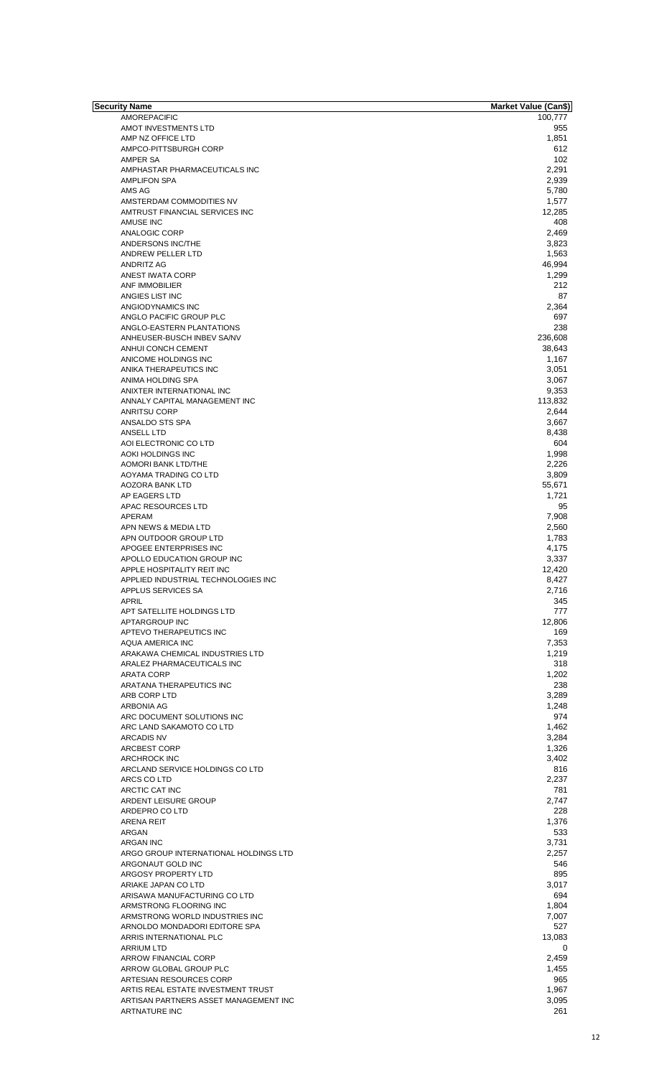| Security Name                         | <b>Market Value (Can\$)</b> |
|---------------------------------------|-----------------------------|
| <b>AMOREPACIFIC</b>                   | 100,777                     |
| AMOT INVESTMENTS LTD                  | 955                         |
|                                       |                             |
| AMP NZ OFFICE LTD                     | 1,851                       |
| AMPCO-PITTSBURGH CORP                 | 612                         |
| AMPER SA                              | 102                         |
| AMPHASTAR PHARMACEUTICALS INC         | 2,291                       |
|                                       |                             |
| <b>AMPLIFON SPA</b>                   | 2,939                       |
| AMS AG                                | 5,780                       |
| AMSTERDAM COMMODITIES NV              | 1,577                       |
|                                       |                             |
| AMTRUST FINANCIAL SERVICES INC        | 12,285                      |
| AMUSE INC                             | 408                         |
|                                       |                             |
| ANALOGIC CORP                         | 2,469                       |
| ANDERSONS INC/THE                     | 3,823                       |
| ANDREW PELLER LTD                     | 1,563                       |
|                                       |                             |
| ANDRITZ AG                            | 46,994                      |
| ANEST IWATA CORP                      | 1,299                       |
|                                       |                             |
| <b>ANF IMMOBILIER</b>                 | 212                         |
| ANGIES LIST INC                       | 87                          |
| ANGIODYNAMICS INC                     | 2,364                       |
|                                       |                             |
| ANGLO PACIFIC GROUP PLC               | 697                         |
| ANGLO-EASTERN PLANTATIONS             | 238                         |
| ANHEUSER-BUSCH INBEV SA/NV            | 236,608                     |
|                                       |                             |
| ANHUI CONCH CEMENT                    | 38,643                      |
| ANICOME HOLDINGS INC                  | 1,167                       |
|                                       |                             |
| ANIKA THERAPEUTICS INC                | 3,051                       |
| ANIMA HOLDING SPA                     | 3,067                       |
| ANIXTER INTERNATIONAL INC             | 9,353                       |
|                                       |                             |
| ANNALY CAPITAL MANAGEMENT INC         | 113,832                     |
| <b>ANRITSU CORP</b>                   | 2,644                       |
|                                       |                             |
| ANSALDO STS SPA                       | 3,667                       |
| ANSELL LTD                            | 8,438                       |
| AOI ELECTRONIC CO LTD                 | 604                         |
|                                       |                             |
| AOKI HOLDINGS INC                     | 1,998                       |
| <b>AOMORI BANK LTD/THE</b>            | 2,226                       |
| AOYAMA TRADING CO LTD                 | 3,809                       |
|                                       |                             |
| AOZORA BANK LTD                       | 55,671                      |
| AP EAGERS LTD                         | 1,721                       |
|                                       |                             |
| APAC RESOURCES LTD                    | 95                          |
| APERAM                                | 7,908                       |
|                                       |                             |
| APN NEWS & MEDIA LTD                  | 2,560                       |
| APN OUTDOOR GROUP LTD                 | 1,783                       |
| APOGEE ENTERPRISES INC                | 4,175                       |
|                                       |                             |
| APOLLO EDUCATION GROUP INC            | 3,337                       |
| APPLE HOSPITALITY REIT INC            | 12,420                      |
| APPLIED INDUSTRIAL TECHNOLOGIES INC   | 8,427                       |
|                                       |                             |
| APPLUS SERVICES SA                    | 2,716                       |
| <b>APRIL</b>                          | 345                         |
| APT SATELLITE HOLDINGS LTD            | 777                         |
|                                       |                             |
| APTARGROUP INC                        | 12,806                      |
| APTEVO THERAPEUTICS INC               | 169                         |
|                                       |                             |
| AQUA AMERICA INC                      | 7,353                       |
| ARAKAWA CHEMICAL INDUSTRIES LTD       | 1,219                       |
| ARALEZ PHARMACEUTICALS INC            | 318                         |
|                                       |                             |
| ARATA CORP                            | 1,202                       |
| ARATANA THERAPEUTICS INC              | 238                         |
|                                       |                             |
| ARB CORP LTD                          | 3,289                       |
| ARBONIA AG                            | 1,248                       |
| ARC DOCUMENT SOLUTIONS INC            | 974                         |
|                                       |                             |
| ARC LAND SAKAMOTO CO LTD              | 1,462                       |
| <b>ARCADIS NV</b>                     | 3,284                       |
|                                       |                             |
| ARCBEST CORP                          | 1,326                       |
| ARCHROCK INC                          | 3,402                       |
| ARCLAND SERVICE HOLDINGS CO LTD       | 816                         |
|                                       |                             |
| ARCS CO LTD                           | 2,237                       |
| ARCTIC CAT INC                        | 781                         |
| ARDENT LEISURE GROUP                  | 2,747                       |
|                                       |                             |
| ARDEPRO CO LTD                        | 228                         |
| <b>ARENA REIT</b>                     | 1,376                       |
|                                       | 533                         |
| ARGAN                                 |                             |
| ARGAN INC                             | 3,731                       |
| ARGO GROUP INTERNATIONAL HOLDINGS LTD | 2,257                       |
|                                       |                             |
| ARGONAUT GOLD INC                     | 546                         |
| ARGOSY PROPERTY LTD                   | 895                         |
|                                       |                             |
| ARIAKE JAPAN CO LTD                   | 3,017                       |
| ARISAWA MANUFACTURING CO LTD          | 694                         |
| ARMSTRONG FLOORING INC                | 1,804                       |
|                                       |                             |
| ARMSTRONG WORLD INDUSTRIES INC        | 7,007                       |
| ARNOLDO MONDADORI EDITORE SPA         | 527                         |
|                                       |                             |
| ARRIS INTERNATIONAL PLC               | 13,083                      |
| <b>ARRIUM LTD</b>                     | 0                           |
|                                       |                             |
| <b>ARROW FINANCIAL CORP</b>           | 2,459                       |
| ARROW GLOBAL GROUP PLC                | 1,455                       |
| ARTESIAN RESOURCES CORP               | 965                         |
|                                       |                             |
| ARTIS REAL ESTATE INVESTMENT TRUST    | 1,967                       |
| ARTISAN PARTNERS ASSET MANAGEMENT INC | 3,095                       |
|                                       |                             |
| <b>ARTNATURE INC</b>                  | 261                         |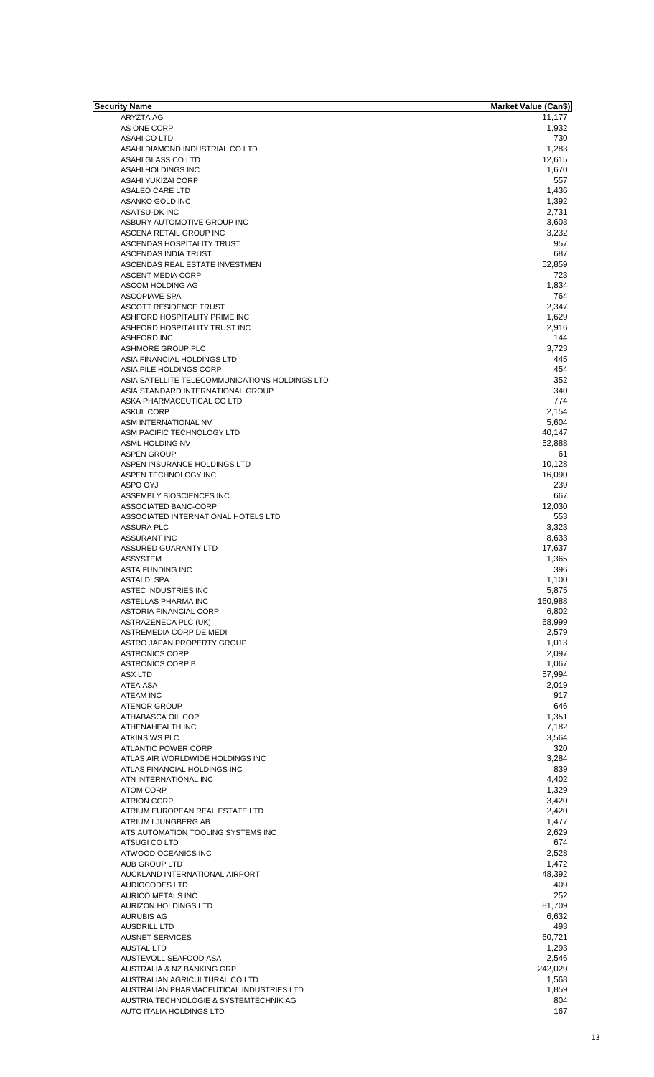| <b>Security Name</b>                           | Market Value (Can\$) |
|------------------------------------------------|----------------------|
| ARYZTA AG                                      | 11,177               |
| AS ONE CORP                                    | 1,932                |
| ASAHI CO LTD                                   | 730                  |
| ASAHI DIAMOND INDUSTRIAL CO LTD                | 1,283                |
| ASAHI GLASS CO LTD                             | 12,615               |
|                                                |                      |
| ASAHI HOLDINGS INC                             | 1,670                |
| ASAHI YUKIZAI CORP                             | 557                  |
| ASALEO CARE LTD                                | 1,436                |
| ASANKO GOLD INC                                | 1,392                |
| <b>ASATSU-DK INC</b>                           | 2,731                |
| ASBURY AUTOMOTIVE GROUP INC                    | 3,603                |
| ASCENA RETAIL GROUP INC                        | 3,232                |
| ASCENDAS HOSPITALITY TRUST                     | 957                  |
| ASCENDAS INDIA TRUST                           | 687                  |
|                                                |                      |
| ASCENDAS REAL ESTATE INVESTMEN                 | 52,859               |
| <b>ASCENT MEDIA CORP</b>                       | 723                  |
| ASCOM HOLDING AG                               | 1,834                |
| <b>ASCOPIAVE SPA</b>                           | 764                  |
| ASCOTT RESIDENCE TRUST                         | 2,347                |
| ASHFORD HOSPITALITY PRIME INC                  | 1,629                |
| ASHFORD HOSPITALITY TRUST INC                  | 2,916                |
| <b>ASHFORD INC</b>                             | 144                  |
|                                                |                      |
| <b>ASHMORE GROUP PLC</b>                       | 3,723                |
| ASIA FINANCIAL HOLDINGS LTD                    | 445                  |
| ASIA PILE HOLDINGS CORP                        | 454                  |
| ASIA SATELLITE TELECOMMUNICATIONS HOLDINGS LTD | 352                  |
| ASIA STANDARD INTERNATIONAL GROUP              | 340                  |
| ASKA PHARMACEUTICAL CO LTD                     | 774                  |
| <b>ASKUL CORP</b>                              | 2,154                |
|                                                |                      |
| ASM INTERNATIONAL NV                           | 5,604                |
| ASM PACIFIC TECHNOLOGY LTD                     | 40,147               |
| ASML HOLDING NV                                | 52,888               |
| <b>ASPEN GROUP</b>                             | 61                   |
| ASPEN INSURANCE HOLDINGS LTD                   | 10,128               |
| ASPEN TECHNOLOGY INC                           | 16,090               |
| ASPO OYJ                                       | 239                  |
| ASSEMBLY BIOSCIENCES INC                       | 667                  |
| ASSOCIATED BANC-CORP                           | 12,030               |
|                                                |                      |
| ASSOCIATED INTERNATIONAL HOTELS LTD            | 553                  |
| <b>ASSURA PLC</b>                              | 3,323                |
| <b>ASSURANT INC</b>                            | 8,633                |
| <b>ASSURED GUARANTY LTD</b>                    | 17,637               |
| <b>ASSYSTEM</b>                                | 1,365                |
| <b>ASTA FUNDING INC</b>                        | 396                  |
| ASTALDI SPA                                    | 1,100                |
| ASTEC INDUSTRIES INC                           | 5,875                |
|                                                |                      |
| ASTELLAS PHARMA INC                            | 160,988              |
| ASTORIA FINANCIAL CORP                         | 6,802                |
| ASTRAZENECA PLC (UK)                           | 68,999               |
| ASTREMEDIA CORP DE MEDI                        | 2.579                |
| ASTRO JAPAN PROPERTY GROUP                     | 1,013                |
| <b>ASTRONICS CORP</b>                          | 2,097                |
| <b>ASTRONICS CORP B</b>                        | 1,067                |
| <b>ASX LTD</b>                                 | 57,994               |
|                                                |                      |
| ATEA ASA                                       | 2,019                |
| <b>ATEAM INC</b>                               | 917                  |
| <b>ATENOR GROUP</b>                            | 646                  |
| ATHABASCA OIL COP                              | 1,351                |
| ATHENAHEALTH INC                               | 7,182                |
| <b>ATKINS WS PLC</b>                           | 3,564                |
| ATLANTIC POWER CORP                            | 320                  |
| ATLAS AIR WORLDWIDE HOLDINGS INC               | 3,284                |
| ATLAS FINANCIAL HOLDINGS INC                   | 839                  |
|                                                |                      |
| ATN INTERNATIONAL INC                          | 4,402                |
| <b>ATOM CORP</b>                               | 1,329                |
| <b>ATRION CORP</b>                             | 3,420                |
| ATRIUM EUROPEAN REAL ESTATE LTD                | 2,420                |
| ATRIUM LJUNGBERG AB                            | 1,477                |
| ATS AUTOMATION TOOLING SYSTEMS INC             | 2,629                |
| ATSUGI CO LTD                                  | 674                  |
| ATWOOD OCEANICS INC                            | 2,528                |
|                                                |                      |
| AUB GROUP LTD                                  | 1,472                |
| AUCKLAND INTERNATIONAL AIRPORT                 | 48,392               |
| AUDIOCODES LTD                                 | 409                  |
| AURICO METALS INC                              | 252                  |
| <b>AURIZON HOLDINGS LTD</b>                    | 81,709               |
| AURUBIS AG                                     | 6,632                |
| AUSDRILL LTD                                   | 493                  |
|                                                |                      |
| <b>AUSNET SERVICES</b>                         | 60,721               |
| <b>AUSTAL LTD</b>                              | 1,293                |
| AUSTEVOLL SEAFOOD ASA                          | 2,546                |
| AUSTRALIA & NZ BANKING GRP                     | 242,029              |
| AUSTRALIAN AGRICULTURAL CO LTD                 | 1,568                |
| AUSTRALIAN PHARMACEUTICAL INDUSTRIES LTD       | 1,859                |
| AUSTRIA TECHNOLOGIE & SYSTEMTECHNIK AG         | 804                  |
|                                                |                      |
| AUTO ITALIA HOLDINGS LTD                       | 167                  |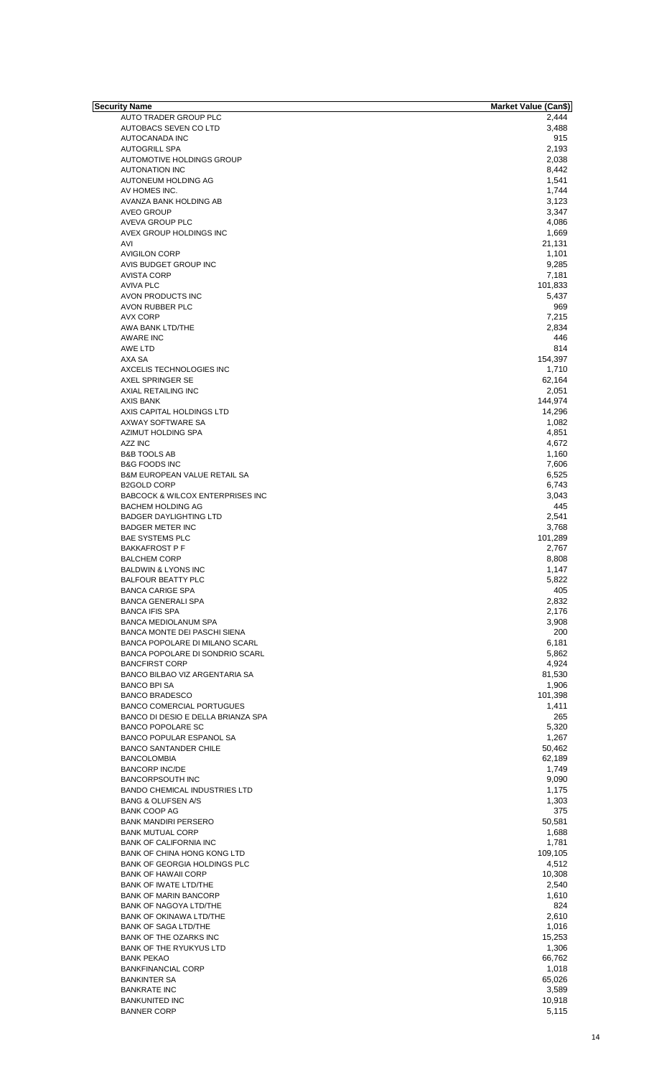| Security Name                               | Market Value (Can\$) |
|---------------------------------------------|----------------------|
| AUTO TRADER GROUP PLC                       | 2,444                |
| AUTOBACS SEVEN CO LTD                       | 3,488                |
| AUTOCANADA INC                              | 915                  |
|                                             |                      |
| <b>AUTOGRILL SPA</b>                        | 2,193                |
| AUTOMOTIVE HOLDINGS GROUP                   | 2,038                |
| <b>AUTONATION INC</b>                       | 8,442                |
| AUTONEUM HOLDING AG                         | 1,541                |
| AV HOMES INC.                               | 1,744                |
|                                             |                      |
| AVANZA BANK HOLDING AB                      | 3,123                |
| <b>AVEO GROUP</b>                           | 3,347                |
| AVEVA GROUP PLC                             | 4,086                |
| AVEX GROUP HOLDINGS INC                     | 1,669                |
| AVI                                         | 21,131               |
|                                             |                      |
| <b>AVIGILON CORP</b>                        | 1,101                |
| AVIS BUDGET GROUP INC                       | 9,285                |
| <b>AVISTA CORP</b>                          | 7,181                |
| <b>AVIVA PLC</b>                            | 101,833              |
| AVON PRODUCTS INC                           | 5,437                |
|                                             | 969                  |
| AVON RUBBER PLC                             |                      |
| <b>AVX CORP</b>                             | 7,215                |
| AWA BANK LTD/THE                            | 2,834                |
| AWARE INC                                   | 446                  |
| AWE LTD                                     | 814                  |
|                                             |                      |
| AXA SA                                      | 154,397              |
| AXCELIS TECHNOLOGIES INC                    | 1,710                |
| AXEL SPRINGER SE                            | 62,164               |
| AXIAL RETAILING INC                         | 2,051                |
| AXIS BANK                                   | 144,974              |
| AXIS CAPITAL HOLDINGS LTD                   | 14,296               |
|                                             |                      |
| AXWAY SOFTWARE SA                           | 1,082                |
| AZIMUT HOLDING SPA                          | 4,851                |
| <b>AZZ INC</b>                              | 4,672                |
| <b>B&amp;B TOOLS AB</b>                     | 1,160                |
| <b>B&amp;G FOODS INC</b>                    | 7,606                |
|                                             |                      |
| B&M EUROPEAN VALUE RETAIL SA                | 6,525                |
| <b>B2GOLD CORP</b>                          | 6,743                |
| <b>BABCOCK &amp; WILCOX ENTERPRISES INC</b> | 3,043                |
| <b>BACHEM HOLDING AG</b>                    | 445                  |
| <b>BADGER DAYLIGHTING LTD</b>               | 2,541                |
|                                             |                      |
| <b>BADGER METER INC</b>                     | 3,768                |
| <b>BAE SYSTEMS PLC</b>                      | 101,289              |
| <b>BAKKAFROST P F</b>                       | 2,767                |
| <b>BALCHEM CORP</b>                         | 8,808                |
| <b>BALDWIN &amp; LYONS INC</b>              | 1,147                |
|                                             |                      |
| <b>BALFOUR BEATTY PLC</b>                   | 5,822                |
| <b>BANCA CARIGE SPA</b>                     | 405                  |
| <b>BANCA GENERALI SPA</b>                   | 2.832                |
| <b>BANCA IFIS SPA</b>                       | 2,176                |
| <b>BANCA MEDIOLANUM SPA</b>                 | 3,908                |
|                                             |                      |
| BANCA MONTE DEI PASCHI SIENA                | 200                  |
| BANCA POPOLARE DI MILANO SCARL              | 6,181                |
| BANCA POPOLARE DI SONDRIO SCARL             | 5,862                |
| <b>BANCFIRST CORP</b>                       | 4,924                |
| <b>BANCO BILBAO VIZ ARGENTARIA SA</b>       | 81,530               |
|                                             |                      |
| <b>BANCO BPI SA</b>                         | 1,906                |
| <b>BANCO BRADESCO</b>                       | 101,398              |
| <b>BANCO COMERCIAL PORTUGUES</b>            | 1,411                |
| BANCO DI DESIO E DELLA BRIANZA SPA          | 265                  |
| <b>BANCO POPOLARE SC</b>                    | 5,320                |
| BANCO POPULAR ESPANOL SA                    | 1,267                |
|                                             |                      |
| <b>BANCO SANTANDER CHILE</b>                | 50,462               |
| <b>BANCOLOMBIA</b>                          | 62,189               |
| <b>BANCORP INC/DE</b>                       | 1,749                |
| <b>BANCORPSOUTH INC</b>                     | 9,090                |
| <b>BANDO CHEMICAL INDUSTRIES LTD</b>        | 1,175                |
|                                             |                      |
| <b>BANG &amp; OLUFSEN A/S</b>               | 1,303                |
| <b>BANK COOP AG</b>                         | 375                  |
| <b>BANK MANDIRI PERSERO</b>                 | 50,581               |
| <b>BANK MUTUAL CORP</b>                     | 1,688                |
| <b>BANK OF CALIFORNIA INC</b>               | 1,781                |
|                                             |                      |
| BANK OF CHINA HONG KONG LTD                 | 109,105              |
| <b>BANK OF GEORGIA HOLDINGS PLC</b>         | 4,512                |
| <b>BANK OF HAWAII CORP</b>                  | 10,308               |
| <b>BANK OF IWATE LTD/THE</b>                | 2,540                |
| <b>BANK OF MARIN BANCORP</b>                |                      |
|                                             | 1,610                |
| BANK OF NAGOYA LTD/THE                      | 824                  |
| BANK OF OKINAWA LTD/THE                     | 2,610                |
| <b>BANK OF SAGA LTD/THE</b>                 | 1,016                |
| <b>BANK OF THE OZARKS INC</b>               | 15,253               |
|                                             |                      |
| BANK OF THE RYUKYUS LTD                     | 1,306                |
| <b>BANK PEKAO</b>                           | 66,762               |
| <b>BANKFINANCIAL CORP</b>                   | 1,018                |
| <b>BANKINTER SA</b>                         | 65,026               |
|                                             |                      |
| <b>BANKRATE INC</b>                         | 3,589                |
| <b>BANKUNITED INC</b>                       | 10,918               |
| <b>BANNER CORP</b>                          | 5,115                |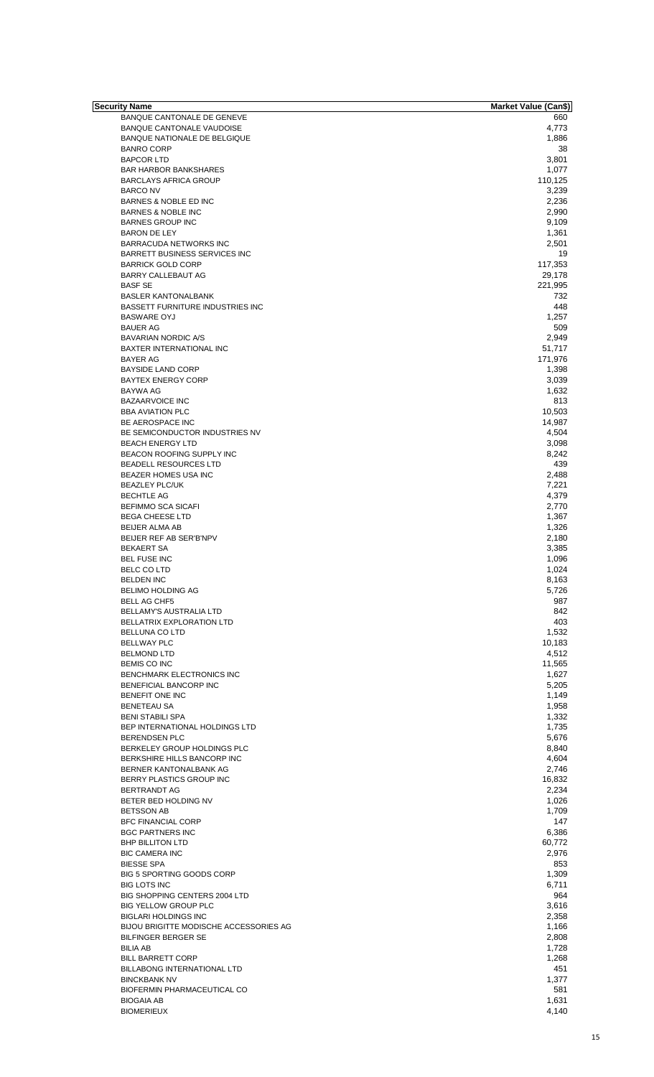| Security Name                           | <b>Market Value (Can\$)</b> |
|-----------------------------------------|-----------------------------|
| BANQUE CANTONALE DE GENEVE              | 660                         |
| BANQUE CANTONALE VAUDOISE               | 4,773                       |
| BANQUE NATIONALE DE BELGIQUE            | 1,886                       |
| <b>BANRO CORP</b>                       | 38                          |
| <b>BAPCOR LTD</b>                       | 3,801                       |
| <b>BAR HARBOR BANKSHARES</b>            | 1,077                       |
| <b>BARCLAYS AFRICA GROUP</b>            | 110,125                     |
| <b>BARCO NV</b>                         | 3,239                       |
| BARNES & NOBLE ED INC                   | 2,236                       |
| <b>BARNES &amp; NOBLE INC</b>           | 2,990                       |
| <b>BARNES GROUP INC</b>                 | 9,109                       |
| <b>BARON DE LEY</b>                     | 1,361                       |
| BARRACUDA NETWORKS INC                  | 2,501                       |
| <b>BARRETT BUSINESS SERVICES INC</b>    | 19                          |
| <b>BARRICK GOLD CORP</b>                | 117,353                     |
| BARRY CALLEBAUT AG                      | 29,178                      |
| <b>BASF SE</b>                          | 221,995                     |
| <b>BASLER KANTONALBANK</b>              | 732                         |
| <b>BASSETT FURNITURE INDUSTRIES INC</b> | 448                         |
| <b>BASWARE OYJ</b>                      | 1,257                       |
| <b>BAUER AG</b>                         | 509                         |
| <b>BAVARIAN NORDIC A/S</b>              | 2,949                       |
| <b>BAXTER INTERNATIONAL INC</b>         | 51,717                      |
| <b>BAYER AG</b>                         | 171,976                     |
| <b>BAYSIDE LAND CORP</b>                | 1,398                       |
| <b>BAYTEX ENERGY CORP</b>               | 3,039                       |
| <b>BAYWA AG</b>                         | 1,632                       |
| <b>BAZAARVOICE INC</b>                  | 813                         |
| <b>BBA AVIATION PLC</b>                 | 10,503                      |
| BE AEROSPACE INC                        | 14,987                      |
| BE SEMICONDUCTOR INDUSTRIES NV          | 4,504                       |
| <b>BEACH ENERGY LTD</b>                 |                             |
|                                         | 3,098                       |
| BEACON ROOFING SUPPLY INC               | 8,242                       |
| BEADELL RESOURCES LTD                   | 439                         |
| BEAZER HOMES USA INC                    | 2,488                       |
| <b>BEAZLEY PLC/UK</b>                   | 7,221                       |
| <b>BECHTLE AG</b>                       | 4,379                       |
| <b>BEFIMMO SCA SICAFI</b>               | 2,770                       |
| <b>BEGA CHEESE LTD</b>                  | 1,367                       |
| <b>BEIJER ALMA AB</b>                   | 1,326                       |
| BEIJER REF AB SER'B'NPV                 | 2,180                       |
| <b>BEKAERT SA</b>                       | 3,385                       |
| <b>BEL FUSE INC</b>                     | 1,096                       |
| <b>BELC CO LTD</b>                      | 1,024                       |
| <b>BELDEN INC</b>                       | 8,163                       |
| <b>BELIMO HOLDING AG</b>                | 5,726                       |
| <b>BELL AG CHF5</b>                     | 987                         |
| BELLAMY'S AUSTRALIA LTD                 | 842                         |
| <b>BELLATRIX EXPLORATION LTD</b>        | 403                         |
| BELLUNA CO LTD                          | 1.532                       |
| <b>BELLWAY PLC</b>                      | 10,183                      |
| <b>BELMOND LTD</b>                      | 4,512                       |
| <b>BEMIS CO INC</b>                     | 11,565                      |
| <b>BENCHMARK ELECTRONICS INC</b>        | 1,627                       |
| BENEFICIAL BANCORP INC                  | 5,205                       |
| BENEFIT ONE INC                         | 1,149                       |
| <b>BENETEAU SA</b>                      | 1,958                       |
| <b>BENI STABILI SPA</b>                 | 1,332                       |
| BEP INTERNATIONAL HOLDINGS LTD          | 1,735                       |
| <b>BERENDSEN PLC</b>                    | 5,676                       |
| BERKELEY GROUP HOLDINGS PLC             | 8,840                       |
| BERKSHIRE HILLS BANCORP INC             | 4,604                       |
| BERNER KANTONALBANK AG                  | 2,746                       |
| BERRY PLASTICS GROUP INC                | 16,832                      |
| <b>BERTRANDT AG</b>                     | 2,234                       |
| BETER BED HOLDING NV                    | 1,026                       |
| <b>BETSSON AB</b>                       | 1,709                       |
| <b>BFC FINANCIAL CORP</b>               | 147                         |
| <b>BGC PARTNERS INC</b>                 | 6,386                       |
| <b>BHP BILLITON LTD</b>                 | 60,772                      |
| <b>BIC CAMERA INC</b>                   | 2,976                       |
| <b>BIESSE SPA</b>                       | 853                         |
| BIG 5 SPORTING GOODS CORP               | 1,309                       |
| <b>BIG LOTS INC</b>                     | 6,711                       |
| BIG SHOPPING CENTERS 2004 LTD           | 964                         |
| BIG YELLOW GROUP PLC                    | 3,616                       |
| <b>BIGLARI HOLDINGS INC</b>             | 2,358                       |
|                                         |                             |
| BIJOU BRIGITTE MODISCHE ACCESSORIES AG  | 1,166                       |
| <b>BILFINGER BERGER SE</b>              | 2,808                       |
| <b>BILIA AB</b>                         | 1,728                       |
| <b>BILL BARRETT CORP</b>                | 1,268                       |
| BILLABONG INTERNATIONAL LTD             | 451                         |
| <b>BINCKBANK NV</b>                     | 1,377                       |
| BIOFERMIN PHARMACEUTICAL CO             | 581                         |
| <b>BIOGAIA AB</b>                       | 1,631                       |
| <b>BIOMERIEUX</b>                       | 4,140                       |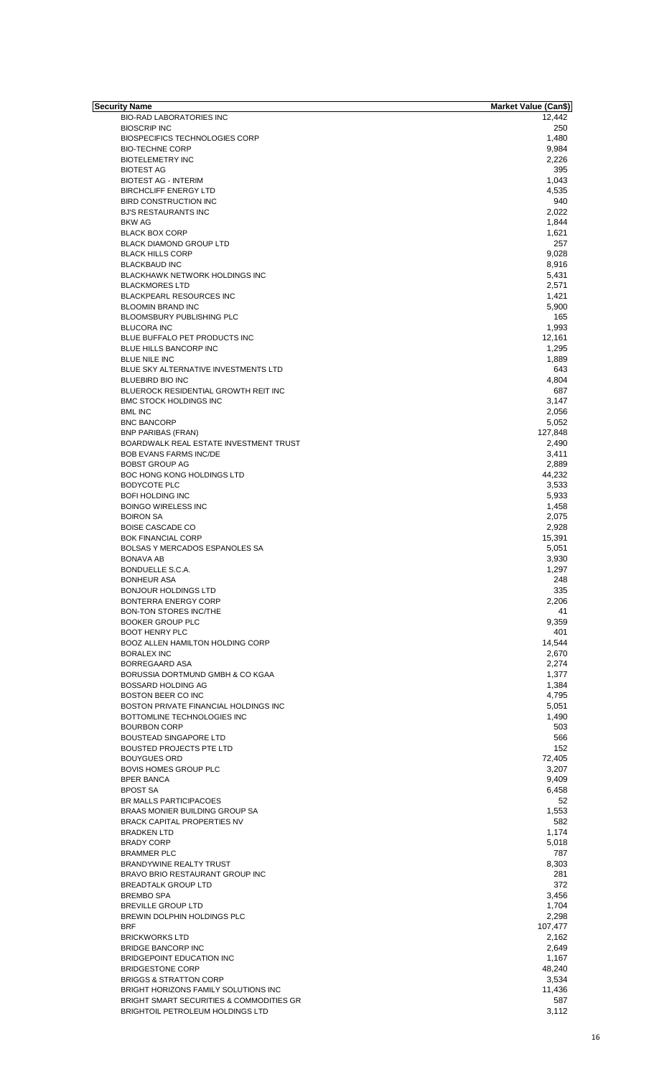| Security Name                            | Market Value (Can\$) |
|------------------------------------------|----------------------|
| <b>BIO-RAD LABORATORIES INC</b>          | 12,442               |
| <b>BIOSCRIP INC</b>                      | 250                  |
| <b>BIOSPECIFICS TECHNOLOGIES CORP</b>    | 1,480                |
| <b>BIO-TECHNE CORP</b>                   | 9,984                |
| <b>BIOTELEMETRY INC</b>                  | 2,226                |
| <b>BIOTEST AG</b>                        | 395                  |
| <b>BIOTEST AG - INTERIM</b>              | 1,043                |
| <b>BIRCHCLIFF ENERGY LTD</b>             | 4,535                |
| <b>BIRD CONSTRUCTION INC</b>             | 940                  |
|                                          |                      |
| <b>BJ'S RESTAURANTS INC</b>              | 2,022                |
| <b>BKW AG</b>                            | 1,844                |
| <b>BLACK BOX CORP</b>                    | 1,621                |
| <b>BLACK DIAMOND GROUP LTD</b>           | 257                  |
| <b>BLACK HILLS CORP</b>                  | 9,028                |
| <b>BLACKBAUD INC</b>                     | 8,916                |
| BLACKHAWK NETWORK HOLDINGS INC           | 5,431                |
|                                          |                      |
| <b>BLACKMORES LTD</b>                    | 2,571                |
| <b>BLACKPEARL RESOURCES INC</b>          | 1,421                |
| <b>BLOOMIN BRAND INC</b>                 | 5,900                |
| <b>BLOOMSBURY PUBLISHING PLC</b>         | 165                  |
| <b>BLUCORA INC</b>                       | 1,993                |
| BLUE BUFFALO PET PRODUCTS INC            | 12,161               |
| BLUE HILLS BANCORP INC                   | 1,295                |
| <b>BLUE NILE INC</b>                     |                      |
|                                          | 1,889                |
| BLUE SKY ALTERNATIVE INVESTMENTS LTD     | 643                  |
| <b>BLUEBIRD BIO INC</b>                  | 4,804                |
| BLUEROCK RESIDENTIAL GROWTH REIT INC     | 687                  |
| <b>BMC STOCK HOLDINGS INC</b>            | 3,147                |
| <b>BML INC</b>                           | 2,056                |
| <b>BNC BANCORP</b>                       | 5,052                |
|                                          | 127,848              |
| <b>BNP PARIBAS (FRAN)</b>                |                      |
| BOARDWALK REAL ESTATE INVESTMENT TRUST   | 2,490                |
| <b>BOB EVANS FARMS INC/DE</b>            | 3,411                |
| <b>BOBST GROUP AG</b>                    | 2,889                |
| BOC HONG KONG HOLDINGS LTD               | 44,232               |
| <b>BODYCOTE PLC</b>                      | 3,533                |
| <b>BOFI HOLDING INC</b>                  | 5,933                |
| <b>BOINGO WIRELESS INC</b>               | 1,458                |
|                                          |                      |
| <b>BOIRON SA</b>                         | 2,075                |
| <b>BOISE CASCADE CO</b>                  | 2,928                |
| <b>BOK FINANCIAL CORP</b>                | 15,391               |
| BOLSAS Y MERCADOS ESPANOLES SA           | 5,051                |
| <b>BONAVA AB</b>                         | 3,930                |
| BONDUELLE S.C.A.                         | 1,297                |
| <b>BONHEUR ASA</b>                       | 248                  |
| <b>BONJOUR HOLDINGS LTD</b>              | 335                  |
|                                          |                      |
| <b>BONTERRA ENERGY CORP</b>              | 2,206                |
| BON-TON STORES INC/THE                   | 41                   |
| <b>BOOKER GROUP PLC</b>                  | 9,359                |
| <b>BOOT HENRY PLC</b>                    | 401                  |
| BOOZ ALLEN HAMILTON HOLDING CORP         | 14,544               |
| <b>BORALEX INC</b>                       | 2,670                |
| BORREGAARD ASA                           | 2,274                |
|                                          |                      |
| BORUSSIA DORTMUND GMBH & CO KGAA         | 1,377                |
| <b>BOSSARD HOLDING AG</b>                | 1,384                |
| BOSTON BEER CO INC                       | 4,795                |
| BOSTON PRIVATE FINANCIAL HOLDINGS INC    | 5,051                |
| BOTTOMLINE TECHNOLOGIES INC              | 1,490                |
| <b>BOURBON CORP</b>                      | 503                  |
| <b>BOUSTEAD SINGAPORE LTD</b>            | 566                  |
| <b>BOUSTED PROJECTS PTE LTD</b>          | 152                  |
|                                          |                      |
| <b>BOUYGUES ORD</b>                      | 72,405               |
| BOVIS HOMES GROUP PLC                    | 3,207                |
| <b>BPER BANCA</b>                        | 9,409                |
| <b>BPOST SA</b>                          | 6,458                |
| BR MALLS PARTICIPACOES                   | 52                   |
| BRAAS MONIER BUILDING GROUP SA           | 1,553                |
| <b>BRACK CAPITAL PROPERTIES NV</b>       | 582                  |
|                                          |                      |
| <b>BRADKEN LTD</b>                       | 1,174                |
| <b>BRADY CORP</b>                        | 5,018                |
| <b>BRAMMER PLC</b>                       | 787                  |
| BRANDYWINE REALTY TRUST                  | 8,303                |
| BRAVO BRIO RESTAURANT GROUP INC          | 281                  |
| <b>BREADTALK GROUP LTD</b>               | 372                  |
|                                          |                      |
| <b>BREMBO SPA</b>                        | 3,456                |
| <b>BREVILLE GROUP LTD</b>                | 1,704                |
| BREWIN DOLPHIN HOLDINGS PLC              | 2,298                |
| <b>BRF</b>                               | 107,477              |
| <b>BRICKWORKS LTD</b>                    | 2,162                |
|                                          |                      |
| <b>BRIDGE BANCORP INC</b>                | 2,649                |
| BRIDGEPOINT EDUCATION INC                | 1,167                |
| <b>BRIDGESTONE CORP</b>                  | 48,240               |
| <b>BRIGGS &amp; STRATTON CORP</b>        | 3,534                |
| BRIGHT HORIZONS FAMILY SOLUTIONS INC     | 11,436               |
| BRIGHT SMART SECURITIES & COMMODITIES GR | 587                  |
| BRIGHTOIL PETROLEUM HOLDINGS LTD         | 3,112                |
|                                          |                      |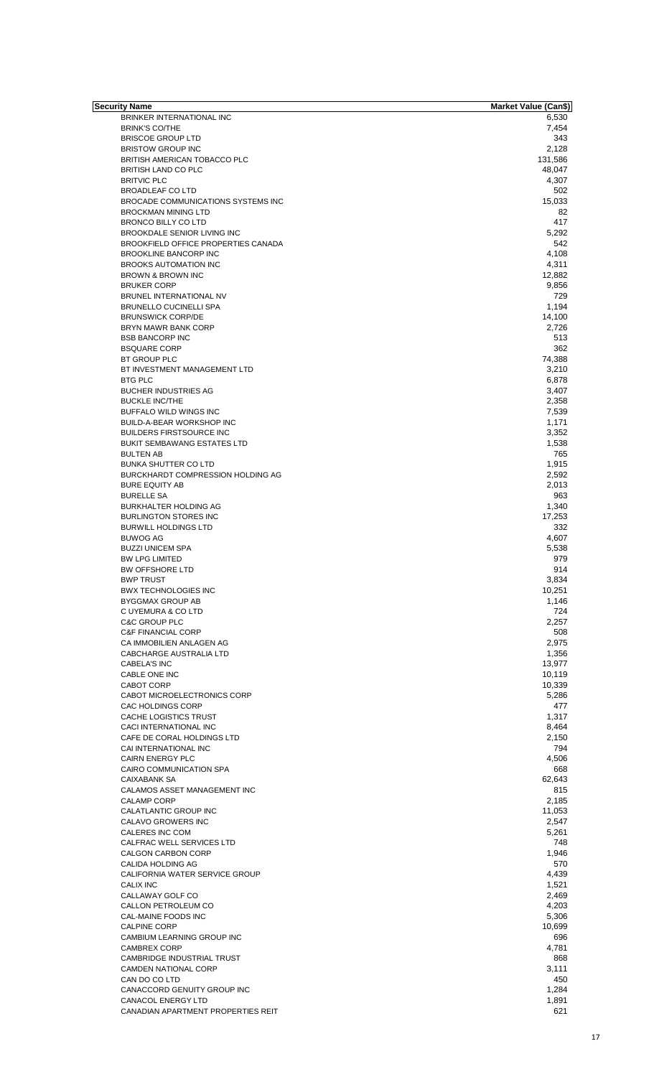| Security Name                       | Market Value (Can\$) |
|-------------------------------------|----------------------|
| BRINKER INTERNATIONAL INC           | 6,530                |
| <b>BRINK'S CO/THE</b>               | 7,454                |
| <b>BRISCOE GROUP LTD</b>            | 343                  |
| <b>BRISTOW GROUP INC</b>            | 2,128                |
| BRITISH AMERICAN TOBACCO PLC        | 131,586              |
| <b>BRITISH LAND CO PLC</b>          | 48,047               |
|                                     |                      |
| <b>BRITVIC PLC</b>                  | 4,307                |
| <b>BROADLEAF CO LTD</b>             | 502                  |
| BROCADE COMMUNICATIONS SYSTEMS INC  | 15,033               |
| <b>BROCKMAN MINING LTD</b>          | 82                   |
| <b>BRONCO BILLY CO LTD</b>          | 417                  |
| BROOKDALE SENIOR LIVING INC         | 5,292                |
| BROOKFIELD OFFICE PROPERTIES CANADA | 542                  |
| <b>BROOKLINE BANCORP INC</b>        | 4,108                |
| <b>BROOKS AUTOMATION INC</b>        | 4,311                |
|                                     |                      |
| <b>BROWN &amp; BROWN INC</b>        | 12,882               |
| <b>BRUKER CORP</b>                  | 9,856                |
| BRUNEL INTERNATIONAL NV             | 729                  |
| <b>BRUNELLO CUCINELLI SPA</b>       | 1,194                |
| <b>BRUNSWICK CORP/DE</b>            | 14,100               |
| BRYN MAWR BANK CORP                 | 2,726                |
| <b>BSB BANCORP INC</b>              | 513                  |
| <b>BSQUARE CORP</b>                 | 362                  |
|                                     |                      |
| BT GROUP PLC                        | 74,388               |
| BT INVESTMENT MANAGEMENT LTD        | 3,210                |
| <b>BTG PLC</b>                      | 6,878                |
| <b>BUCHER INDUSTRIES AG</b>         | 3,407                |
| <b>BUCKLE INC/THE</b>               | 2,358                |
| BUFFALO WILD WINGS INC              | 7,539                |
| BUILD-A-BEAR WORKSHOP INC           | 1,171                |
| <b>BUILDERS FIRSTSOURCE INC</b>     | 3,352                |
|                                     |                      |
| <b>BUKIT SEMBAWANG ESTATES LTD</b>  | 1,538                |
| <b>BULTEN AB</b>                    | 765                  |
| <b>BUNKA SHUTTER CO LTD</b>         | 1,915                |
| BURCKHARDT COMPRESSION HOLDING AG   | 2,592                |
| <b>BURE EQUITY AB</b>               | 2,013                |
| <b>BURELLE SA</b>                   | 963                  |
| BURKHALTER HOLDING AG               | 1,340                |
| <b>BURLINGTON STORES INC</b>        | 17,253               |
|                                     | 332                  |
| <b>BURWILL HOLDINGS LTD</b>         |                      |
| <b>BUWOG AG</b>                     | 4,607                |
| <b>BUZZI UNICEM SPA</b>             | 5,538                |
| <b>BW LPG LIMITED</b>               | 979                  |
| <b>BW OFFSHORE LTD</b>              | 914                  |
| <b>BWP TRUST</b>                    | 3,834                |
| <b>BWX TECHNOLOGIES INC</b>         | 10,251               |
| <b>BYGGMAX GROUP AB</b>             | 1,146                |
| C UYEMURA & CO LTD                  | 724                  |
|                                     |                      |
| <b>C&amp;C GROUP PLC</b>            | 2,257                |
| <b>C&amp;F FINANCIAL CORP</b>       | 508                  |
| CA IMMOBILIEN ANLAGEN AG            | 2,975                |
| CABCHARGE AUSTRALIA LTD             | 1,356                |
| <b>CABELA'S INC</b>                 | 13,977               |
| CABLE ONE INC                       | 10,119               |
| <b>CABOT CORP</b>                   | 10,339               |
| CABOT MICROELECTRONICS CORP         | 5,286                |
| CAC HOLDINGS CORP                   | 477                  |
|                                     |                      |
| CACHE LOGISTICS TRUST               | 1,317                |
| CACI INTERNATIONAL INC              | 8,464                |
| CAFE DE CORAL HOLDINGS LTD          | 2,150                |
| CAI INTERNATIONAL INC               | 794                  |
| <b>CAIRN ENERGY PLC</b>             | 4,506                |
| CAIRO COMMUNICATION SPA             | 668                  |
| <b>CAIXABANK SA</b>                 | 62,643               |
| CALAMOS ASSET MANAGEMENT INC        | 815                  |
| <b>CALAMP CORP</b>                  | 2,185                |
|                                     |                      |
| CALATLANTIC GROUP INC               | 11,053               |
| CALAVO GROWERS INC                  | 2,547                |
| CALERES INC COM                     | 5,261                |
| CALFRAC WELL SERVICES LTD           | 748                  |
| <b>CALGON CARBON CORP</b>           | 1,946                |
| CALIDA HOLDING AG                   | 570                  |
| CALIFORNIA WATER SERVICE GROUP      | 4,439                |
| <b>CALIX INC</b>                    | 1,521                |
|                                     |                      |
| CALLAWAY GOLF CO                    | 2,469                |
| CALLON PETROLEUM CO                 | 4,203                |
| CAL-MAINE FOODS INC                 | 5,306                |
| <b>CALPINE CORP</b>                 | 10,699               |
| CAMBIUM LEARNING GROUP INC          | 696                  |
| <b>CAMBREX CORP</b>                 | 4,781                |
| CAMBRIDGE INDUSTRIAL TRUST          | 868                  |
|                                     |                      |
| <b>CAMDEN NATIONAL CORP</b>         | 3,111                |
| CAN DO CO LTD                       | 450                  |
| CANACCORD GENUITY GROUP INC         | 1,284                |
| <b>CANACOL ENERGY LTD</b>           | 1,891                |
| CANADIAN APARTMENT PROPERTIES REIT  | 621                  |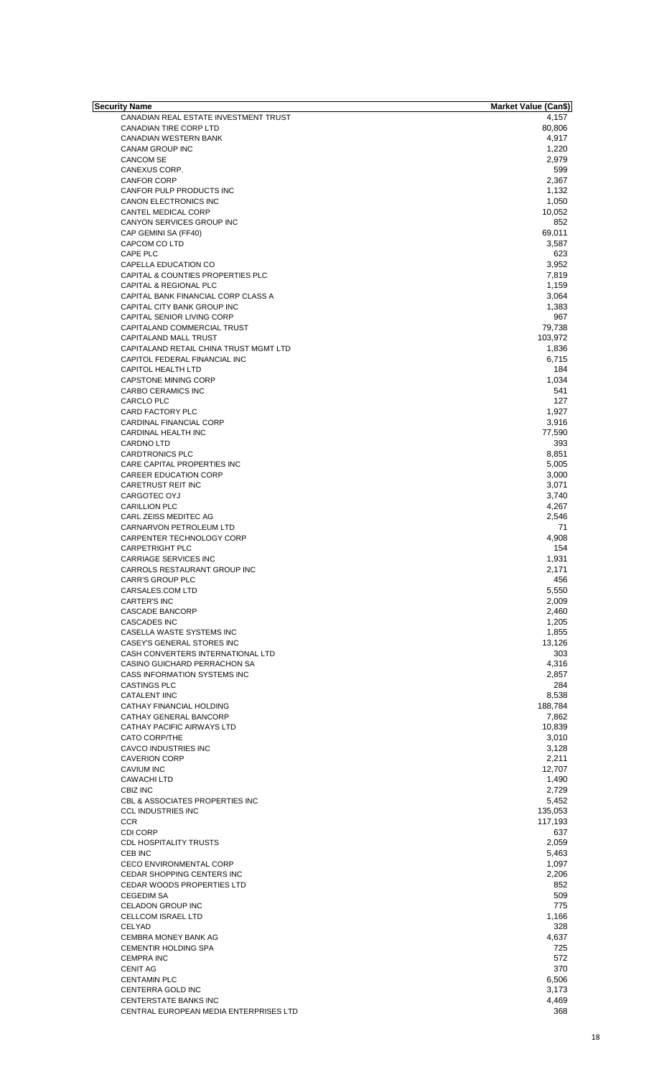| Security Name                          | <b>Market Value (Can\$)</b> |
|----------------------------------------|-----------------------------|
| CANADIAN REAL ESTATE INVESTMENT TRUST  | 4,157                       |
| CANADIAN TIRE CORP LTD                 | 80,806                      |
| <b>CANADIAN WESTERN BANK</b>           | 4,917                       |
| CANAM GROUP INC                        | 1,220                       |
| <b>CANCOM SE</b>                       | 2,979                       |
| CANEXUS CORP.                          | 599                         |
| <b>CANFOR CORP</b>                     | 2,367                       |
| CANFOR PULP PRODUCTS INC               | 1,132                       |
| CANON ELECTRONICS INC                  | 1,050                       |
| CANTEL MEDICAL CORP                    | 10,052                      |
| CANYON SERVICES GROUP INC              | 852                         |
| CAP GEMINI SA (FF40)                   | 69,011                      |
| CAPCOM CO LTD                          | 3,587                       |
| CAPE PLC                               | 623                         |
| CAPELLA EDUCATION CO                   | 3,952                       |
| CAPITAL & COUNTIES PROPERTIES PLC      | 7,819                       |
| CAPITAL & REGIONAL PLC                 | 1,159                       |
| CAPITAL BANK FINANCIAL CORP CLASS A    | 3,064                       |
| CAPITAL CITY BANK GROUP INC            | 1,383                       |
| CAPITAL SENIOR LIVING CORP             | 967                         |
| CAPITALAND COMMERCIAL TRUST            | 79,738                      |
| CAPITALAND MALL TRUST                  | 103,972                     |
| CAPITALAND RETAIL CHINA TRUST MGMT LTD | 1,836                       |
| CAPITOL FEDERAL FINANCIAL INC          | 6,715                       |
| CAPITOL HEALTH LTD                     | 184                         |
| <b>CAPSTONE MINING CORP</b>            | 1,034                       |
| CARBO CERAMICS INC                     | 541                         |
| <b>CARCLO PLC</b>                      | 127                         |
| CARD FACTORY PLC                       | 1,927                       |
| CARDINAL FINANCIAL CORP                | 3,916                       |
| CARDINAL HEALTH INC                    | 77,590                      |
| <b>CARDNO LTD</b>                      | 393                         |
| <b>CARDTRONICS PLC</b>                 | 8,851                       |
| CARE CAPITAL PROPERTIES INC            | 5,005                       |
| <b>CAREER EDUCATION CORP</b>           | 3,000                       |
| CARETRUST REIT INC                     | 3,071                       |
| CARGOTEC OYJ                           | 3,740                       |
| <b>CARILLION PLC</b>                   |                             |
| CARL ZEISS MEDITEC AG                  | 4,267                       |
|                                        | 2,546                       |
| CARNARVON PETROLEUM LTD                | 71                          |
| CARPENTER TECHNOLOGY CORP              | 4,908                       |
| <b>CARPETRIGHT PLC</b>                 | 154                         |
| <b>CARRIAGE SERVICES INC</b>           | 1,931                       |
| CARROLS RESTAURANT GROUP INC           | 2,171                       |
| <b>CARR'S GROUP PLC</b>                | 456                         |
| CARSALES.COM LTD                       | 5,550                       |
| <b>CARTER'S INC</b>                    | 2,009                       |
| CASCADE BANCORP                        | 2,460                       |
| <b>CASCADES INC</b>                    | 1.205                       |
| CASELLA WASTE SYSTEMS INC              | 1,855                       |
| CASEY'S GENERAL STORES INC             | 13,126                      |
| CASH CONVERTERS INTERNATIONAL LTD      | 303                         |
| CASINO GUICHARD PERRACHON SA           | 4,316                       |
| CASS INFORMATION SYSTEMS INC           | 2,857                       |
| <b>CASTINGS PLC</b>                    | 284                         |
| <b>CATALENT IINC</b>                   | 8,538                       |
| CATHAY FINANCIAL HOLDING               | 188,784                     |
|                                        |                             |
| CATHAY GENERAL BANCORP                 | 7,862                       |
| CATHAY PACIFIC AIRWAYS LTD             | 10,839                      |
| <b>CATO CORP/THE</b>                   | 3,010                       |
| CAVCO INDUSTRIES INC                   | 3,128                       |
| <b>CAVERION CORP</b>                   | 2,211                       |
| <b>CAVIUM INC</b>                      | 12,707                      |
| <b>CAWACHILTD</b>                      | 1,490                       |
| CBIZ INC                               | 2,729                       |
| CBL & ASSOCIATES PROPERTIES INC        | 5,452                       |
| <b>CCL INDUSTRIES INC</b>              | 135,053                     |
| <b>CCR</b>                             | 117,193                     |
| <b>CDI CORP</b>                        | 637                         |
| <b>CDL HOSPITALITY TRUSTS</b>          | 2,059                       |
| CEB INC                                | 5,463                       |
| <b>CECO ENVIRONMENTAL CORP</b>         | 1,097                       |
| <b>CEDAR SHOPPING CENTERS INC</b>      | 2,206                       |
| CEDAR WOODS PROPERTIES LTD             | 852                         |
|                                        |                             |
| <b>CEGEDIM SA</b>                      | 509                         |
| CELADON GROUP INC                      | 775                         |
| <b>CELLCOM ISRAEL LTD</b>              | 1,166                       |
| CELYAD                                 | 328                         |
| <b>CEMBRA MONEY BANK AG</b>            | 4,637                       |
| <b>CEMENTIR HOLDING SPA</b>            | 725                         |
| <b>CEMPRA INC</b>                      | 572                         |
| <b>CENIT AG</b>                        | 370                         |
| <b>CENTAMIN PLC</b>                    | 6,506                       |
| CENTERRA GOLD INC                      | 3,173                       |
| CENTERSTATE BANKS INC                  | 4,469                       |
| CENTRAL EUROPEAN MEDIA ENTERPRISES LTD | 368                         |
|                                        |                             |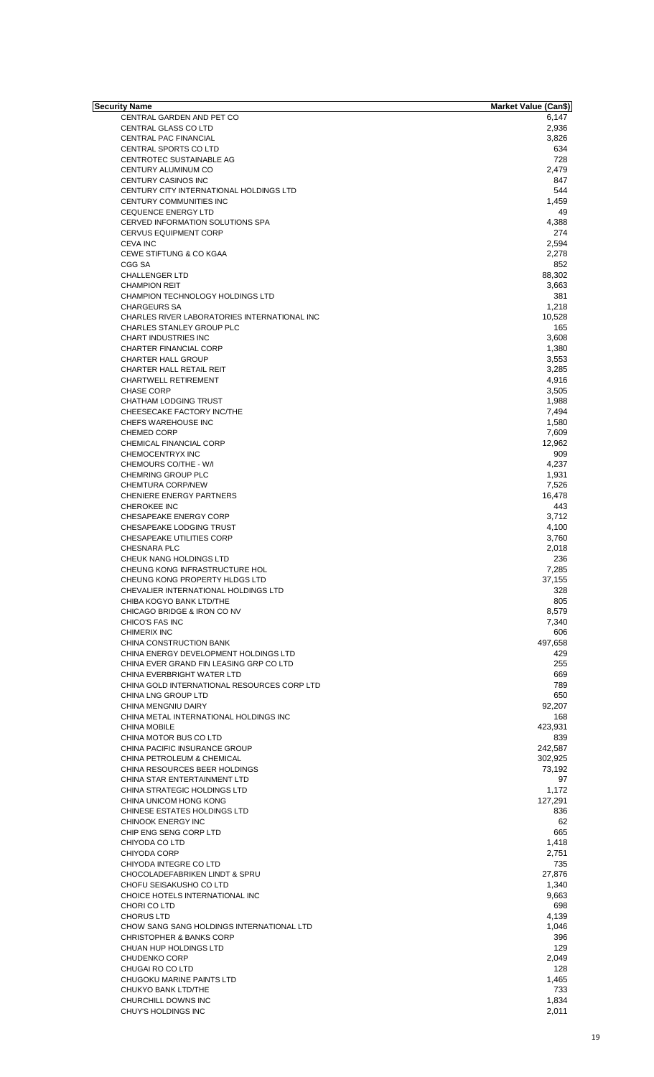| Security Name                                | <b>Market Value (Can\$)</b> |
|----------------------------------------------|-----------------------------|
| CENTRAL GARDEN AND PET CO                    | 6,147                       |
| CENTRAL GLASS CO LTD                         | 2,936                       |
| CENTRAL PAC FINANCIAL                        | 3,826                       |
|                                              |                             |
| <b>CENTRAL SPORTS CO LTD</b>                 | 634                         |
| CENTROTEC SUSTAINABLE AG                     | 728                         |
| CENTURY ALUMINUM CO                          | 2,479                       |
| CENTURY CASINOS INC                          | 847                         |
| CENTURY CITY INTERNATIONAL HOLDINGS LTD      | 544                         |
|                                              |                             |
| CENTURY COMMUNITIES INC                      | 1,459                       |
| <b>CEQUENCE ENERGY LTD</b>                   | 49                          |
| CERVED INFORMATION SOLUTIONS SPA             | 4,388                       |
| <b>CERVUS EQUIPMENT CORP</b>                 | 274                         |
| <b>CEVA INC</b>                              | 2,594                       |
| <b>CEWE STIFTUNG &amp; CO KGAA</b>           |                             |
|                                              | 2,278                       |
| CGG SA                                       | 852                         |
| <b>CHALLENGER LTD</b>                        | 88,302                      |
| <b>CHAMPION REIT</b>                         | 3,663                       |
| CHAMPION TECHNOLOGY HOLDINGS LTD             | 381                         |
| <b>CHARGEURS SA</b>                          | 1,218                       |
|                                              |                             |
| CHARLES RIVER LABORATORIES INTERNATIONAL INC | 10,528                      |
| CHARLES STANLEY GROUP PLC                    | 165                         |
| <b>CHART INDUSTRIES INC</b>                  | 3,608                       |
| CHARTER FINANCIAL CORP                       | 1,380                       |
| <b>CHARTER HALL GROUP</b>                    |                             |
|                                              | 3,553                       |
| CHARTER HALL RETAIL REIT                     | 3,285                       |
| <b>CHARTWELL RETIREMENT</b>                  | 4,916                       |
| <b>CHASE CORP</b>                            | 3,505                       |
| CHATHAM LODGING TRUST                        | 1,988                       |
| CHEESECAKE FACTORY INC/THE                   | 7,494                       |
|                                              |                             |
| CHEFS WAREHOUSE INC                          | 1,580                       |
| <b>CHEMED CORP</b>                           | 7,609                       |
| CHEMICAL FINANCIAL CORP                      | 12,962                      |
| <b>CHEMOCENTRYX INC</b>                      | 909                         |
|                                              |                             |
| CHEMOURS CO/THE - W/I                        | 4,237                       |
| <b>CHEMRING GROUP PLC</b>                    | 1,931                       |
| <b>CHEMTURA CORP/NEW</b>                     | 7,526                       |
| <b>CHENIERE ENERGY PARTNERS</b>              | 16,478                      |
| <b>CHEROKEE INC</b>                          | 443                         |
| CHESAPEAKE ENERGY CORP                       | 3,712                       |
|                                              |                             |
| CHESAPEAKE LODGING TRUST                     | 4,100                       |
| CHESAPEAKE UTILITIES CORP                    | 3,760                       |
| <b>CHESNARA PLC</b>                          | 2,018                       |
| CHEUK NANG HOLDINGS LTD                      | 236                         |
| CHEUNG KONG INFRASTRUCTURE HOL               | 7,285                       |
|                                              |                             |
| CHEUNG KONG PROPERTY HLDGS LTD               | 37,155                      |
| CHEVALIER INTERNATIONAL HOLDINGS LTD         | 328                         |
| CHIBA KOGYO BANK LTD/THE                     | 805                         |
| CHICAGO BRIDGE & IRON CO NV                  | 8,579                       |
| CHICO'S FAS INC                              | 7,340                       |
|                                              |                             |
| <b>CHIMERIX INC</b>                          | 606                         |
| CHINA CONSTRUCTION BANK                      | 497,658                     |
| CHINA ENERGY DEVELOPMENT HOLDINGS LTD        | 429                         |
| CHINA EVER GRAND FIN LEASING GRP CO LTD      | 255                         |
| CHINA EVERBRIGHT WATER LTD                   | 669                         |
| CHINA GOLD INTERNATIONAL RESOURCES CORP LTD  | 789                         |
|                                              |                             |
| CHINA LNG GROUP LTD                          | 650                         |
| CHINA MENGNIU DAIRY                          | 92,207                      |
| CHINA METAL INTERNATIONAL HOLDINGS INC       | 168                         |
| <b>CHINA MOBILE</b>                          | 423,931                     |
| CHINA MOTOR BUS CO LTD                       | 839                         |
| CHINA PACIFIC INSURANCE GROUP                | 242,587                     |
|                                              |                             |
| CHINA PETROLEUM & CHEMICAL                   | 302,925                     |
| CHINA RESOURCES BEER HOLDINGS                | 73,192                      |
| CHINA STAR ENTERTAINMENT LTD                 | 97                          |
| CHINA STRATEGIC HOLDINGS LTD                 | 1,172                       |
| CHINA UNICOM HONG KONG                       | 127,291                     |
| <b>CHINESE ESTATES HOLDINGS LTD</b>          | 836                         |
|                                              |                             |
| CHINOOK ENERGY INC                           | 62                          |
| CHIP ENG SENG CORP LTD                       | 665                         |
| CHIYODA CO LTD                               | 1,418                       |
| CHIYODA CORP                                 | 2,751                       |
| CHIYODA INTEGRE CO LTD                       | 735                         |
|                                              |                             |
| <b>CHOCOLADEFABRIKEN LINDT &amp; SPRU</b>    | 27,876                      |
| CHOFU SEISAKUSHO CO LTD                      | 1,340                       |
| CHOICE HOTELS INTERNATIONAL INC              | 9,663                       |
| CHORI CO LTD                                 | 698                         |
| <b>CHORUS LTD</b>                            | 4,139                       |
|                                              |                             |
| CHOW SANG SANG HOLDINGS INTERNATIONAL LTD    | 1,046                       |
| <b>CHRISTOPHER &amp; BANKS CORP</b>          | 396                         |
| CHUAN HUP HOLDINGS LTD                       | 129                         |
| CHUDENKO CORP                                | 2,049                       |
| CHUGAI RO CO LTD                             | 128                         |
| CHUGOKU MARINE PAINTS LTD                    |                             |
|                                              | 1,465                       |
| CHUKYO BANK LTD/THE                          | 733                         |
| CHURCHILL DOWNS INC                          | 1,834                       |
| CHUY'S HOLDINGS INC                          | 2,011                       |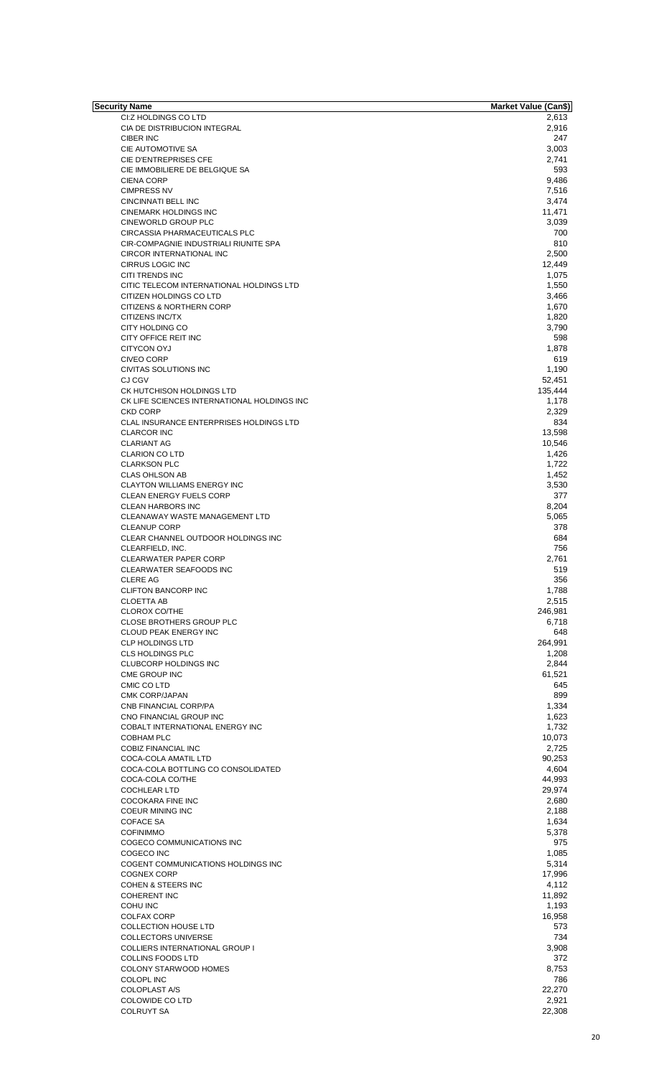| Security Name                               | <b>Market Value (Can\$)</b> |
|---------------------------------------------|-----------------------------|
| CI:Z HOLDINGS CO LTD                        | 2,613                       |
| CIA DE DISTRIBUCION INTEGRAL                | 2,916                       |
| CIBER INC                                   | 247                         |
| CIE AUTOMOTIVE SA                           | 3,003                       |
| CIE D'ENTREPRISES CFE                       | 2,741                       |
|                                             |                             |
| CIE IMMOBILIERE DE BELGIQUE SA              | 593                         |
| <b>CIENA CORP</b>                           | 9,486                       |
| <b>CIMPRESS NV</b>                          | 7,516                       |
| CINCINNATI BELL INC                         | 3,474                       |
| <b>CINEMARK HOLDINGS INC</b>                | 11,471                      |
| <b>CINEWORLD GROUP PLC</b>                  |                             |
|                                             | 3,039                       |
| CIRCASSIA PHARMACEUTICALS PLC               | 700                         |
| CIR-COMPAGNIE INDUSTRIALI RIUNITE SPA       | 810                         |
| <b>CIRCOR INTERNATIONAL INC</b>             | 2,500                       |
| CIRRUS LOGIC INC                            | 12,449                      |
|                                             |                             |
| CITI TRENDS INC                             | 1,075                       |
| CITIC TELECOM INTERNATIONAL HOLDINGS LTD    | 1,550                       |
| CITIZEN HOLDINGS CO LTD                     | 3,466                       |
| <b>CITIZENS &amp; NORTHERN CORP</b>         | 1,670                       |
| CITIZENS INC/TX                             | 1,820                       |
|                                             |                             |
| CITY HOLDING CO                             | 3,790                       |
| CITY OFFICE REIT INC                        | 598                         |
| CITYCON OYJ                                 | 1,878                       |
| <b>CIVEO CORP</b>                           | 619                         |
|                                             | 1,190                       |
| <b>CIVITAS SOLUTIONS INC</b>                |                             |
| CJ CGV                                      | 52,451                      |
| CK HUTCHISON HOLDINGS LTD                   | 135,444                     |
| CK LIFE SCIENCES INTERNATIONAL HOLDINGS INC | 1,178                       |
| <b>CKD CORP</b>                             | 2,329                       |
|                                             |                             |
| CLAL INSURANCE ENTERPRISES HOLDINGS LTD     | 834                         |
| <b>CLARCOR INC</b>                          | 13,598                      |
| <b>CLARIANT AG</b>                          | 10,546                      |
| <b>CLARION CO LTD</b>                       | 1,426                       |
| <b>CLARKSON PLC</b>                         | 1,722                       |
|                                             |                             |
| <b>CLAS OHLSON AB</b>                       | 1,452                       |
| <b>CLAYTON WILLIAMS ENERGY INC</b>          | 3,530                       |
| CLEAN ENERGY FUELS CORP                     | 377                         |
| <b>CLEAN HARBORS INC</b>                    | 8,204                       |
|                                             |                             |
| <b>CLEANAWAY WASTE MANAGEMENT LTD</b>       | 5,065                       |
| <b>CLEANUP CORP</b>                         | 378                         |
| CLEAR CHANNEL OUTDOOR HOLDINGS INC          | 684                         |
| CLEARFIELD, INC.                            | 756                         |
| <b>CLEARWATER PAPER CORP</b>                | 2,761                       |
|                                             |                             |
| CLEARWATER SEAFOODS INC                     | 519                         |
| <b>CLERE AG</b>                             | 356                         |
| <b>CLIFTON BANCORP INC</b>                  | 1,788                       |
| <b>CLOETTA AB</b>                           | 2,515                       |
|                                             |                             |
| <b>CLOROX CO/THE</b>                        | 246,981                     |
| CLOSE BROTHERS GROUP PLC                    | 6,718                       |
| <b>CLOUD PEAK ENERGY INC</b>                | 648                         |
| <b>CLP HOLDINGS LTD</b>                     | 264,991                     |
| <b>CLS HOLDINGS PLC</b>                     | 1,208                       |
|                                             |                             |
| CLUBCORP HOLDINGS INC                       | 2,844                       |
| CME GROUP INC                               | 61,521                      |
| CMIC CO LTD                                 | 645                         |
| CMK CORP/JAPAN                              | 899                         |
|                                             |                             |
| CNB FINANCIAL CORP/PA                       | 1,334                       |
| CNO FINANCIAL GROUP INC                     | 1,623                       |
| COBALT INTERNATIONAL ENERGY INC             | 1,732                       |
| <b>COBHAM PLC</b>                           | 10,073                      |
| <b>COBIZ FINANCIAL INC</b>                  | 2,725                       |
|                                             |                             |
| COCA-COLA AMATIL LTD                        | 90,253                      |
| COCA-COLA BOTTLING CO CONSOLIDATED          | 4,604                       |
| COCA-COLA CO/THE                            | 44,993                      |
| <b>COCHLEAR LTD</b>                         | 29,974                      |
| <b>COCOKARA FINE INC</b>                    | 2,680                       |
|                                             |                             |
| <b>COEUR MINING INC</b>                     | 2,188                       |
| <b>COFACE SA</b>                            | 1,634                       |
| <b>COFINIMMO</b>                            | 5,378                       |
| COGECO COMMUNICATIONS INC                   | 975                         |
|                                             |                             |
| COGECO INC                                  | 1,085                       |
| COGENT COMMUNICATIONS HOLDINGS INC          | 5,314                       |
| <b>COGNEX CORP</b>                          | 17,996                      |
| <b>COHEN &amp; STEERS INC</b>               | 4,112                       |
| <b>COHERENT INC</b>                         | 11,892                      |
|                                             |                             |
| COHU INC                                    | 1,193                       |
| <b>COLFAX CORP</b>                          | 16,958                      |
| <b>COLLECTION HOUSE LTD</b>                 | 573                         |
|                                             | 734                         |
| <b>COLLECTORS UNIVERSE</b>                  |                             |
| COLLIERS INTERNATIONAL GROUP I              | 3,908                       |
| COLLINS FOODS LTD                           | 372                         |
| COLONY STARWOOD HOMES                       | 8,753                       |
|                                             | 786                         |
| COLOPL INC                                  |                             |
| <b>COLOPLAST A/S</b>                        | 22,270                      |
| COLOWIDE CO LTD                             | 2,921                       |
| COLRUYT SA                                  | 22,308                      |
|                                             |                             |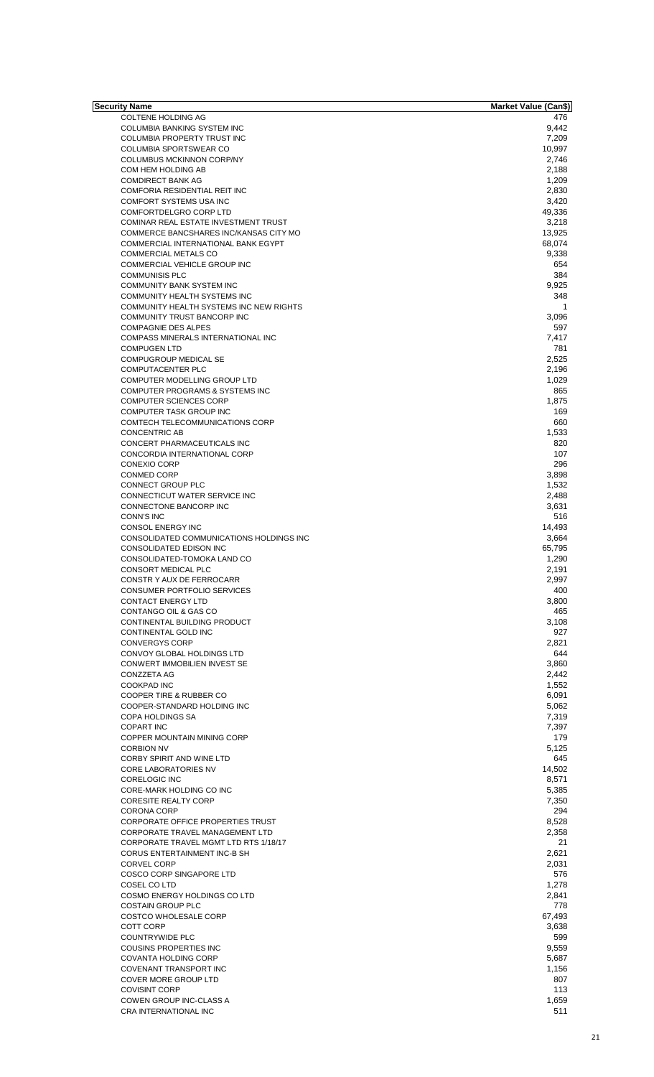| Security Name                               | Market Value (Can\$) |
|---------------------------------------------|----------------------|
| <b>COLTENE HOLDING AG</b>                   | 476                  |
| COLUMBIA BANKING SYSTEM INC                 | 9,442                |
| COLUMBIA PROPERTY TRUST INC                 | 7,209                |
| <b>COLUMBIA SPORTSWEAR CO</b>               | 10,997               |
| COLUMBUS MCKINNON CORP/NY                   | 2,746                |
|                                             |                      |
| COM HEM HOLDING AB                          | 2,188                |
| <b>COMDIRECT BANK AG</b>                    | 1,209                |
| COMFORIA RESIDENTIAL REIT INC               | 2,830                |
| COMFORT SYSTEMS USA INC                     | 3,420                |
| COMFORTDELGRO CORP LTD                      | 49,336               |
| <b>COMINAR REAL ESTATE INVESTMENT TRUST</b> | 3,218                |
| COMMERCE BANCSHARES INC/KANSAS CITY MO      | 13,925               |
|                                             |                      |
| COMMERCIAL INTERNATIONAL BANK EGYPT         | 68,074               |
| <b>COMMERCIAL METALS CO</b>                 | 9,338                |
| COMMERCIAL VEHICLE GROUP INC                | 654                  |
| <b>COMMUNISIS PLC</b>                       | 384                  |
| COMMUNITY BANK SYSTEM INC                   | 9,925                |
| COMMUNITY HEALTH SYSTEMS INC                | 348                  |
| COMMUNITY HEALTH SYSTEMS INC NEW RIGHTS     | 1                    |
| COMMUNITY TRUST BANCORP INC                 | 3,096                |
|                                             |                      |
| <b>COMPAGNIE DES ALPES</b>                  | 597                  |
| COMPASS MINERALS INTERNATIONAL INC          | 7,417                |
| <b>COMPUGEN LTD</b>                         | 781                  |
| COMPUGROUP MEDICAL SE                       | 2,525                |
| <b>COMPUTACENTER PLC</b>                    | 2,196                |
| COMPUTER MODELLING GROUP LTD                | 1,029                |
| COMPUTER PROGRAMS & SYSTEMS INC             | 865                  |
|                                             |                      |
| COMPUTER SCIENCES CORP                      | 1,875                |
| <b>COMPUTER TASK GROUP INC</b>              | 169                  |
| COMTECH TELECOMMUNICATIONS CORP             | 660                  |
| <b>CONCENTRIC AB</b>                        | 1,533                |
| CONCERT PHARMACEUTICALS INC                 | 820                  |
| CONCORDIA INTERNATIONAL CORP                | 107                  |
|                                             | 296                  |
| <b>CONEXIO CORP</b>                         |                      |
| <b>CONMED CORP</b>                          | 3,898                |
| <b>CONNECT GROUP PLC</b>                    | 1,532                |
| CONNECTICUT WATER SERVICE INC               | 2,488                |
| CONNECTONE BANCORP INC                      | 3,631                |
| <b>CONN'S INC</b>                           | 516                  |
| CONSOL ENERGY INC                           |                      |
|                                             | 14,493               |
| CONSOLIDATED COMMUNICATIONS HOLDINGS INC    | 3.664                |
| CONSOLIDATED EDISON INC                     | 65,795               |
| CONSOLIDATED-TOMOKA LAND CO                 | 1,290                |
| CONSORT MEDICAL PLC                         | 2,191                |
| CONSTR Y AUX DE FERROCARR                   | 2,997                |
| CONSUMER PORTFOLIO SERVICES                 | 400                  |
|                                             |                      |
| <b>CONTACT ENERGY LTD</b>                   | 3,800                |
| CONTANGO OIL & GAS CO                       | 465                  |
| CONTINENTAL BUILDING PRODUCT                | 3,108                |
| CONTINENTAL GOLD INC                        | 927                  |
| <b>CONVERGYS CORP</b>                       | 2,821                |
| CONVOY GLOBAL HOLDINGS LTD                  | 644                  |
| CONWERT IMMOBILIEN INVEST SE                |                      |
|                                             | 3,860                |
| CONZZETA AG                                 | 2,442                |
| COOKPAD INC                                 | 1,552                |
| COOPER TIRE & RUBBER CO                     | 6,091                |
| COOPER-STANDARD HOLDING INC                 | 5,062                |
| COPA HOLDINGS SA                            | 7,319                |
|                                             |                      |
| <b>COPART INC</b>                           | 7,397                |
| COPPER MOUNTAIN MINING CORP                 | 179                  |
| <b>CORBION NV</b>                           | 5,125                |
| CORBY SPIRIT AND WINE LTD                   | 645                  |
| <b>CORE LABORATORIES NV</b>                 | 14,502               |
| <b>CORELOGIC INC</b>                        | 8,571                |
|                                             |                      |
| CORE-MARK HOLDING CO INC                    | 5,385                |
| <b>CORESITE REALTY CORP</b>                 | 7,350                |
| CORONA CORP                                 | 294                  |
| CORPORATE OFFICE PROPERTIES TRUST           | 8,528                |
| <b>CORPORATE TRAVEL MANAGEMENT LTD</b>      | 2,358                |
| CORPORATE TRAVEL MGMT LTD RTS 1/18/17       | 21                   |
|                                             |                      |
| CORUS ENTERTAINMENT INC-B SH                | 2,621                |
| <b>CORVEL CORP</b>                          | 2,031                |
| COSCO CORP SINGAPORE LTD                    | 576                  |
| <b>COSEL COLTD</b>                          | 1,278                |
| COSMO ENERGY HOLDINGS CO LTD                | 2,841                |
| <b>COSTAIN GROUP PLC</b>                    | 778                  |
|                                             |                      |
| <b>COSTCO WHOLESALE CORP</b>                | 67,493               |
| COTT CORP                                   | 3,638                |
| <b>COUNTRYWIDE PLC</b>                      | 599                  |
| <b>COUSINS PROPERTIES INC</b>               | 9,559                |
| <b>COVANTA HOLDING CORP</b>                 | 5,687                |
|                                             |                      |
| COVENANT TRANSPORT INC                      | 1,156                |
| <b>COVER MORE GROUP LTD</b>                 | 807                  |
| <b>COVISINT CORP</b>                        | 113                  |
| COWEN GROUP INC-CLASS A                     | 1,659                |
| <b>CRA INTERNATIONAL INC</b>                | 511                  |
|                                             |                      |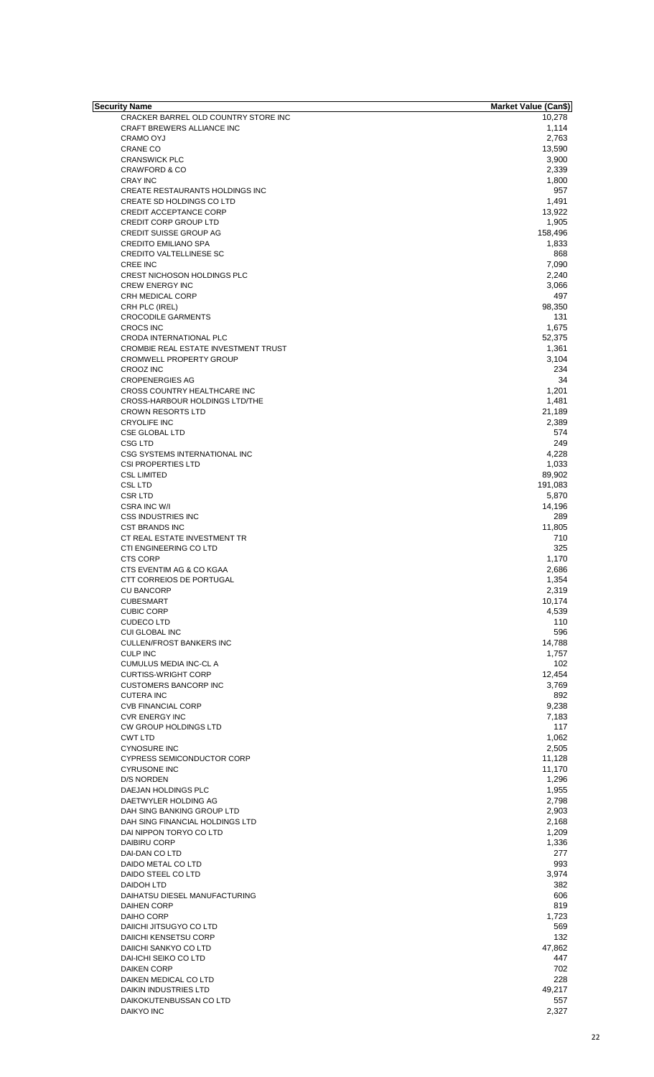| Security Name                        | <b>Market Value (Can\$)</b> |
|--------------------------------------|-----------------------------|
| CRACKER BARREL OLD COUNTRY STORE INC | 10,278                      |
| CRAFT BREWERS ALLIANCE INC           | 1,114                       |
| CRAMO OYJ                            | 2,763                       |
| <b>CRANE CO</b>                      | 13,590                      |
|                                      |                             |
| <b>CRANSWICK PLC</b>                 | 3,900                       |
| <b>CRAWFORD &amp; CO</b>             | 2,339                       |
| <b>CRAY INC</b>                      | 1,800                       |
| CREATE RESTAURANTS HOLDINGS INC      | 957                         |
| CREATE SD HOLDINGS CO LTD            | 1,491                       |
| <b>CREDIT ACCEPTANCE CORP</b>        | 13,922                      |
|                                      |                             |
| <b>CREDIT CORP GROUP LTD</b>         | 1,905                       |
| <b>CREDIT SUISSE GROUP AG</b>        | 158,496                     |
| <b>CREDITO EMILIANO SPA</b>          | 1,833                       |
| <b>CREDITO VALTELLINESE SC</b>       | 868                         |
|                                      |                             |
| <b>CREE INC</b>                      | 7,090                       |
| CREST NICHOSON HOLDINGS PLC          | 2,240                       |
| <b>CREW ENERGY INC</b>               | 3,066                       |
| CRH MEDICAL CORP                     | 497                         |
| CRH PLC (IREL)                       | 98,350                      |
|                                      |                             |
| <b>CROCODILE GARMENTS</b>            | 131                         |
| <b>CROCS INC</b>                     | 1,675                       |
| CRODA INTERNATIONAL PLC              | 52,375                      |
| CROMBIE REAL ESTATE INVESTMENT TRUST | 1,361                       |
|                                      |                             |
| <b>CROMWELL PROPERTY GROUP</b>       | 3,104                       |
| <b>CROOZ INC</b>                     | 234                         |
| <b>CROPENERGIES AG</b>               | 34                          |
| CROSS COUNTRY HEALTHCARE INC         | 1,201                       |
|                                      |                             |
| CROSS-HARBOUR HOLDINGS LTD/THE       | 1,481                       |
| <b>CROWN RESORTS LTD</b>             | 21,189                      |
| <b>CRYOLIFE INC</b>                  | 2,389                       |
| <b>CSE GLOBAL LTD</b>                | 574                         |
| CSG LTD                              | 249                         |
|                                      |                             |
| CSG SYSTEMS INTERNATIONAL INC        | 4,228                       |
| <b>CSI PROPERTIES LTD</b>            | 1,033                       |
| <b>CSL LIMITED</b>                   | 89,902                      |
| <b>CSL LTD</b>                       | 191,083                     |
|                                      |                             |
| <b>CSRLTD</b>                        | 5,870                       |
| CSRA INC W/I                         | 14,196                      |
| <b>CSS INDUSTRIES INC</b>            | 289                         |
| <b>CST BRANDS INC</b>                | 11,805                      |
| CT REAL ESTATE INVESTMENT TR         | 710                         |
|                                      |                             |
| CTI ENGINEERING CO LTD               | 325                         |
| <b>CTS CORP</b>                      | 1,170                       |
| CTS EVENTIM AG & CO KGAA             | 2,686                       |
| CTT CORREIOS DE PORTUGAL             | 1,354                       |
| <b>CU BANCORP</b>                    |                             |
|                                      | 2,319                       |
| <b>CUBESMART</b>                     | 10,174                      |
| <b>CUBIC CORP</b>                    | 4,539                       |
| <b>CUDECO LTD</b>                    | 110                         |
| <b>CUI GLOBAL INC</b>                | 596                         |
|                                      |                             |
| <b>CULLEN/FROST BANKERS INC</b>      | 14,788                      |
| <b>CULP INC</b>                      | 1,757                       |
| <b>CUMULUS MEDIA INC-CL A</b>        | 102                         |
| <b>CURTISS-WRIGHT CORP</b>           | 12,454                      |
| <b>CUSTOMERS BANCORP INC</b>         |                             |
|                                      | 3,769                       |
| <b>CUTERA INC</b>                    | 892                         |
| <b>CVB FINANCIAL CORP</b>            | 9,238                       |
| <b>CVR ENERGY INC</b>                | 7,183                       |
| <b>CW GROUP HOLDINGS LTD</b>         | 117                         |
|                                      |                             |
| <b>CWT LTD</b>                       | 1,062                       |
| <b>CYNOSURE INC</b>                  | 2,505                       |
| <b>CYPRESS SEMICONDUCTOR CORP</b>    | 11,128                      |
| <b>CYRUSONE INC</b>                  | 11,170                      |
| D/S NORDEN                           | 1,296                       |
|                                      |                             |
| DAEJAN HOLDINGS PLC                  | 1,955                       |
| DAETWYLER HOLDING AG                 | 2,798                       |
| DAH SING BANKING GROUP LTD           | 2,903                       |
| DAH SING FINANCIAL HOLDINGS LTD      | 2,168                       |
|                                      |                             |
| DAI NIPPON TORYO CO LTD              | 1,209                       |
| <b>DAIBIRU CORP</b>                  | 1,336                       |
| DAI-DAN CO LTD                       | 277                         |
| DAIDO METAL CO LTD                   | 993                         |
| DAIDO STEEL CO LTD                   | 3,974                       |
|                                      |                             |
| <b>DAIDOH LTD</b>                    | 382                         |
| DAIHATSU DIESEL MANUFACTURING        | 606                         |
| <b>DAIHEN CORP</b>                   | 819                         |
| DAIHO CORP                           | 1,723                       |
|                                      |                             |
| DAIICHI JITSUGYO CO LTD              | 569                         |
| DAIICHI KENSETSU CORP                | 132                         |
| DAIICHI SANKYO CO LTD                | 47,862                      |
|                                      |                             |
| DAI-ICHI SEIKO CO LTD                | 447                         |
| <b>DAIKEN CORP</b>                   | 702                         |
| DAIKEN MEDICAL CO LTD                | 228                         |
| <b>DAIKIN INDUSTRIES LTD</b>         | 49,217                      |
|                                      |                             |
| DAIKOKUTENBUSSAN CO LTD              | 557                         |
| <b>DAIKYO INC</b>                    | 2,327                       |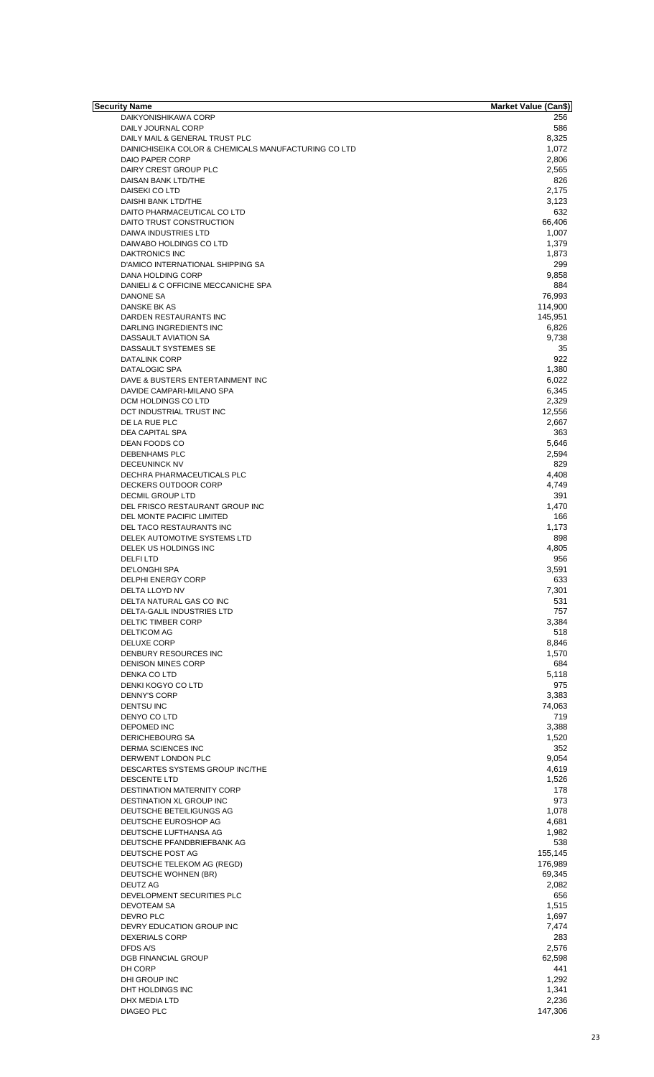| <b>Security Name</b>                                 | Market Value (Can\$) |
|------------------------------------------------------|----------------------|
| DAIKYONISHIKAWA CORP                                 | 256                  |
| DAILY JOURNAL CORP                                   | 586                  |
| DAILY MAIL & GENERAL TRUST PLC                       | 8,325                |
| DAINICHISEIKA COLOR & CHEMICALS MANUFACTURING CO LTD | 1,072                |
| DAIO PAPER CORP                                      | 2,806                |
| DAIRY CREST GROUP PLC                                | 2,565                |
| DAISAN BANK LTD/THE                                  | 826                  |
|                                                      |                      |
| DAISEKI CO LTD                                       | 2,175                |
| DAISHI BANK LTD/THE                                  | 3,123                |
| DAITO PHARMACEUTICAL CO LTD                          | 632                  |
| DAITO TRUST CONSTRUCTION                             | 66,406               |
| DAIWA INDUSTRIES LTD                                 | 1,007                |
| DAIWABO HOLDINGS CO LTD                              | 1,379                |
| DAKTRONICS INC                                       | 1,873                |
| D'AMICO INTERNATIONAL SHIPPING SA                    | 299                  |
| DANA HOLDING CORP                                    | 9,858                |
| DANIELI & C OFFICINE MECCANICHE SPA                  | 884                  |
| DANONE SA                                            | 76,993               |
| DANSKE BK AS                                         | 114,900              |
|                                                      |                      |
| DARDEN RESTAURANTS INC                               | 145,951              |
| DARLING INGREDIENTS INC                              | 6,826                |
| <b>DASSAULT AVIATION SA</b>                          | 9,738                |
| DASSAULT SYSTEMES SE                                 | 35                   |
| <b>DATALINK CORP</b>                                 | 922                  |
| DATALOGIC SPA                                        | 1.380                |
| DAVE & BUSTERS ENTERTAINMENT INC                     | 6,022                |
| DAVIDE CAMPARI-MILANO SPA                            | 6,345                |
| DCM HOLDINGS CO LTD                                  | 2,329                |
| DCT INDUSTRIAL TRUST INC                             | 12,556               |
| DE LA RUE PLC                                        | 2,667                |
| DEA CAPITAL SPA                                      | 363                  |
|                                                      |                      |
| DEAN FOODS CO                                        | 5,646                |
| DEBENHAMS PLC                                        | 2,594                |
| <b>DECEUNINCK NV</b>                                 | 829                  |
| DECHRA PHARMACEUTICALS PLC                           | 4,408                |
| DECKERS OUTDOOR CORP                                 | 4,749                |
| <b>DECMIL GROUP LTD</b>                              | 391                  |
| DEL FRISCO RESTAURANT GROUP INC                      | 1,470                |
| DEL MONTE PACIFIC LIMITED                            | 166                  |
| DEL TACO RESTAURANTS INC                             | 1,173                |
| DELEK AUTOMOTIVE SYSTEMS LTD                         | 898                  |
| DELEK US HOLDINGS INC                                | 4,805                |
|                                                      |                      |
| <b>DELFILTD</b>                                      | 956                  |
| <b>DE'LONGHI SPA</b>                                 | 3,591                |
| DELPHI ENERGY CORP                                   | 633                  |
| DELTA LLOYD NV                                       | 7,301                |
| DELTA NATURAL GAS CO INC                             | 531                  |
| <b>DELTA-GALIL INDUSTRIES LTD</b>                    | 757                  |
| DELTIC TIMBER CORP                                   | 3,384                |
| <b>DELTICOM AG</b>                                   | 518                  |
| DELUXE CORP                                          | 8,846                |
| DENBURY RESOURCES INC                                | 1,570                |
| <b>DENISON MINES CORP</b>                            | 684                  |
| DENKA CO LTD                                         | 5,118                |
| DENKI KOGYO CO LTD                                   | 975                  |
| <b>DENNY'S CORP</b>                                  |                      |
|                                                      | 3,383                |
| <b>DENTSU INC</b>                                    | 74,063               |
| DENYO CO LTD                                         | 719                  |
| DEPOMED INC                                          | 3,388                |
| DERICHEBOURG SA                                      | 1,520                |
| <b>DERMA SCIENCES INC</b>                            | 352                  |
| DERWENT LONDON PLC                                   | 9,054                |
| DESCARTES SYSTEMS GROUP INC/THE                      | 4,619                |
| DESCENTE LTD                                         | 1,526                |
| DESTINATION MATERNITY CORP                           | 178                  |
| DESTINATION XL GROUP INC                             | 973                  |
| DEUTSCHE BETEILIGUNGS AG                             | 1,078                |
| DEUTSCHE EUROSHOP AG                                 | 4,681                |
|                                                      |                      |
| DEUTSCHE LUFTHANSA AG                                | 1,982                |
| DEUTSCHE PFANDBRIEFBANK AG                           | 538                  |
| DEUTSCHE POST AG                                     | 155,145              |
| DEUTSCHE TELEKOM AG (REGD)                           | 176,989              |
| DEUTSCHE WOHNEN (BR)                                 | 69,345               |
| <b>DEUTZ AG</b>                                      | 2,082                |
| DEVELOPMENT SECURITIES PLC                           | 656                  |
| DEVOTEAM SA                                          | 1,515                |
| DEVRO PLC                                            | 1,697                |
| DEVRY EDUCATION GROUP INC                            | 7,474                |
| <b>DEXERIALS CORP</b>                                | 283                  |
|                                                      |                      |
| DFDS A/S                                             | 2,576                |
| <b>DGB FINANCIAL GROUP</b>                           | 62,598               |
| DH CORP                                              | 441                  |
| <b>DHI GROUP INC</b>                                 | 1,292                |
| DHT HOLDINGS INC                                     | 1,341                |
| DHX MEDIA LTD                                        | 2,236                |
| <b>DIAGEO PLC</b>                                    | 147,306              |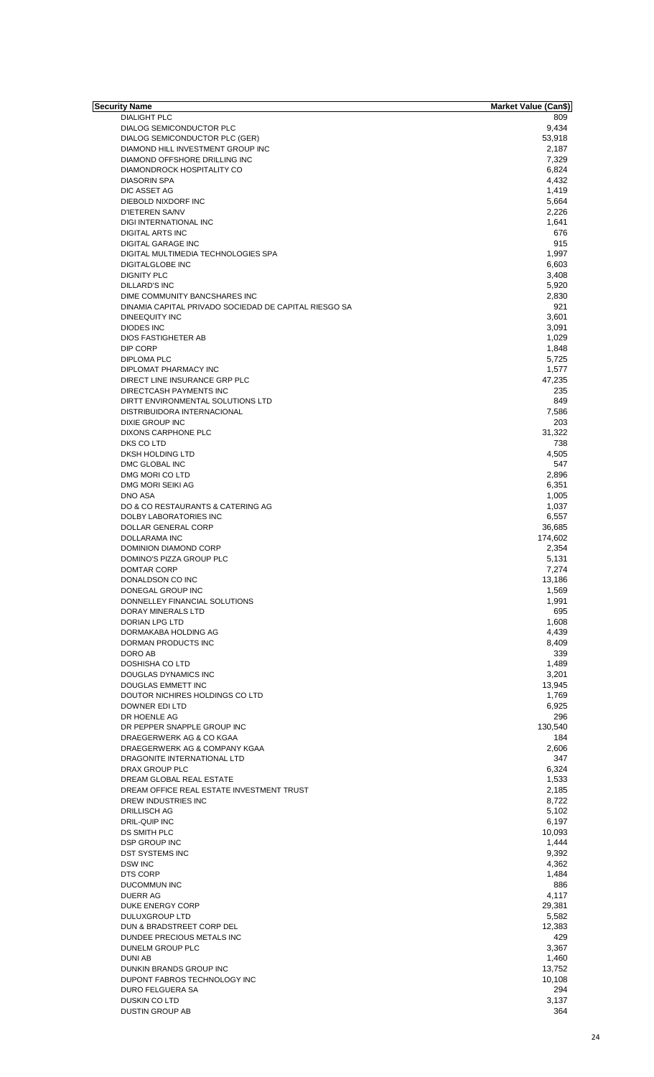| Security Name                                                | Market Value (Can\$) |
|--------------------------------------------------------------|----------------------|
| <b>DIALIGHT PLC</b>                                          | 809                  |
| DIALOG SEMICONDUCTOR PLC                                     | 9,434                |
| DIALOG SEMICONDUCTOR PLC (GER)                               | 53,918               |
| DIAMOND HILL INVESTMENT GROUP INC                            | 2,187                |
| DIAMOND OFFSHORE DRILLING INC<br>DIAMONDROCK HOSPITALITY CO  | 7,329<br>6,824       |
| <b>DIASORIN SPA</b>                                          | 4,432                |
| DIC ASSET AG                                                 | 1,419                |
| DIEBOLD NIXDORF INC                                          | 5,664                |
| D'IETEREN SA/NV                                              | 2,226                |
| DIGI INTERNATIONAL INC                                       | 1,641                |
| <b>DIGITAL ARTS INC</b>                                      | 676                  |
| <b>DIGITAL GARAGE INC</b>                                    | 915                  |
| DIGITAL MULTIMEDIA TECHNOLOGIES SPA                          | 1,997                |
| <b>DIGITALGLOBE INC</b>                                      | 6,603                |
| <b>DIGNITY PLC</b>                                           | 3,408                |
| <b>DILLARD'S INC</b>                                         | 5,920                |
| DIME COMMUNITY BANCSHARES INC                                | 2,830                |
| DINAMIA CAPITAL PRIVADO SOCIEDAD DE CAPITAL RIESGO SA        | 921                  |
| DINEEQUITY INC                                               | 3,601                |
| <b>DIODES INC</b>                                            | 3,091                |
| DIOS FASTIGHETER AB                                          | 1,029                |
| DIP CORP                                                     | 1,848                |
| DIPLOMA PLC                                                  | 5,725                |
| DIPLOMAT PHARMACY INC<br>DIRECT LINE INSURANCE GRP PLC       | 1,577<br>47,235      |
| DIRECTCASH PAYMENTS INC                                      | 235                  |
| DIRTT ENVIRONMENTAL SOLUTIONS LTD                            | 849                  |
| DISTRIBUIDORA INTERNACIONAL                                  | 7,586                |
| DIXIE GROUP INC                                              | 203                  |
| DIXONS CARPHONE PLC                                          | 31,322               |
| DKS CO LTD                                                   | 738                  |
| DKSH HOLDING LTD                                             | 4,505                |
| DMC GLOBAL INC                                               | 547                  |
| DMG MORI CO LTD                                              | 2,896                |
| DMG MORI SEIKI AG                                            | 6,351                |
| <b>DNO ASA</b>                                               | 1,005                |
| DO & CO RESTAURANTS & CATERING AG                            | 1,037                |
| DOLBY LABORATORIES INC                                       | 6,557                |
| DOLLAR GENERAL CORP                                          | 36,685               |
| DOLLARAMA INC                                                | 174,602              |
| <b>DOMINION DIAMOND CORP</b>                                 | 2,354                |
| DOMINO'S PIZZA GROUP PLC<br><b>DOMTAR CORP</b>               | 5,131<br>7,274       |
| DONALDSON CO INC                                             | 13,186               |
| DONEGAL GROUP INC                                            | 1,569                |
| DONNELLEY FINANCIAL SOLUTIONS                                | 1,991                |
| DORAY MINERALS LTD                                           | 695                  |
| <b>DORIAN LPG LTD</b>                                        | 1,608                |
| DORMAKABA HOLDING AG                                         | 4,439                |
| DORMAN PRODUCTS INC                                          | 8,409                |
| DORO AB                                                      | 339                  |
| <b>DOSHISHA CO LTD</b>                                       | 1,489                |
| DOUGLAS DYNAMICS INC                                         | 3,201                |
| DOUGLAS EMMETT INC                                           | 13,945               |
| DOUTOR NICHIRES HOLDINGS CO LTD                              | 1,769                |
| DOWNER EDI LTD                                               | 6,925                |
| DR HOENLE AG                                                 | 296                  |
| DR PEPPER SNAPPLE GROUP INC                                  | 130,540              |
| DRAEGERWERK AG & CO KGAA                                     | 184                  |
| DRAEGERWERK AG & COMPANY KGAA<br>DRAGONITE INTERNATIONAL LTD | 2,606<br>347         |
| DRAX GROUP PLC                                               | 6,324                |
| DREAM GLOBAL REAL ESTATE                                     | 1,533                |
| DREAM OFFICE REAL ESTATE INVESTMENT TRUST                    | 2,185                |
| DREW INDUSTRIES INC                                          | 8,722                |
| <b>DRILLISCH AG</b>                                          | 5,102                |
| DRIL-QUIP INC                                                | 6,197                |
| DS SMITH PLC                                                 | 10,093               |
| <b>DSP GROUP INC</b>                                         | 1,444                |
| DST SYSTEMS INC                                              | 9,392                |
| <b>DSW INC</b>                                               | 4,362                |
| DTS CORP                                                     | 1,484                |
| <b>DUCOMMUN INC</b>                                          | 886                  |
| <b>DUERR AG</b>                                              | 4,117                |
| DUKE ENERGY CORP                                             | 29,381               |
| DULUXGROUP LTD                                               | 5,582                |
| DUN & BRADSTREET CORP DEL                                    | 12,383               |
| DUNDEE PRECIOUS METALS INC                                   | 429                  |
| DUNELM GROUP PLC<br><b>DUNI AB</b>                           | 3,367                |
| DUNKIN BRANDS GROUP INC                                      | 1,460<br>13,752      |
| DUPONT FABROS TECHNOLOGY INC                                 | 10,108               |
| <b>DURO FELGUERA SA</b>                                      | 294                  |
| DUSKIN CO LTD                                                | 3,137                |
| DUSTIN GROUP AB                                              | 364                  |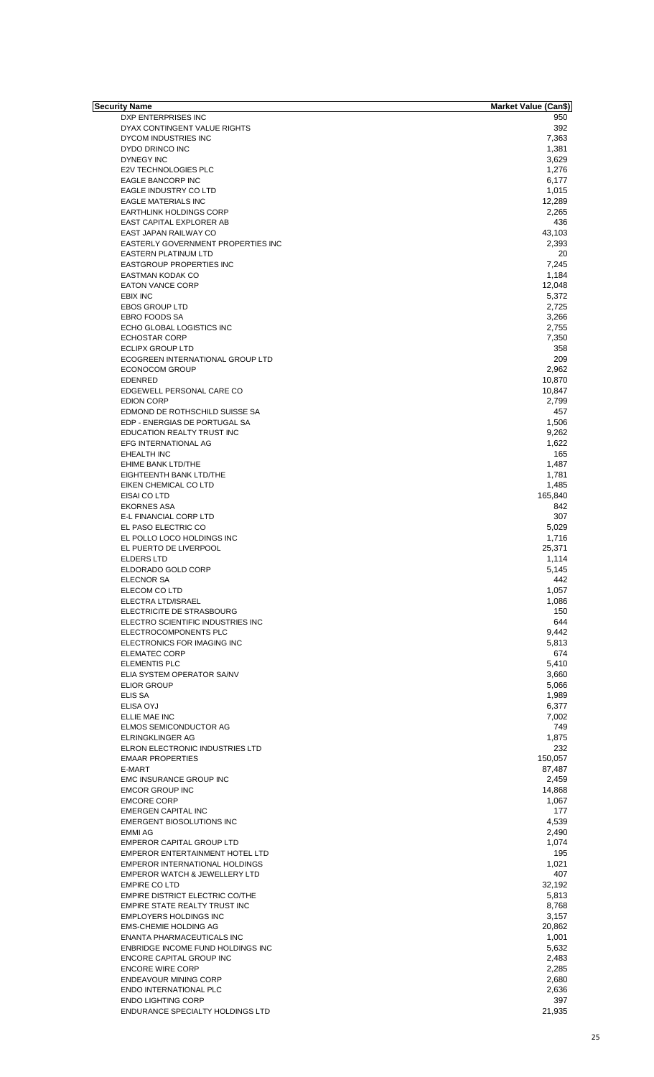| Security Name                            | Market Value (Can\$) |
|------------------------------------------|----------------------|
| DXP ENTERPRISES INC                      | 950                  |
| DYAX CONTINGENT VALUE RIGHTS             | 392                  |
| DYCOM INDUSTRIES INC                     | 7,363                |
| DYDO DRINCO INC                          | 1,381                |
|                                          |                      |
| DYNEGY INC                               | 3,629                |
| <b>E2V TECHNOLOGIES PLC</b>              | 1,276                |
| EAGLE BANCORP INC                        | 6,177                |
| EAGLE INDUSTRY CO LTD                    | 1,015                |
| <b>EAGLE MATERIALS INC</b>               | 12,289               |
| <b>EARTHLINK HOLDINGS CORP</b>           | 2,265                |
|                                          |                      |
| EAST CAPITAL EXPLORER AB                 | 436                  |
| EAST JAPAN RAILWAY CO                    | 43,103               |
| EASTERLY GOVERNMENT PROPERTIES INC       | 2,393                |
| <b>EASTERN PLATINUM LTD</b>              | 20                   |
| EASTGROUP PROPERTIES INC                 | 7,245                |
|                                          |                      |
| <b>EASTMAN KODAK CO</b>                  | 1,184                |
| <b>EATON VANCE CORP</b>                  | 12,048               |
| EBIX INC                                 | 5,372                |
| <b>EBOS GROUP LTD</b>                    | 2,725                |
| <b>EBRO FOODS SA</b>                     | 3.266                |
|                                          |                      |
| ECHO GLOBAL LOGISTICS INC                | 2,755                |
| <b>ECHOSTAR CORP</b>                     | 7,350                |
| <b>ECLIPX GROUP LTD</b>                  | 358                  |
| ECOGREEN INTERNATIONAL GROUP LTD         | 209                  |
|                                          |                      |
| <b>ECONOCOM GROUP</b>                    | 2,962                |
| <b>EDENRED</b>                           | 10,870               |
| EDGEWELL PERSONAL CARE CO                | 10,847               |
| <b>EDION CORP</b>                        | 2,799                |
| EDMOND DE ROTHSCHILD SUISSE SA           | 457                  |
|                                          |                      |
| EDP - ENERGIAS DE PORTUGAL SA            | 1,506                |
| <b>EDUCATION REALTY TRUST INC</b>        | 9,262                |
| EFG INTERNATIONAL AG                     | 1,622                |
| <b>EHEALTH INC</b>                       | 165                  |
|                                          |                      |
| EHIME BANK LTD/THE                       | 1,487                |
| EIGHTEENTH BANK LTD/THE                  | 1,781                |
| EIKEN CHEMICAL CO LTD                    | 1,485                |
| EISAI CO LTD                             | 165,840              |
|                                          |                      |
| <b>EKORNES ASA</b>                       | 842                  |
| <b>E-L FINANCIAL CORP LTD</b>            | 307                  |
| EL PASO ELECTRIC CO                      | 5,029                |
| EL POLLO LOCO HOLDINGS INC               | 1,716                |
| EL PUERTO DE LIVERPOOL                   | 25,371               |
|                                          |                      |
| <b>ELDERS LTD</b>                        | 1,114                |
| ELDORADO GOLD CORP                       | 5,145                |
| ELECNOR SA                               | 442                  |
| ELECOM CO LTD                            | 1,057                |
|                                          |                      |
| ELECTRA LTD/ISRAEL                       | 1,086                |
| ELECTRICITE DE STRASBOURG                | 150                  |
| ELECTRO SCIENTIFIC INDUSTRIES INC        | 644                  |
| ELECTROCOMPONENTS PLC                    | 9,442                |
| ELECTRONICS FOR IMAGING INC              | 5,813                |
|                                          |                      |
| ELEMATEC CORP                            | 674                  |
| <b>ELEMENTIS PLC</b>                     | 5,410                |
| ELIA SYSTEM OPERATOR SA/NV               | 3,660                |
| <b>ELIOR GROUP</b>                       | 5,066                |
| ELIS SA                                  |                      |
|                                          | 1,989                |
| ELISA OYJ                                | 6,377                |
| ELLIE MAE INC                            | 7,002                |
| ELMOS SEMICONDUCTOR AG                   | 749                  |
| ELRINGKLINGER AG                         | 1,875                |
|                                          |                      |
| ELRON ELECTRONIC INDUSTRIES LTD          | 232                  |
| <b>EMAAR PROPERTIES</b>                  | 150,057              |
| E-MART                                   | 87,487               |
| EMC INSURANCE GROUP INC                  | 2,459                |
|                                          |                      |
| <b>EMCOR GROUP INC</b>                   | 14,868               |
| <b>EMCORE CORP</b>                       | 1,067                |
| <b>EMERGEN CAPITAL INC</b>               | 177                  |
| <b>EMERGENT BIOSOLUTIONS INC</b>         | 4,539                |
|                                          |                      |
| <b>EMMI AG</b>                           | 2,490                |
| <b>EMPEROR CAPITAL GROUP LTD</b>         | 1,074                |
| EMPEROR ENTERTAINMENT HOTEL LTD          | 195                  |
| EMPEROR INTERNATIONAL HOLDINGS           | 1,021                |
|                                          | 407                  |
| <b>EMPEROR WATCH &amp; JEWELLERY LTD</b> |                      |
| <b>EMPIRE CO LTD</b>                     | 32,192               |
| EMPIRE DISTRICT ELECTRIC CO/THE          | 5,813                |
| EMPIRE STATE REALTY TRUST INC            | 8,768                |
|                                          |                      |
| <b>EMPLOYERS HOLDINGS INC</b>            | 3,157                |
| <b>EMS-CHEMIE HOLDING AG</b>             | 20,862               |
| <b>ENANTA PHARMACEUTICALS INC</b>        | 1,001                |
|                                          |                      |
| ENBRIDGE INCOME FUND HOLDINGS INC        | 5,632                |
| <b>ENCORE CAPITAL GROUP INC</b>          | 2,483                |
| <b>ENCORE WIRE CORP</b>                  | 2,285                |
| <b>ENDEAVOUR MINING CORP</b>             | 2,680                |
|                                          |                      |
| ENDO INTERNATIONAL PLC                   | 2,636                |
| <b>ENDO LIGHTING CORP</b>                | 397                  |
| ENDURANCE SPECIALTY HOLDINGS LTD         | 21,935               |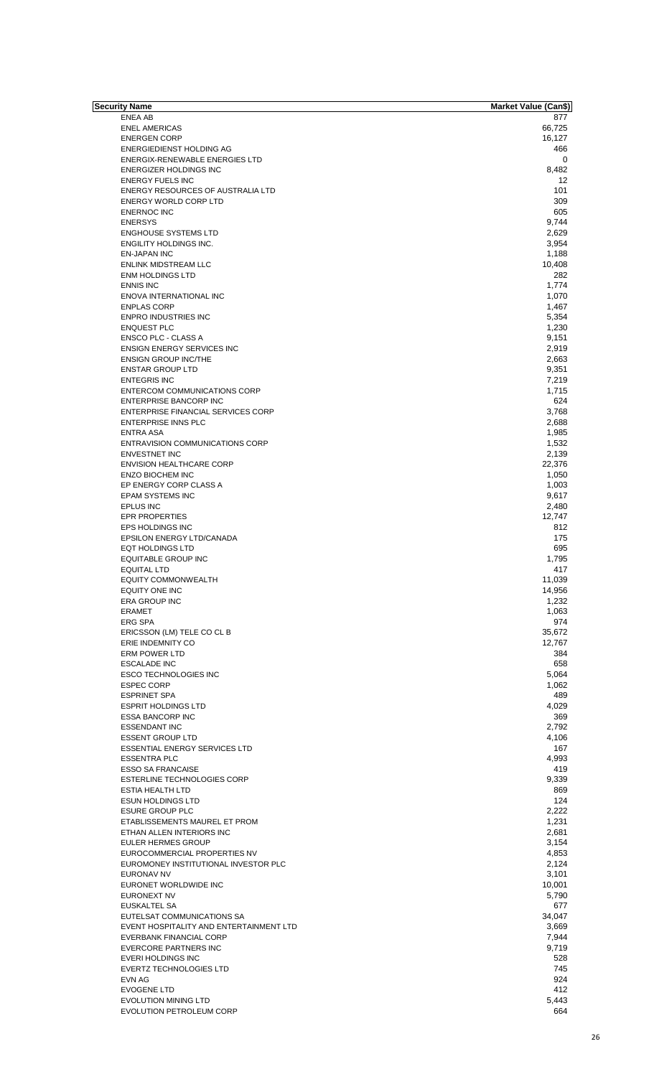| <b>Security Name</b>                                              | <b>Market Value (Can\$)</b> |
|-------------------------------------------------------------------|-----------------------------|
| ENEA AB                                                           | 877                         |
| <b>ENEL AMERICAS</b>                                              | 66,725                      |
| <b>ENERGEN CORP</b>                                               | 16,127                      |
| ENERGIEDIENST HOLDING AG<br><b>ENERGIX-RENEWABLE ENERGIES LTD</b> | 466<br>$\mathbf 0$          |
| <b>ENERGIZER HOLDINGS INC</b>                                     | 8,482                       |
| <b>ENERGY FUELS INC</b>                                           | 12                          |
| ENERGY RESOURCES OF AUSTRALIA LTD                                 | 101                         |
| <b>ENERGY WORLD CORP LTD</b>                                      | 309                         |
| <b>ENERNOC INC</b>                                                | 605                         |
| <b>ENERSYS</b>                                                    | 9,744                       |
| <b>ENGHOUSE SYSTEMS LTD</b>                                       | 2,629                       |
| <b>ENGILITY HOLDINGS INC.</b>                                     | 3,954                       |
| <b>EN-JAPAN INC</b>                                               | 1,188                       |
| <b>ENLINK MIDSTREAM LLC</b>                                       | 10,408                      |
| <b>ENM HOLDINGS LTD</b>                                           | 282                         |
| <b>ENNIS INC</b>                                                  | 1,774                       |
| ENOVA INTERNATIONAL INC                                           | 1,070                       |
| <b>ENPLAS CORP</b>                                                | 1,467                       |
| <b>ENPRO INDUSTRIES INC</b>                                       | 5,354                       |
| <b>ENQUEST PLC</b>                                                | 1,230                       |
| <b>ENSCO PLC - CLASS A</b>                                        | 9,151                       |
| <b>ENSIGN ENERGY SERVICES INC</b>                                 | 2,919                       |
| <b>ENSIGN GROUP INC/THE</b>                                       | 2,663                       |
| <b>ENSTAR GROUP LTD</b>                                           | 9,351                       |
| <b>ENTEGRIS INC</b>                                               | 7,219                       |
| <b>ENTERCOM COMMUNICATIONS CORP</b>                               | 1,715                       |
| ENTERPRISE BANCORP INC                                            | 624                         |
| <b>ENTERPRISE FINANCIAL SERVICES CORP</b>                         | 3,768                       |
| <b>ENTERPRISE INNS PLC</b>                                        | 2,688                       |
| <b>ENTRA ASA</b>                                                  | 1,985                       |
| <b>ENTRAVISION COMMUNICATIONS CORP</b>                            | 1,532                       |
| <b>ENVESTNET INC</b>                                              | 2,139                       |
| <b>ENVISION HEALTHCARE CORP</b>                                   | 22,376                      |
| <b>ENZO BIOCHEM INC</b>                                           | 1,050                       |
| EP ENERGY CORP CLASS A<br><b>EPAM SYSTEMS INC</b>                 | 1,003<br>9,617              |
| EPLUS INC                                                         | 2,480                       |
| <b>EPR PROPERTIES</b>                                             | 12,747                      |
| <b>EPS HOLDINGS INC</b>                                           | 812                         |
| <b>EPSILON ENERGY LTD/CANADA</b>                                  | 175                         |
| <b>EQT HOLDINGS LTD</b>                                           | 695                         |
| EQUITABLE GROUP INC                                               | 1,795                       |
| <b>EQUITAL LTD</b>                                                | 417                         |
| <b>EQUITY COMMONWEALTH</b>                                        | 11,039                      |
| EQUITY ONE INC                                                    | 14,956                      |
| <b>ERA GROUP INC</b>                                              | 1,232                       |
| <b>ERAMET</b>                                                     | 1,063                       |
| <b>ERG SPA</b>                                                    | 974                         |
| ERICSSON (LM) TELE CO CL B                                        | 35,672                      |
| ERIE INDEMNITY CO                                                 | 12,767                      |
| <b>ERM POWER LTD</b>                                              | 384                         |
| <b>ESCALADE INC</b>                                               | 658                         |
| <b>ESCO TECHNOLOGIES INC</b>                                      | 5,064                       |
| <b>ESPEC CORP</b>                                                 | 1,062                       |
| <b>ESPRINET SPA</b>                                               | 489                         |
| <b>ESPRIT HOLDINGS LTD</b>                                        | 4,029                       |
| <b>ESSA BANCORP INC</b>                                           | 369                         |
| <b>ESSENDANT INC</b>                                              | 2,792                       |
| <b>ESSENT GROUP LTD</b>                                           | 4,106                       |
| <b>ESSENTIAL ENERGY SERVICES LTD</b>                              | 167                         |
| <b>ESSENTRA PLC</b>                                               | 4,993                       |
| <b>ESSO SA FRANCAISE</b>                                          | 419                         |
| ESTERLINE TECHNOLOGIES CORP                                       | 9,339                       |
| <b>ESTIA HEALTH LTD</b>                                           | 869                         |
| <b>ESUN HOLDINGS LTD</b>                                          | 124                         |
| <b>ESURE GROUP PLC</b>                                            | 2,222                       |
| ETABLISSEMENTS MAUREL ET PROM                                     | 1,231                       |
| ETHAN ALLEN INTERIORS INC                                         | 2,681                       |
| <b>EULER HERMES GROUP</b>                                         | 3,154                       |
| EUROCOMMERCIAL PROPERTIES NV                                      | 4,853                       |
| EUROMONEY INSTITUTIONAL INVESTOR PLC                              | 2,124                       |
| EURONAV NV                                                        | 3,101                       |
| EURONET WORLDWIDE INC                                             | 10,001                      |
| EURONEXT NV                                                       | 5,790                       |
| EUSKALTEL SA                                                      | 677                         |
| EUTELSAT COMMUNICATIONS SA                                        | 34,047                      |
| EVENT HOSPITALITY AND ENTERTAINMENT LTD                           | 3,669                       |
| <b>EVERBANK FINANCIAL CORP</b>                                    | 7,944                       |
| EVERCORE PARTNERS INC                                             | 9,719                       |
| EVERI HOLDINGS INC                                                | 528                         |
| <b>EVERTZ TECHNOLOGIES LTD</b>                                    | 745                         |
| EVN AG                                                            | 924                         |
| <b>EVOGENE LTD</b>                                                | 412                         |
| EVOLUTION MINING LTD                                              | 5,443                       |
| EVOLUTION PETROLEUM CORP                                          | 664                         |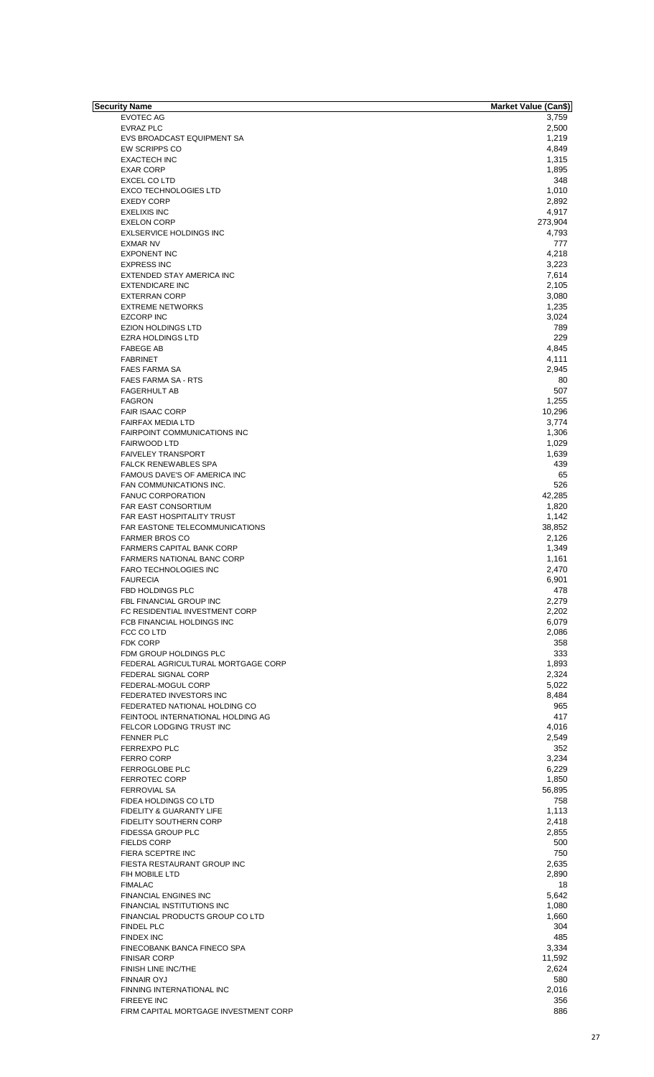| Security Name                                          | Market Value (Can\$) |
|--------------------------------------------------------|----------------------|
| <b>EVOTEC AG</b>                                       | 3,759                |
| <b>EVRAZ PLC</b>                                       | 2,500                |
| EVS BROADCAST EQUIPMENT SA                             | 1,219                |
| EW SCRIPPS CO                                          | 4,849                |
| <b>EXACTECH INC</b>                                    | 1,315                |
| <b>EXAR CORP</b>                                       | 1,895                |
| <b>EXCEL CO LTD</b>                                    | 348                  |
| <b>EXCO TECHNOLOGIES LTD</b>                           | 1,010                |
| <b>EXEDY CORP</b>                                      | 2,892                |
| <b>EXELIXIS INC</b>                                    | 4,917                |
| <b>EXELON CORP</b>                                     | 273,904              |
| <b>EXLSERVICE HOLDINGS INC</b>                         | 4,793                |
| <b>EXMAR NV</b>                                        | 777                  |
| <b>EXPONENT INC</b>                                    | 4,218                |
| <b>EXPRESS INC</b>                                     | 3,223                |
| EXTENDED STAY AMERICA INC                              | 7,614                |
| <b>EXTENDICARE INC</b>                                 | 2,105                |
| <b>EXTERRAN CORP</b>                                   | 3,080                |
| <b>EXTREME NETWORKS</b>                                | 1,235                |
| <b>EZCORP INC</b>                                      | 3,024                |
| <b>EZION HOLDINGS LTD</b>                              | 789                  |
| <b>EZRA HOLDINGS LTD</b>                               | 229                  |
| <b>FABEGE AB</b>                                       | 4,845                |
| <b>FABRINET</b>                                        | 4,111                |
| <b>FAES FARMA SA</b>                                   | 2,945                |
| <b>FAES FARMA SA - RTS</b>                             | 80                   |
| <b>FAGERHULT AB</b>                                    | 507                  |
| <b>FAGRON</b>                                          | 1,255                |
| <b>FAIR ISAAC CORP</b>                                 | 10,296               |
| <b>FAIRFAX MEDIA LTD</b>                               | 3,774                |
| <b>FAIRPOINT COMMUNICATIONS INC</b>                    | 1,306                |
| <b>FAIRWOOD LTD</b>                                    | 1,029                |
| <b>FAIVELEY TRANSPORT</b>                              | 1,639                |
| <b>FALCK RENEWABLES SPA</b>                            | 439                  |
| FAMOUS DAVE'S OF AMERICA INC                           | 65                   |
|                                                        | 526                  |
| FAN COMMUNICATIONS INC.                                |                      |
| <b>FANUC CORPORATION</b><br><b>FAR EAST CONSORTIUM</b> | 42,285               |
| <b>FAR EAST HOSPITALITY TRUST</b>                      | 1,820                |
|                                                        | 1,142                |
| FAR EASTONE TELECOMMUNICATIONS                         | 38,852               |
| <b>FARMER BROS CO</b>                                  | 2,126                |
| <b>FARMERS CAPITAL BANK CORP</b>                       | 1,349                |
| <b>FARMERS NATIONAL BANC CORP</b>                      | 1,161                |
| FARO TECHNOLOGIES INC                                  | 2,470                |
| <b>FAURECIA</b>                                        | 6,901                |
| FBD HOLDINGS PLC                                       | 478                  |
| <b>FBL FINANCIAL GROUP INC</b>                         | 2,279                |
| FC RESIDENTIAL INVESTMENT CORP                         | 2,202                |
| FCB FINANCIAL HOLDINGS INC                             | 6,079                |
| FCC CO LTD                                             | 2,086                |
| <b>FDK CORP</b>                                        | 358                  |
| FDM GROUP HOLDINGS PLC                                 | 333                  |
| FEDERAL AGRICULTURAL MORTGAGE CORP                     | 1,893                |
| FEDERAL SIGNAL CORP                                    | 2,324                |
| FEDERAL-MOGUL CORP                                     | 5,022                |
| FEDERATED INVESTORS INC                                | 8,484                |
| FEDERATED NATIONAL HOLDING CO                          | 965                  |
| FEINTOOL INTERNATIONAL HOLDING AG                      | 417                  |
| FELCOR LODGING TRUST INC                               | 4,016                |
| <b>FENNER PLC</b>                                      | 2,549                |
| <b>FERREXPO PLC</b>                                    | 352                  |
| FERRO CORP                                             | 3,234                |
| FERROGLOBE PLC                                         | 6,229                |
| <b>FERROTEC CORP</b>                                   | 1,850                |
| <b>FERROVIAL SA</b>                                    | 56,895               |
| FIDEA HOLDINGS CO LTD                                  | 758                  |
| FIDELITY & GUARANTY LIFE                               | 1,113                |
| FIDELITY SOUTHERN CORP                                 | 2,418                |
| FIDESSA GROUP PLC                                      | 2,855                |
| <b>FIELDS CORP</b>                                     | 500                  |
| FIERA SCEPTRE INC                                      | 750                  |
| FIESTA RESTAURANT GROUP INC                            | 2,635                |
| FIH MOBILE LTD                                         | 2,890                |
| <b>FIMALAC</b>                                         | 18                   |
|                                                        |                      |
| <b>FINANCIAL ENGINES INC</b>                           | 5,642                |
| FINANCIAL INSTITUTIONS INC                             | 1,080                |
| FINANCIAL PRODUCTS GROUP CO LTD                        | 1,660                |
| <b>FINDEL PLC</b>                                      | 304                  |
| <b>FINDEX INC</b>                                      | 485                  |
| FINECOBANK BANCA FINECO SPA                            | 3,334                |
| <b>FINISAR CORP</b>                                    | 11,592               |
| FINISH LINE INC/THE                                    | 2,624                |
| <b>FINNAIR OYJ</b>                                     | 580                  |
| FINNING INTERNATIONAL INC                              | 2,016                |
| <b>FIREEYE INC</b>                                     | 356                  |
| FIRM CAPITAL MORTGAGE INVESTMENT CORP                  | 886                  |
|                                                        |                      |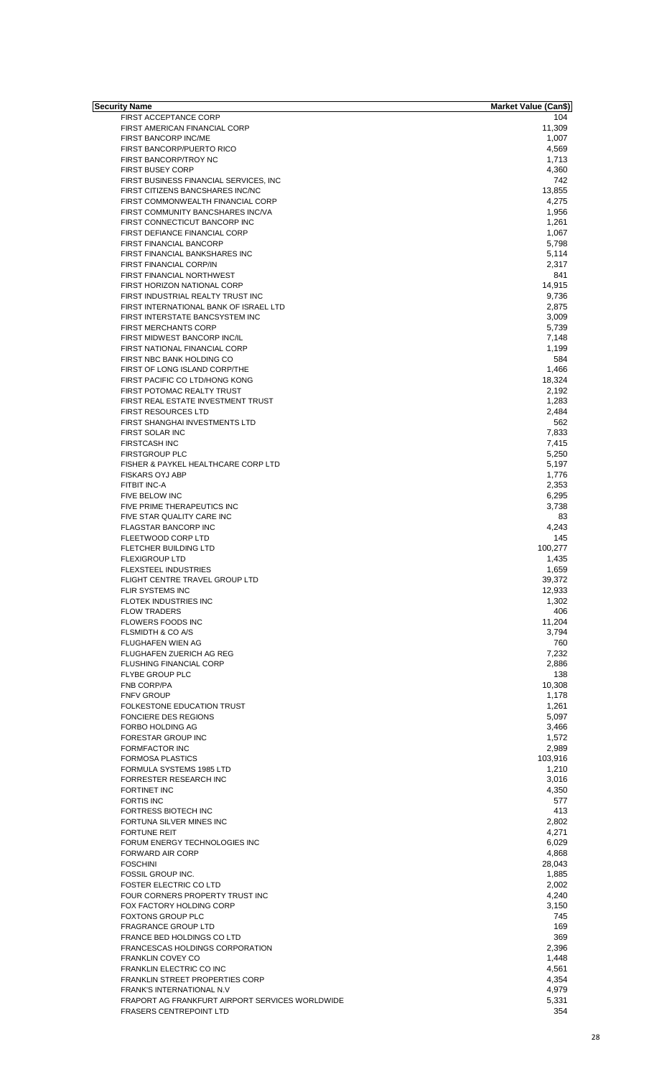| Security Name                                   | Market Value (Can\$) |
|-------------------------------------------------|----------------------|
| <b>FIRST ACCEPTANCE CORP</b>                    | 104                  |
| FIRST AMERICAN FINANCIAL CORP                   | 11,309               |
| FIRST BANCORP INC/ME                            | 1,007                |
| FIRST BANCORP/PUERTO RICO                       | 4,569                |
| FIRST BANCORP/TROY NC                           | 1,713                |
| <b>FIRST BUSEY CORP</b>                         | 4,360                |
| FIRST BUSINESS FINANCIAL SERVICES, INC          | 742                  |
| FIRST CITIZENS BANCSHARES INC/NC                | 13,855               |
| FIRST COMMONWEALTH FINANCIAL CORP               | 4,275                |
| FIRST COMMUNITY BANCSHARES INC/VA               | 1,956                |
| FIRST CONNECTICUT BANCORP INC                   | 1,261                |
| FIRST DEFIANCE FINANCIAL CORP                   | 1,067                |
| FIRST FINANCIAL BANCORP                         | 5,798                |
| FIRST FINANCIAL BANKSHARES INC                  | 5,114                |
| FIRST FINANCIAL CORP/IN                         | 2,317                |
| FIRST FINANCIAL NORTHWEST                       | 841                  |
| FIRST HORIZON NATIONAL CORP                     | 14,915               |
| FIRST INDUSTRIAL REALTY TRUST INC               | 9,736                |
| FIRST INTERNATIONAL BANK OF ISRAEL LTD          | 2,875                |
| FIRST INTERSTATE BANCSYSTEM INC                 | 3,009                |
| <b>FIRST MERCHANTS CORP</b>                     | 5,739                |
| FIRST MIDWEST BANCORP INC/IL                    |                      |
| FIRST NATIONAL FINANCIAL CORP                   | 7,148                |
|                                                 | 1,199                |
| FIRST NBC BANK HOLDING CO                       | 584                  |
| FIRST OF LONG ISLAND CORP/THE                   | 1,466                |
| FIRST PACIFIC CO LTD/HONG KONG                  | 18,324               |
| FIRST POTOMAC REALTY TRUST                      | 2,192                |
| FIRST REAL ESTATE INVESTMENT TRUST              | 1,283                |
| <b>FIRST RESOURCES LTD</b>                      | 2,484                |
| FIRST SHANGHAI INVESTMENTS LTD                  | 562                  |
| FIRST SOLAR INC                                 | 7,833                |
| <b>FIRSTCASH INC</b>                            | 7,415                |
| <b>FIRSTGROUP PLC</b>                           | 5,250                |
| FISHER & PAYKEL HEALTHCARE CORP LTD             | 5,197                |
| <b>FISKARS OYJ ABP</b>                          | 1,776                |
| <b>FITBIT INC-A</b>                             | 2,353                |
| FIVE BELOW INC                                  | 6,295                |
| FIVE PRIME THERAPEUTICS INC                     | 3,738                |
| FIVE STAR QUALITY CARE INC                      | 83                   |
| FLAGSTAR BANCORP INC                            | 4,243                |
| FLEETWOOD CORP LTD                              | 145                  |
| FLETCHER BUILDING LTD                           | 100,277              |
| <b>FLEXIGROUP LTD</b>                           | 1,435                |
| <b>FLEXSTEEL INDUSTRIES</b>                     | 1,659                |
| FLIGHT CENTRE TRAVEL GROUP LTD                  | 39,372               |
| FLIR SYSTEMS INC                                | 12,933               |
| <b>FLOTEK INDUSTRIES INC</b>                    | 1,302                |
| <b>FLOW TRADERS</b>                             | 406                  |
| <b>FLOWERS FOODS INC</b>                        | 11,204               |
| FLSMIDTH & CO A/S                               | 3,794                |
| <b>FLUGHAFEN WIEN AG</b>                        | 760                  |
|                                                 | 7,232                |
| FLUGHAFEN ZUERICH AG REG                        |                      |
| FLUSHING FINANCIAL CORP                         | 2,886                |
| <b>FLYBE GROUP PLC</b>                          | 138                  |
| FNB CORP/PA                                     | 10,308               |
| <b>FNFV GROUP</b>                               | 1,178                |
| FOLKESTONE EDUCATION TRUST                      | 1,261                |
| <b>FONCIERE DES REGIONS</b>                     | 5,097                |
| <b>FORBO HOLDING AG</b>                         | 3,466                |
| FORESTAR GROUP INC                              | 1,572                |
| <b>FORMFACTOR INC</b>                           | 2,989                |
| <b>FORMOSA PLASTICS</b>                         | 103,916              |
| FORMULA SYSTEMS 1985 LTD                        | 1,210                |
| FORRESTER RESEARCH INC                          | 3,016                |
| <b>FORTINET INC</b>                             | 4,350                |
| <b>FORTIS INC</b>                               | 577                  |
| <b>FORTRESS BIOTECH INC</b>                     | 413                  |
| FORTUNA SILVER MINES INC                        | 2,802                |
| <b>FORTUNE REIT</b>                             | 4,271                |
| FORUM ENERGY TECHNOLOGIES INC                   | 6,029                |
| <b>FORWARD AIR CORP</b>                         | 4,868                |
| <b>FOSCHINI</b>                                 | 28,043               |
| FOSSIL GROUP INC.                               | 1,885                |
|                                                 |                      |
| <b>FOSTER ELECTRIC CO LTD</b>                   | 2,002                |
| FOUR CORNERS PROPERTY TRUST INC                 | 4,240                |
| FOX FACTORY HOLDING CORP                        | 3,150                |
| <b>FOXTONS GROUP PLC</b>                        | 745                  |
| <b>FRAGRANCE GROUP LTD</b>                      | 169                  |
| FRANCE BED HOLDINGS CO LTD                      | 369                  |
| <b>FRANCESCAS HOLDINGS CORPORATION</b>          | 2,396                |
| FRANKLIN COVEY CO                               | 1,448                |
| FRANKLIN ELECTRIC CO INC                        | 4,561                |
| <b>FRANKLIN STREET PROPERTIES CORP</b>          | 4,354                |
| <b>FRANK'S INTERNATIONAL N.V.</b>               | 4,979                |
| FRAPORT AG FRANKFURT AIRPORT SERVICES WORLDWIDE | 5,331                |
| <b>FRASERS CENTREPOINT LTD</b>                  | 354                  |
|                                                 |                      |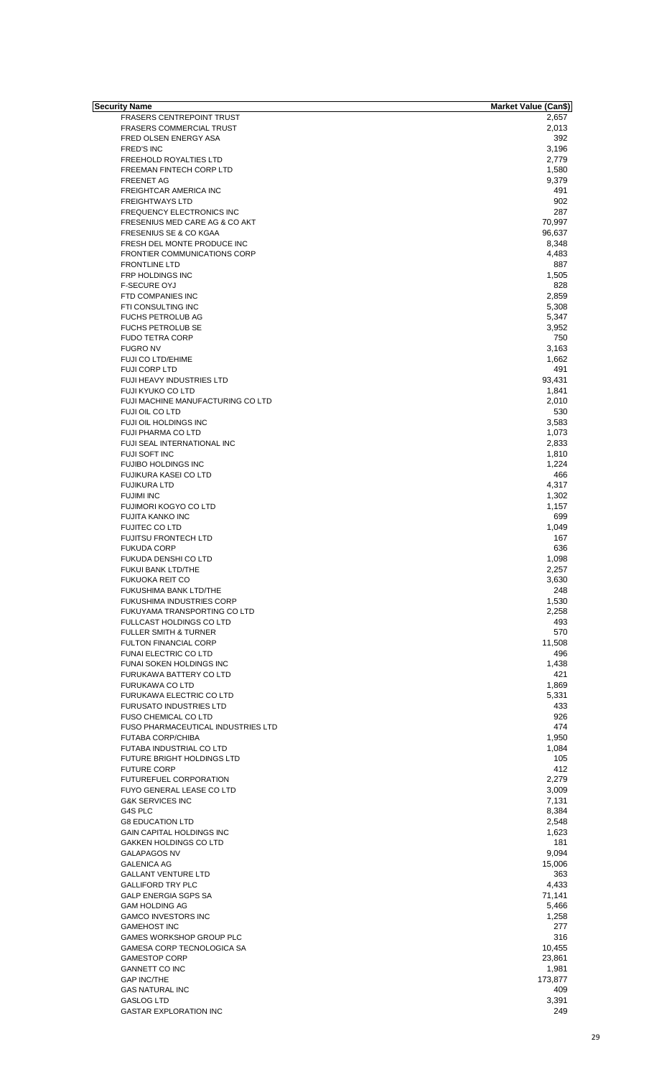| Security Name                       | Market Value (Can\$) |
|-------------------------------------|----------------------|
| <b>FRASERS CENTREPOINT TRUST</b>    | 2,657                |
| <b>FRASERS COMMERCIAL TRUST</b>     | 2,013                |
| FRED OLSEN ENERGY ASA               | 392                  |
| <b>FRED'S INC</b>                   | 3,196                |
| <b>FREEHOLD ROYALTIES LTD</b>       | 2,779                |
| FREEMAN FINTECH CORP LTD            | 1,580                |
| <b>FREENET AG</b>                   | 9,379                |
| FREIGHTCAR AMERICA INC              | 491                  |
| <b>FREIGHTWAYS LTD</b>              | 902                  |
| <b>FREQUENCY ELECTRONICS INC</b>    | 287                  |
| FRESENIUS MED CARE AG & CO AKT      | 70,997               |
|                                     |                      |
| FRESENIUS SE & CO KGAA              | 96,637               |
| FRESH DEL MONTE PRODUCE INC         | 8,348                |
| <b>FRONTIER COMMUNICATIONS CORP</b> | 4,483                |
| <b>FRONTLINE LTD</b>                | 887                  |
| FRP HOLDINGS INC                    | 1,505                |
| <b>F-SECURE OYJ</b>                 | 828                  |
| FTD COMPANIES INC                   | 2,859                |
| FTI CONSULTING INC                  | 5,308                |
| <b>FUCHS PETROLUB AG</b>            | 5,347                |
|                                     |                      |
| <b>FUCHS PETROLUB SE</b>            | 3,952                |
| <b>FUDO TETRA CORP</b>              | 750                  |
| <b>FUGRO NV</b>                     | 3,163                |
| <b>FUJI CO LTD/EHIME</b>            | 1,662                |
| <b>FUJI CORP LTD</b>                | 491                  |
| <b>FUJI HEAVY INDUSTRIES LTD</b>    | 93,431               |
| <b>FUJI KYUKO CO LTD</b>            | 1,841                |
| FUJI MACHINE MANUFACTURING CO LTD   | 2,010                |
| FUJI OIL CO LTD                     | 530                  |
| FUJI OIL HOLDINGS INC               | 3,583                |
|                                     |                      |
| FUJI PHARMA CO LTD                  | 1,073                |
| FUJI SEAL INTERNATIONAL INC         | 2,833                |
| FUJI SOFT INC                       | 1,810                |
| <b>FUJIBO HOLDINGS INC</b>          | 1,224                |
| FUJIKURA KASEI CO LTD               | 466                  |
| <b>FUJIKURA LTD</b>                 | 4,317                |
| <b>FUJIMI INC</b>                   | 1,302                |
| <b>FUJIMORI KOGYO CO LTD</b>        | 1,157                |
| <b>FUJITA KANKO INC</b>             | 699                  |
|                                     |                      |
| <b>FUJITEC CO LTD</b>               | 1,049                |
| <b>FUJITSU FRONTECH LTD</b>         | 167                  |
| <b>FUKUDA CORP</b>                  | 636                  |
| <b>FUKUDA DENSHI CO LTD</b>         | 1,098                |
| <b>FUKUI BANK LTD/THE</b>           | 2,257                |
| <b>FUKUOKA REIT CO</b>              | 3,630                |
| FUKUSHIMA BANK LTD/THE              | 248                  |
| <b>FUKUSHIMA INDUSTRIES CORP</b>    | 1,530                |
| FUKUYAMA TRANSPORTING CO LTD        | 2,258                |
| FULLCAST HOLDINGS CO LTD            | 493                  |
|                                     |                      |
| <b>FULLER SMITH &amp; TURNER</b>    | 570                  |
| <b>FULTON FINANCIAL CORP</b>        | 11,508               |
| FUNAI ELECTRIC CO LTD               | 496                  |
| FUNAI SOKEN HOLDINGS INC            | 1,438                |
| FURUKAWA BATTERY CO LTD             | 421                  |
| <b>FURUKAWA CO LTD</b>              | 1,869                |
| FURUKAWA ELECTRIC CO LTD            | 5,331                |
| <b>FURUSATO INDUSTRIES LTD</b>      | 433                  |
| FUSO CHEMICAL CO LTD                | 926                  |
| FUSO PHARMACEUTICAL INDUSTRIES LTD  | 474                  |
|                                     |                      |
| <b>FUTABA CORP/CHIBA</b>            | 1,950                |
| <b>FUTABA INDUSTRIAL CO LTD</b>     | 1,084                |
| FUTURE BRIGHT HOLDINGS LTD          | 105                  |
| <b>FUTURE CORP</b>                  | 412                  |
| FUTUREFUEL CORPORATION              | 2,279                |
| <b>FUYO GENERAL LEASE CO LTD</b>    | 3,009                |
| <b>G&amp;K SERVICES INC</b>         | 7,131                |
| G4S PLC                             | 8,384                |
| <b>G8 EDUCATION LTD</b>             | 2,548                |
| GAIN CAPITAL HOLDINGS INC           | 1,623                |
|                                     |                      |
| <b>GAKKEN HOLDINGS CO LTD</b>       | 181                  |
| <b>GALAPAGOS NV</b>                 | 9,094                |
| <b>GALENICA AG</b>                  | 15,006               |
| <b>GALLANT VENTURE LTD</b>          | 363                  |
| <b>GALLIFORD TRY PLC</b>            | 4,433                |
| <b>GALP ENERGIA SGPS SA</b>         | 71,141               |
| <b>GAM HOLDING AG</b>               | 5,466                |
| <b>GAMCO INVESTORS INC</b>          | 1,258                |
| <b>GAMEHOST INC</b>                 | 277                  |
| GAMES WORKSHOP GROUP PLC            |                      |
|                                     | 316                  |
| GAMESA CORP TECNOLOGICA SA          | 10,455               |
| <b>GAMESTOP CORP</b>                | 23,861               |
| <b>GANNETT CO INC</b>               | 1,981                |
| <b>GAP INC/THE</b>                  | 173,877              |
| <b>GAS NATURAL INC</b>              | 409                  |
| <b>GASLOG LTD</b>                   | 3,391                |
| <b>GASTAR EXPLORATION INC</b>       | 249                  |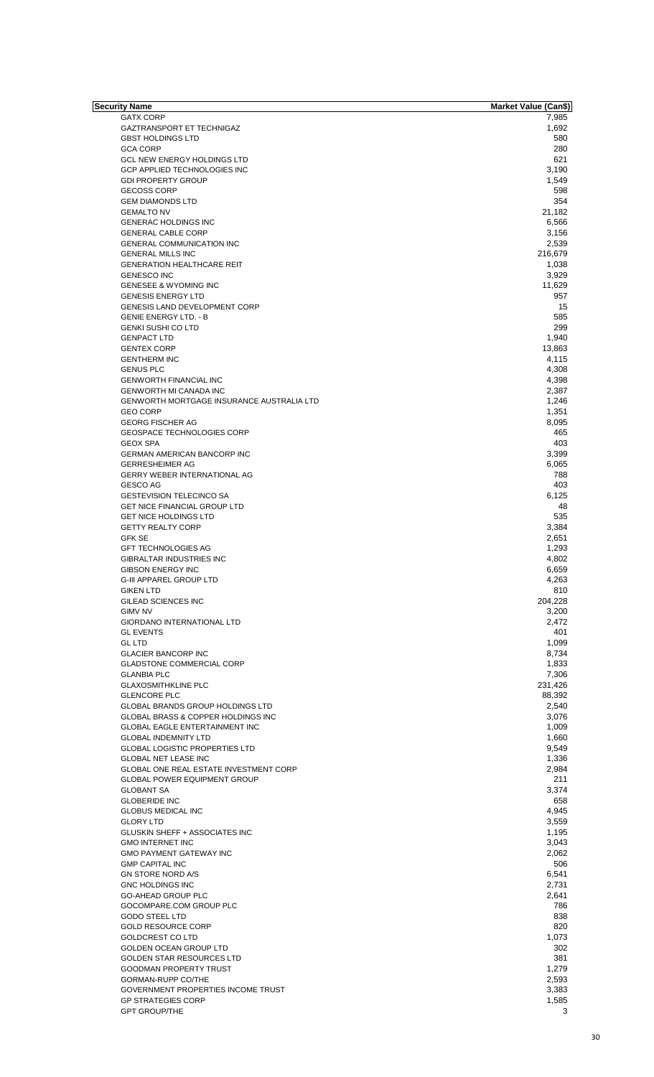| Security Name                                    | <b>Market Value (Can\$)</b> |
|--------------------------------------------------|-----------------------------|
| <b>GATX CORP</b>                                 | 7,985                       |
| <b>GAZTRANSPORT ET TECHNIGAZ</b>                 | 1,692                       |
| <b>GBST HOLDINGS LTD</b>                         | 580                         |
| <b>GCA CORP</b>                                  | 280                         |
| <b>GCL NEW ENERGY HOLDINGS LTD</b>               | 621                         |
| <b>GCP APPLIED TECHNOLOGIES INC</b>              |                             |
|                                                  | 3,190                       |
| <b>GDI PROPERTY GROUP</b>                        | 1.549                       |
| <b>GECOSS CORP</b>                               | 598                         |
| <b>GEM DIAMONDS LTD</b>                          | 354                         |
| <b>GEMALTO NV</b>                                | 21,182                      |
| <b>GENERAC HOLDINGS INC</b>                      | 6,566                       |
| <b>GENERAL CABLE CORP</b>                        | 3,156                       |
| <b>GENERAL COMMUNICATION INC</b>                 | 2,539                       |
|                                                  |                             |
| <b>GENERAL MILLS INC</b>                         | 216,679                     |
| <b>GENERATION HEALTHCARE REIT</b>                | 1,038                       |
| <b>GENESCO INC</b>                               | 3,929                       |
| <b>GENESEE &amp; WYOMING INC</b>                 | 11,629                      |
| <b>GENESIS ENERGY LTD</b>                        | 957                         |
| <b>GENESIS LAND DEVELOPMENT CORP</b>             | 15                          |
| <b>GENIE ENERGY LTD. - B</b>                     | 585                         |
|                                                  |                             |
| <b>GENKI SUSHI CO LTD</b>                        | 299                         |
| <b>GENPACT LTD</b>                               | 1,940                       |
| <b>GENTEX CORP</b>                               | 13,863                      |
| <b>GENTHERM INC</b>                              | 4,115                       |
| <b>GENUS PLC</b>                                 | 4,308                       |
| <b>GENWORTH FINANCIAL INC</b>                    | 4,398                       |
| <b>GENWORTH MI CANADA INC</b>                    | 2,387                       |
| <b>GENWORTH MORTGAGE INSURANCE AUSTRALIA LTD</b> | 1,246                       |
|                                                  |                             |
| <b>GEO CORP</b>                                  | 1,351                       |
| <b>GEORG FISCHER AG</b>                          | 8,095                       |
| <b>GEOSPACE TECHNOLOGIES CORP</b>                | 465                         |
| <b>GEOX SPA</b>                                  | 403                         |
| <b>GERMAN AMERICAN BANCORP INC</b>               | 3,399                       |
| <b>GERRESHEIMER AG</b>                           | 6,065                       |
| <b>GERRY WEBER INTERNATIONAL AG</b>              | 788                         |
|                                                  |                             |
| <b>GESCO AG</b>                                  | 403                         |
| <b>GESTEVISION TELECINCO SA</b>                  | 6,125                       |
| GET NICE FINANCIAL GROUP LTD                     | 48                          |
| <b>GET NICE HOLDINGS LTD</b>                     | 535                         |
| <b>GETTY REALTY CORP</b>                         | 3,384                       |
| <b>GFK SE</b>                                    | 2,651                       |
| <b>GFT TECHNOLOGIES AG</b>                       | 1,293                       |
|                                                  |                             |
| GIBRALTAR INDUSTRIES INC                         | 4,802                       |
| <b>GIBSON ENERGY INC</b>                         | 6,659                       |
| <b>G-III APPAREL GROUP LTD</b>                   | 4,263                       |
| <b>GIKEN LTD</b>                                 | 810                         |
| GILEAD SCIENCES INC                              | 204,228                     |
| <b>GIMV NV</b>                                   | 3,200                       |
|                                                  |                             |
| <b>GIORDANO INTERNATIONAL LTD</b>                | 2,472                       |
| <b>GL EVENTS</b>                                 | 401                         |
| <b>GL LTD</b>                                    | 1,099                       |
| <b>GLACIER BANCORP INC</b>                       | 8,734                       |
| <b>GLADSTONE COMMERCIAL CORP</b>                 | 1,833                       |
| <b>GLANBIA PLC</b>                               | 7,306                       |
| <b>GLAXOSMITHKLINE PLC</b>                       | 231,426                     |
| <b>GLENCORE PLC</b>                              | 88,392                      |
|                                                  |                             |
| <b>GLOBAL BRANDS GROUP HOLDINGS LTD</b>          | 2,540                       |
| GLOBAL BRASS & COPPER HOLDINGS INC               | 3,076                       |
| <b>GLOBAL EAGLE ENTERTAINMENT INC</b>            | 1,009                       |
| <b>GLOBAL INDEMNITY LTD</b>                      | 1,660                       |
| <b>GLOBAL LOGISTIC PROPERTIES LTD</b>            | 9,549                       |
| <b>GLOBAL NET LEASE INC</b>                      | 1,336                       |
| GLOBAL ONE REAL ESTATE INVESTMENT CORP           | 2,984                       |
|                                                  |                             |
| <b>GLOBAL POWER EQUIPMENT GROUP</b>              | 211                         |
| <b>GLOBANT SA</b>                                | 3,374                       |
| <b>GLOBERIDE INC</b>                             | 658                         |
| <b>GLOBUS MEDICAL INC</b>                        | 4,945                       |
| <b>GLORY LTD</b>                                 | 3,559                       |
| GLUSKIN SHEFF + ASSOCIATES INC                   | 1,195                       |
| <b>GMO INTERNET INC</b>                          | 3,043                       |
|                                                  |                             |
| <b>GMO PAYMENT GATEWAY INC</b>                   | 2,062                       |
| <b>GMP CAPITAL INC</b>                           | 506                         |
| <b>GN STORE NORD A/S</b>                         | 6,541                       |
| <b>GNC HOLDINGS INC</b>                          | 2,731                       |
| <b>GO-AHEAD GROUP PLC</b>                        | 2,641                       |
| GOCOMPARE.COM GROUP PLC                          | 786                         |
|                                                  | 838                         |
| <b>GODO STEEL LTD</b>                            |                             |
| <b>GOLD RESOURCE CORP</b>                        | 820                         |
| <b>GOLDCREST CO LTD</b>                          | 1,073                       |
| <b>GOLDEN OCEAN GROUP LTD</b>                    | 302                         |
| <b>GOLDEN STAR RESOURCES LTD</b>                 | 381                         |
| <b>GOODMAN PROPERTY TRUST</b>                    | 1,279                       |
|                                                  |                             |
| GORMAN-RUPP CO/THE                               | 2,593                       |
| GOVERNMENT PROPERTIES INCOME TRUST               | 3,383                       |
| <b>GP STRATEGIES CORP</b>                        | 1,585                       |
| <b>GPT GROUP/THE</b>                             | 3                           |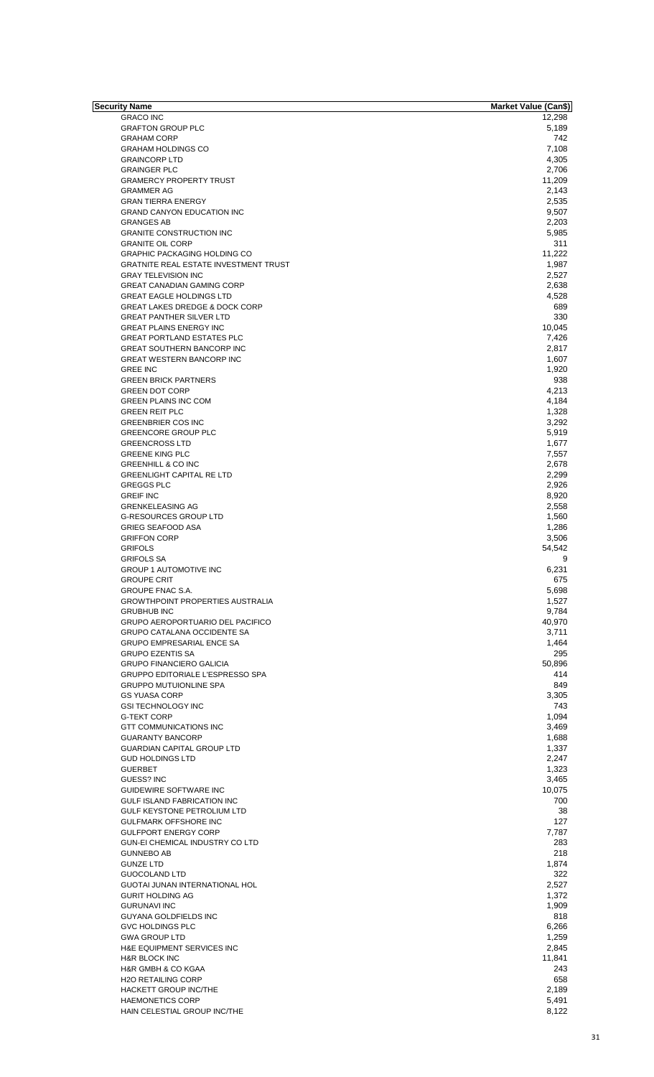| Security Name                                | Market Value (Can\$) |
|----------------------------------------------|----------------------|
| <b>GRACO INC</b>                             | 12,298               |
| <b>GRAFTON GROUP PLC</b>                     | 5,189                |
| <b>GRAHAM CORP</b>                           | 742                  |
| <b>GRAHAM HOLDINGS CO</b>                    | 7,108                |
| <b>GRAINCORP LTD</b>                         | 4,305                |
|                                              |                      |
| <b>GRAINGER PLC</b>                          | 2,706                |
| <b>GRAMERCY PROPERTY TRUST</b>               | 11,209               |
| <b>GRAMMER AG</b>                            | 2,143                |
| <b>GRAN TIERRA ENERGY</b>                    | 2,535                |
| <b>GRAND CANYON EDUCATION INC</b>            | 9,507                |
| <b>GRANGES AB</b>                            | 2,203                |
| <b>GRANITE CONSTRUCTION INC</b>              | 5,985                |
| <b>GRANITE OIL CORP</b>                      | 311                  |
|                                              | 11.222               |
| <b>GRAPHIC PACKAGING HOLDING CO</b>          |                      |
| <b>GRATNITE REAL ESTATE INVESTMENT TRUST</b> | 1,987                |
| <b>GRAY TELEVISION INC</b>                   | 2,527                |
| <b>GREAT CANADIAN GAMING CORP</b>            | 2,638                |
| <b>GREAT EAGLE HOLDINGS LTD</b>              | 4,528                |
| <b>GREAT LAKES DREDGE &amp; DOCK CORP</b>    | 689                  |
| <b>GREAT PANTHER SILVER LTD</b>              | 330                  |
| <b>GREAT PLAINS ENERGY INC</b>               |                      |
|                                              | 10,045               |
| <b>GREAT PORTLAND ESTATES PLC</b>            | 7,426                |
| <b>GREAT SOUTHERN BANCORP INC</b>            | 2,817                |
| <b>GREAT WESTERN BANCORP INC</b>             | 1,607                |
| <b>GREE INC</b>                              | 1,920                |
| <b>GREEN BRICK PARTNERS</b>                  | 938                  |
| <b>GREEN DOT CORP</b>                        | 4,213                |
| <b>GREEN PLAINS INC COM</b>                  | 4,184                |
|                                              |                      |
| <b>GREEN REIT PLC</b>                        | 1,328                |
| <b>GREENBRIER COS INC</b>                    | 3,292                |
| <b>GREENCORE GROUP PLC</b>                   | 5,919                |
| <b>GREENCROSS LTD</b>                        | 1,677                |
| <b>GREENE KING PLC</b>                       | 7,557                |
| <b>GREENHILL &amp; CO INC</b>                | 2,678                |
| <b>GREENLIGHT CAPITAL RE LTD</b>             | 2,299                |
|                                              |                      |
| <b>GREGGS PLC</b>                            | 2,926                |
| <b>GREIF INC</b>                             | 8,920                |
| <b>GRENKELEASING AG</b>                      | 2,558                |
| <b>G-RESOURCES GROUP LTD</b>                 | 1,560                |
| <b>GRIEG SEAFOOD ASA</b>                     | 1,286                |
| <b>GRIFFON CORP</b>                          | 3,506                |
| <b>GRIFOLS</b>                               | 54,542               |
| <b>GRIFOLS SA</b>                            |                      |
|                                              | 9                    |
| <b>GROUP 1 AUTOMOTIVE INC</b>                | 6,231                |
| <b>GROUPE CRIT</b>                           | 675                  |
| <b>GROUPE FNAC S.A.</b>                      | 5,698                |
| <b>GROWTHPOINT PROPERTIES AUSTRALIA</b>      | 1,527                |
| <b>GRUBHUB INC</b>                           | 9,784                |
| GRUPO AEROPORTUARIO DEL PACIFICO             | 40,970               |
|                                              |                      |
| GRUPO CATALANA OCCIDENTE SA                  | 3,711                |
| <b>GRUPO EMPRESARIAL ENCE SA</b>             | 1,464                |
| <b>GRUPO EZENTIS SA</b>                      | 295                  |
| <b>GRUPO FINANCIERO GALICIA</b>              | 50,896               |
| <b>GRUPPO EDITORIALE L'ESPRESSO SPA</b>      | 414                  |
| <b>GRUPPO MUTUIONLINE SPA</b>                | 849                  |
| <b>GS YUASA CORP</b>                         | 3,305                |
|                                              |                      |
| <b>GSI TECHNOLOGY INC</b>                    | 743                  |
| <b>G-TEKT CORP</b>                           | 1,094                |
| GTT COMMUNICATIONS INC                       | 3,469                |
| <b>GUARANTY BANCORP</b>                      | 1,688                |
| <b>GUARDIAN CAPITAL GROUP LTD</b>            | 1,337                |
| <b>GUD HOLDINGS LTD</b>                      | 2,247                |
| <b>GUERBET</b>                               | 1,323                |
|                                              |                      |
| GUESS? INC                                   | 3,465                |
| <b>GUIDEWIRE SOFTWARE INC</b>                | 10,075               |
| GULF ISLAND FABRICATION INC                  | 700                  |
| GULF KEYSTONE PETROLIUM LTD                  | 38                   |
| <b>GULFMARK OFFSHORE INC</b>                 | 127                  |
| <b>GULFPORT ENERGY CORP</b>                  | 7,787                |
| GUN-EI CHEMICAL INDUSTRY CO LTD              | 283                  |
|                                              |                      |
| <b>GUNNEBO AB</b>                            | 218                  |
| <b>GUNZE LTD</b>                             | 1,874                |
| <b>GUOCOLAND LTD</b>                         | 322                  |
| GUOTAI JUNAN INTERNATIONAL HOL               | 2,527                |
| <b>GURIT HOLDING AG</b>                      | 1,372                |
| <b>GURUNAVI INC</b>                          | 1,909                |
|                                              |                      |
| <b>GUYANA GOLDFIELDS INC</b>                 | 818                  |
| <b>GVC HOLDINGS PLC</b>                      | 6,266                |
| <b>GWA GROUP LTD</b>                         | 1.259                |
| H&E EQUIPMENT SERVICES INC                   | 2,845                |
| <b>H&amp;R BLOCK INC</b>                     | 11,841               |
| H&R GMBH & CO KGAA                           | 243                  |
|                                              |                      |
| <b>H2O RETAILING CORP</b>                    | 658                  |
| <b>HACKETT GROUP INC/THE</b>                 | 2.189                |
| <b>HAEMONETICS CORP</b>                      | 5,491                |
| HAIN CELESTIAL GROUP INC/THE                 | 8,122                |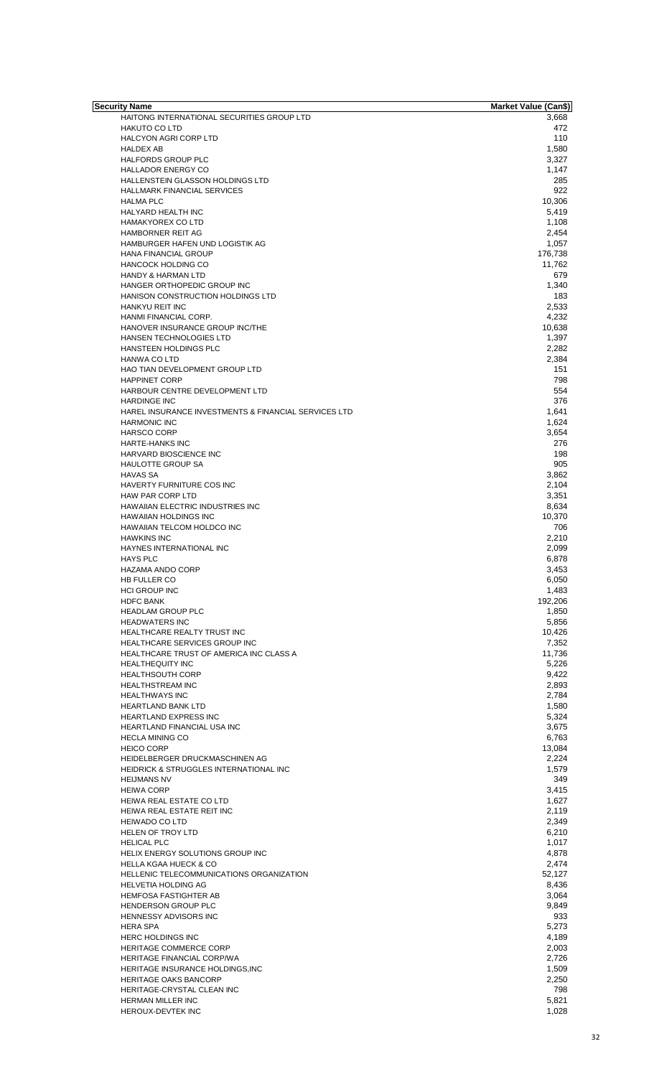| Security Name                                                               | <b>Market Value (Can\$)</b> |
|-----------------------------------------------------------------------------|-----------------------------|
| HAITONG INTERNATIONAL SECURITIES GROUP LTD                                  | 3,668                       |
| <b>HAKUTO CO LTD</b>                                                        | 472                         |
| HALCYON AGRI CORP LTD                                                       | 110                         |
| <b>HALDEX AB</b>                                                            | 1,580                       |
| HALFORDS GROUP PLC<br><b>HALLADOR ENERGY CO</b>                             | 3,327                       |
| HALLENSTEIN GLASSON HOLDINGS LTD                                            | 1,147<br>285                |
| <b>HALLMARK FINANCIAL SERVICES</b>                                          | 922                         |
| <b>HALMA PLC</b>                                                            | 10,306                      |
| <b>HALYARD HEALTH INC</b>                                                   | 5,419                       |
| <b>HAMAKYOREX CO LTD</b>                                                    | 1,108                       |
| HAMBORNER REIT AG                                                           | 2,454                       |
| HAMBURGER HAFEN UND LOGISTIK AG                                             | 1,057                       |
| <b>HANA FINANCIAL GROUP</b>                                                 | 176,738                     |
| <b>HANCOCK HOLDING CO</b>                                                   | 11,762                      |
| <b>HANDY &amp; HARMAN LTD</b>                                               | 679                         |
| HANGER ORTHOPEDIC GROUP INC<br>HANISON CONSTRUCTION HOLDINGS LTD            | 1,340<br>183                |
| HANKYU REIT INC                                                             | 2,533                       |
| HANMI FINANCIAL CORP.                                                       | 4,232                       |
| HANOVER INSURANCE GROUP INC/THE                                             | 10,638                      |
| <b>HANSEN TECHNOLOGIES LTD</b>                                              | 1,397                       |
| HANSTEEN HOLDINGS PLC                                                       | 2,282                       |
| <b>HANWA CO LTD</b>                                                         | 2,384                       |
| HAO TIAN DEVELOPMENT GROUP LTD                                              | 151                         |
| <b>HAPPINET CORP</b>                                                        | 798                         |
| HARBOUR CENTRE DEVELOPMENT LTD                                              | 554                         |
| <b>HARDINGE INC</b><br>HAREL INSURANCE INVESTMENTS & FINANCIAL SERVICES LTD | 376<br>1.641                |
| <b>HARMONIC INC</b>                                                         | 1,624                       |
| <b>HARSCO CORP</b>                                                          | 3,654                       |
| <b>HARTE-HANKS INC</b>                                                      | 276                         |
| HARVARD BIOSCIENCE INC                                                      | 198                         |
| <b>HAULOTTE GROUP SA</b>                                                    | 905                         |
| <b>HAVAS SA</b>                                                             | 3,862                       |
| HAVERTY FURNITURE COS INC<br>HAW PAR CORP LTD                               | 2,104<br>3,351              |
| HAWAIIAN ELECTRIC INDUSTRIES INC                                            | 8,634                       |
| <b>HAWAIIAN HOLDINGS INC</b>                                                | 10,370                      |
| HAWAIIAN TELCOM HOLDCO INC                                                  | 706                         |
| <b>HAWKINS INC</b>                                                          | 2,210                       |
| HAYNES INTERNATIONAL INC                                                    | 2,099                       |
| <b>HAYS PLC</b><br><b>HAZAMA ANDO CORP</b>                                  | 6,878<br>3,453              |
| <b>HB FULLER CO</b>                                                         | 6,050                       |
| <b>HCI GROUP INC</b>                                                        | 1,483                       |
| <b>HDFC BANK</b>                                                            | 192,206                     |
| <b>HEADLAM GROUP PLC</b>                                                    | 1,850                       |
| <b>HEADWATERS INC</b><br>HEALTHCARE REALTY TRUST INC                        | 5,856                       |
| <b>HEALTHCARE SERVICES GROUP INC</b>                                        | 10,426<br>7,352             |
| HEALTHCARE TRUST OF AMERICA INC CLASS A                                     | 11,736                      |
| <b>HEALTHEQUITY INC</b>                                                     | 5,226                       |
| <b>HEALTHSOUTH CORP</b>                                                     | 9,422                       |
| <b>HEALTHSTREAM INC</b>                                                     | 2,893                       |
| <b>HEALTHWAYS INC</b>                                                       | 2,784                       |
| <b>HEARTLAND BANK LTD</b>                                                   | 1,580                       |
| <b>HEARTLAND EXPRESS INC</b><br>HEARTLAND FINANCIAL USA INC                 | 5,324<br>3,675              |
| <b>HECLA MINING CO</b>                                                      | 6,763                       |
| <b>HEICO CORP</b>                                                           | 13,084                      |
| HEIDELBERGER DRUCKMASCHINEN AG                                              | 2,224                       |
| HEIDRICK & STRUGGLES INTERNATIONAL INC                                      | 1,579                       |
| <b>HEIJMANS NV</b>                                                          | 349                         |
| <b>HEIWA CORP</b>                                                           | 3,415                       |
| HEIWA REAL ESTATE CO LTD<br>HEIWA REAL ESTATE REIT INC                      | 1,627<br>2,119              |
| <b>HEIWADO CO LTD</b>                                                       | 2,349                       |
| <b>HELEN OF TROY LTD</b>                                                    | 6,210                       |
| <b>HELICAL PLC</b>                                                          | 1,017                       |
| HELIX ENERGY SOLUTIONS GROUP INC                                            | 4,878                       |
| <b>HELLA KGAA HUECK &amp; CO</b>                                            | 2,474                       |
| HELLENIC TELECOMMUNICATIONS ORGANIZATION                                    | 52,127                      |
| <b>HELVETIA HOLDING AG</b><br>HEMFOSA FASTIGHTER AB                         | 8,436<br>3,064              |
| <b>HENDERSON GROUP PLC</b>                                                  | 9,849                       |
| HENNESSY ADVISORS INC                                                       | 933                         |
| <b>HERA SPA</b>                                                             | 5,273                       |
| <b>HERC HOLDINGS INC</b>                                                    | 4,189                       |
| HERITAGE COMMERCE CORP                                                      | 2,003                       |
| HERITAGE FINANCIAL CORP/WA                                                  | 2,726                       |
| HERITAGE INSURANCE HOLDINGS, INC<br><b>HERITAGE OAKS BANCORP</b>            | 1,509<br>2,250              |
| HERITAGE-CRYSTAL CLEAN INC                                                  | 798                         |
| HERMAN MILLER INC                                                           | 5,821                       |
| HEROUX-DEVTEK INC                                                           | 1,028                       |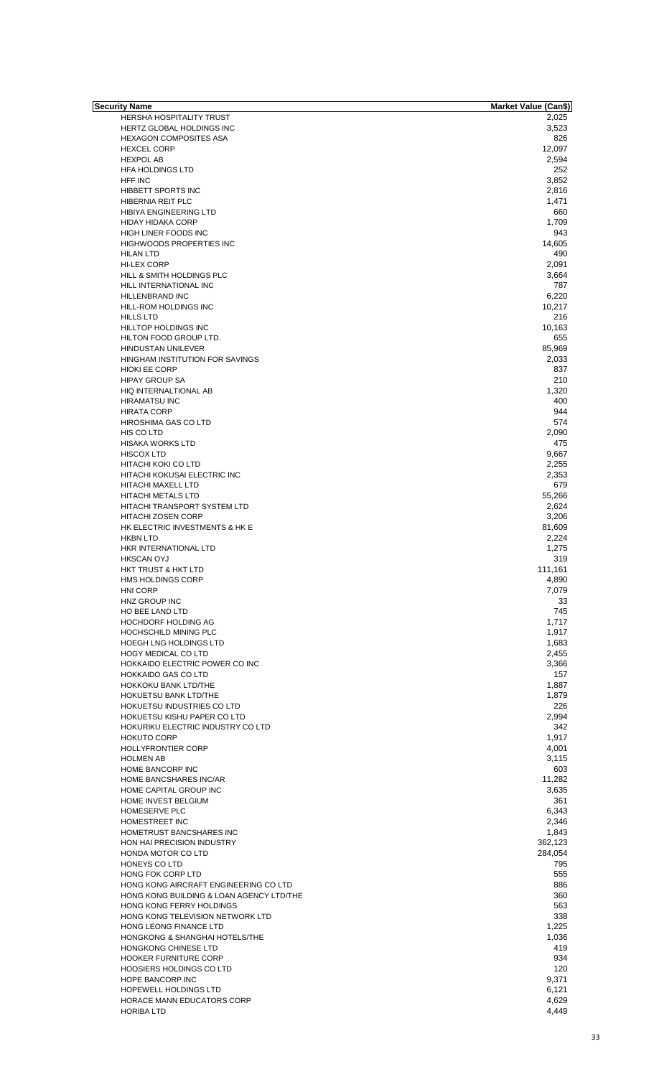| Security Name                            | <b>Market Value (Can\$)</b> |
|------------------------------------------|-----------------------------|
| <b>HERSHA HOSPITALITY TRUST</b>          | 2,025                       |
| HERTZ GLOBAL HOLDINGS INC                | 3,523                       |
| <b>HEXAGON COMPOSITES ASA</b>            | 826                         |
| <b>HEXCEL CORP</b>                       | 12,097                      |
| <b>HEXPOL AB</b>                         | 2,594                       |
| <b>HFA HOLDINGS LTD</b>                  | 252                         |
| <b>HFF INC</b>                           | 3,852                       |
| <b>HIBBETT SPORTS INC</b>                | 2,816                       |
| HIBERNIA REIT PLC                        | 1,471                       |
| HIBIYA ENGINEERING LTD                   | 660                         |
| <b>HIDAY HIDAKA CORP</b>                 | 1,709                       |
| HIGH LINER FOODS INC                     | 943                         |
| HIGHWOODS PROPERTIES INC                 | 14,605                      |
| <b>HILAN LTD</b>                         | 490                         |
| HI-LEX CORP                              | 2,091                       |
| HILL & SMITH HOLDINGS PLC                | 3,664                       |
| HILL INTERNATIONAL INC                   | 787                         |
| HILLENBRAND INC                          | 6,220                       |
|                                          |                             |
| HILL-ROM HOLDINGS INC                    | 10,217                      |
| <b>HILLS LTD</b>                         | 216                         |
| HILLTOP HOLDINGS INC                     | 10,163                      |
| HILTON FOOD GROUP LTD.                   | 655                         |
| HINDUSTAN UNILEVER                       | 85,969                      |
| HINGHAM INSTITUTION FOR SAVINGS          | 2,033                       |
| <b>HIOKI EE CORP</b>                     | 837                         |
| <b>HIPAY GROUP SA</b>                    | 210                         |
| HIQ INTERNALTIONAL AB                    | 1,320                       |
| <b>HIRAMATSU INC</b>                     | 400                         |
| <b>HIRATA CORP</b>                       | 944                         |
| HIROSHIMA GAS CO LTD                     | 574                         |
| HIS CO LTD                               | 2,090                       |
| <b>HISAKA WORKS LTD</b>                  | 475                         |
| <b>HISCOX LTD</b>                        | 9,667                       |
| HITACHI KOKI CO LTD                      | 2,255                       |
| HITACHI KOKUSAI ELECTRIC INC             | 2,353                       |
| <b>HITACHI MAXELL LTD</b>                | 679                         |
| <b>HITACHI METALS LTD</b>                | 55,266                      |
| <b>HITACHI TRANSPORT SYSTEM LTD</b>      | 2,624                       |
|                                          |                             |
| <b>HITACHI ZOSEN CORP</b>                | 3,206                       |
| HK ELECTRIC INVESTMENTS & HK E           | 81,609                      |
| <b>HKBN LTD</b>                          | 2,224                       |
| HKR INTERNATIONAL LTD                    | 1,275                       |
| <b>HKSCAN OYJ</b>                        | 319                         |
| HKT TRUST & HKT LTD                      | 111,161                     |
| HMS HOLDINGS CORP                        | 4,890                       |
| <b>HNI CORP</b>                          | 7,079                       |
| HNZ GROUP INC                            | 33                          |
| HO BEE LAND LTD                          | 745                         |
| HOCHDORF HOLDING AG                      | 1.717                       |
| HOCHSCHILD MINING PLC                    | 1,917                       |
| <b>HOEGH LNG HOLDINGS LTD</b>            | 1,683                       |
| <b>HOGY MEDICAL CO LTD</b>               | 2,455                       |
| HOKKAIDO ELECTRIC POWER CO INC           | 3,366                       |
| <b>HOKKAIDO GAS CO LTD</b>               | 157                         |
| HOKKOKU BANK LTD/THE                     | 1,887                       |
| HOKUETSU BANK LTD/THE                    | 1,879                       |
| HOKUETSU INDUSTRIES CO LTD               | 226                         |
| HOKUETSU KISHU PAPER CO LTD              | 2,994                       |
| HOKURIKU ELECTRIC INDUSTRY CO LTD        | 342                         |
| <b>HOKUTO CORP</b>                       | 1,917                       |
| <b>HOLLYFRONTIER CORP</b>                | 4,001                       |
|                                          |                             |
| <b>HOLMEN AB</b>                         | 3,115                       |
| <b>HOME BANCORP INC</b>                  | 603                         |
| HOME BANCSHARES INC/AR                   | 11,282                      |
| HOME CAPITAL GROUP INC                   | 3,635                       |
| HOME INVEST BELGIUM                      | 361                         |
| HOMESERVE PLC                            | 6,343                       |
| HOMESTREET INC                           | 2,346                       |
| HOMETRUST BANCSHARES INC                 | 1,843                       |
| HON HAI PRECISION INDUSTRY               | 362,123                     |
| HONDA MOTOR CO LTD                       | 284,054                     |
| HONEYS CO LTD                            | 795                         |
| HONG FOK CORP LTD                        | 555                         |
| HONG KONG AIRCRAFT ENGINEERING CO LTD    | 886                         |
| HONG KONG BUILDING & LOAN AGENCY LTD/THE | 360                         |
| HONG KONG FERRY HOLDINGS                 | 563                         |
| HONG KONG TELEVISION NETWORK LTD         | 338                         |
| HONG LEONG FINANCE LTD                   | 1,225                       |
|                                          |                             |
| HONGKONG & SHANGHAI HOTELS/THE           | 1,036                       |
| HONGKONG CHINESE LTD                     | 419                         |
| <b>HOOKER FURNITURE CORP</b>             | 934                         |
| <b>HOOSIERS HOLDINGS CO LTD</b>          | 120                         |
| HOPE BANCORP INC                         | 9,371                       |
| <b>HOPEWELL HOLDINGS LTD</b>             | 6,121                       |
| HORACE MANN EDUCATORS CORP               | 4,629                       |
| <b>HORIBA LTD</b>                        | 4,449                       |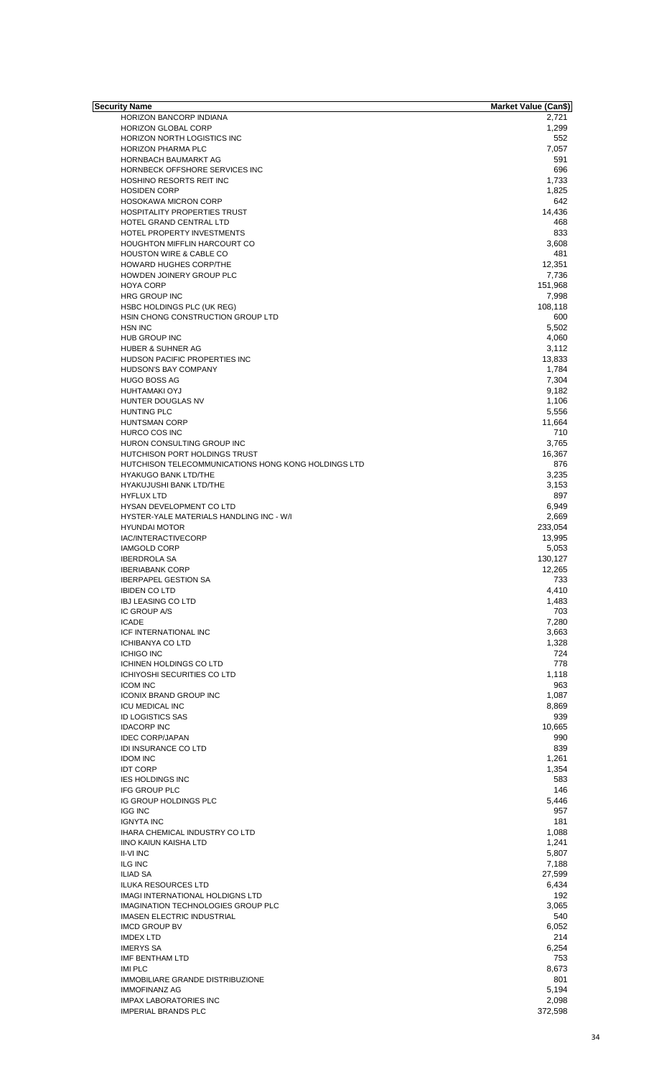| Security Name                                       | <b>Market Value (Can\$)</b> |
|-----------------------------------------------------|-----------------------------|
| HORIZON BANCORP INDIANA                             | 2,721                       |
| <b>HORIZON GLOBAL CORP</b>                          | 1,299                       |
| HORIZON NORTH LOGISTICS INC                         | 552                         |
| HORIZON PHARMA PLC                                  | 7,057                       |
|                                                     |                             |
| HORNBACH BAUMARKT AG                                | 591                         |
| HORNBECK OFFSHORE SERVICES INC                      | 696                         |
| HOSHINO RESORTS REIT INC                            | 1,733                       |
| <b>HOSIDEN CORP</b>                                 | 1,825                       |
| <b>HOSOKAWA MICRON CORP</b>                         | 642                         |
| <b>HOSPITALITY PROPERTIES TRUST</b>                 | 14,436                      |
|                                                     |                             |
| HOTEL GRAND CENTRAL LTD                             | 468                         |
| HOTEL PROPERTY INVESTMENTS                          | 833                         |
| <b>HOUGHTON MIFFLIN HARCOURT CO</b>                 | 3,608                       |
| <b>HOUSTON WIRE &amp; CABLE CO</b>                  | 481                         |
| HOWARD HUGHES CORP/THE                              | 12,351                      |
|                                                     |                             |
| HOWDEN JOINERY GROUP PLC                            | 7,736                       |
| <b>HOYA CORP</b>                                    | 151,968                     |
| <b>HRG GROUP INC</b>                                | 7,998                       |
| HSBC HOLDINGS PLC (UK REG)                          | 108,118                     |
| HSIN CHONG CONSTRUCTION GROUP LTD                   | 600                         |
|                                                     |                             |
| <b>HSN INC</b>                                      | 5,502                       |
| <b>HUB GROUP INC</b>                                | 4,060                       |
| HUBER & SUHNER AG                                   | 3,112                       |
| HUDSON PACIFIC PROPERTIES INC                       | 13,833                      |
| <b>HUDSON'S BAY COMPANY</b>                         | 1,784                       |
|                                                     |                             |
| <b>HUGO BOSS AG</b>                                 | 7,304                       |
| <b>HUHTAMAKI OYJ</b>                                | 9,182                       |
| <b>HUNTER DOUGLAS NV</b>                            | 1,106                       |
| <b>HUNTING PLC</b>                                  | 5,556                       |
| <b>HUNTSMAN CORP</b>                                | 11,664                      |
| HURCO COS INC                                       | 710                         |
|                                                     |                             |
| HURON CONSULTING GROUP INC                          | 3,765                       |
| HUTCHISON PORT HOLDINGS TRUST                       | 16,367                      |
| HUTCHISON TELECOMMUNICATIONS HONG KONG HOLDINGS LTD | 876                         |
| <b>HYAKUGO BANK LTD/THE</b>                         | 3,235                       |
|                                                     |                             |
| HYAKUJUSHI BANK LTD/THE                             | 3,153                       |
| <b>HYFLUX LTD</b>                                   | 897                         |
| HYSAN DEVELOPMENT CO LTD                            | 6,949                       |
| HYSTER-YALE MATERIALS HANDLING INC - W/I            | 2,669                       |
| <b>HYUNDAI MOTOR</b>                                | 233,054                     |
|                                                     |                             |
| IAC/INTERACTIVECORP                                 | 13,995                      |
| <b>IAMGOLD CORP</b>                                 | 5,053                       |
| <b>IBERDROLA SA</b>                                 | 130,127                     |
| <b>IBERIABANK CORP</b>                              | 12,265                      |
|                                                     |                             |
| <b>IBERPAPEL GESTION SA</b>                         | 733                         |
| <b>IBIDEN CO LTD</b>                                | 4,410                       |
| <b>IBJ LEASING CO LTD</b>                           | 1,483                       |
| <b>IC GROUP A/S</b>                                 | 703                         |
| <b>ICADE</b>                                        | 7,280                       |
|                                                     |                             |
| <b>ICF INTERNATIONAL INC</b>                        | 3,663                       |
| <b>ICHIBANYA CO LTD</b>                             | 1,328                       |
| <b>ICHIGO INC</b>                                   | 724                         |
| <b>ICHINEN HOLDINGS CO LTD</b>                      | 778                         |
| <b>ICHIYOSHI SECURITIES CO LTD</b>                  | 1,118                       |
|                                                     |                             |
| <b>ICOM INC</b>                                     | 963                         |
| <b>ICONIX BRAND GROUP INC</b>                       | 1,087                       |
| <b>ICU MEDICAL INC</b>                              | 8,869                       |
| <b>ID LOGISTICS SAS</b>                             | 939                         |
| <b>IDACORP INC</b>                                  | 10,665                      |
|                                                     |                             |
| <b>IDEC CORP/JAPAN</b>                              | 990                         |
| IDI INSURANCE CO LTD                                | 839                         |
| <b>IDOM INC</b>                                     | 1,261                       |
| <b>IDT CORP</b>                                     | 1,354                       |
| <b>IES HOLDINGS INC</b>                             | 583                         |
|                                                     | 146                         |
| <b>IFG GROUP PLC</b>                                |                             |
| IG GROUP HOLDINGS PLC                               | 5,446                       |
| <b>IGG INC</b>                                      | 957                         |
| <b>IGNYTA INC</b>                                   | 181                         |
| <b>IHARA CHEMICAL INDUSTRY CO LTD</b>               | 1,088                       |
| <b>IINO KAIUN KAISHA LTD</b>                        | 1,241                       |
|                                                     |                             |
| II-VI INC                                           | 5,807                       |
| <b>ILG INC</b>                                      | 7,188                       |
| <b>ILIAD SA</b>                                     | 27,599                      |
| <b>ILUKA RESOURCES LTD</b>                          | 6,434                       |
| IMAGI INTERNATIONAL HOLDIGNS LTD                    | 192                         |
|                                                     |                             |
| <b>IMAGINATION TECHNOLOGIES GROUP PLC</b>           | 3,065                       |
| <b>IMASEN ELECTRIC INDUSTRIAL</b>                   | 540                         |
| <b>IMCD GROUP BV</b>                                | 6,052                       |
| <b>IMDEX LTD</b>                                    | 214                         |
|                                                     |                             |
| <b>IMERYS SA</b>                                    | 6,254                       |
| IMF BENTHAM LTD                                     | 753                         |
| <b>IMI PLC</b>                                      | 8,673                       |
| <b>IMMOBILIARE GRANDE DISTRIBUZIONE</b>             | 801                         |
|                                                     |                             |
| <b>IMMOFINANZ AG</b>                                | 5,194                       |
| <b>IMPAX LABORATORIES INC</b>                       | 2,098                       |
| <b>IMPERIAL BRANDS PLC</b>                          | 372,598                     |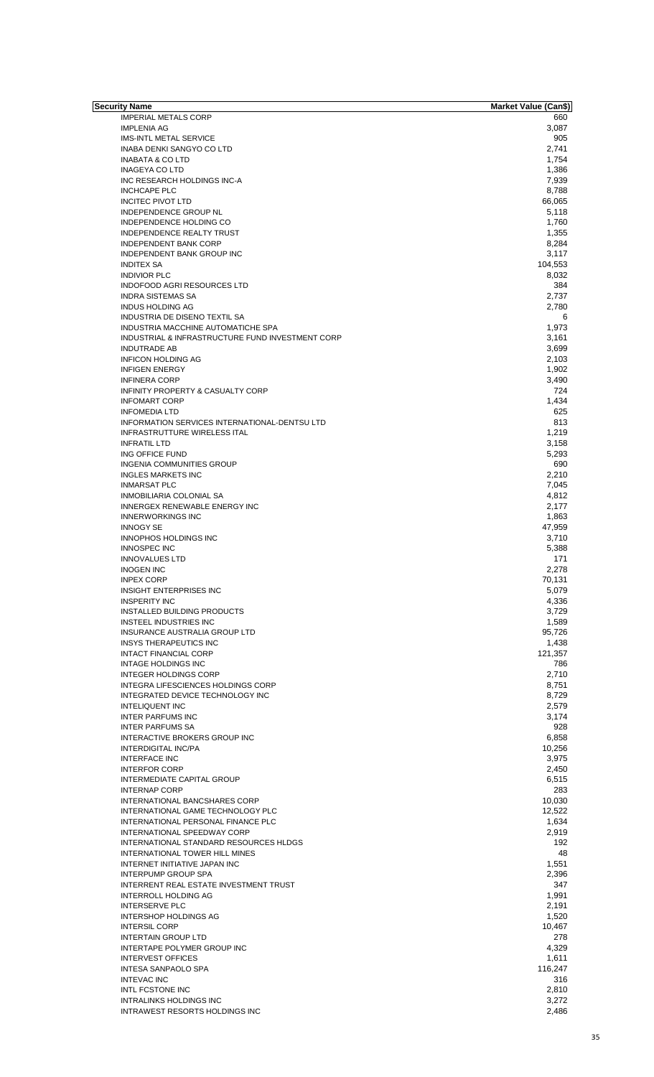| Security Name                                    | <b>Market Value (Can\$)</b> |
|--------------------------------------------------|-----------------------------|
| <b>IMPERIAL METALS CORP</b>                      | 660                         |
| <b>IMPLENIA AG</b>                               | 3,087                       |
| <b>IMS-INTL METAL SERVICE</b>                    | 905                         |
| INABA DENKI SANGYO CO LTD                        | 2,741                       |
| <b>INABATA &amp; CO LTD</b>                      | 1,754                       |
| <b>INAGEYA CO LTD</b>                            | 1,386                       |
| INC RESEARCH HOLDINGS INC-A                      | 7,939                       |
| <b>INCHCAPE PLC</b>                              | 8,788                       |
| <b>INCITEC PIVOT LTD</b>                         | 66,065                      |
| INDEPENDENCE GROUP NL                            | 5,118                       |
| INDEPENDENCE HOLDING CO                          | 1,760                       |
| <b>INDEPENDENCE REALTY TRUST</b>                 | 1,355                       |
| <b>INDEPENDENT BANK CORP</b>                     | 8,284                       |
| <b>INDEPENDENT BANK GROUP INC</b>                | 3,117                       |
| <b>INDITEX SA</b>                                | 104,553                     |
| <b>INDIVIOR PLC</b>                              | 8,032                       |
| INDOFOOD AGRI RESOURCES LTD                      | 384                         |
| <b>INDRA SISTEMAS SA</b>                         | 2,737                       |
| <b>INDUS HOLDING AG</b>                          | 2,780                       |
| INDUSTRIA DE DISENO TEXTIL SA                    | 6                           |
| INDUSTRIA MACCHINE AUTOMATICHE SPA               | 1,973                       |
|                                                  |                             |
| INDUSTRIAL & INFRASTRUCTURE FUND INVESTMENT CORP | 3,161                       |
| <b>INDUTRADE AB</b>                              | 3,699                       |
| <b>INFICON HOLDING AG</b>                        | 2,103                       |
| <b>INFIGEN ENERGY</b>                            | 1,902                       |
| <b>INFINERA CORP</b>                             | 3,490                       |
| INFINITY PROPERTY & CASUALTY CORP                | 724                         |
| <b>INFOMART CORP</b>                             | 1.434                       |
| <b>INFOMEDIA LTD</b>                             | 625                         |
| INFORMATION SERVICES INTERNATIONAL-DENTSU LTD    | 813                         |
| <b>INFRASTRUTTURE WIRELESS ITAL</b>              | 1,219                       |
| <b>INFRATIL LTD</b>                              | 3,158                       |
| ING OFFICE FUND                                  | 5,293                       |
| <b>INGENIA COMMUNITIES GROUP</b>                 | 690                         |
| <b>INGLES MARKETS INC</b>                        | 2,210                       |
| <b>INMARSAT PLC</b>                              | 7,045                       |
| INMOBILIARIA COLONIAL SA                         | 4,812                       |
| INNERGEX RENEWABLE ENERGY INC                    | 2,177                       |
| <b>INNERWORKINGS INC</b>                         | 1,863                       |
|                                                  |                             |
| <b>INNOGY SE</b>                                 | 47,959                      |
| <b>INNOPHOS HOLDINGS INC</b>                     | 3,710                       |
| <b>INNOSPEC INC</b>                              | 5,388                       |
| <b>INNOVALUES LTD</b>                            | 171                         |
| <b>INOGEN INC</b>                                | 2,278                       |
| <b>INPEX CORP</b>                                | 70,131                      |
| <b>INSIGHT ENTERPRISES INC</b>                   | 5,079                       |
| <b>INSPERITY INC</b>                             | 4,336                       |
| INSTALLED BUILDING PRODUCTS                      | 3,729                       |
| <b>INSTEEL INDUSTRIES INC</b>                    | 1,589                       |
| INSURANCE AUSTRALIA GROUP LTD                    | 95,726                      |
| <b>INSYS THERAPEUTICS INC</b>                    | 1,438                       |
| <b>INTACT FINANCIAL CORP</b>                     | 121,357                     |
| <b>INTAGE HOLDINGS INC</b>                       | 786                         |
| <b>INTEGER HOLDINGS CORP</b>                     | 2.710                       |
| <b>INTEGRA LIFESCIENCES HOLDINGS CORP</b>        | 8,751                       |
| INTEGRATED DEVICE TECHNOLOGY INC                 | 8,729                       |
| <b>INTELIQUENT INC</b>                           | 2,579                       |
| <b>INTER PARFUMS INC</b>                         | 3,174                       |
| <b>INTER PARFUMS SA</b>                          | 928                         |
| INTERACTIVE BROKERS GROUP INC                    | 6,858                       |
| INTERDIGITAL INC/PA                              | 10,256                      |
| <b>INTERFACE INC</b>                             | 3,975                       |
| <b>INTERFOR CORP</b>                             | 2,450                       |
| <b>INTERMEDIATE CAPITAL GROUP</b>                | 6,515                       |
| <b>INTERNAP CORP</b>                             | 283                         |
|                                                  |                             |
| INTERNATIONAL BANCSHARES CORP                    | 10,030                      |
| INTERNATIONAL GAME TECHNOLOGY PLC                | 12,522                      |
| INTERNATIONAL PERSONAL FINANCE PLC               | 1,634                       |
| INTERNATIONAL SPEEDWAY CORP                      | 2,919                       |
| INTERNATIONAL STANDARD RESOURCES HLDGS           | 192                         |
| INTERNATIONAL TOWER HILL MINES                   | 48                          |
| INTERNET INITIATIVE JAPAN INC                    | 1,551                       |
| <b>INTERPUMP GROUP SPA</b>                       | 2,396                       |
| INTERRENT REAL ESTATE INVESTMENT TRUST           | 347                         |
| <b>INTERROLL HOLDING AG</b>                      | 1,991                       |
| <b>INTERSERVE PLC</b>                            | 2,191                       |
| <b>INTERSHOP HOLDINGS AG</b>                     | 1,520                       |
| <b>INTERSIL CORP</b>                             | 10,467                      |
| <b>INTERTAIN GROUP LTD</b>                       | 278                         |
| INTERTAPE POLYMER GROUP INC                      | 4,329                       |
| <b>INTERVEST OFFICES</b>                         | 1,611                       |
| <b>INTESA SANPAOLO SPA</b>                       | 116,247                     |
| <b>INTEVAC INC</b>                               | 316                         |
| INTL FCSTONE INC                                 | 2,810                       |
|                                                  |                             |
| <b>INTRALINKS HOLDINGS INC</b>                   | 3,272                       |
| <b>INTRAWEST RESORTS HOLDINGS INC</b>            | 2,486                       |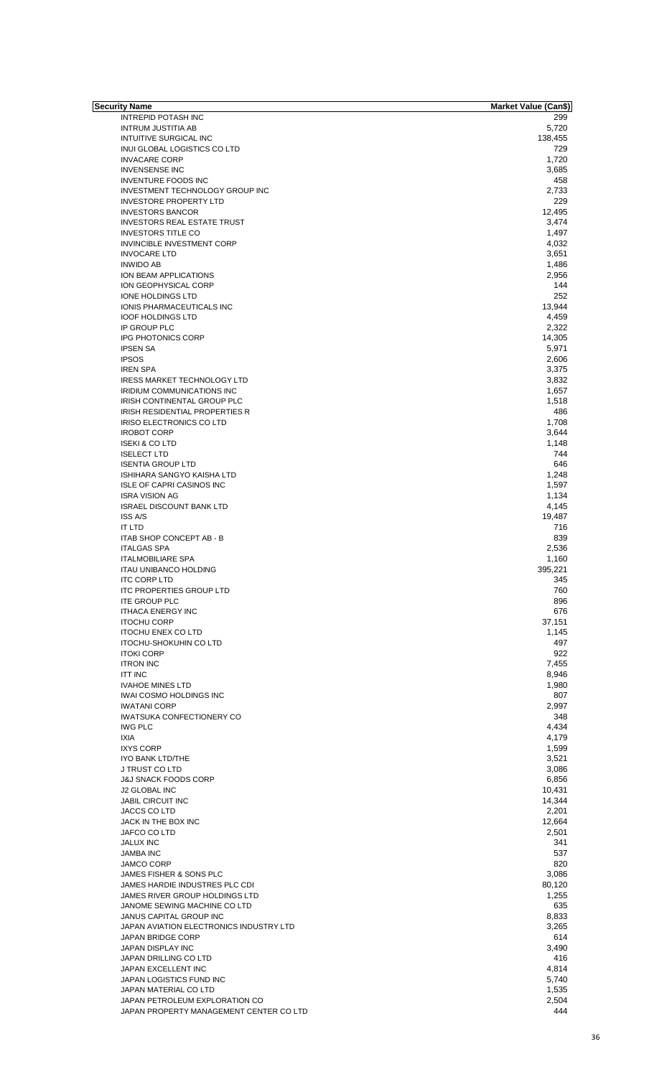| Security Name                           | <b>Market Value (Can\$)</b> |
|-----------------------------------------|-----------------------------|
| INTREPID POTASH INC                     | 299                         |
| <b>INTRUM JUSTITIA AB</b>               | 5,720                       |
| <b>INTUITIVE SURGICAL INC</b>           | 138,455                     |
| INUI GLOBAL LOGISTICS CO LTD            | 729                         |
|                                         |                             |
| <b>INVACARE CORP</b>                    | 1,720                       |
| <b>INVENSENSE INC</b>                   | 3,685                       |
| <b>INVENTURE FOODS INC</b>              | 458                         |
| INVESTMENT TECHNOLOGY GROUP INC         | 2,733                       |
| <b>INVESTORE PROPERTY LTD</b>           | 229                         |
|                                         |                             |
| <b>INVESTORS BANCOR</b>                 | 12,495                      |
| <b>INVESTORS REAL ESTATE TRUST</b>      | 3,474                       |
| <b>INVESTORS TITLE CO</b>               | 1,497                       |
| INVINCIBLE INVESTMENT CORP              | 4,032                       |
| <b>INVOCARE LTD</b>                     | 3,651                       |
|                                         |                             |
| <b>INWIDO AB</b>                        | 1,486                       |
| ION BEAM APPLICATIONS                   | 2,956                       |
| ION GEOPHYSICAL CORP                    | 144                         |
| IONE HOLDINGS LTD                       | 252                         |
|                                         |                             |
| IONIS PHARMACEUTICALS INC               | 13,944                      |
| <b>IOOF HOLDINGS LTD</b>                | 4,459                       |
| IP GROUP PLC                            | 2,322                       |
| <b>IPG PHOTONICS CORP</b>               | 14,305                      |
|                                         |                             |
| <b>IPSEN SA</b>                         | 5,971                       |
| <b>IPSOS</b>                            | 2,606                       |
| <b>IREN SPA</b>                         | 3,375                       |
| <b>IRESS MARKET TECHNOLOGY LTD</b>      | 3,832                       |
| <b>IRIDIUM COMMUNICATIONS INC</b>       | 1,657                       |
|                                         |                             |
| IRISH CONTINENTAL GROUP PLC             | 1,518                       |
| <b>IRISH RESIDENTIAL PROPERTIES R</b>   | 486                         |
| IRISO ELECTRONICS CO LTD                | 1,708                       |
| <b>IROBOT CORP</b>                      | 3,644                       |
|                                         |                             |
| <b>ISEKI &amp; CO LTD</b>               | 1,148                       |
| <b>ISELECT LTD</b>                      | 744                         |
| <b>ISENTIA GROUP LTD</b>                | 646                         |
| ISHIHARA SANGYO KAISHA LTD              | 1,248                       |
| <b>ISLE OF CAPRI CASINOS INC</b>        | 1,597                       |
|                                         |                             |
| <b>ISRA VISION AG</b>                   | 1,134                       |
| <b>ISRAEL DISCOUNT BANK LTD</b>         | 4,145                       |
| <b>ISS A/S</b>                          | 19,487                      |
| <b>IT LTD</b>                           | 716                         |
|                                         |                             |
| ITAB SHOP CONCEPT AB - B                | 839                         |
| <b>ITALGAS SPA</b>                      | 2,536                       |
| <b>ITALMOBILIARE SPA</b>                | 1,160                       |
| <b>ITAU UNIBANCO HOLDING</b>            | 395,221                     |
|                                         |                             |
| <b>ITC CORP LTD</b>                     | 345                         |
| <b>ITC PROPERTIES GROUP LTD</b>         | 760                         |
| <b>ITE GROUP PLC</b>                    | 896                         |
| <b>ITHACA ENERGY INC</b>                | 676                         |
| <b>ITOCHU CORP</b>                      | 37,151                      |
|                                         |                             |
| <b>ITOCHU ENEX CO LTD</b>               | 1,145                       |
| <b>ITOCHU-SHOKUHIN CO LTD</b>           | 497                         |
| <b>ITOKI CORP</b>                       | 922                         |
| <b>ITRON INC</b>                        | 7,455                       |
|                                         |                             |
| <b>ITT INC</b>                          | 8,946                       |
| <b>IVAHOE MINES LTD</b>                 | 1,980                       |
| <b>IWAI COSMO HOLDINGS INC</b>          | 807                         |
| <b>IWATANI CORP</b>                     | 2,997                       |
| <b>IWATSUKA CONFECTIONERY CO</b>        | 348                         |
|                                         |                             |
| <b>IWG PLC</b>                          | 4,434                       |
| <b>IXIA</b>                             | 4,179                       |
| <b>IXYS CORP</b>                        | 1,599                       |
| IYO BANK LTD/THE                        | 3,521                       |
| J TRUST CO LTD                          | 3,086                       |
|                                         |                             |
| <b>J&amp;J SNACK FOODS CORP</b>         | 6,856                       |
| <b>J2 GLOBAL INC</b>                    | 10,431                      |
| <b>JABIL CIRCUIT INC</b>                | 14,344                      |
| JACCS CO LTD                            | 2,201                       |
|                                         |                             |
| JACK IN THE BOX INC                     | 12,664                      |
| JAFCO CO LTD                            | 2,501                       |
| <b>JALUX INC</b>                        | 341                         |
| <b>JAMBA INC</b>                        | 537                         |
|                                         | 820                         |
| JAMCO CORP                              |                             |
| JAMES FISHER & SONS PLC                 | 3,086                       |
| JAMES HARDIE INDUSTRES PLC CDI          | 80,120                      |
| JAMES RIVER GROUP HOLDINGS LTD          | 1,255                       |
| JANOME SEWING MACHINE CO LTD            | 635                         |
|                                         |                             |
| JANUS CAPITAL GROUP INC                 | 8,833                       |
| JAPAN AVIATION ELECTRONICS INDUSTRY LTD | 3,265                       |
| JAPAN BRIDGE CORP                       | 614                         |
| JAPAN DISPLAY INC                       | 3,490                       |
|                                         |                             |
| JAPAN DRILLING CO LTD                   | 416                         |
| JAPAN EXCELLENT INC                     | 4,814                       |
| JAPAN LOGISTICS FUND INC                | 5,740                       |
| JAPAN MATERIAL CO LTD                   | 1,535                       |
|                                         |                             |
| JAPAN PETROLEUM EXPLORATION CO          | 2,504                       |
| JAPAN PROPERTY MANAGEMENT CENTER CO LTD | 444                         |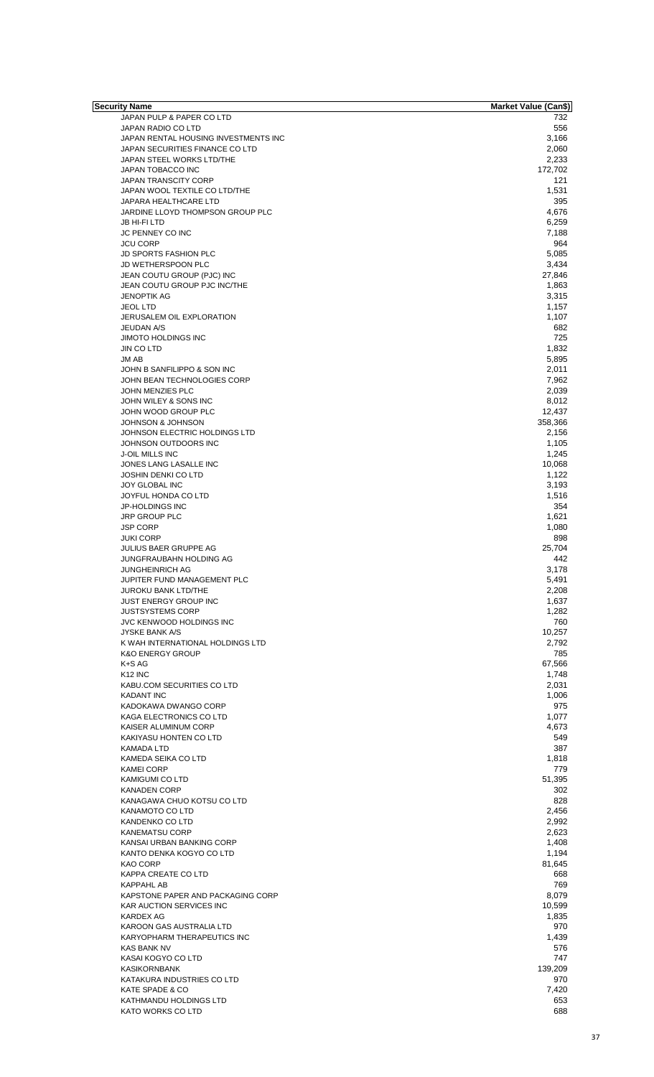| <b>Security Name</b>                 | <b>Market Value (Can\$)</b> |
|--------------------------------------|-----------------------------|
| JAPAN PULP & PAPER CO LTD            | 732                         |
| JAPAN RADIO CO LTD                   | 556                         |
|                                      |                             |
| JAPAN RENTAL HOUSING INVESTMENTS INC | 3,166                       |
| JAPAN SECURITIES FINANCE CO LTD      | 2,060                       |
| JAPAN STEEL WORKS LTD/THE            | 2,233                       |
| JAPAN TOBACCO INC                    | 172,702                     |
| <b>JAPAN TRANSCITY CORP</b>          | 121                         |
| JAPAN WOOL TEXTILE CO LTD/THE        | 1,531                       |
|                                      |                             |
| JAPARA HEALTHCARE LTD                | 395                         |
| JARDINE LLOYD THOMPSON GROUP PLC     | 4,676                       |
| JB HI-FI LTD                         | 6,259                       |
| JC PENNEY CO INC                     | 7,188                       |
| <b>JCU CORP</b>                      | 964                         |
|                                      |                             |
| <b>JD SPORTS FASHION PLC</b>         | 5,085                       |
| JD WETHERSPOON PLC                   | 3,434                       |
| JEAN COUTU GROUP (PJC) INC           | 27,846                      |
| JEAN COUTU GROUP PJC INC/THE         | 1,863                       |
|                                      |                             |
| <b>JENOPTIK AG</b>                   | 3,315                       |
| <b>JEOL LTD</b>                      | 1,157                       |
| JERUSALEM OIL EXPLORATION            | 1,107                       |
| <b>JEUDAN A/S</b>                    | 682                         |
|                                      |                             |
| <b>JIMOTO HOLDINGS INC</b>           | 725                         |
| <b>JIN CO LTD</b>                    | 1,832                       |
| JM AB                                | 5,895                       |
| JOHN B SANFILIPPO & SON INC          | 2,011                       |
| JOHN BEAN TECHNOLOGIES CORP          | 7,962                       |
|                                      |                             |
| JOHN MENZIES PLC                     | 2,039                       |
| JOHN WILEY & SONS INC                | 8,012                       |
| JOHN WOOD GROUP PLC                  | 12,437                      |
| <b>JOHNSON &amp; JOHNSON</b>         | 358,366                     |
|                                      |                             |
| JOHNSON ELECTRIC HOLDINGS LTD        | 2,156                       |
| JOHNSON OUTDOORS INC                 | 1,105                       |
| J-OIL MILLS INC                      | 1,245                       |
| JONES LANG LASALLE INC               | 10,068                      |
|                                      |                             |
| <b>JOSHIN DENKI CO LTD</b>           | 1,122                       |
| JOY GLOBAL INC                       | 3,193                       |
| JOYFUL HONDA CO LTD                  | 1,516                       |
| JP-HOLDINGS INC                      | 354                         |
| JRP GROUP PLC                        | 1,621                       |
|                                      |                             |
| <b>JSP CORP</b>                      | 1,080                       |
| <b>JUKI CORP</b>                     | 898                         |
| <b>JULIUS BAER GRUPPE AG</b>         | 25,704                      |
| JUNGFRAUBAHN HOLDING AG              | 442                         |
|                                      |                             |
| <b>JUNGHEINRICH AG</b>               | 3,178                       |
| JUPITER FUND MANAGEMENT PLC          | 5,491                       |
| <b>JUROKU BANK LTD/THE</b>           | 2,208                       |
| <b>JUST ENERGY GROUP INC</b>         | 1,637                       |
| <b>JUSTSYSTEMS CORP</b>              | 1,282                       |
|                                      |                             |
| JVC KENWOOD HOLDINGS INC             | 760                         |
| <b>JYSKE BANK A/S</b>                | 10,257                      |
| K WAH INTERNATIONAL HOLDINGS LTD     | 2,792                       |
| <b>K&amp;O ENERGY GROUP</b>          | 785                         |
|                                      |                             |
| K+S AG                               | 67,566                      |
| K <sub>12</sub> INC                  | 1,748                       |
| KABU.COM SECURITIES CO LTD           | 2,031                       |
| <b>KADANT INC</b>                    | 1,006                       |
| KADOKAWA DWANGO CORP                 | 975                         |
|                                      |                             |
| KAGA ELECTRONICS CO LTD              | 1,077                       |
| KAISER ALUMINUM CORP                 | 4,673                       |
| KAKIYASU HONTEN CO LTD               | 549                         |
| KAMADA LTD                           | 387                         |
| KAMEDA SEIKA CO LTD                  | 1,818                       |
|                                      | 779                         |
| <b>KAMEI CORP</b>                    |                             |
| KAMIGUMI CO LTD                      | 51,395                      |
| <b>KANADEN CORP</b>                  | 302                         |
| KANAGAWA CHUO KOTSU CO LTD           | 828                         |
| KANAMOTO CO LTD                      | 2,456                       |
|                                      |                             |
| KANDENKO CO LTD                      | 2,992                       |
| <b>KANEMATSU CORP</b>                | 2,623                       |
| KANSAI URBAN BANKING CORP            | 1,408                       |
| KANTO DENKA KOGYO CO LTD             | 1,194                       |
| KAO CORP                             | 81,645                      |
|                                      |                             |
| KAPPA CREATE CO LTD                  | 668                         |
| KAPPAHL AB                           | 769                         |
| KAPSTONE PAPER AND PACKAGING CORP    | 8,079                       |
| KAR AUCTION SERVICES INC             | 10,599                      |
|                                      |                             |
| KARDEX AG                            | 1,835                       |
| KAROON GAS AUSTRALIA LTD             | 970                         |
| KARYOPHARM THERAPEUTICS INC          | 1,439                       |
| KAS BANK NV                          | 576                         |
| KASAI KOGYO CO LTD                   | 747                         |
|                                      |                             |
| <b>KASIKORNBANK</b>                  | 139,209                     |
| KATAKURA INDUSTRIES CO LTD           | 970                         |
| KATE SPADE & CO                      | 7,420                       |
| KATHMANDU HOLDINGS LTD               | 653                         |
|                                      |                             |
| KATO WORKS CO LTD                    | 688                         |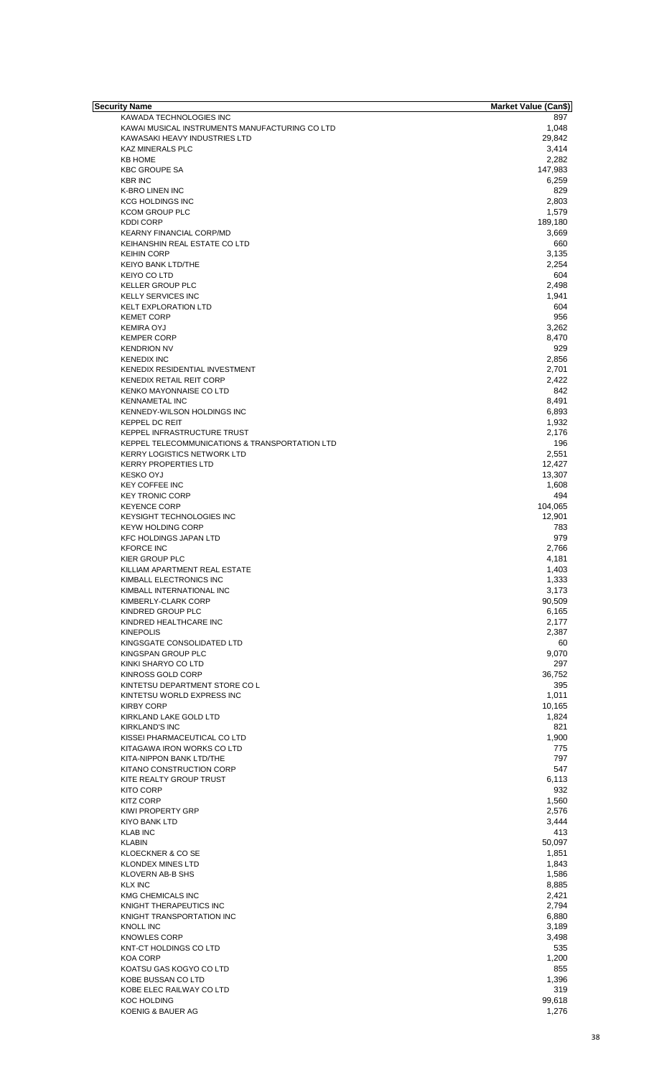| <b>Security Name</b>                           | <b>Market Value (Can\$)</b> |
|------------------------------------------------|-----------------------------|
| KAWADA TECHNOLOGIES INC                        | 897                         |
| KAWAI MUSICAL INSTRUMENTS MANUFACTURING CO LTD | 1,048                       |
|                                                |                             |
| KAWASAKI HEAVY INDUSTRIES LTD                  | 29,842                      |
| <b>KAZ MINERALS PLC</b>                        | 3,414                       |
| <b>KB HOME</b>                                 | 2,282                       |
| <b>KBC GROUPE SA</b>                           | 147,983                     |
|                                                |                             |
| <b>KBR INC</b>                                 | 6,259                       |
| K-BRO LINEN INC                                | 829                         |
| <b>KCG HOLDINGS INC</b>                        | 2,803                       |
|                                                |                             |
| <b>KCOM GROUP PLC</b>                          | 1,579                       |
| <b>KDDI CORP</b>                               | 189,180                     |
|                                                |                             |
| KEARNY FINANCIAL CORP/MD                       | 3,669                       |
| KEIHANSHIN REAL ESTATE CO LTD                  | 660                         |
| <b>KEIHIN CORP</b>                             | 3,135                       |
|                                                | 2,254                       |
| <b>KEIYO BANK LTD/THE</b>                      |                             |
| <b>KEIYO CO LTD</b>                            | 604                         |
| <b>KELLER GROUP PLC</b>                        | 2,498                       |
|                                                |                             |
| <b>KELLY SERVICES INC</b>                      | 1,941                       |
| <b>KELT EXPLORATION LTD</b>                    | 604                         |
| <b>KEMET CORP</b>                              | 956                         |
|                                                |                             |
| <b>KEMIRA OYJ</b>                              | 3,262                       |
| <b>KEMPER CORP</b>                             | 8,470                       |
| <b>KENDRION NV</b>                             | 929                         |
|                                                |                             |
| <b>KENEDIX INC</b>                             | 2,856                       |
| KENEDIX RESIDENTIAL INVESTMENT                 | 2,701                       |
|                                                |                             |
| <b>KENEDIX RETAIL REIT CORP</b>                | 2,422                       |
| <b>KENKO MAYONNAISE CO LTD</b>                 | 842                         |
| <b>KENNAMETAL INC</b>                          | 8,491                       |
|                                                |                             |
| KENNEDY-WILSON HOLDINGS INC                    | 6,893                       |
| <b>KEPPEL DC REIT</b>                          | 1,932                       |
| KEPPEL INFRASTRUCTURE TRUST                    | 2,176                       |
|                                                |                             |
| KEPPEL TELECOMMUNICATIONS & TRANSPORTATION LTD | 196                         |
| <b>KERRY LOGISTICS NETWORK LTD</b>             | 2,551                       |
|                                                |                             |
| <b>KERRY PROPERTIES LTD</b>                    | 12,427                      |
| <b>KESKO OYJ</b>                               | 13,307                      |
| <b>KEY COFFEE INC</b>                          | 1,608                       |
|                                                |                             |
| <b>KEY TRONIC CORP</b>                         | 494                         |
| <b>KEYENCE CORP</b>                            | 104,065                     |
|                                                |                             |
| <b>KEYSIGHT TECHNOLOGIES INC</b>               | 12,901                      |
| <b>KEYW HOLDING CORP</b>                       | 783                         |
| <b>KFC HOLDINGS JAPAN LTD</b>                  | 979                         |
|                                                |                             |
| <b>KFORCE INC</b>                              | 2,766                       |
| KIER GROUP PLC                                 | 4,181                       |
| KILLIAM APARTMENT REAL ESTATE                  | 1,403                       |
|                                                |                             |
| KIMBALL ELECTRONICS INC                        | 1,333                       |
| KIMBALL INTERNATIONAL INC                      | 3,173                       |
|                                                |                             |
| KIMBERLY-CLARK CORP                            | 90,509                      |
| KINDRED GROUP PLC                              | 6,165                       |
| KINDRED HEALTHCARE INC                         | 2,177                       |
|                                                |                             |
| <b>KINEPOLIS</b>                               | 2,387                       |
| KINGSGATE CONSOLIDATED LTD                     | 60                          |
| KINGSPAN GROUP PLC                             | 9,070                       |
|                                                |                             |
| KINKI SHARYO CO LTD                            | 297                         |
| KINROSS GOLD CORP                              | 36,752                      |
|                                                |                             |
| KINTETSU DEPARTMENT STORE CO L                 | 395                         |
| KINTETSU WORLD EXPRESS INC                     | 1,011                       |
| <b>KIRBY CORP</b>                              | 10,165                      |
|                                                |                             |
| KIRKLAND LAKE GOLD LTD                         | 1,824                       |
| <b>KIRKLAND'S INC</b>                          | 821                         |
| KISSEI PHARMACEUTICAL CO LTD                   | 1,900                       |
|                                                |                             |
| KITAGAWA IRON WORKS CO LTD                     | 775                         |
| KITA-NIPPON BANK LTD/THE                       | 797                         |
| KITANO CONSTRUCTION CORP                       | 547                         |
|                                                |                             |
| KITE REALTY GROUP TRUST                        | 6,113                       |
| <b>KITO CORP</b>                               | 932                         |
|                                                |                             |
| <b>KITZ CORP</b>                               | 1,560                       |
| <b>KIWI PROPERTY GRP</b>                       | 2,576                       |
| KIYO BANK LTD                                  | 3,444                       |
|                                                |                             |
| <b>KLAB INC</b>                                | 413                         |
| <b>KLABIN</b>                                  | 50,097                      |
| KLOECKNER & CO SE                              | 1,851                       |
|                                                |                             |
| <b>KLONDEX MINES LTD</b>                       | 1,843                       |
| KLOVERN AB-B SHS                               | 1,586                       |
|                                                |                             |
| <b>KLX INC</b>                                 | 8,885                       |
| <b>KMG CHEMICALS INC</b>                       | 2,421                       |
| KNIGHT THERAPEUTICS INC                        | 2,794                       |
|                                                |                             |
| KNIGHT TRANSPORTATION INC                      | 6,880                       |
| <b>KNOLL INC</b>                               | 3,189                       |
|                                                |                             |
| <b>KNOWLES CORP</b>                            | 3,498                       |
| KNT-CT HOLDINGS CO LTD                         | 535                         |
|                                                |                             |
| <b>KOA CORP</b>                                | 1,200                       |
| KOATSU GAS KOGYO CO LTD                        | 855                         |
|                                                |                             |
| KOBE BUSSAN CO LTD                             | 1,396                       |
| KOBE ELEC RAILWAY CO LTD                       | 319                         |
| <b>KOC HOLDING</b>                             | 99,618                      |
|                                                |                             |
| KOENIG & BAUER AG                              | 1,276                       |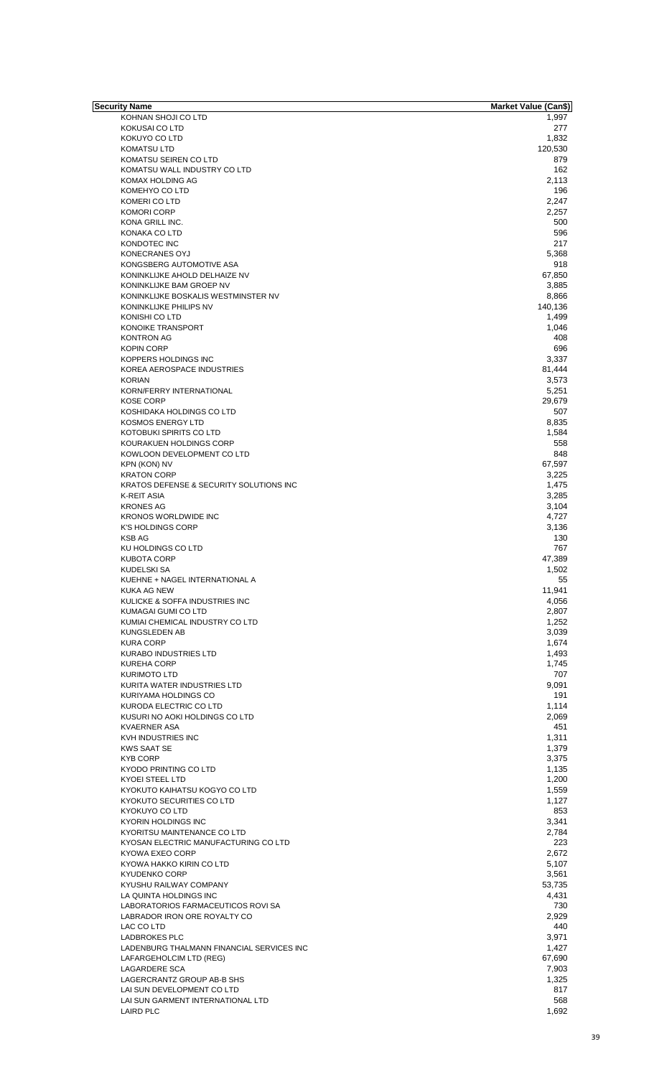| Security Name                             | <b>Market Value (Can\$)</b> |
|-------------------------------------------|-----------------------------|
| KOHNAN SHOJI CO LTD                       | 1,997                       |
| KOKUSAI CO LTD                            | 277                         |
| KOKUYO CO LTD                             | 1,832                       |
| <b>KOMATSU LTD</b>                        | 120,530                     |
| KOMATSU SEIREN CO LTD                     | 879                         |
| KOMATSU WALL INDUSTRY CO LTD              | 162                         |
|                                           |                             |
| KOMAX HOLDING AG                          | 2,113                       |
| KOMEHYO CO LTD                            | 196                         |
| KOMERI CO LTD                             | 2,247                       |
| <b>KOMORI CORP</b>                        | 2,257                       |
| KONA GRILL INC.                           | 500                         |
| KONAKA CO LTD                             | 596                         |
| KONDOTEC INC                              | 217                         |
| KONECRANES OYJ                            | 5,368                       |
| KONGSBERG AUTOMOTIVE ASA                  | 918                         |
|                                           |                             |
| KONINKLIJKE AHOLD DELHAIZE NV             | 67,850                      |
| KONINKLIJKE BAM GROEP NV                  | 3,885                       |
| KONINKLIJKE BOSKALIS WESTMINSTER NV       | 8,866                       |
| KONINKLIJKE PHILIPS NV                    | 140,136                     |
| KONISHI CO LTD                            | 1,499                       |
| KONOIKE TRANSPORT                         | 1,046                       |
| <b>KONTRON AG</b>                         | 408                         |
| <b>KOPIN CORP</b>                         | 696                         |
| KOPPERS HOLDINGS INC                      | 3,337                       |
| KOREA AEROSPACE INDUSTRIES                | 81,444                      |
|                                           |                             |
| <b>KORIAN</b>                             | 3,573                       |
| KORN/FERRY INTERNATIONAL                  | 5,251                       |
| <b>KOSE CORP</b>                          | 29,679                      |
| KOSHIDAKA HOLDINGS CO LTD                 | 507                         |
| KOSMOS ENERGY LTD                         | 8,835                       |
| KOTOBUKI SPIRITS CO LTD                   | 1,584                       |
| KOURAKUEN HOLDINGS CORP                   | 558                         |
| KOWLOON DEVELOPMENT CO LTD                | 848                         |
|                                           | 67,597                      |
| KPN (KON) NV                              |                             |
| <b>KRATON CORP</b>                        | 3,225                       |
| KRATOS DEFENSE & SECURITY SOLUTIONS INC   | 1,475                       |
| <b>K-REIT ASIA</b>                        | 3,285                       |
| <b>KRONES AG</b>                          | 3,104                       |
| <b>KRONOS WORLDWIDE INC</b>               | 4,727                       |
| <b>K'S HOLDINGS CORP</b>                  | 3,136                       |
| <b>KSB AG</b>                             | 130                         |
| KU HOLDINGS CO LTD                        | 767                         |
| <b>KUBOTA CORP</b>                        | 47,389                      |
| KUDELSKI SA                               | 1,502                       |
|                                           |                             |
| KUEHNE + NAGEL INTERNATIONAL A            | 55                          |
| KUKA AG NEW                               | 11,941                      |
| KULICKE & SOFFA INDUSTRIES INC            | 4,056                       |
| KUMAGAI GUMI CO LTD                       | 2,807                       |
| KUMIAI CHEMICAL INDUSTRY CO LTD           | 1,252                       |
| KUNGSLEDEN AB                             | 3,039                       |
| <b>KURA CORP</b>                          | 1,674                       |
| <b>KURABO INDUSTRIES LTD</b>              | 1,493                       |
| <b>KUREHA CORP</b>                        | 1,745                       |
|                                           |                             |
| <b>KURIMOTO LTD</b>                       | 707                         |
| KURITA WATER INDUSTRIES LTD               | 9,091                       |
| KURIYAMA HOLDINGS CO                      | 191                         |
| KURODA ELECTRIC CO LTD                    | 1,114                       |
| KUSURI NO AOKI HOLDINGS CO LTD            | 2,069                       |
| <b>KVAERNER ASA</b>                       | 451                         |
| KVH INDUSTRIES INC                        | 1,311                       |
| <b>KWS SAAT SE</b>                        | 1,379                       |
| <b>KYB CORP</b>                           | 3,375                       |
| KYODO PRINTING CO LTD                     | 1,135                       |
|                                           |                             |
| <b>KYOEI STEEL LTD</b>                    | 1,200                       |
| KYOKUTO KAIHATSU KOGYO CO LTD             | 1,559                       |
| KYOKUTO SECURITIES CO LTD                 | 1,127                       |
| KYOKUYO CO LTD                            | 853                         |
| <b>KYORIN HOLDINGS INC</b>                | 3,341                       |
| KYORITSU MAINTENANCE CO LTD               | 2,784                       |
| KYOSAN ELECTRIC MANUFACTURING CO LTD      | 223                         |
| KYOWA EXEO CORP                           | 2,672                       |
| KYOWA HAKKO KIRIN CO LTD                  | 5,107                       |
| <b>KYUDENKO CORP</b>                      | 3,561                       |
|                                           |                             |
| KYUSHU RAILWAY COMPANY                    | 53,735                      |
| LA QUINTA HOLDINGS INC                    | 4,431                       |
| LABORATORIOS FARMACEUTICOS ROVI SA        | 730                         |
| LABRADOR IRON ORE ROYALTY CO              | 2,929                       |
| LAC CO LTD                                | 440                         |
| <b>LADBROKES PLC</b>                      | 3,971                       |
| LADENBURG THALMANN FINANCIAL SERVICES INC | 1,427                       |
| LAFARGEHOLCIM LTD (REG)                   | 67,690                      |
| <b>LAGARDERE SCA</b>                      | 7,903                       |
|                                           |                             |
| LAGERCRANTZ GROUP AB-B SHS                | 1,325                       |
| LAI SUN DEVELOPMENT CO LTD                | 817                         |
| LAI SUN GARMENT INTERNATIONAL LTD         | 568                         |
| <b>LAIRD PLC</b>                          | 1.692                       |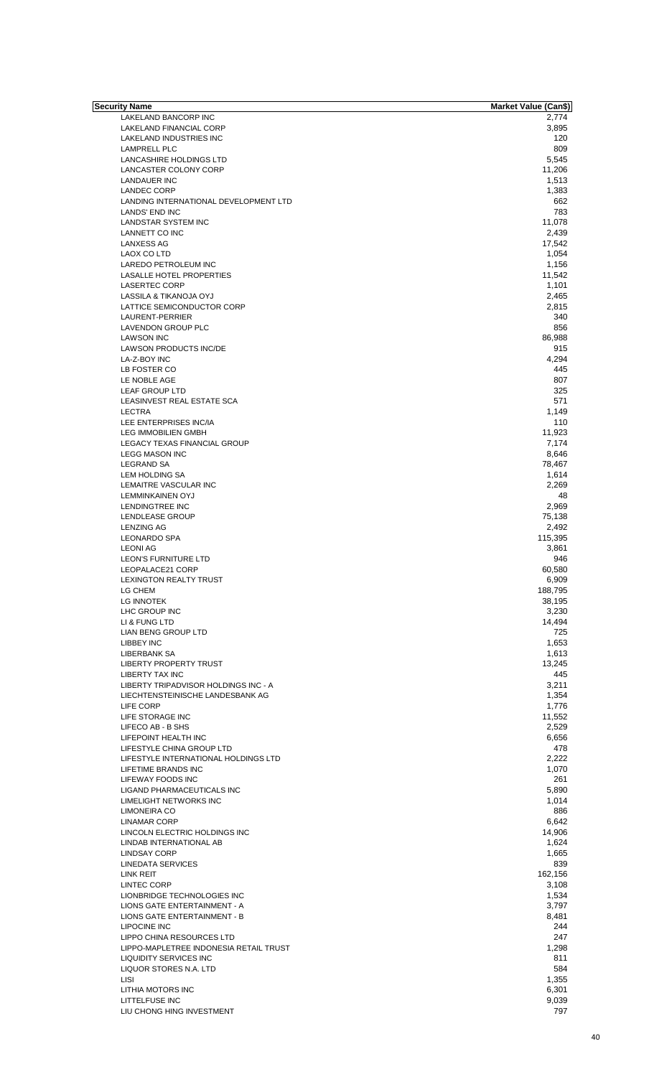| Security Name                          | <b>Market Value (Can\$)</b> |
|----------------------------------------|-----------------------------|
| LAKELAND BANCORP INC                   | 2,774                       |
| LAKELAND FINANCIAL CORP                | 3,895                       |
| LAKELAND INDUSTRIES INC                | 120                         |
| <b>LAMPRELL PLC</b>                    | 809                         |
| LANCASHIRE HOLDINGS LTD                | 5,545                       |
| LANCASTER COLONY CORP                  | 11,206                      |
| LANDAUER INC                           | 1,513                       |
| <b>LANDEC CORP</b>                     | 1,383                       |
| LANDING INTERNATIONAL DEVELOPMENT LTD  | 662                         |
| <b>LANDS' END INC</b>                  | 783                         |
| <b>LANDSTAR SYSTEM INC</b>             | 11,078                      |
| <b>LANNETT CO INC</b>                  | 2,439                       |
| LANXESS AG                             | 17,542                      |
| LAOX CO LTD                            |                             |
|                                        | 1,054                       |
| LAREDO PETROLEUM INC                   | 1,156                       |
| LASALLE HOTEL PROPERTIES               | 11,542                      |
| <b>LASERTEC CORP</b>                   | 1,101                       |
| LASSILA & TIKANOJA OYJ                 | 2,465                       |
| LATTICE SEMICONDUCTOR CORP             | 2,815                       |
| LAURENT-PERRIER                        | 340                         |
| LAVENDON GROUP PLC                     | 856                         |
| <b>LAWSON INC</b>                      | 86,988                      |
| <b>LAWSON PRODUCTS INC/DE</b>          | 915                         |
| LA-Z-BOY INC                           | 4,294                       |
| LB FOSTER CO                           | 445                         |
|                                        |                             |
| LE NOBLE AGE                           | 807                         |
| <b>LEAF GROUP LTD</b>                  | 325                         |
| LEASINVEST REAL ESTATE SCA             | 571                         |
| <b>LECTRA</b>                          | 1,149                       |
| LEE ENTERPRISES INC/IA                 | 110                         |
| <b>LEG IMMOBILIEN GMBH</b>             | 11,923                      |
| LEGACY TEXAS FINANCIAL GROUP           | 7,174                       |
| <b>LEGG MASON INC</b>                  | 8,646                       |
| <b>LEGRAND SA</b>                      | 78,467                      |
| LEM HOLDING SA                         | 1,614                       |
| LEMAITRE VASCULAR INC                  | 2,269                       |
| <b>LEMMINKAINEN OYJ</b>                | 48                          |
|                                        |                             |
| LENDINGTREE INC                        | 2,969                       |
| <b>LENDLEASE GROUP</b>                 | 75,138                      |
| <b>LENZING AG</b>                      | 2,492                       |
| <b>LEONARDO SPA</b>                    | 115,395                     |
| <b>LEONI AG</b>                        | 3,861                       |
| LEON'S FURNITURE LTD                   | 946                         |
| LEOPALACE21 CORP                       | 60,580                      |
| <b>LEXINGTON REALTY TRUST</b>          | 6.909                       |
| LG CHEM                                | 188,795                     |
| <b>LG INNOTEK</b>                      | 38,195                      |
| LHC GROUP INC                          | 3,230                       |
|                                        |                             |
| LI & FUNG LTD                          | 14,494                      |
| <b>LIAN BENG GROUP LTD</b>             | 725                         |
| <b>LIBBEY INC</b>                      | 1,653                       |
| LIBERBANK SA                           | 1,613                       |
| <b>LIBERTY PROPERTY TRUST</b>          | 13,245                      |
| <b>LIBERTY TAX INC</b>                 | 445                         |
| LIBERTY TRIPADVISOR HOLDINGS INC - A   | 3,211                       |
| LIECHTENSTEINISCHE LANDESBANK AG       | 1,354                       |
| LIFE CORP                              | 1,776                       |
|                                        |                             |
| LIFE STORAGE INC                       | 11,552                      |
| LIFECO AB - B SHS                      | 2,529                       |
| LIFEPOINT HEALTH INC                   | 6,656                       |
| LIFESTYLE CHINA GROUP LTD              | 478                         |
| LIFESTYLE INTERNATIONAL HOLDINGS LTD   | 2,222                       |
| LIFETIME BRANDS INC                    | 1,070                       |
| LIFEWAY FOODS INC                      | 261                         |
| LIGAND PHARMACEUTICALS INC             | 5,890                       |
| LIMELIGHT NETWORKS INC                 | 1,014                       |
| LIMONEIRA CO                           | 886                         |
|                                        |                             |
| <b>LINAMAR CORP</b>                    | 6,642                       |
| LINCOLN ELECTRIC HOLDINGS INC          | 14,906                      |
| LINDAB INTERNATIONAL AB                | 1,624                       |
| <b>LINDSAY CORP</b>                    | 1,665                       |
| LINEDATA SERVICES                      | 839                         |
| <b>LINK REIT</b>                       | 162,156                     |
| <b>LINTEC CORP</b>                     | 3,108                       |
| LIONBRIDGE TECHNOLOGIES INC            | 1,534                       |
| LIONS GATE ENTERTAINMENT - A           | 3,797                       |
|                                        |                             |
| LIONS GATE ENTERTAINMENT - B           | 8,481                       |
| <b>LIPOCINE INC</b>                    | 244                         |
| LIPPO CHINA RESOURCES LTD              | 247                         |
| LIPPO-MAPLETREE INDONESIA RETAIL TRUST | 1,298                       |
| <b>LIQUIDITY SERVICES INC</b>          | 811                         |
| LIQUOR STORES N.A. LTD                 | 584                         |
| <b>LISI</b>                            | 1,355                       |
|                                        | 6,301                       |
| LITHIA MOTORS INC                      |                             |
| <b>LITTELFUSE INC</b>                  | 9,039                       |
| LIU CHONG HING INVESTMENT              | 797                         |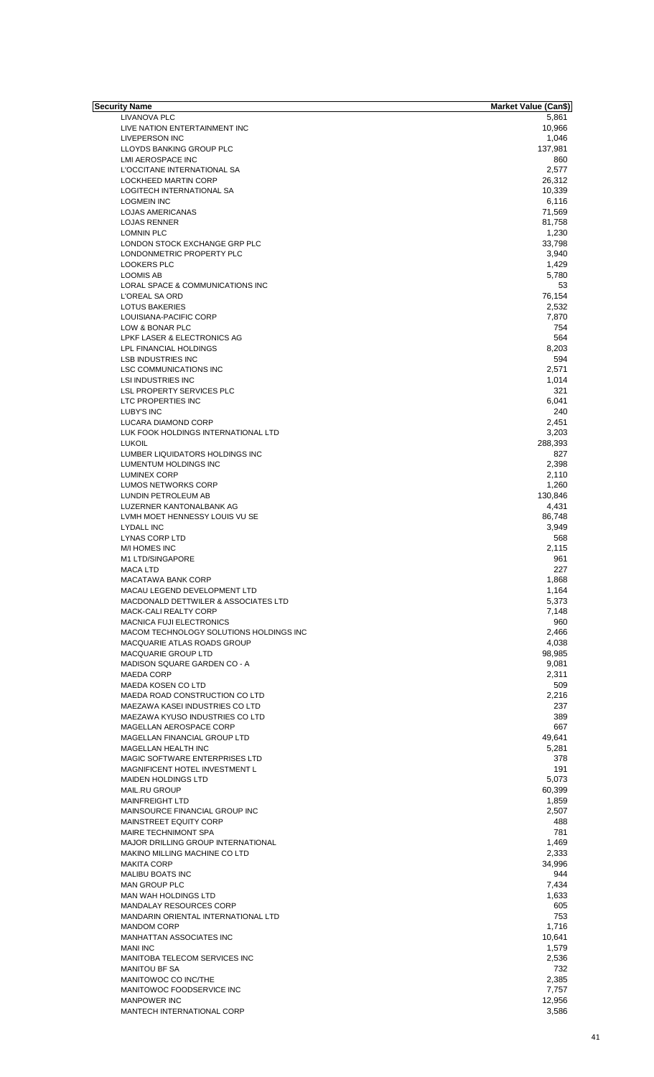| Security Name                             | <b>Market Value (Can\$)</b> |
|-------------------------------------------|-----------------------------|
| LIVANOVA PLC                              | 5,861                       |
| LIVE NATION ENTERTAINMENT INC             | 10,966                      |
| <b>LIVEPERSON INC</b>                     | 1,046                       |
| LLOYDS BANKING GROUP PLC                  | 137,981                     |
| LMI AEROSPACE INC                         | 860                         |
| L'OCCITANE INTERNATIONAL SA               | 2,577                       |
| LOCKHEED MARTIN CORP                      | 26,312                      |
| LOGITECH INTERNATIONAL SA                 | 10,339                      |
| <b>LOGMEIN INC</b>                        | 6,116                       |
| LOJAS AMERICANAS                          | 71,569                      |
| <b>LOJAS RENNER</b>                       | 81,758                      |
| <b>LOMNIN PLC</b>                         | 1,230                       |
| LONDON STOCK EXCHANGE GRP PLC             | 33,798                      |
| LONDONMETRIC PROPERTY PLC                 | 3,940                       |
| <b>LOOKERS PLC</b>                        | 1,429                       |
| LOOMIS AB                                 | 5,780                       |
| LORAL SPACE & COMMUNICATIONS INC          | 53                          |
| L'OREAL SA ORD                            | 76,154                      |
|                                           |                             |
| <b>LOTUS BAKERIES</b>                     | 2,532                       |
| LOUISIANA-PACIFIC CORP                    | 7,870                       |
| LOW & BONAR PLC                           | 754                         |
| LPKF LASER & ELECTRONICS AG               | 564                         |
| LPL FINANCIAL HOLDINGS                    | 8,203                       |
| <b>LSB INDUSTRIES INC</b>                 | 594                         |
| <b>LSC COMMUNICATIONS INC</b>             | 2,571                       |
| <b>LSI INDUSTRIES INC</b>                 | 1,014                       |
| LSL PROPERTY SERVICES PLC                 | 321                         |
| LTC PROPERTIES INC                        | 6,041                       |
| LUBY'S INC                                | 240                         |
| LUCARA DIAMOND CORP                       | 2,451                       |
| LUK FOOK HOLDINGS INTERNATIONAL LTD       | 3,203                       |
| <b>LUKOIL</b>                             | 288,393                     |
| LUMBER LIQUIDATORS HOLDINGS INC           | 827                         |
| LUMENTUM HOLDINGS INC                     | 2,398                       |
| <b>LUMINEX CORP</b>                       | 2,110                       |
| LUMOS NETWORKS CORP                       | 1,260                       |
| LUNDIN PETROLEUM AB                       | 130,846                     |
| LUZERNER KANTONALBANK AG                  | 4,431                       |
|                                           |                             |
| LVMH MOET HENNESSY LOUIS VU SE            | 86,748                      |
| <b>LYDALL INC</b>                         | 3,949                       |
| <b>LYNAS CORP LTD</b>                     | 568                         |
| M/I HOMES INC                             | 2,115                       |
| M1 LTD/SINGAPORE                          | 961                         |
| <b>MACA LTD</b>                           | 227                         |
| <b>MACATAWA BANK CORP</b>                 | 1,868                       |
| MACAU LEGEND DEVELOPMENT LTD              | 1,164                       |
| MACDONALD DETTWILER & ASSOCIATES LTD      | 5,373                       |
| MACK-CALI REALTY CORP                     | 7,148                       |
| <b>MACNICA FUJI ELECTRONICS</b>           | 960                         |
| MACOM TECHNOLOGY SOLUTIONS HOLDINGS INC   | 2,466                       |
| MACQUARIE ATLAS ROADS GROUP               | 4,038                       |
| MACQUARIE GROUP LTD                       | 98,985                      |
| MADISON SQUARE GARDEN CO - A              | 9,081                       |
| MAEDA CORP                                | 2,311                       |
| <b>MAEDA KOSEN CO LTD</b>                 | 509                         |
| MAEDA ROAD CONSTRUCTION CO LTD            | 2,216                       |
| MAEZAWA KASEI INDUSTRIES CO LTD           | 237                         |
| MAEZAWA KYUSO INDUSTRIES CO LTD           | 389                         |
| MAGELLAN AEROSPACE CORP                   | 667                         |
| MAGELLAN FINANCIAL GROUP LTD              | 49,641                      |
|                                           |                             |
| MAGELLAN HEALTH INC                       | 5,281                       |
| MAGIC SOFTWARE ENTERPRISES LTD            | 378                         |
| MAGNIFICENT HOTEL INVESTMENT L            | 191                         |
| <b>MAIDEN HOLDINGS LTD</b>                | 5,073                       |
| MAIL.RU GROUP                             | 60,399                      |
| <b>MAINFREIGHT LTD</b>                    | 1,859                       |
| MAINSOURCE FINANCIAL GROUP INC            | 2,507                       |
| MAINSTREET EQUITY CORP                    | 488                         |
| MAIRE TECHNIMONT SPA                      | 781                         |
| <b>MAJOR DRILLING GROUP INTERNATIONAL</b> | 1,469                       |
| MAKINO MILLING MACHINE CO LTD             | 2,333                       |
| <b>MAKITA CORP</b>                        | 34,996                      |
| <b>MALIBU BOATS INC</b>                   | 944                         |
| <b>MAN GROUP PLC</b>                      | 7,434                       |
| MAN WAH HOLDINGS LTD                      | 1,633                       |
| MANDALAY RESOURCES CORP                   | 605                         |
| MANDARIN ORIENTAL INTERNATIONAL LTD       | 753                         |
| <b>MANDOM CORP</b>                        | 1,716                       |
| MANHATTAN ASSOCIATES INC                  |                             |
|                                           | 10,641                      |
| <b>MANI INC</b>                           | 1,579                       |
| MANITOBA TELECOM SERVICES INC             | 2,536                       |
| <b>MANITOU BF SA</b>                      | 732                         |
| MANITOWOC CO INC/THE                      | 2,385                       |
| MANITOWOC FOODSERVICE INC                 | 7,757                       |
| <b>MANPOWER INC</b>                       | 12,956                      |
| MANTECH INTERNATIONAL CORP                | 3,586                       |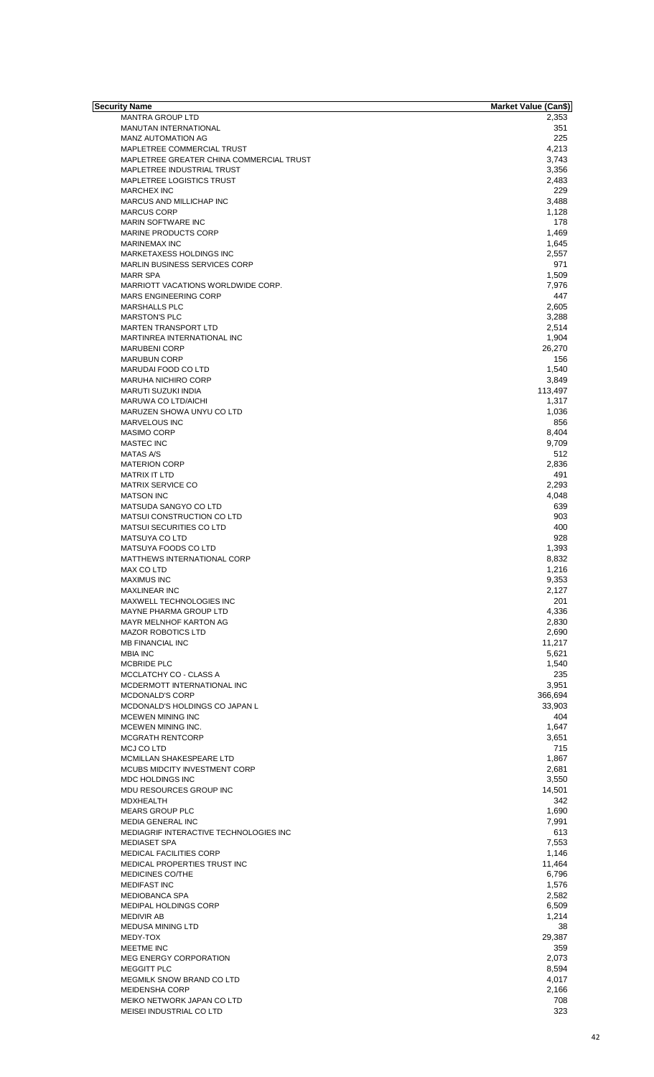| <b>Security Name</b>                     | <b>Market Value (Can\$)</b> |
|------------------------------------------|-----------------------------|
| <b>MANTRA GROUP LTD</b>                  | 2,353                       |
| <b>MANUTAN INTERNATIONAL</b>             | 351                         |
| <b>MANZ AUTOMATION AG</b>                | 225                         |
| MAPLETREE COMMERCIAL TRUST               | 4,213                       |
| MAPLETREE GREATER CHINA COMMERCIAL TRUST | 3,743                       |
| MAPLETREE INDUSTRIAL TRUST               |                             |
|                                          | 3,356                       |
| MAPLETREE LOGISTICS TRUST                | 2,483                       |
| <b>MARCHEX INC</b>                       | 229                         |
| MARCUS AND MILLICHAP INC                 | 3,488                       |
| <b>MARCUS CORP</b>                       | 1,128                       |
| MARIN SOFTWARE INC                       | 178                         |
| <b>MARINE PRODUCTS CORP</b>              | 1,469                       |
| <b>MARINEMAX INC</b>                     | 1,645                       |
| <b>MARKETAXESS HOLDINGS INC</b>          | 2,557                       |
| MARLIN BUSINESS SERVICES CORP            | 971                         |
|                                          |                             |
| <b>MARR SPA</b>                          | 1,509                       |
| MARRIOTT VACATIONS WORLDWIDE CORP.       | 7,976                       |
| <b>MARS ENGINEERING CORP</b>             | 447                         |
| <b>MARSHALLS PLC</b>                     | 2,605                       |
| <b>MARSTON'S PLC</b>                     | 3,288                       |
| <b>MARTEN TRANSPORT LTD</b>              | 2,514                       |
| MARTINREA INTERNATIONAL INC              | 1,904                       |
| <b>MARUBENI CORP</b>                     | 26,270                      |
| <b>MARUBUN CORP</b>                      | 156                         |
|                                          |                             |
| MARUDAI FOOD CO LTD                      | 1,540                       |
| <b>MARUHA NICHIRO CORP</b>               | 3,849                       |
| <b>MARUTI SUZUKI INDIA</b>               | 113,497                     |
| MARUWA CO LTD/AICHI                      | 1,317                       |
| MARUZEN SHOWA UNYU CO LTD                | 1,036                       |
| MARVELOUS INC                            | 856                         |
| <b>MASIMO CORP</b>                       | 8,404                       |
| <b>MASTEC INC</b>                        | 9,709                       |
| <b>MATAS A/S</b>                         |                             |
|                                          | 512                         |
| <b>MATERION CORP</b>                     | 2,836                       |
| <b>MATRIX IT LTD</b>                     | 491                         |
| <b>MATRIX SERVICE CO</b>                 | 2,293                       |
| <b>MATSON INC</b>                        | 4,048                       |
| MATSUDA SANGYO CO LTD                    | 639                         |
| MATSUI CONSTRUCTION CO LTD               | 903                         |
| <b>MATSUI SECURITIES CO LTD</b>          | 400                         |
| <b>MATSUYA CO LTD</b>                    | 928                         |
|                                          | 1,393                       |
| MATSUYA FOODS CO LTD                     |                             |
| MATTHEWS INTERNATIONAL CORP              | 8,832                       |
| MAX CO LTD                               | 1,216                       |
| <b>MAXIMUS INC</b>                       | 9,353                       |
| <b>MAXLINEAR INC</b>                     | 2,127                       |
| <b>MAXWELL TECHNOLOGIES INC</b>          | 201                         |
| MAYNE PHARMA GROUP LTD                   | 4,336                       |
| MAYR MELNHOF KARTON AG                   | 2,830                       |
| <b>MAZOR ROBOTICS LTD</b>                | 2,690                       |
|                                          |                             |
| <b>MB FINANCIAL INC</b>                  | 11,217                      |
| <b>MBIA INC</b>                          | 5,621                       |
| MCBRIDE PLC                              | 1,540                       |
| MCCLATCHY CO - CLASS A                   | 235                         |
| MCDERMOTT INTERNATIONAL INC              | 3,951                       |
| MCDONALD'S CORP                          | 366,694                     |
| MCDONALD'S HOLDINGS CO JAPAN L           | 33,903                      |
| <b>MCEWEN MINING INC</b>                 | 404                         |
| MCEWEN MINING INC.                       | 1,647                       |
|                                          |                             |
| <b>MCGRATH RENTCORP</b>                  | 3,651                       |
| MCJ CO LTD                               | 715                         |
| MCMILLAN SHAKESPEARE LTD                 | 1,867                       |
| MCUBS MIDCITY INVESTMENT CORP            | 2,681                       |
| MDC HOLDINGS INC                         | 3,550                       |
| MDU RESOURCES GROUP INC                  | 14,501                      |
| MDXHEALTH                                | 342                         |
| <b>MEARS GROUP PLC</b>                   | 1,690                       |
| MEDIA GENERAL INC                        | 7,991                       |
|                                          | 613                         |
| MEDIAGRIF INTERACTIVE TECHNOLOGIES INC   |                             |
| <b>MEDIASET SPA</b>                      | 7,553                       |
| MEDICAL FACILITIES CORP                  | 1,146                       |
| MEDICAL PROPERTIES TRUST INC             | 11,464                      |
| MEDICINES CO/THE                         | 6,796                       |
| <b>MEDIFAST INC</b>                      | 1,576                       |
| <b>MEDIOBANCA SPA</b>                    | 2,582                       |
| MEDIPAL HOLDINGS CORP                    | 6,509                       |
| <b>MEDIVIR AB</b>                        | 1,214                       |
|                                          |                             |
| <b>MEDUSA MINING LTD</b>                 | 38                          |
| MEDY-TOX                                 | 29,387                      |
| MEETME INC                               | 359                         |
| <b>MEG ENERGY CORPORATION</b>            | 2.073                       |
| <b>MEGGITT PLC</b>                       | 8,594                       |
| MEGMILK SNOW BRAND CO LTD                | 4,017                       |
| <b>MEIDENSHA CORP</b>                    | 2,166                       |
| MEIKO NETWORK JAPAN CO LTD               | 708                         |
| MEISEI INDUSTRIAL CO LTD                 | 323                         |
|                                          |                             |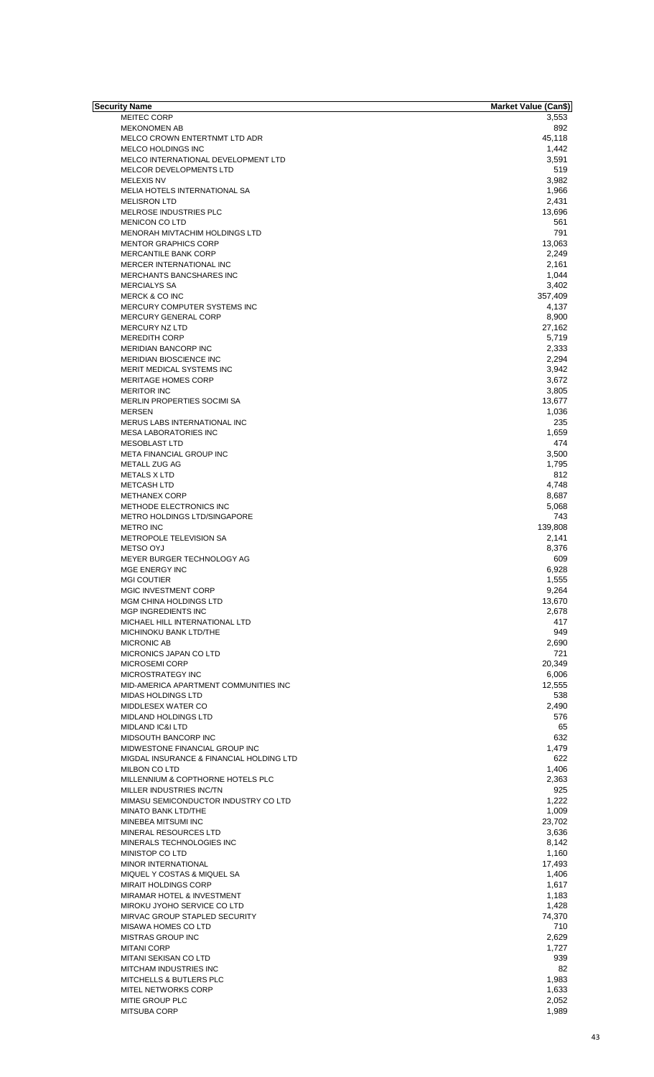| Security Name                            | Market Value (Can\$) |
|------------------------------------------|----------------------|
| <b>MEITEC CORP</b>                       | 3,553                |
| <b>MEKONOMEN AB</b>                      | 892                  |
| MELCO CROWN ENTERTNMT LTD ADR            | 45,118               |
| MELCO HOLDINGS INC                       | 1,442                |
| MELCO INTERNATIONAL DEVELOPMENT LTD      | 3,591                |
| MELCOR DEVELOPMENTS LTD                  | 519                  |
| <b>MELEXIS NV</b>                        | 3,982                |
| MELIA HOTELS INTERNATIONAL SA            | 1,966                |
| <b>MELISRON LTD</b>                      | 2,431                |
| MELROSE INDUSTRIES PLC                   | 13,696               |
| <b>MENICON CO LTD</b>                    | 561                  |
|                                          | 791                  |
| MENORAH MIVTACHIM HOLDINGS LTD           |                      |
| <b>MENTOR GRAPHICS CORP</b>              | 13,063               |
| MERCANTILE BANK CORP                     | 2,249                |
| MERCER INTERNATIONAL INC                 | 2,161                |
| MERCHANTS BANCSHARES INC                 | 1,044                |
| <b>MERCIALYS SA</b>                      | 3,402                |
| MERCK & CO INC                           | 357,409              |
| MERCURY COMPUTER SYSTEMS INC             | 4,137                |
| MERCURY GENERAL CORP                     | 8,900                |
| <b>MERCURY NZ LTD</b>                    | 27,162               |
| <b>MEREDITH CORP</b>                     | 5,719                |
| <b>MERIDIAN BANCORP INC</b>              |                      |
|                                          | 2,333                |
| <b>MERIDIAN BIOSCIENCE INC</b>           | 2,294                |
| MERIT MEDICAL SYSTEMS INC                | 3,942                |
| <b>MERITAGE HOMES CORP</b>               | 3,672                |
| <b>MERITOR INC</b>                       | 3,805                |
| MERLIN PROPERTIES SOCIMI SA              | 13,677               |
| <b>MERSEN</b>                            | 1,036                |
| MERUS LABS INTERNATIONAL INC             | 235                  |
| <b>MESA LABORATORIES INC</b>             | 1,659                |
|                                          |                      |
| <b>MESOBLAST LTD</b>                     | 474                  |
| META FINANCIAL GROUP INC                 | 3,500                |
| METALL ZUG AG                            | 1,795                |
| <b>METALS X LTD</b>                      | 812                  |
| <b>METCASH LTD</b>                       | 4,748                |
| <b>METHANEX CORP</b>                     | 8,687                |
| METHODE ELECTRONICS INC                  | 5,068                |
| <b>METRO HOLDINGS LTD/SINGAPORE</b>      | 743                  |
| <b>METRO INC</b>                         | 139,808              |
|                                          |                      |
| METROPOLE TELEVISION SA                  | 2,141                |
| <b>METSO OYJ</b>                         | 8,376                |
| MEYER BURGER TECHNOLOGY AG               | 609                  |
| MGE ENERGY INC                           | 6,928                |
| <b>MGI COUTIER</b>                       | 1,555                |
| <b>MGIC INVESTMENT CORP</b>              | 9,264                |
| MGM CHINA HOLDINGS LTD                   | 13,670               |
| <b>MGP INGREDIENTS INC</b>               | 2,678                |
| MICHAEL HILL INTERNATIONAL LTD           | 417                  |
|                                          |                      |
| MICHINOKU BANK LTD/THE                   | 949                  |
| MICRONIC AB                              | 2,690                |
| MICRONICS JAPAN CO LTD                   | 721                  |
| <b>MICROSEMI CORP</b>                    | 20,349               |
| MICROSTRATEGY INC                        | 6,006                |
| MID-AMERICA APARTMENT COMMUNITIES INC    | 12,555               |
| <b>MIDAS HOLDINGS LTD</b>                | 538                  |
| MIDDLESEX WATER CO                       | 2,490                |
| MIDLAND HOLDINGS LTD                     | 576                  |
| <b>MIDLAND IC&amp;I LTD</b>              | 65                   |
|                                          |                      |
| MIDSOUTH BANCORP INC                     | 632                  |
| MIDWESTONE FINANCIAL GROUP INC           | 1,479                |
| MIGDAL INSURANCE & FINANCIAL HOLDING LTD | 622                  |
| <b>MILBON CO LTD</b>                     | 1,406                |
| MILLENNIUM & COPTHORNE HOTELS PLC        | 2,363                |
| MILLER INDUSTRIES INC/TN                 | 925                  |
| MIMASU SEMICONDUCTOR INDUSTRY CO LTD     | 1,222                |
| <b>MINATO BANK LTD/THE</b>               | 1,009                |
| MINEBEA MITSUMI INC                      | 23,702               |
| MINERAL RESOURCES LTD                    | 3,636                |
|                                          |                      |
| MINERALS TECHNOLOGIES INC                | 8,142                |
| MINISTOP CO LTD                          | 1,160                |
| MINOR INTERNATIONAL                      | 17,493               |
| MIQUEL Y COSTAS & MIQUEL SA              | 1,406                |
| <b>MIRAIT HOLDINGS CORP</b>              | 1,617                |
| MIRAMAR HOTEL & INVESTMENT               | 1,183                |
| MIROKU JYOHO SERVICE CO LTD              | 1,428                |
| MIRVAC GROUP STAPLED SECURITY            | 74,370               |
| MISAWA HOMES CO LTD                      | 710                  |
|                                          |                      |
| <b>MISTRAS GROUP INC</b>                 | 2,629                |
| <b>MITANI CORP</b>                       | 1,727                |
| MITANI SEKISAN CO LTD                    | 939                  |
| MITCHAM INDUSTRIES INC                   | 82                   |
| MITCHELLS & BUTLERS PLC                  | 1,983                |
| <b>MITEL NETWORKS CORP</b>               | 1,633                |
| MITIE GROUP PLC                          | 2,052                |
| MITSUBA CORP                             | 1,989                |
|                                          |                      |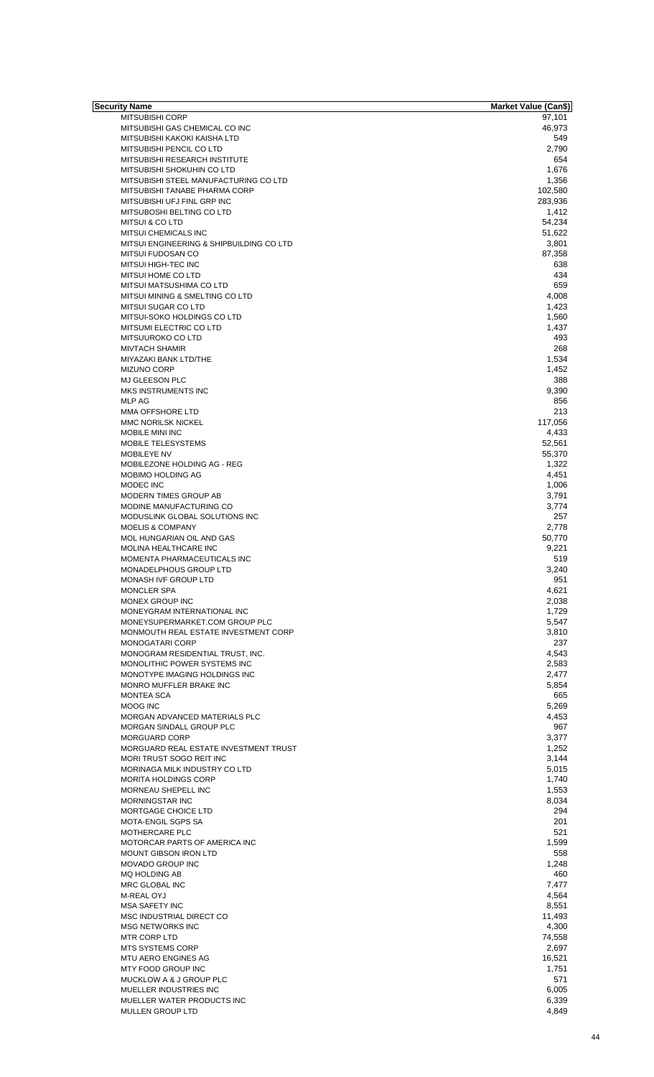| Security Name                            | Market Value (Can\$) |
|------------------------------------------|----------------------|
| MITSUBISHI CORP                          | 97,101               |
| MITSUBISHI GAS CHEMICAL CO INC           | 46,973               |
| MITSUBISHI KAKOKI KAISHA LTD             | 549                  |
| MITSUBISHI PENCIL CO LTD                 | 2,790                |
| MITSUBISHI RESEARCH INSTITUTE            | 654                  |
|                                          |                      |
| MITSUBISHI SHOKUHIN CO LTD               | 1,676                |
| MITSUBISHI STEEL MANUFACTURING CO LTD    | 1,356                |
| MITSUBISHI TANABE PHARMA CORP            | 102,580              |
| MITSUBISHI UFJ FINL GRP INC              | 283,936              |
| MITSUBOSHI BELTING CO LTD                | 1,412                |
| MITSUI & CO LTD                          | 54,234               |
| MITSUI CHEMICALS INC                     | 51,622               |
| MITSUI ENGINEERING & SHIPBUILDING CO LTD | 3,801                |
|                                          |                      |
| MITSUI FUDOSAN CO                        | 87,358               |
| MITSUI HIGH-TEC INC                      | 638                  |
| MITSUI HOME CO LTD                       | 434                  |
| MITSUI MATSUSHIMA CO LTD                 | 659                  |
| MITSUI MINING & SMELTING CO LTD          | 4,008                |
| <b>MITSUI SUGAR CO LTD</b>               | 1,423                |
| MITSUI-SOKO HOLDINGS CO LTD              | 1,560                |
|                                          |                      |
| MITSUMI ELECTRIC CO LTD                  | 1,437                |
| MITSUUROKO CO LTD                        | 493                  |
| <b>MIVTACH SHAMIR</b>                    | 268                  |
| MIYAZAKI BANK LTD/THE                    | 1,534                |
| <b>MIZUNO CORP</b>                       | 1,452                |
| MJ GLEESON PLC                           | 388                  |
| MKS INSTRUMENTS INC                      | 9,390                |
|                                          |                      |
| <b>MLP AG</b>                            | 856                  |
| <b>MMA OFFSHORE LTD</b>                  | 213                  |
| <b>MMC NORILSK NICKEL</b>                | 117,056              |
| MOBILE MINI INC                          | 4,433                |
| MOBILE TELESYSTEMS                       | 52,561               |
| <b>MOBILEYE NV</b>                       | 55,370               |
| MOBILEZONE HOLDING AG - REG              | 1,322                |
|                                          |                      |
| MOBIMO HOLDING AG                        | 4,451                |
| MODEC INC                                | 1,006                |
| MODERN TIMES GROUP AB                    | 3,791                |
| MODINE MANUFACTURING CO                  | 3,774                |
| MODUSLINK GLOBAL SOLUTIONS INC           | 257                  |
| <b>MOELIS &amp; COMPANY</b>              | 2,778                |
| MOL HUNGARIAN OIL AND GAS                | 50,770               |
| <b>MOLINA HEALTHCARE INC</b>             | 9,221                |
|                                          |                      |
| MOMENTA PHARMACEUTICALS INC              | 519                  |
| MONADELPHOUS GROUP LTD                   | 3,240                |
| MONASH IVF GROUP LTD                     | 951                  |
| <b>MONCLER SPA</b>                       | 4,621                |
| <b>MONEX GROUP INC</b>                   | 2,038                |
| MONEYGRAM INTERNATIONAL INC              | 1,729                |
| MONEYSUPERMARKET.COM GROUP PLC           |                      |
|                                          | 5,547                |
| MONMOUTH REAL ESTATE INVESTMENT CORP     | 3,810                |
| <b>MONOGATARI CORP</b>                   | 237                  |
| MONOGRAM RESIDENTIAL TRUST, INC.         | 4.543                |
| MONOLITHIC POWER SYSTEMS INC             | 2,583                |
| MONOTYPE IMAGING HOLDINGS INC            | 2,477                |
| MONRO MUFFLER BRAKE INC                  | 5,854                |
| <b>MONTEA SCA</b>                        | 665                  |
|                                          |                      |
| <b>MOOG INC</b>                          | 5,269                |
| MORGAN ADVANCED MATERIALS PLC            | 4,453                |
| MORGAN SINDALL GROUP PLC                 | 967                  |
| <b>MORGUARD CORP</b>                     | 3,377                |
| MORGUARD REAL ESTATE INVESTMENT TRUST    | 1,252                |
| MORI TRUST SOGO REIT INC                 | 3,144                |
| MORINAGA MILK INDUSTRY CO LTD            | 5,015                |
| <b>MORITA HOLDINGS CORP</b>              | 1,740                |
|                                          |                      |
| MORNEAU SHEPELL INC                      | 1,553                |
| <b>MORNINGSTAR INC</b>                   | 8,034                |
| <b>MORTGAGE CHOICE LTD</b>               | 294                  |
| MOTA-ENGIL SGPS SA                       | 201                  |
| MOTHERCARE PLC                           | 521                  |
| MOTORCAR PARTS OF AMERICA INC            | 1,599                |
| MOUNT GIBSON IRON LTD                    | 558                  |
| <b>MOVADO GROUP INC</b>                  | 1,248                |
|                                          |                      |
| MQ HOLDING AB                            | 460                  |
| MRC GLOBAL INC                           | 7,477                |
| M-REAL OYJ                               | 4,564                |
| <b>MSA SAFETY INC</b>                    | 8,551                |
| MSC INDUSTRIAL DIRECT CO                 | 11,493               |
| <b>MSG NETWORKS INC</b>                  | 4,300                |
| MTR CORP LTD                             |                      |
|                                          | 74,558               |
| <b>MTS SYSTEMS CORP</b>                  | 2,697                |
| <b>MTU AERO ENGINES AG</b>               | 16,521               |
| MTY FOOD GROUP INC                       | 1,751                |
| MUCKLOW A & J GROUP PLC                  | 571                  |
| MUELLER INDUSTRIES INC                   | 6,005                |
| MUELLER WATER PRODUCTS INC               | 6,339                |
|                                          |                      |
| MULLEN GROUP LTD                         | 4,849                |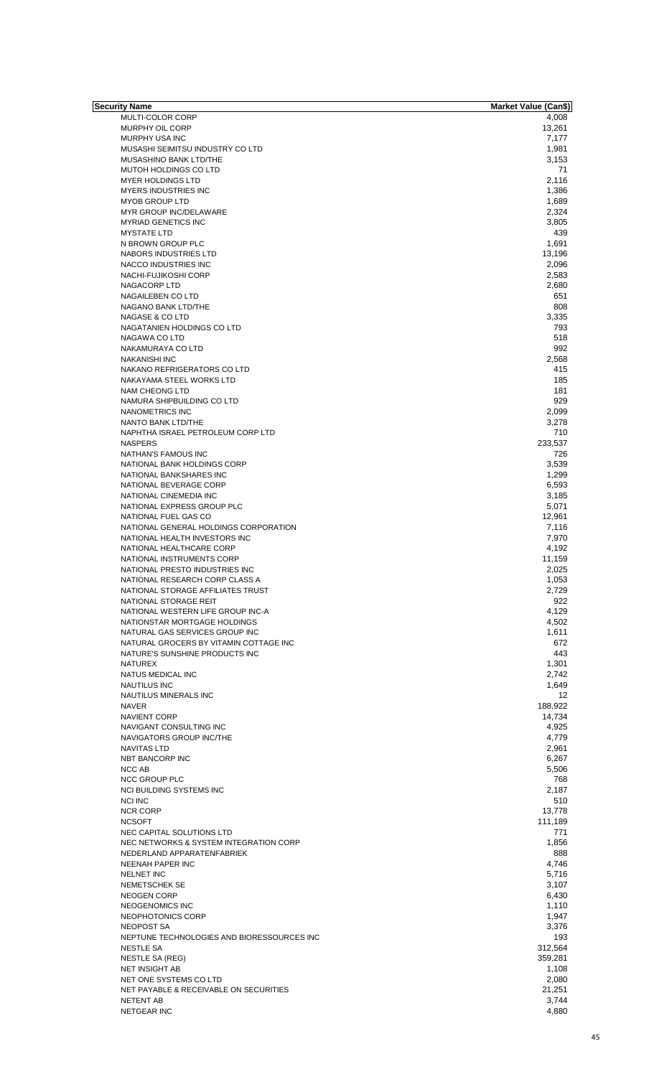| Security Name                                           | Market Value (Can\$) |
|---------------------------------------------------------|----------------------|
| MULTI-COLOR CORP                                        | 4,008                |
| MURPHY OIL CORP                                         | 13,261               |
| <b>MURPHY USA INC</b>                                   | 7,177                |
| MUSASHI SEIMITSU INDUSTRY CO LTD                        | 1,981                |
| MUSASHINO BANK LTD/THE                                  | 3,153                |
| <b>MUTOH HOLDINGS CO LTD</b>                            | 71                   |
| <b>MYER HOLDINGS LTD</b>                                | 2,116                |
| <b>MYERS INDUSTRIES INC</b>                             | 1,386                |
| <b>MYOB GROUP LTD</b>                                   | 1,689                |
| MYR GROUP INC/DELAWARE                                  | 2,324                |
| <b>MYRIAD GENETICS INC</b>                              | 3,805                |
| <b>MYSTATE LTD</b>                                      | 439                  |
| N BROWN GROUP PLC                                       | 1,691                |
| NABORS INDUSTRIES LTD                                   | 13,196               |
| NACCO INDUSTRIES INC                                    | 2,096                |
| NACHI-FUJIKOSHI CORP                                    | 2,583                |
| NAGACORP LTD                                            | 2,680                |
| NAGAILEBEN CO LTD                                       | 651                  |
| NAGANO BANK LTD/THE                                     | 808                  |
| <b>NAGASE &amp; CO LTD</b>                              | 3,335                |
| NAGATANIEN HOLDINGS CO LTD                              | 793                  |
| NAGAWA CO LTD                                           | 518<br>992           |
| NAKAMURAYA CO LTD                                       | 2,568                |
| <b>NAKANISHI INC</b>                                    |                      |
| NAKANO REFRIGERATORS CO LTD<br>NAKAYAMA STEEL WORKS LTD | 415<br>185           |
| NAM CHEONG LTD                                          | 181                  |
| NAMURA SHIPBUILDING CO LTD                              | 929                  |
| <b>NANOMETRICS INC</b>                                  | 2,099                |
| NANTO BANK LTD/THE                                      | 3,278                |
| NAPHTHA ISRAEL PETROLEUM CORP LTD                       | 710                  |
| <b>NASPERS</b>                                          | 233,537              |
| NATHAN'S FAMOUS INC                                     | 726                  |
| NATIONAL BANK HOLDINGS CORP                             | 3,539                |
| NATIONAL BANKSHARES INC                                 | 1,299                |
| NATIONAL BEVERAGE CORP                                  | 6,593                |
| NATIONAL CINEMEDIA INC                                  | 3,185                |
| NATIONAL EXPRESS GROUP PLC                              | 5,071                |
| NATIONAL FUEL GAS CO                                    | 12,961               |
| NATIONAL GENERAL HOLDINGS CORPORATION                   | 7,116                |
| NATIONAL HEALTH INVESTORS INC                           | 7,970                |
| NATIONAL HEALTHCARE CORP                                | 4,192                |
| NATIONAL INSTRUMENTS CORP                               | 11,159               |
| NATIONAL PRESTO INDUSTRIES INC                          | 2,025                |
| NATIONAL RESEARCH CORP CLASS A                          | 1,053                |
| NATIONAL STORAGE AFFILIATES TRUST                       | 2,729                |
| NATIONAL STORAGE REIT                                   | 922                  |
| NATIONAL WESTERN LIFE GROUP INC-A                       | 4,129                |
| NATIONSTAR MORTGAGE HOLDINGS                            | 4,502                |
| NATURAL GAS SERVICES GROUP INC                          | 1,611                |
| NATURAL GROCERS BY VITAMIN COTTAGE INC                  | 672                  |
| NATURE'S SUNSHINE PRODUCTS INC                          | 443                  |
| NATUREX                                                 | 1,301                |
| NATUS MEDICAL INC                                       | 2,742                |
| <b>NAUTILUS INC</b><br>NAUTILUS MINERALS INC            | 1,649                |
| <b>NAVER</b>                                            | 12                   |
|                                                         | 188,922              |
| <b>NAVIENT CORP</b>                                     | 14,734               |
| NAVIGANT CONSULTING INC<br>NAVIGATORS GROUP INC/THE     | 4,925<br>4,779       |
| <b>NAVITAS LTD</b>                                      | 2,961                |
| NBT BANCORP INC                                         | 6,267                |
| NCC AB                                                  | 5,506                |
| <b>NCC GROUP PLC</b>                                    | 768                  |
| NCI BUILDING SYSTEMS INC                                | 2,187                |
| <b>NCI INC</b>                                          | 510                  |
| <b>NCR CORP</b>                                         | 13,778               |
| <b>NCSOFT</b>                                           | 111,189              |
| NEC CAPITAL SOLUTIONS LTD                               | 771                  |
| NEC NETWORKS & SYSTEM INTEGRATION CORP                  | 1,856                |
| NEDERLAND APPARATENFABRIEK                              | 888                  |
| NEENAH PAPER INC                                        | 4,746                |
| <b>NELNET INC</b>                                       | 5,716                |
| NEMETSCHEK SE                                           | 3,107                |
| <b>NEOGEN CORP</b>                                      | 6,430                |
| NEOGENOMICS INC                                         | 1,110                |
| NEOPHOTONICS CORP                                       | 1,947                |
| NEOPOST SA                                              | 3,376                |
| NEPTUNE TECHNOLOGIES AND BIORESSOURCES INC              | 193                  |
| <b>NESTLE SA</b>                                        | 312.564              |
| <b>NESTLE SA (REG)</b>                                  | 359,281              |
| NET INSIGHT AB                                          | 1,108                |
| NET ONE SYSTEMS CO LTD                                  | 2,080                |
| NET PAYABLE & RECEIVABLE ON SECURITIES                  | 21,251               |
| <b>NETENT AB</b>                                        | 3,744                |
| <b>NETGEAR INC</b>                                      | 4,880                |
|                                                         |                      |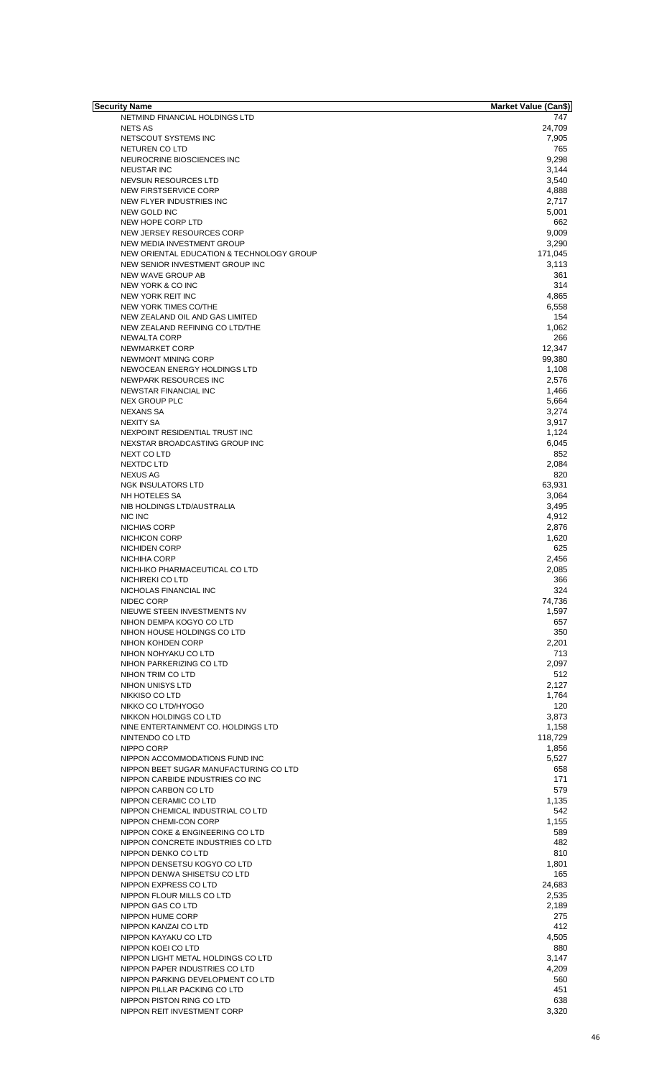| Security Name                             | <b>Market Value (Can\$)</b> |
|-------------------------------------------|-----------------------------|
| NETMIND FINANCIAL HOLDINGS LTD            | 747                         |
| <b>NETS AS</b>                            | 24,709                      |
| NETSCOUT SYSTEMS INC                      | 7,905                       |
| NETUREN CO LTD                            | 765                         |
| NEUROCRINE BIOSCIENCES INC                | 9,298                       |
| <b>NEUSTAR INC</b>                        | 3,144                       |
| NEVSUN RESOURCES LTD                      | 3,540                       |
| NEW FIRSTSERVICE CORP                     | 4,888                       |
|                                           |                             |
| NEW FLYER INDUSTRIES INC                  | 2,717                       |
| NEW GOLD INC                              | 5,001                       |
| NEW HOPE CORP LTD                         | 662                         |
| NEW JERSEY RESOURCES CORP                 | 9,009                       |
| NEW MEDIA INVESTMENT GROUP                | 3,290                       |
| NEW ORIENTAL EDUCATION & TECHNOLOGY GROUP | 171,045                     |
| NEW SENIOR INVESTMENT GROUP INC           | 3,113                       |
| NEW WAVE GROUP AB                         | 361                         |
| NEW YORK & CO INC                         | 314                         |
| NEW YORK REIT INC                         | 4,865                       |
|                                           |                             |
| NEW YORK TIMES CO/THE                     | 6,558                       |
| NEW ZEALAND OIL AND GAS LIMITED           | 154                         |
| NEW ZEALAND REFINING CO LTD/THE           | 1,062                       |
| NEWALTA CORP                              | 266                         |
| NEWMARKET CORP                            | 12,347                      |
| NEWMONT MINING CORP                       | 99,380                      |
| NEWOCEAN ENERGY HOLDINGS LTD              | 1,108                       |
| NEWPARK RESOURCES INC                     | 2,576                       |
| NEWSTAR FINANCIAL INC                     | 1,466                       |
| <b>NEX GROUP PLC</b>                      | 5,664                       |
|                                           |                             |
| <b>NEXANS SA</b>                          | 3,274                       |
| <b>NEXITY SA</b>                          | 3,917                       |
| NEXPOINT RESIDENTIAL TRUST INC            | 1,124                       |
| NEXSTAR BROADCASTING GROUP INC            | 6,045                       |
| NEXT CO LTD                               | 852                         |
| NEXTDC LTD                                | 2,084                       |
| <b>NEXUS AG</b>                           | 820                         |
| <b>NGK INSULATORS LTD</b>                 | 63,931                      |
| NH HOTELES SA                             | 3,064                       |
| NIB HOLDINGS LTD/AUSTRALIA                | 3,495                       |
| NIC INC                                   |                             |
|                                           | 4,912                       |
| NICHIAS CORP                              | 2,876                       |
| NICHICON CORP                             | 1,620                       |
| <b>NICHIDEN CORP</b>                      | 625                         |
| NICHIHA CORP                              | 2,456                       |
| NICHI-IKO PHARMACEUTICAL CO LTD           | 2,085                       |
| NICHIREKI CO LTD                          | 366                         |
| NICHOLAS FINANCIAL INC                    | 324                         |
| NIDEC CORP                                | 74,736                      |
| NIEUWE STEEN INVESTMENTS NV               | 1,597                       |
| NIHON DEMPA KOGYO CO LTD                  | 657                         |
| NIHON HOUSE HOLDINGS CO LTD               | 350                         |
|                                           |                             |
| NIHON KOHDEN CORP                         | 2,201                       |
| NIHON NOHYAKU CO LTD                      | 713                         |
| NIHON PARKERIZING CO LTD                  | 2,097                       |
| NIHON TRIM CO LTD                         | 512                         |
| NIHON UNISYS LTD                          | 2,127                       |
| NIKKISO CO LTD                            | 1,764                       |
| NIKKO CO LTD/HYOGO                        | 120                         |
| NIKKON HOLDINGS CO LTD                    | 3,873                       |
| NINE ENTERTAINMENT CO. HOLDINGS LTD       | 1,158                       |
| NINTENDO CO LTD                           | 118,729                     |
| NIPPO CORP                                | 1,856                       |
|                                           |                             |
| NIPPON ACCOMMODATIONS FUND INC            | 5,527                       |
| NIPPON BEET SUGAR MANUFACTURING CO LTD    | 658                         |
| NIPPON CARBIDE INDUSTRIES CO INC          | 171                         |
| NIPPON CARBON CO LTD                      | 579                         |
| NIPPON CERAMIC CO LTD                     | 1,135                       |
| NIPPON CHEMICAL INDUSTRIAL CO LTD         | 542                         |
| NIPPON CHEMI-CON CORP                     | 1,155                       |
| NIPPON COKE & ENGINEERING CO LTD          | 589                         |
| NIPPON CONCRETE INDUSTRIES CO LTD         | 482                         |
| NIPPON DENKO CO LTD                       | 810                         |
| NIPPON DENSETSU KOGYO CO LTD              | 1,801                       |
| NIPPON DENWA SHISETSU CO LTD              | 165                         |
|                                           |                             |
| NIPPON EXPRESS CO LTD                     | 24,683                      |
| NIPPON FLOUR MILLS CO LTD                 | 2,535                       |
| NIPPON GAS CO LTD                         | 2,189                       |
| NIPPON HUME CORP                          | 275                         |
| NIPPON KANZAI CO LTD                      | 412                         |
| NIPPON KAYAKU CO LTD                      | 4,505                       |
| NIPPON KOEI CO LTD                        | 880                         |
| NIPPON LIGHT METAL HOLDINGS CO LTD        | 3,147                       |
| NIPPON PAPER INDUSTRIES CO LTD            | 4,209                       |
|                                           | 560                         |
| NIPPON PARKING DEVELOPMENT CO LTD         |                             |
| NIPPON PILLAR PACKING CO LTD              | 451                         |
| NIPPON PISTON RING CO LTD                 | 638                         |
| NIPPON REIT INVESTMENT CORP               | 3,320                       |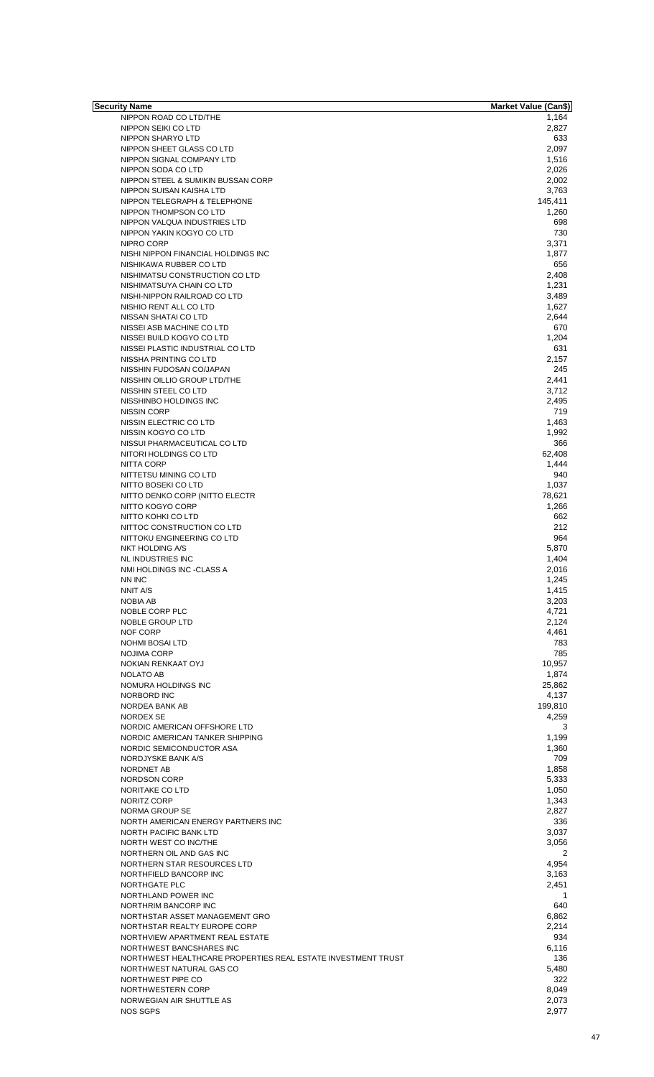| Security Name                                                | <b>Market Value (Can\$)</b> |
|--------------------------------------------------------------|-----------------------------|
| NIPPON ROAD CO LTD/THE                                       | 1,164                       |
| NIPPON SEIKI CO LTD                                          | 2,827                       |
| NIPPON SHARYO LTD                                            | 633                         |
| NIPPON SHEET GLASS CO LTD                                    | 2,097                       |
| NIPPON SIGNAL COMPANY LTD                                    | 1,516                       |
| NIPPON SODA CO LTD                                           | 2,026                       |
| NIPPON STEEL & SUMIKIN BUSSAN CORP                           | 2,002                       |
| NIPPON SUISAN KAISHA LTD                                     | 3,763                       |
| NIPPON TELEGRAPH & TELEPHONE                                 | 145,411                     |
|                                                              |                             |
| NIPPON THOMPSON CO LTD                                       | 1,260                       |
| NIPPON VALQUA INDUSTRIES LTD                                 | 698                         |
| NIPPON YAKIN KOGYO CO LTD                                    | 730                         |
| NIPRO CORP                                                   | 3,371                       |
| NISHI NIPPON FINANCIAL HOLDINGS INC                          | 1,877                       |
| NISHIKAWA RUBBER CO LTD                                      | 656                         |
| NISHIMATSU CONSTRUCTION CO LTD                               | 2,408                       |
| NISHIMATSUYA CHAIN CO LTD                                    | 1,231                       |
| NISHI-NIPPON RAILROAD CO LTD                                 | 3,489                       |
|                                                              |                             |
| NISHIO RENT ALL CO LTD                                       | 1,627                       |
| NISSAN SHATAI CO LTD                                         | 2,644                       |
| NISSEI ASB MACHINE CO LTD                                    | 670                         |
| NISSEI BUILD KOGYO CO LTD                                    | 1,204                       |
| NISSEI PLASTIC INDUSTRIAL CO LTD                             | 631                         |
| NISSHA PRINTING CO LTD                                       | 2,157                       |
| NISSHIN FUDOSAN CO/JAPAN                                     | 245                         |
| NISSHIN OILLIO GROUP LTD/THE                                 | 2,441                       |
| NISSHIN STEEL CO LTD                                         | 3,712                       |
|                                                              |                             |
| NISSHINBO HOLDINGS INC                                       | 2,495                       |
| NISSIN CORP                                                  | 719                         |
| NISSIN ELECTRIC CO LTD                                       | 1,463                       |
| NISSIN KOGYO CO LTD                                          | 1,992                       |
| NISSUI PHARMACEUTICAL CO LTD                                 | 366                         |
| NITORI HOLDINGS CO LTD                                       | 62,408                      |
| NITTA CORP                                                   | 1,444                       |
| NITTETSU MINING CO LTD                                       | 940                         |
| NITTO BOSEKI CO LTD                                          | 1,037                       |
|                                                              |                             |
| NITTO DENKO CORP (NITTO ELECTR                               | 78,621                      |
| NITTO KOGYO CORP                                             | 1,266                       |
| NITTO KOHKI CO LTD                                           | 662                         |
| NITTOC CONSTRUCTION CO LTD                                   | 212                         |
| NITTOKU ENGINEERING CO LTD                                   | 964                         |
| NKT HOLDING A/S                                              | 5,870                       |
| <b>NL INDUSTRIES INC</b>                                     | 1,404                       |
| NMI HOLDINGS INC -CLASS A                                    | 2,016                       |
| NN INC                                                       | 1,245                       |
|                                                              |                             |
| NNIT A/S                                                     | 1,415                       |
| NOBIA AB                                                     | 3,203                       |
| NOBLE CORP PLC                                               | 4,721                       |
| <b>NOBLE GROUP LTD</b>                                       | 2,124                       |
| NOF CORP                                                     | 4,461                       |
| <b>NOHMI BOSAI LTD</b>                                       | 783                         |
| <b>NOJIMA CORP</b>                                           | 785                         |
| NOKIAN RENKAAT OYJ                                           | 10,957                      |
| NOLATO AB                                                    | 1,874                       |
| NOMURA HOLDINGS INC                                          | 25,862                      |
|                                                              |                             |
| NORBORD INC                                                  | 4,137                       |
| NORDEA BANK AB                                               | 199,810                     |
| NORDEX SE                                                    | 4,259                       |
| NORDIC AMERICAN OFFSHORE LTD                                 | 3                           |
| NORDIC AMERICAN TANKER SHIPPING                              | 1,199                       |
| NORDIC SEMICONDUCTOR ASA                                     | 1,360                       |
| NORDJYSKE BANK A/S                                           | 709                         |
| NORDNET AB                                                   | 1,858                       |
| NORDSON CORP                                                 | 5,333                       |
| NORITAKE CO LTD                                              |                             |
|                                                              | 1,050                       |
| NORITZ CORP                                                  | 1,343                       |
| NORMA GROUP SE                                               | 2,827                       |
| NORTH AMERICAN ENERGY PARTNERS INC                           | 336                         |
| NORTH PACIFIC BANK LTD                                       | 3,037                       |
| NORTH WEST CO INC/THE                                        | 3,056                       |
| NORTHERN OIL AND GAS INC                                     | 2                           |
| NORTHERN STAR RESOURCES LTD                                  | 4,954                       |
| NORTHFIELD BANCORP INC                                       | 3,163                       |
| NORTHGATE PLC                                                | 2,451                       |
| NORTHLAND POWER INC                                          | $\mathbf{1}$                |
|                                                              |                             |
| NORTHRIM BANCORP INC                                         | 640                         |
| NORTHSTAR ASSET MANAGEMENT GRO                               | 6,862                       |
| NORTHSTAR REALTY EUROPE CORP                                 | 2,214                       |
| NORTHVIEW APARTMENT REAL ESTATE                              | 934                         |
| NORTHWEST BANCSHARES INC                                     | 6,116                       |
| NORTHWEST HEALTHCARE PROPERTIES REAL ESTATE INVESTMENT TRUST | 136                         |
| NORTHWEST NATURAL GAS CO                                     | 5,480                       |
| NORTHWEST PIPE CO                                            | 322                         |
| NORTHWESTERN CORP                                            | 8,049                       |
|                                                              |                             |
| NORWEGIAN AIR SHUTTLE AS                                     | 2,073                       |
| <b>NOS SGPS</b>                                              | 2,977                       |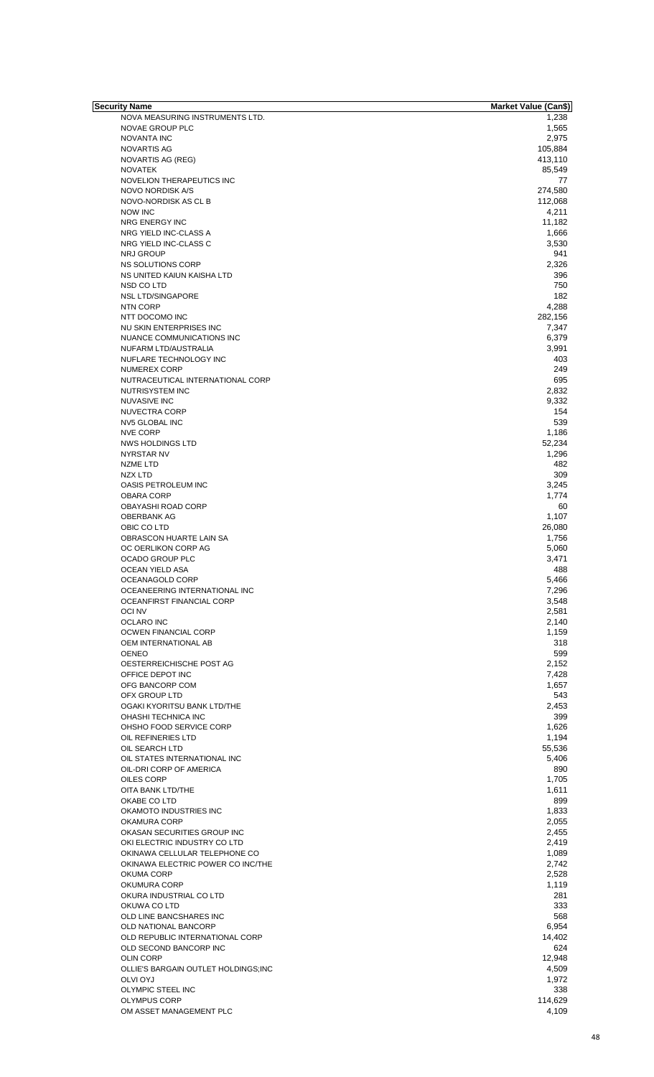| Security Name                       | <b>Market Value (Can\$)</b> |
|-------------------------------------|-----------------------------|
| NOVA MEASURING INSTRUMENTS LTD.     | 1,238                       |
| NOVAE GROUP PLC                     | 1,565                       |
| NOVANTA INC                         | 2,975                       |
| NOVARTIS AG                         | 105,884                     |
| NOVARTIS AG (REG)                   | 413,110                     |
| <b>NOVATEK</b>                      | 85,549                      |
| NOVELION THERAPEUTICS INC           | 77                          |
| NOVO NORDISK A/S                    | 274,580                     |
| NOVO-NORDISK AS CL B                | 112,068                     |
| <b>NOW INC</b>                      | 4,211                       |
| NRG ENERGY INC                      | 11,182                      |
| NRG YIELD INC-CLASS A               | 1,666                       |
| NRG YIELD INC-CLASS C               | 3,530                       |
| <b>NRJ GROUP</b>                    | 941                         |
| NS SOLUTIONS CORP                   | 2,326                       |
| NS UNITED KAIUN KAISHA LTD          | 396                         |
| NSD CO LTD                          | 750                         |
| <b>NSL LTD/SINGAPORE</b>            | 182                         |
| <b>NTN CORP</b>                     | 4,288                       |
|                                     |                             |
| NTT DOCOMO INC                      | 282,156                     |
| NU SKIN ENTERPRISES INC             | 7,347                       |
| NUANCE COMMUNICATIONS INC           | 6,379                       |
| NUFARM LTD/AUSTRALIA                | 3,991                       |
| NUFLARE TECHNOLOGY INC              | 403                         |
| <b>NUMEREX CORP</b>                 | 249                         |
| NUTRACEUTICAL INTERNATIONAL CORP    | 695                         |
| NUTRISYSTEM INC                     | 2,832                       |
| <b>NUVASIVE INC</b>                 | 9,332                       |
| NUVECTRA CORP                       | 154                         |
| NV5 GLOBAL INC                      | 539                         |
| <b>NVE CORP</b>                     | 1,186                       |
| NWS HOLDINGS LTD                    | 52,234                      |
| NYRSTAR NV                          | 1,296                       |
| <b>NZME LTD</b>                     | 482                         |
| NZX LTD                             | 309                         |
|                                     |                             |
| OASIS PETROLEUM INC                 | 3,245                       |
| <b>OBARA CORP</b>                   | 1,774                       |
| <b>OBAYASHI ROAD CORP</b>           | 60                          |
| <b>OBERBANK AG</b>                  | 1,107                       |
| OBIC CO LTD                         | 26,080                      |
| OBRASCON HUARTE LAIN SA             | 1,756                       |
| OC OERLIKON CORP AG                 | 5,060                       |
| OCADO GROUP PLC                     | 3,471                       |
| <b>OCEAN YIELD ASA</b>              | 488                         |
| OCEANAGOLD CORP                     | 5,466                       |
| OCEANEERING INTERNATIONAL INC       | 7,296                       |
| OCEANFIRST FINANCIAL CORP           | 3,548                       |
| <b>OCINV</b>                        | 2,581                       |
| <b>OCLARO INC</b>                   | 2,140                       |
| OCWEN FINANCIAL CORP                | 1,159                       |
|                                     |                             |
| OEM INTERNATIONAL AB                | 318                         |
| <b>OENEO</b>                        | 599                         |
| OESTERREICHISCHE POST AG            | 2,152                       |
| OFFICE DEPOT INC                    | 7,428                       |
| OFG BANCORP COM                     | 1,657                       |
| OFX GROUP LTD                       | 543                         |
| OGAKI KYORITSU BANK LTD/THE         | 2,453                       |
| OHASHI TECHNICA INC                 | 399                         |
| OHSHO FOOD SERVICE CORP             | 1,626                       |
| OIL REFINERIES LTD                  | 1,194                       |
| OIL SEARCH LTD                      | 55,536                      |
| OIL STATES INTERNATIONAL INC        | 5,406                       |
| OIL-DRI CORP OF AMERICA             | 890                         |
| OILES CORP                          | 1,705                       |
|                                     |                             |
| OITA BANK LTD/THE                   | 1,611                       |
| OKABE CO LTD                        | 899                         |
| OKAMOTO INDUSTRIES INC              | 1,833                       |
| OKAMURA CORP                        | 2,055                       |
| OKASAN SECURITIES GROUP INC         | 2,455                       |
| OKI ELECTRIC INDUSTRY CO LTD        | 2,419                       |
| OKINAWA CELLULAR TELEPHONE CO       | 1,089                       |
| OKINAWA ELECTRIC POWER CO INC/THE   | 2,742                       |
| OKUMA CORP                          | 2,528                       |
| OKUMURA CORP                        | 1,119                       |
| OKURA INDUSTRIAL CO LTD             | 281                         |
| OKUWA CO LTD                        | 333                         |
| OLD LINE BANCSHARES INC             | 568                         |
|                                     |                             |
| OLD NATIONAL BANCORP                | 6,954                       |
| OLD REPUBLIC INTERNATIONAL CORP     | 14,402                      |
| OLD SECOND BANCORP INC              | 624                         |
| <b>OLIN CORP</b>                    | 12,948                      |
| OLLIE'S BARGAIN OUTLET HOLDINGS;INC | 4,509                       |
| OLVI OYJ                            | 1,972                       |
| OLYMPIC STEEL INC                   | 338                         |
| <b>OLYMPUS CORP</b>                 | 114,629                     |
| OM ASSET MANAGEMENT PLC             | 4,109                       |
|                                     |                             |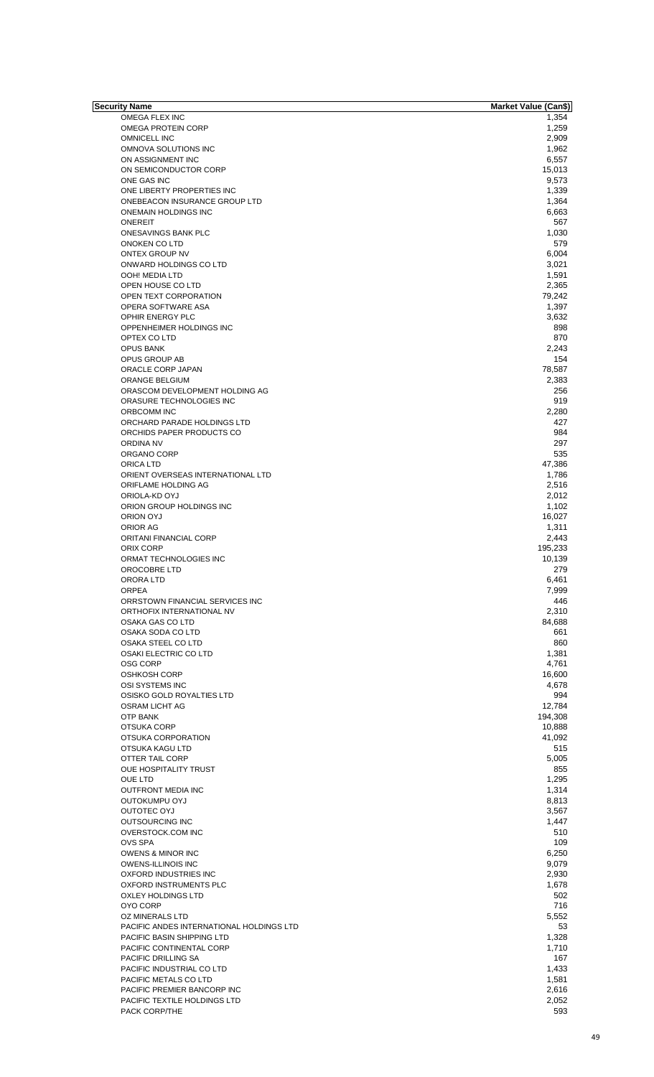| <b>Security Name</b>                     | <b>Market Value (Can\$)</b> |
|------------------------------------------|-----------------------------|
| OMEGA FLEX INC                           | 1,354                       |
| <b>OMEGA PROTEIN CORP</b>                | 1,259                       |
|                                          |                             |
| <b>OMNICELL INC</b>                      | 2,909                       |
| OMNOVA SOLUTIONS INC                     | 1,962                       |
| ON ASSIGNMENT INC                        | 6,557                       |
| ON SEMICONDUCTOR CORP                    | 15,013                      |
|                                          |                             |
| ONE GAS INC                              | 9,573                       |
| ONE LIBERTY PROPERTIES INC               | 1,339                       |
| ONEBEACON INSURANCE GROUP LTD            | 1,364                       |
|                                          |                             |
| <b>ONEMAIN HOLDINGS INC</b>              | 6,663                       |
| <b>ONEREIT</b>                           | 567                         |
| ONESAVINGS BANK PLC                      | 1,030                       |
|                                          |                             |
| ONOKEN CO LTD                            | 579                         |
| ONTEX GROUP NV                           | 6,004                       |
| ONWARD HOLDINGS CO LTD                   | 3,021                       |
|                                          |                             |
| OOH! MEDIA LTD                           | 1,591                       |
| OPEN HOUSE CO LTD                        | 2,365                       |
|                                          |                             |
| OPEN TEXT CORPORATION                    | 79,242                      |
| OPERA SOFTWARE ASA                       | 1,397                       |
| OPHIR ENERGY PLC                         | 3,632                       |
|                                          |                             |
| OPPENHEIMER HOLDINGS INC                 | 898                         |
| OPTEX COLTD                              | 870                         |
| <b>OPUS BANK</b>                         | 2,243                       |
|                                          |                             |
| OPUS GROUP AB                            | 154                         |
| ORACLE CORP JAPAN                        | 78,587                      |
| <b>ORANGE BELGIUM</b>                    | 2,383                       |
|                                          |                             |
| ORASCOM DEVELOPMENT HOLDING AG           | 256                         |
| ORASURE TECHNOLOGIES INC                 | 919                         |
| ORBCOMM INC                              | 2,280                       |
|                                          |                             |
| ORCHARD PARADE HOLDINGS LTD              | 427                         |
| ORCHIDS PAPER PRODUCTS CO                | 984                         |
| ORDINA NV                                | 297                         |
|                                          |                             |
| ORGANO CORP                              | 535                         |
| ORICA LTD                                | 47,386                      |
| ORIENT OVERSEAS INTERNATIONAL LTD        | 1,786                       |
|                                          |                             |
| ORIFLAME HOLDING AG                      | 2,516                       |
| ORIOLA-KD OYJ                            | 2,012                       |
| ORION GROUP HOLDINGS INC                 | 1,102                       |
|                                          |                             |
| ORION OYJ                                | 16,027                      |
| ORIOR AG                                 | 1,311                       |
|                                          |                             |
| ORITANI FINANCIAL CORP                   | 2,443                       |
| ORIX CORP                                | 195,233                     |
| ORMAT TECHNOLOGIES INC                   | 10,139                      |
|                                          |                             |
| OROCOBRE LTD                             | 279                         |
| ORORA LTD                                | 6,461                       |
| <b>ORPEA</b>                             | 7,999                       |
|                                          |                             |
| ORRSTOWN FINANCIAL SERVICES INC          | 446                         |
| ORTHOFIX INTERNATIONAL NV                | 2,310                       |
| OSAKA GAS CO LTD                         | 84,688                      |
|                                          |                             |
| OSAKA SODA CO LTD                        | 661                         |
| OSAKA STEEL CO LTD                       | 860                         |
| OSAKI ELECTRIC CO LTD                    | 1,381                       |
|                                          |                             |
| OSG CORP                                 | 4,761                       |
| <b>OSHKOSH CORP</b>                      | 16,600                      |
| OSI SYSTEMS INC                          | 4,678                       |
|                                          |                             |
| OSISKO GOLD ROYALTIES LTD                | 994                         |
| OSRAM LICHT AG                           | 12,784                      |
| <b>OTP BANK</b>                          | 194,308                     |
|                                          |                             |
| OTSUKA CORP                              | 10,888                      |
| OTSUKA CORPORATION                       | 41,092                      |
| OTSUKA KAGU LTD                          | 515                         |
|                                          |                             |
| OTTER TAIL CORP                          | 5,005                       |
| <b>OUE HOSPITALITY TRUST</b>             | 855                         |
| OUE LTD                                  | 1,295                       |
|                                          |                             |
| <b>OUTFRONT MEDIA INC</b>                | 1,314                       |
| OUTOKUMPU OYJ                            | 8,813                       |
| OUTOTEC OYJ                              | 3,567                       |
|                                          |                             |
| OUTSOURCING INC                          | 1,447                       |
| OVERSTOCK.COM INC                        | 510                         |
| <b>OVS SPA</b>                           | 109                         |
|                                          |                             |
| OWENS & MINOR INC                        | 6,250                       |
| <b>OWENS-ILLINOIS INC</b>                | 9,079                       |
| OXFORD INDUSTRIES INC                    | 2,930                       |
|                                          |                             |
| OXFORD INSTRUMENTS PLC                   | 1,678                       |
| OXLEY HOLDINGS LTD                       | 502                         |
| OYO CORP                                 | 716                         |
|                                          |                             |
| OZ MINERALS LTD                          | 5,552                       |
| PACIFIC ANDES INTERNATIONAL HOLDINGS LTD | 53                          |
| PACIFIC BASIN SHIPPING LTD               | 1,328                       |
|                                          |                             |
| PACIFIC CONTINENTAL CORP                 | 1,710                       |
| PACIFIC DRILLING SA                      | 167                         |
|                                          |                             |
| PACIFIC INDUSTRIAL CO LTD                | 1,433                       |
| PACIFIC METALS CO LTD                    | 1,581                       |
| PACIFIC PREMIER BANCORP INC              | 2,616                       |
|                                          |                             |
| PACIFIC TEXTILE HOLDINGS LTD             | 2,052                       |
| PACK CORP/THE                            | 593                         |
|                                          |                             |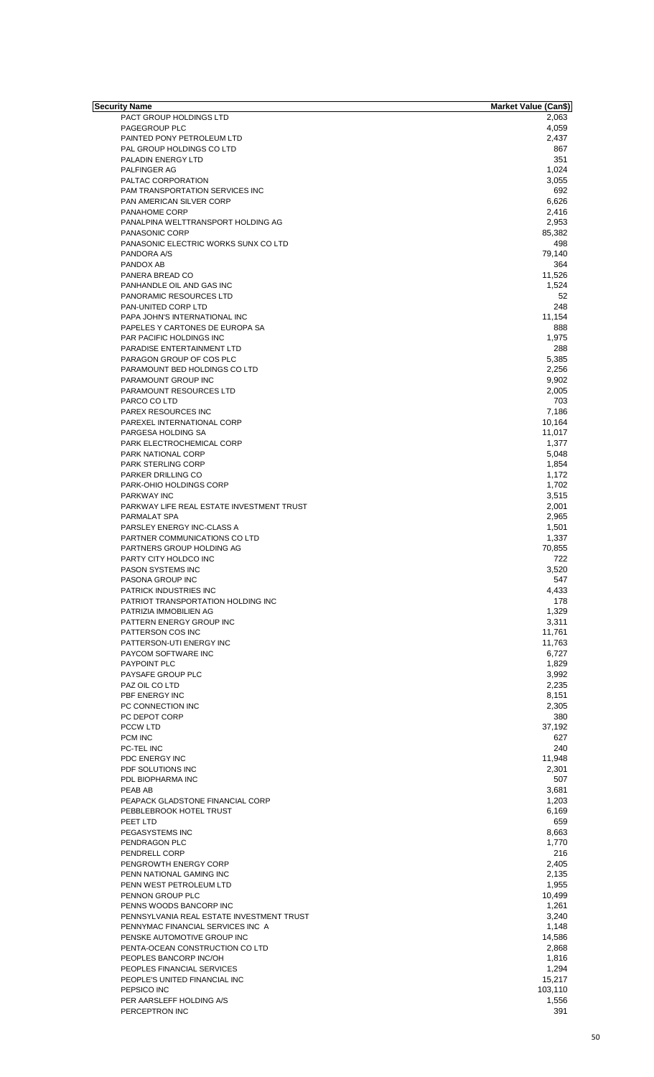| Security Name                             | <b>Market Value (Can\$)</b> |
|-------------------------------------------|-----------------------------|
| PACT GROUP HOLDINGS LTD                   | 2,063                       |
| PAGEGROUP PLC                             | 4,059                       |
| PAINTED PONY PETROLEUM LTD                | 2,437                       |
| PAL GROUP HOLDINGS CO LTD                 | 867                         |
| PALADIN ENERGY LTD                        | 351                         |
| PALFINGER AG                              | 1,024                       |
| PALTAC CORPORATION                        | 3,055                       |
|                                           | 692                         |
| <b>PAM TRANSPORTATION SERVICES INC</b>    |                             |
| PAN AMERICAN SILVER CORP                  | 6,626                       |
| PANAHOME CORP                             | 2,416                       |
| PANALPINA WELTTRANSPORT HOLDING AG        | 2,953                       |
| PANASONIC CORP                            | 85,382                      |
| PANASONIC ELECTRIC WORKS SUNX CO LTD      | 498                         |
| PANDORA A/S                               | 79,140                      |
| PANDOX AB                                 | 364                         |
| PANERA BREAD CO                           | 11,526                      |
| PANHANDLE OIL AND GAS INC                 | 1,524                       |
| PANORAMIC RESOURCES LTD                   | 52                          |
| PAN-UNITED CORP LTD                       | 248                         |
|                                           |                             |
| PAPA JOHN'S INTERNATIONAL INC             | 11,154                      |
| PAPELES Y CARTONES DE EUROPA SA           | 888                         |
| <b>PAR PACIFIC HOLDINGS INC</b>           | 1,975                       |
| PARADISE ENTERTAINMENT LTD                | 288                         |
| PARAGON GROUP OF COS PLC                  | 5,385                       |
| PARAMOUNT BED HOLDINGS CO LTD             | 2,256                       |
| PARAMOUNT GROUP INC                       | 9,902                       |
| PARAMOUNT RESOURCES LTD                   | 2,005                       |
| PARCO CO LTD                              | 703                         |
| PAREX RESOURCES INC                       | 7,186                       |
| PAREXEL INTERNATIONAL CORP                | 10,164                      |
|                                           |                             |
| PARGESA HOLDING SA                        | 11,017                      |
| PARK ELECTROCHEMICAL CORP                 | 1,377                       |
| PARK NATIONAL CORP                        | 5,048                       |
| <b>PARK STERLING CORP</b>                 | 1,854                       |
| PARKER DRILLING CO                        | 1,172                       |
| PARK-OHIO HOLDINGS CORP                   | 1,702                       |
| <b>PARKWAY INC</b>                        | 3,515                       |
| PARKWAY LIFE REAL ESTATE INVESTMENT TRUST | 2,001                       |
| PARMALAT SPA                              | 2,965                       |
| PARSLEY ENERGY INC-CLASS A                | 1,501                       |
| PARTNER COMMUNICATIONS CO LTD             | 1,337                       |
| PARTNERS GROUP HOLDING AG                 | 70,855                      |
| PARTY CITY HOLDCO INC                     | 722                         |
|                                           |                             |
| <b>PASON SYSTEMS INC</b>                  | 3,520                       |
| PASONA GROUP INC                          | 547                         |
| PATRICK INDUSTRIES INC                    | 4,433                       |
| PATRIOT TRANSPORTATION HOLDING INC        | 178                         |
| PATRIZIA IMMOBILIEN AG                    | 1,329                       |
| PATTERN ENERGY GROUP INC                  | 3,311                       |
| PATTERSON COS INC                         | 11,761                      |
| PATTERSON-UTI ENERGY INC                  | 11,763                      |
| PAYCOM SOFTWARE INC                       | 6,727                       |
| PAYPOINT PLC                              | 1,829                       |
| PAYSAFE GROUP PLC                         | 3,992                       |
| PAZ OIL CO LTD                            | 2,235                       |
| PBF ENERGY INC                            | 8,151                       |
|                                           |                             |
| PC CONNECTION INC<br>PC DEPOT CORP        | 2,305                       |
|                                           | 380                         |
| PCCW LTD                                  | 37,192                      |
| PCM INC                                   | 627                         |
| PC-TEL INC                                | 240                         |
| PDC ENERGY INC                            | 11,948                      |
| PDF SOLUTIONS INC                         | 2,301                       |
| PDL BIOPHARMA INC                         | 507                         |
| PEAB AB                                   | 3,681                       |
| PEAPACK GLADSTONE FINANCIAL CORP          | 1,203                       |
| PEBBLEBROOK HOTEL TRUST                   | 6,169                       |
| PEET LTD                                  | 659                         |
| PEGASYSTEMS INC                           | 8,663                       |
| PENDRAGON PLC                             | 1,770                       |
|                                           | 216                         |
| PENDRELL CORP                             |                             |
| PENGROWTH ENERGY CORP                     | 2,405                       |
| PENN NATIONAL GAMING INC                  | 2,135                       |
| PENN WEST PETROLEUM LTD                   | 1,955                       |
| PENNON GROUP PLC                          | 10,499                      |
| PENNS WOODS BANCORP INC                   | 1,261                       |
| PENNSYLVANIA REAL ESTATE INVESTMENT TRUST | 3,240                       |
| PENNYMAC FINANCIAL SERVICES INC A         | 1,148                       |
| PENSKE AUTOMOTIVE GROUP INC               | 14,586                      |
| PENTA-OCEAN CONSTRUCTION CO LTD           | 2,868                       |
| PEOPLES BANCORP INC/OH                    | 1,816                       |
| PEOPLES FINANCIAL SERVICES                |                             |
|                                           | 1,294                       |
| PEOPLE'S UNITED FINANCIAL INC             | 15,217                      |
| PEPSICO INC                               | 103,110                     |
| PER AARSLEFF HOLDING A/S                  | 1,556                       |
| PERCEPTRON INC                            | 391                         |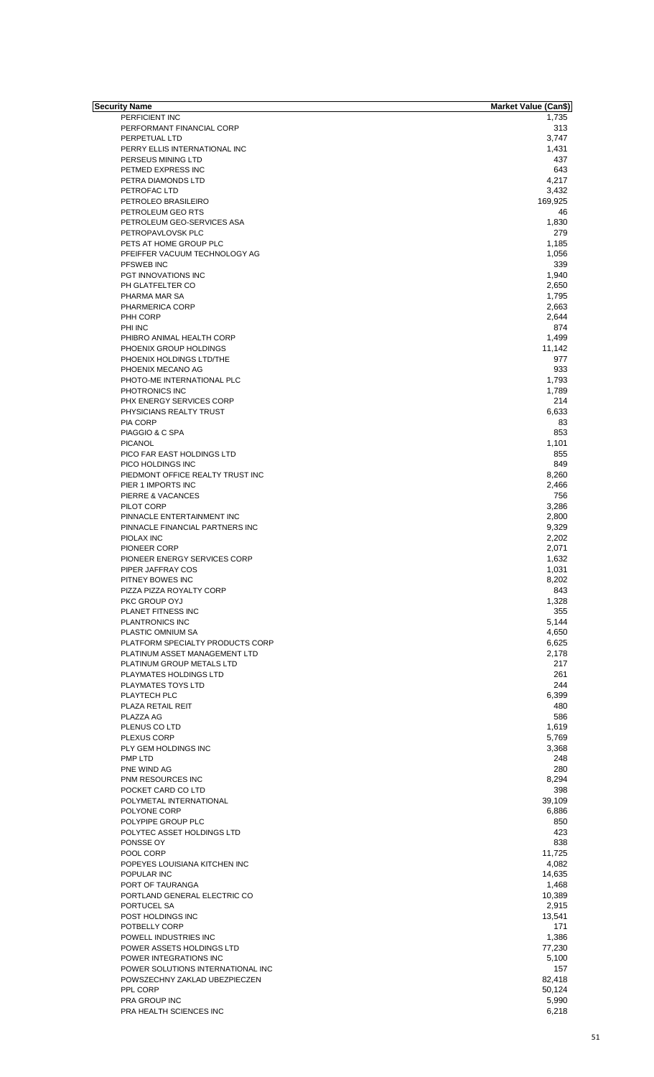| Security Name                     | <b>Market Value (Can\$)</b> |
|-----------------------------------|-----------------------------|
| PERFICIENT INC                    | 1,735                       |
| PERFORMANT FINANCIAL CORP         | 313                         |
| PERPETUAL LTD                     | 3,747                       |
| PERRY ELLIS INTERNATIONAL INC     | 1,431                       |
| PERSEUS MINING LTD                | 437                         |
|                                   |                             |
| PETMED EXPRESS INC                | 643                         |
| PETRA DIAMONDS LTD                | 4,217                       |
| PETROFAC LTD                      | 3,432                       |
| PETROLEO BRASILEIRO               | 169,925                     |
| PETROLEUM GEO RTS                 | 46                          |
| PETROLEUM GEO-SERVICES ASA        | 1,830                       |
| PETROPAVLOVSK PLC                 | 279                         |
|                                   |                             |
| PETS AT HOME GROUP PLC            | 1,185                       |
| PFEIFFER VACUUM TECHNOLOGY AG     | 1,056                       |
| <b>PFSWEB INC</b>                 | 339                         |
| PGT INNOVATIONS INC               | 1,940                       |
| PH GLATFELTER CO                  | 2,650                       |
| PHARMA MAR SA                     | 1,795                       |
| PHARMERICA CORP                   | 2,663                       |
| PHH CORP                          | 2,644                       |
|                                   |                             |
| PHI INC                           | 874                         |
| PHIBRO ANIMAL HEALTH CORP         | 1,499                       |
| PHOENIX GROUP HOLDINGS            | 11,142                      |
| PHOENIX HOLDINGS LTD/THE          | 977                         |
| PHOENIX MECANO AG                 | 933                         |
| PHOTO-ME INTERNATIONAL PLC        | 1,793                       |
| PHOTRONICS INC                    | 1,789                       |
|                                   | 214                         |
| PHX ENERGY SERVICES CORP          |                             |
| PHYSICIANS REALTY TRUST           | 6,633                       |
| <b>PIA CORP</b>                   | 83                          |
| PIAGGIO & C SPA                   | 853                         |
| <b>PICANOL</b>                    | 1,101                       |
| PICO FAR EAST HOLDINGS LTD        | 855                         |
| PICO HOLDINGS INC                 | 849                         |
| PIEDMONT OFFICE REALTY TRUST INC  | 8,260                       |
|                                   |                             |
| PIER 1 IMPORTS INC                | 2,466                       |
| PIERRE & VACANCES                 | 756                         |
| PILOT CORP                        | 3,286                       |
| PINNACLE ENTERTAINMENT INC        | 2,800                       |
| PINNACLE FINANCIAL PARTNERS INC   | 9,329                       |
| PIOLAX INC                        | 2,202                       |
| PIONEER CORP                      | 2,071                       |
|                                   |                             |
| PIONEER ENERGY SERVICES CORP      | 1,632                       |
| PIPER JAFFRAY COS                 | 1,031                       |
| PITNEY BOWES INC                  | 8,202                       |
| PIZZA PIZZA ROYALTY CORP          | 843                         |
| PKC GROUP OYJ                     | 1,328                       |
| PLANET FITNESS INC                | 355                         |
| PLANTRONICS INC                   | 5,144                       |
|                                   |                             |
| PLASTIC OMNIUM SA                 | 4,650                       |
| PLATFORM SPECIALTY PRODUCTS CORP  | 6,625                       |
| PLATINUM ASSET MANAGEMENT LTD     | 2,178                       |
| PLATINUM GROUP METALS LTD         | 217                         |
| PLAYMATES HOLDINGS LTD            | 261                         |
| PLAYMATES TOYS LTD                | 244                         |
| PLAYTECH PLC                      | 6,399                       |
| PLAZA RETAIL REIT                 | 480                         |
|                                   |                             |
| PLAZZA AG                         | 586                         |
| PLENUS CO LTD                     | 1,619                       |
| <b>PLEXUS CORP</b>                | 5,769                       |
| PLY GEM HOLDINGS INC              | 3,368                       |
| PMP LTD                           | 248                         |
| PNE WIND AG                       | 280                         |
| PNM RESOURCES INC                 | 8,294                       |
| POCKET CARD CO LTD                | 398                         |
|                                   |                             |
| POLYMETAL INTERNATIONAL           | 39,109                      |
| POLYONE CORP                      | 6,886                       |
| POLYPIPE GROUP PLC                | 850                         |
| POLYTEC ASSET HOLDINGS LTD        | 423                         |
| PONSSE OY                         | 838                         |
| POOL CORP                         | 11,725                      |
| POPEYES LOUISIANA KITCHEN INC     | 4,082                       |
|                                   |                             |
| POPULAR INC                       | 14,635                      |
| PORT OF TAURANGA                  | 1,468                       |
| PORTLAND GENERAL ELECTRIC CO      | 10,389                      |
| PORTUCEL SA                       | 2,915                       |
| POST HOLDINGS INC                 | 13,541                      |
|                                   | 171                         |
| POTBELLY CORP                     |                             |
| POWELL INDUSTRIES INC             | 1,386                       |
| POWER ASSETS HOLDINGS LTD         | 77,230                      |
| POWER INTEGRATIONS INC            | 5,100                       |
| POWER SOLUTIONS INTERNATIONAL INC | 157                         |
| POWSZECHNY ZAKLAD UBEZPIECZEN     | 82,418                      |
| PPL CORP                          | 50,124                      |
|                                   |                             |
| <b>PRA GROUP INC</b>              | 5,990                       |
| PRA HEALTH SCIENCES INC           | 6,218                       |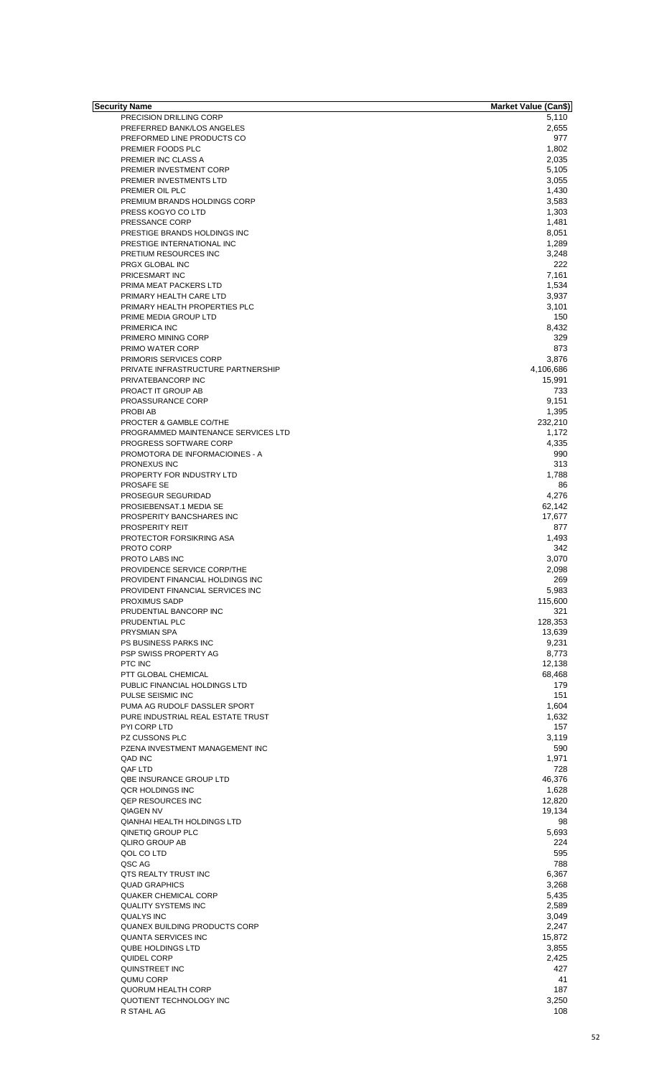| Security Name                       | <b>Market Value (Can\$)</b> |
|-------------------------------------|-----------------------------|
| PRECISION DRILLING CORP             | 5,110                       |
| PREFERRED BANK/LOS ANGELES          | 2,655                       |
| PREFORMED LINE PRODUCTS CO          | 977                         |
| PREMIER FOODS PLC                   | 1,802                       |
| PREMIER INC CLASS A                 | 2,035                       |
| PREMIER INVESTMENT CORP             | 5,105                       |
| PREMIER INVESTMENTS LTD             | 3,055                       |
| PREMIER OIL PLC                     | 1,430                       |
| PREMIUM BRANDS HOLDINGS CORP        | 3,583                       |
|                                     |                             |
| PRESS KOGYO CO LTD                  | 1,303                       |
| PRESSANCE CORP                      | 1,481                       |
| PRESTIGE BRANDS HOLDINGS INC        | 8,051                       |
| PRESTIGE INTERNATIONAL INC          | 1,289                       |
| PRETIUM RESOURCES INC               | 3,248                       |
| PRGX GLOBAL INC                     | 222                         |
| PRICESMART INC                      | 7,161                       |
|                                     |                             |
| PRIMA MEAT PACKERS LTD              | 1,534                       |
| PRIMARY HEALTH CARE LTD             | 3,937                       |
| PRIMARY HEALTH PROPERTIES PLC       | 3,101                       |
| PRIME MEDIA GROUP LTD               | 150                         |
| PRIMERICA INC                       | 8,432                       |
| PRIMERO MINING CORP                 | 329                         |
| PRIMO WATER CORP                    | 873                         |
|                                     | 3,876                       |
| PRIMORIS SERVICES CORP              |                             |
| PRIVATE INFRASTRUCTURE PARTNERSHIP  | 4,106,686                   |
| PRIVATEBANCORP INC                  | 15,991                      |
| PROACT IT GROUP AB                  | 733                         |
| PROASSURANCE CORP                   | 9,151                       |
| PROBI AB                            | 1,395                       |
| PROCTER & GAMBLE CO/THE             | 232,210                     |
| PROGRAMMED MAINTENANCE SERVICES LTD | 1,172                       |
|                                     |                             |
| PROGRESS SOFTWARE CORP              | 4,335                       |
| PROMOTORA DE INFORMACIOINES - A     | 990                         |
| PRONEXUS INC                        | 313                         |
| PROPERTY FOR INDUSTRY LTD           | 1,788                       |
| PROSAFE SE                          | 86                          |
| PROSEGUR SEGURIDAD                  | 4,276                       |
| PROSIEBENSAT.1 MEDIA SE             | 62,142                      |
| PROSPERITY BANCSHARES INC           | 17,677                      |
|                                     |                             |
| <b>PROSPERITY REIT</b>              | 877                         |
| PROTECTOR FORSIKRING ASA            | 1.493                       |
| PROTO CORP                          | 342                         |
| PROTO LABS INC                      | 3.070                       |
| PROVIDENCE SERVICE CORP/THE         | 2,098                       |
| PROVIDENT FINANCIAL HOLDINGS INC    | 269                         |
| PROVIDENT FINANCIAL SERVICES INC    | 5,983                       |
|                                     |                             |
| <b>PROXIMUS SADP</b>                | 115,600                     |
| PRUDENTIAL BANCORP INC              | 321                         |
| PRUDENTIAL PLC                      | 128,353                     |
| <b>PRYSMIAN SPA</b>                 | 13,639                      |
| PS BUSINESS PARKS INC               | 9,231                       |
| PSP SWISS PROPERTY AG               | 8,773                       |
| PTC INC                             | 12,138                      |
|                                     |                             |
| PTT GLOBAL CHEMICAL                 | 68,468                      |
| PUBLIC FINANCIAL HOLDINGS LTD       | 179                         |
| PULSE SEISMIC INC                   | 151                         |
| PUMA AG RUDOLF DASSLER SPORT        | 1,604                       |
| PURE INDUSTRIAL REAL ESTATE TRUST   | 1,632                       |
| PYI CORP LTD                        | 157                         |
|                                     |                             |
| PZ CUSSONS PLC                      | 3,119                       |
| PZENA INVESTMENT MANAGEMENT INC     | 590                         |
| QAD INC                             | 1,971                       |
| QAF LTD                             | 728                         |
| <b>QBE INSURANCE GROUP LTD</b>      | 46,376                      |
| QCR HOLDINGS INC                    | 1,628                       |
|                                     |                             |
| <b>QEP RESOURCES INC</b>            | 12,820                      |
| <b>QIAGEN NV</b>                    | 19,134                      |
| <b>QIANHAI HEALTH HOLDINGS LTD</b>  | 98                          |
| QINETIQ GROUP PLC                   | 5,693                       |
| <b>QLIRO GROUP AB</b>               | 224                         |
| QOL CO LTD                          | 595                         |
| QSC AG                              | 788                         |
|                                     |                             |
| QTS REALTY TRUST INC                | 6,367                       |
| <b>QUAD GRAPHICS</b>                | 3,268                       |
| <b>QUAKER CHEMICAL CORP</b>         | 5,435                       |
| <b>QUALITY SYSTEMS INC</b>          | 2,589                       |
| QUALYS INC                          | 3,049                       |
|                                     |                             |
| QUANEX BUILDING PRODUCTS CORP       | 2,247                       |
| <b>QUANTA SERVICES INC</b>          | 15,872                      |
| <b>QUBE HOLDINGS LTD</b>            | 3,855                       |
| QUIDEL CORP                         | 2,425                       |
| QUINSTREET INC                      | 427                         |
| QUMU CORP                           | 41                          |
| QUORUM HEALTH CORP                  |                             |
|                                     | 187                         |
| QUOTIENT TECHNOLOGY INC             | 3,250                       |
| R STAHL AG                          | 108                         |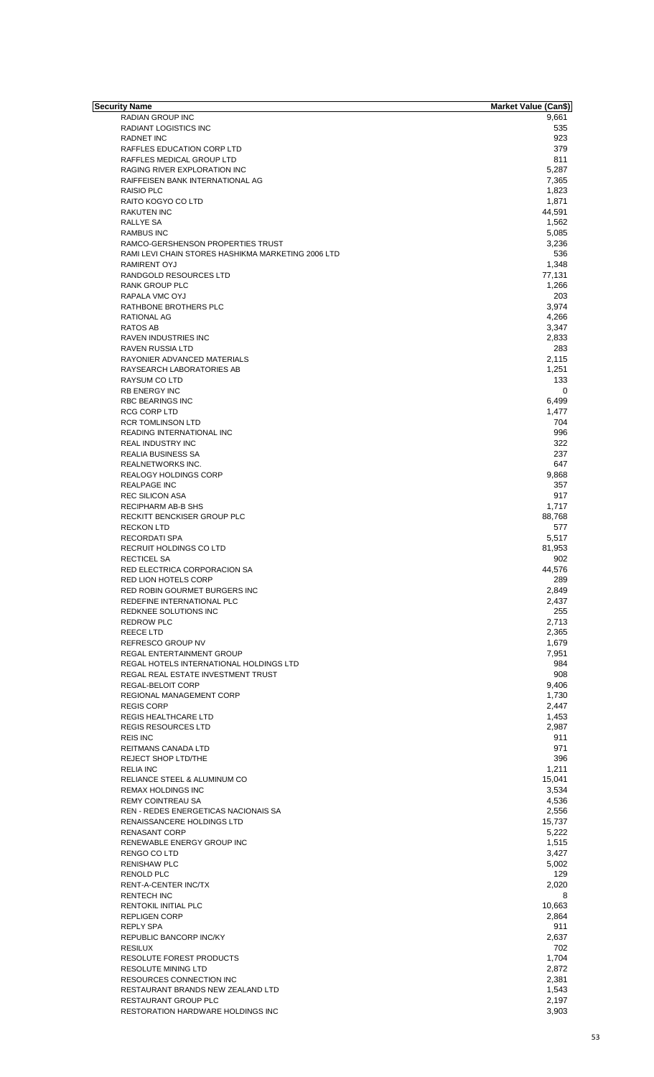| Security Name                                      | <b>Market Value (Can\$)</b> |
|----------------------------------------------------|-----------------------------|
| RADIAN GROUP INC                                   | 9,661                       |
| RADIANT LOGISTICS INC                              | 535                         |
| <b>RADNET INC</b>                                  | 923                         |
|                                                    |                             |
| RAFFLES EDUCATION CORP LTD                         | 379                         |
| RAFFLES MEDICAL GROUP LTD                          | 811                         |
| RAGING RIVER EXPLORATION INC                       | 5,287                       |
| RAIFFEISEN BANK INTERNATIONAL AG                   | 7,365                       |
| <b>RAISIO PLC</b>                                  | 1,823                       |
| RAITO KOGYO CO LTD                                 | 1,871                       |
|                                                    |                             |
| <b>RAKUTEN INC</b>                                 | 44,591                      |
| <b>RALLYE SA</b>                                   | 1,562                       |
| <b>RAMBUS INC</b>                                  | 5,085                       |
| RAMCO-GERSHENSON PROPERTIES TRUST                  | 3,236                       |
| RAMI LEVI CHAIN STORES HASHIKMA MARKETING 2006 LTD | 536                         |
| <b>RAMIRENT OYJ</b>                                | 1,348                       |
|                                                    |                             |
| RANDGOLD RESOURCES LTD                             | 77,131                      |
| RANK GROUP PLC                                     | 1,266                       |
| RAPALA VMC OYJ                                     | 203                         |
| RATHBONE BROTHERS PLC                              | 3,974                       |
|                                                    |                             |
| RATIONAL AG                                        | 4,266                       |
| <b>RATOS AB</b>                                    | 3,347                       |
| <b>RAVEN INDUSTRIES INC</b>                        | 2,833                       |
| <b>RAVEN RUSSIA LTD</b>                            | 283                         |
| RAYONIER ADVANCED MATERIALS                        | 2,115                       |
|                                                    |                             |
| RAYSEARCH LABORATORIES AB                          | 1,251                       |
| <b>RAYSUM CO LTD</b>                               | 133                         |
| <b>RB ENERGY INC</b>                               | 0                           |
| <b>RBC BEARINGS INC</b>                            | 6,499                       |
|                                                    |                             |
| RCG CORP LTD                                       | 1,477                       |
| <b>RCR TOMLINSON LTD</b>                           | 704                         |
| READING INTERNATIONAL INC                          | 996                         |
| REAL INDUSTRY INC                                  | 322                         |
|                                                    | 237                         |
| REALIA BUSINESS SA                                 |                             |
| REALNETWORKS INC.                                  | 647                         |
| <b>REALOGY HOLDINGS CORP</b>                       | 9,868                       |
| <b>REALPAGE INC</b>                                | 357                         |
| <b>REC SILICON ASA</b>                             | 917                         |
|                                                    |                             |
| <b>RECIPHARM AB-B SHS</b>                          | 1,717                       |
| RECKITT BENCKISER GROUP PLC                        | 88,768                      |
| <b>RECKON LTD</b>                                  | 577                         |
| <b>RECORDATI SPA</b>                               | 5,517                       |
|                                                    |                             |
| <b>RECRUIT HOLDINGS CO LTD</b>                     | 81,953                      |
| <b>RECTICEL SA</b>                                 | 902                         |
| RED ELECTRICA CORPORACION SA                       | 44,576                      |
| RED LION HOTELS CORP                               | 289                         |
|                                                    |                             |
| RED ROBIN GOURMET BURGERS INC                      | 2,849                       |
| REDEFINE INTERNATIONAL PLC                         | 2,437                       |
| REDKNEE SOLUTIONS INC                              | 255                         |
| <b>REDROW PLC</b>                                  | 2,713                       |
| <b>REECELTD</b>                                    | 2,365                       |
|                                                    |                             |
| REFRESCO GROUP NV                                  | 1,679                       |
| REGAL ENTERTAINMENT GROUP                          | 7,951                       |
| REGAL HOTELS INTERNATIONAL HOLDINGS LTD            | 984                         |
| REGAL REAL ESTATE INVESTMENT TRUST                 | 908                         |
|                                                    | 9,406                       |
| REGAL-BELOIT CORP                                  |                             |
| REGIONAL MANAGEMENT CORP                           | 1,730                       |
| <b>REGIS CORP</b>                                  | 2,447                       |
| REGIS HEALTHCARE LTD                               | 1,453                       |
| <b>REGIS RESOURCES LTD</b>                         | 2,987                       |
|                                                    |                             |
| <b>REIS INC</b>                                    | 911                         |
| REITMANS CANADA LTD                                | 971                         |
| REJECT SHOP LTD/THE                                | 396                         |
| <b>RELIA INC</b>                                   | 1,211                       |
|                                                    |                             |
| RELIANCE STEEL & ALUMINUM CO                       | 15,041                      |
| <b>REMAX HOLDINGS INC</b>                          | 3,534                       |
| REMY COINTREAU SA                                  | 4,536                       |
| REN - REDES ENERGETICAS NACIONAIS SA               | 2,556                       |
| RENAISSANCERE HOLDINGS LTD                         | 15,737                      |
|                                                    |                             |
| <b>RENASANT CORP</b>                               | 5,222                       |
| RENEWABLE ENERGY GROUP INC                         | 1,515                       |
| RENGO CO LTD                                       | 3,427                       |
| <b>RENISHAW PLC</b>                                | 5,002                       |
|                                                    |                             |
| <b>RENOLD PLC</b>                                  | 129                         |
| RENT-A-CENTER INC/TX                               | 2,020                       |
| <b>RENTECH INC</b>                                 | 8                           |
| RENTOKIL INITIAL PLC                               | 10,663                      |
|                                                    |                             |
| <b>REPLIGEN CORP</b>                               | 2,864                       |
| <b>REPLY SPA</b>                                   | 911                         |
| <b>REPUBLIC BANCORP INC/KY</b>                     | 2,637                       |
| <b>RESILUX</b>                                     | 702                         |
| RESOLUTE FOREST PRODUCTS                           | 1,704                       |
|                                                    |                             |
| <b>RESOLUTE MINING LTD</b>                         | 2,872                       |
| <b>RESOURCES CONNECTION INC</b>                    | 2,381                       |
| RESTAURANT BRANDS NEW ZEALAND LTD                  | 1,543                       |
| <b>RESTAURANT GROUP PLC</b>                        | 2,197                       |
|                                                    |                             |
| RESTORATION HARDWARE HOLDINGS INC                  | 3,903                       |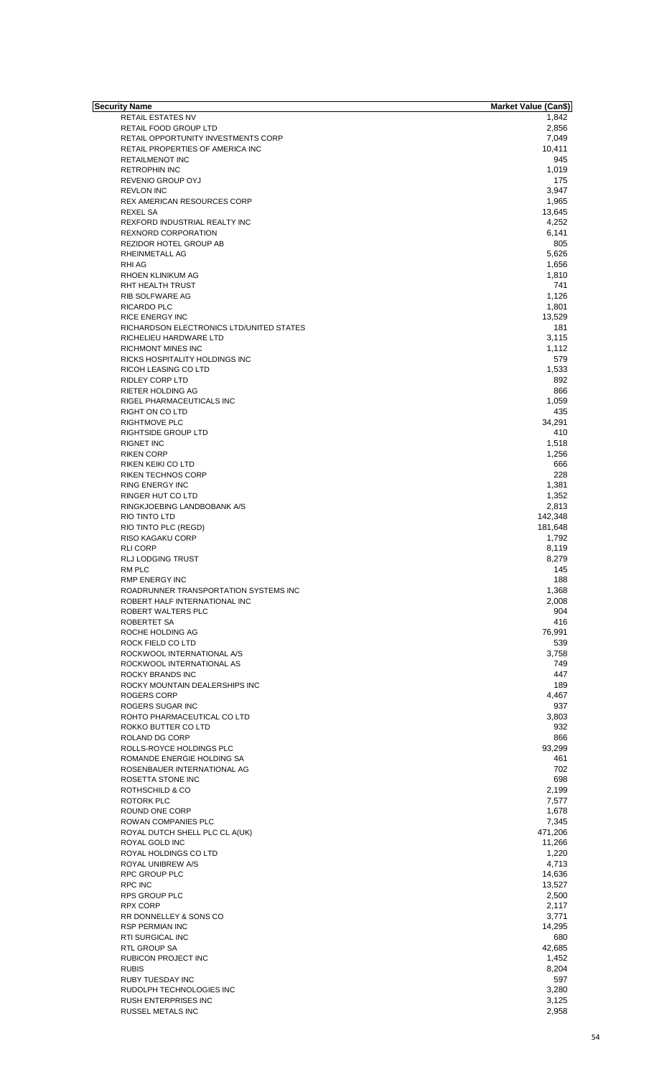| <b>Security Name</b>                     | <b>Market Value (Can\$)</b> |
|------------------------------------------|-----------------------------|
| <b>RETAIL ESTATES NV</b>                 | 1,842                       |
| RETAIL FOOD GROUP LTD                    | 2,856                       |
| RETAIL OPPORTUNITY INVESTMENTS CORP      | 7,049                       |
| RETAIL PROPERTIES OF AMERICA INC         | 10,411                      |
| <b>RETAILMENOT INC</b>                   | 945                         |
|                                          |                             |
| <b>RETROPHIN INC</b>                     | 1,019                       |
| REVENIO GROUP OYJ                        | 175                         |
| <b>REVLON INC</b>                        | 3,947                       |
| REX AMERICAN RESOURCES CORP              | 1,965                       |
| <b>REXEL SA</b>                          | 13,645                      |
| REXFORD INDUSTRIAL REALTY INC            | 4,252                       |
| <b>REXNORD CORPORATION</b>               | 6,141                       |
| REZIDOR HOTEL GROUP AB                   | 805                         |
| RHEINMETALL AG                           | 5,626                       |
|                                          |                             |
| RHI AG                                   | 1,656                       |
| RHOEN KLINIKUM AG                        | 1,810                       |
| RHT HEALTH TRUST                         | 741                         |
| RIB SOLFWARE AG                          | 1,126                       |
| RICARDO PLC                              | 1,801                       |
| <b>RICE ENERGY INC</b>                   | 13,529                      |
| RICHARDSON ELECTRONICS LTD/UNITED STATES | 181                         |
| RICHELIEU HARDWARE LTD                   | 3,115                       |
| <b>RICHMONT MINES INC</b>                |                             |
|                                          | 1,112                       |
| RICKS HOSPITALITY HOLDINGS INC           | 579                         |
| RICOH LEASING CO LTD                     | 1,533                       |
| <b>RIDLEY CORP LTD</b>                   | 892                         |
| RIETER HOLDING AG                        | 866                         |
| RIGEL PHARMACEUTICALS INC                | 1,059                       |
| RIGHT ON CO LTD                          | 435                         |
| <b>RIGHTMOVE PLC</b>                     | 34,291                      |
|                                          |                             |
| RIGHTSIDE GROUP LTD                      | 410                         |
| <b>RIGNET INC</b>                        | 1,518                       |
| <b>RIKEN CORP</b>                        | 1,256                       |
| RIKEN KEIKI CO LTD                       | 666                         |
| <b>RIKEN TECHNOS CORP</b>                | 228                         |
| <b>RING ENERGY INC</b>                   | 1,381                       |
| RINGER HUT CO LTD                        | 1,352                       |
| RINGKJOEBING LANDBOBANK A/S              | 2,813                       |
|                                          |                             |
| RIO TINTO LTD                            | 142,348                     |
| RIO TINTO PLC (REGD)                     | 181,648                     |
| RISO KAGAKU CORP                         | 1,792                       |
| <b>RLI CORP</b>                          | 8,119                       |
| <b>RLJ LODGING TRUST</b>                 | 8,279                       |
| RM PLC                                   | 145                         |
| <b>RMP ENERGY INC</b>                    | 188                         |
| ROADRUNNER TRANSPORTATION SYSTEMS INC    | 1,368                       |
|                                          |                             |
| ROBERT HALF INTERNATIONAL INC.           | 2,008                       |
| ROBERT WALTERS PLC                       | 904                         |
| ROBERTET SA                              | 416                         |
| ROCHE HOLDING AG                         | 76,991                      |
| ROCK FIELD CO LTD                        | 539                         |
| ROCKWOOL INTERNATIONAL A/S               | 3,758                       |
| ROCKWOOL INTERNATIONAL AS                | 749                         |
| ROCKY BRANDS INC                         | 447                         |
|                                          |                             |
| ROCKY MOUNTAIN DEALERSHIPS INC           | 189                         |
| <b>ROGERS CORP</b>                       | 4,467                       |
| ROGERS SUGAR INC                         | 937                         |
| ROHTO PHARMACEUTICAL CO LTD              | 3,803                       |
| ROKKO BUTTER CO LTD                      | 932                         |
| ROLAND DG CORP                           | 866                         |
| ROLLS-ROYCE HOLDINGS PLC                 | 93,299                      |
| ROMANDE ENERGIE HOLDING SA               | 461                         |
|                                          | 702                         |
| ROSENBAUER INTERNATIONAL AG              |                             |
| ROSETTA STONE INC                        | 698                         |
| ROTHSCHILD & CO                          | 2,199                       |
| <b>ROTORK PLC</b>                        | 7,577                       |
| ROUND ONE CORP                           | 1,678                       |
| ROWAN COMPANIES PLC                      | 7,345                       |
| ROYAL DUTCH SHELL PLC CL A(UK)           | 471,206                     |
| ROYAL GOLD INC                           | 11,266                      |
|                                          |                             |
| ROYAL HOLDINGS CO LTD                    | 1,220                       |
| ROYAL UNIBREW A/S                        | 4,713                       |
| <b>RPC GROUP PLC</b>                     | 14,636                      |
| <b>RPC INC</b>                           | 13,527                      |
| RPS GROUP PLC                            | 2,500                       |
| <b>RPX CORP</b>                          | 2,117                       |
| RR DONNELLEY & SONS CO                   | 3,771                       |
|                                          |                             |
| <b>RSP PERMIAN INC</b>                   | 14,295                      |
| <b>RTI SURGICAL INC</b>                  | 680                         |
| RTL GROUP SA                             | 42,685                      |
| <b>RUBICON PROJECT INC</b>               | 1,452                       |
| <b>RUBIS</b>                             | 8,204                       |
| RUBY TUESDAY INC                         | 597                         |
| RUDOLPH TECHNOLOGIES INC                 | 3,280                       |
| <b>RUSH ENTERPRISES INC</b>              | 3,125                       |
|                                          |                             |
| RUSSEL METALS INC                        | 2,958                       |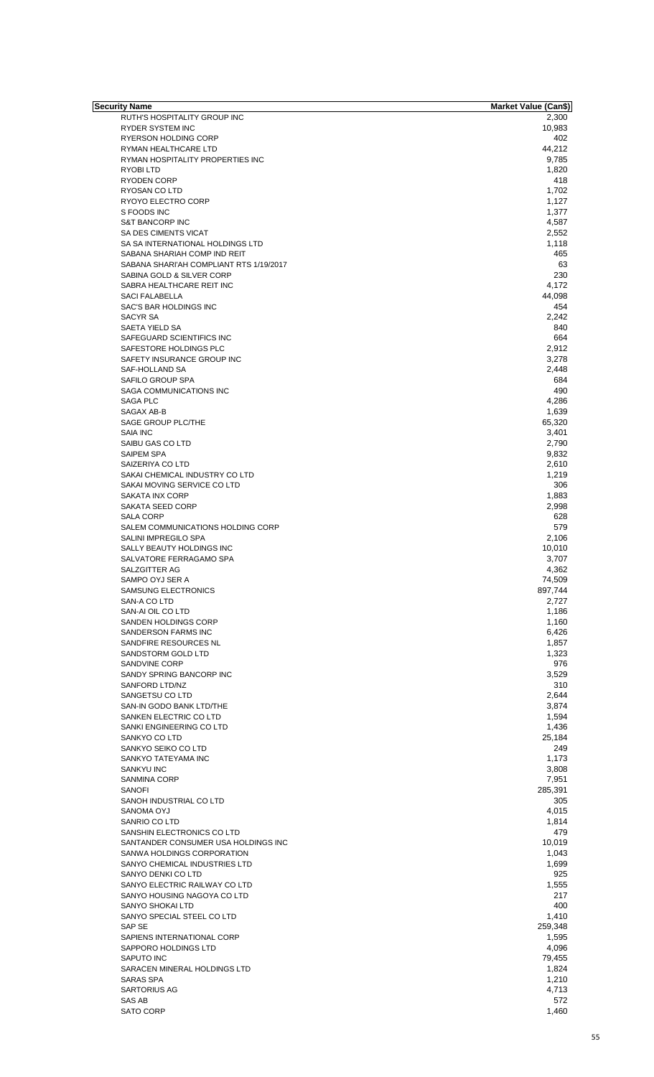| Security Name                           | Market Value (Can\$) |
|-----------------------------------------|----------------------|
| RUTH'S HOSPITALITY GROUP INC            | 2,300                |
| <b>RYDER SYSTEM INC</b>                 | 10,983               |
| <b>RYERSON HOLDING CORP</b>             | 402                  |
| RYMAN HEALTHCARE LTD                    | 44,212               |
| RYMAN HOSPITALITY PROPERTIES INC        | 9,785                |
| RYOBI LTD                               | 1,820                |
| <b>RYODEN CORP</b>                      | 418                  |
| RYOSAN CO LTD                           | 1,702                |
| RYOYO ELECTRO CORP                      | 1,127                |
| S FOODS INC                             | 1,377                |
| <b>S&amp;T BANCORP INC</b>              | 4,587                |
| SA DES CIMENTS VICAT                    | 2,552                |
| SA SA INTERNATIONAL HOLDINGS LTD        | 1,118                |
| SABANA SHARIAH COMP IND REIT            | 465                  |
| SABANA SHARI'AH COMPLIANT RTS 1/19/2017 | 63                   |
|                                         |                      |
| SABINA GOLD & SILVER CORP               | 230                  |
| SABRA HEALTHCARE REIT INC               | 4,172                |
| <b>SACI FALABELLA</b>                   | 44,098               |
| SAC'S BAR HOLDINGS INC                  | 454                  |
| <b>SACYR SA</b>                         | 2,242                |
| SAETA YIELD SA                          | 840                  |
| SAFEGUARD SCIENTIFICS INC               | 664                  |
| SAFESTORE HOLDINGS PLC                  | 2,912                |
| SAFETY INSURANCE GROUP INC              | 3,278                |
| SAF-HOLLAND SA                          | 2,448                |
| SAFILO GROUP SPA                        | 684                  |
| SAGA COMMUNICATIONS INC                 | 490                  |
| SAGA PLC                                | 4,286                |
| SAGAX AB-B                              | 1,639                |
|                                         |                      |
| SAGE GROUP PLC/THE                      | 65,320               |
| SAIA INC                                | 3,401                |
| SAIBU GAS CO LTD                        | 2,790                |
| <b>SAIPEM SPA</b>                       | 9,832                |
| SAIZERIYA CO LTD                        | 2,610                |
| SAKAI CHEMICAL INDUSTRY CO LTD          | 1,219                |
| SAKAI MOVING SERVICE CO LTD             | 306                  |
| <b>SAKATA INX CORP</b>                  | 1,883                |
| SAKATA SEED CORP                        | 2,998                |
| <b>SALA CORP</b>                        | 628                  |
| SALEM COMMUNICATIONS HOLDING CORP       | 579                  |
| SALINI IMPREGILO SPA                    | 2,106                |
| SALLY BEAUTY HOLDINGS INC               | 10,010               |
| SALVATORE FERRAGAMO SPA                 | 3,707                |
| SALZGITTER AG                           |                      |
|                                         | 4,362                |
| SAMPO OYJ SER A                         | 74,509               |
| SAMSUNG ELECTRONICS                     | 897,744              |
| SAN-A CO LTD                            | 2,727                |
| SAN-AI OIL CO LTD                       | 1,186                |
| SANDEN HOLDINGS CORP                    | 1,160                |
| SANDERSON FARMS INC                     | 6,426                |
| SANDFIRE RESOURCES NL                   | 1,857                |
| SANDSTORM GOLD LTD                      | 1,323                |
| SANDVINE CORP                           | 976                  |
| SANDY SPRING BANCORP INC                | 3,529                |
| SANFORD LTD/NZ                          | 310                  |
| SANGETSU CO LTD                         | 2,644                |
| SAN-IN GODO BANK LTD/THE                | 3,874                |
|                                         |                      |
| SANKEN ELECTRIC CO LTD                  | 1,594                |
| SANKI ENGINEERING CO LTD                | 1,436                |
| SANKYO CO LTD                           | 25,184               |
| SANKYO SEIKO CO LTD                     | 249                  |
| SANKYO TATEYAMA INC                     | 1,173                |
| <b>SANKYU INC</b>                       | 3,808                |
| <b>SANMINA CORP</b>                     | 7,951                |
| SANOFI                                  | 285,391              |
| SANOH INDUSTRIAL CO LTD                 | 305                  |
| SANOMA OYJ                              | 4,015                |
| SANRIO CO LTD                           | 1,814                |
| SANSHIN ELECTRONICS CO LTD              | 479                  |
| SANTANDER CONSUMER USA HOLDINGS INC     | 10,019               |
| SANWA HOLDINGS CORPORATION              | 1,043                |
|                                         |                      |
| SANYO CHEMICAL INDUSTRIES LTD           | 1,699                |
| SANYO DENKI CO LTD                      | 925                  |
| SANYO ELECTRIC RAILWAY CO LTD           | 1,555                |
| SANYO HOUSING NAGOYA CO LTD             | 217                  |
| SANYO SHOKAI LTD                        | 400                  |
| SANYO SPECIAL STEEL CO LTD              | 1,410                |
| SAP SE                                  | 259,348              |
| SAPIENS INTERNATIONAL CORP              | 1,595                |
| SAPPORO HOLDINGS LTD                    | 4,096                |
| <b>SAPUTO INC</b>                       | 79,455               |
| SARACEN MINERAL HOLDINGS LTD            |                      |
|                                         | 1,824                |
| SARAS SPA                               | 1,210                |
| <b>SARTORIUS AG</b>                     | 4,713                |
| SAS AB                                  | 572                  |
| <b>SATO CORP</b>                        | 1,460                |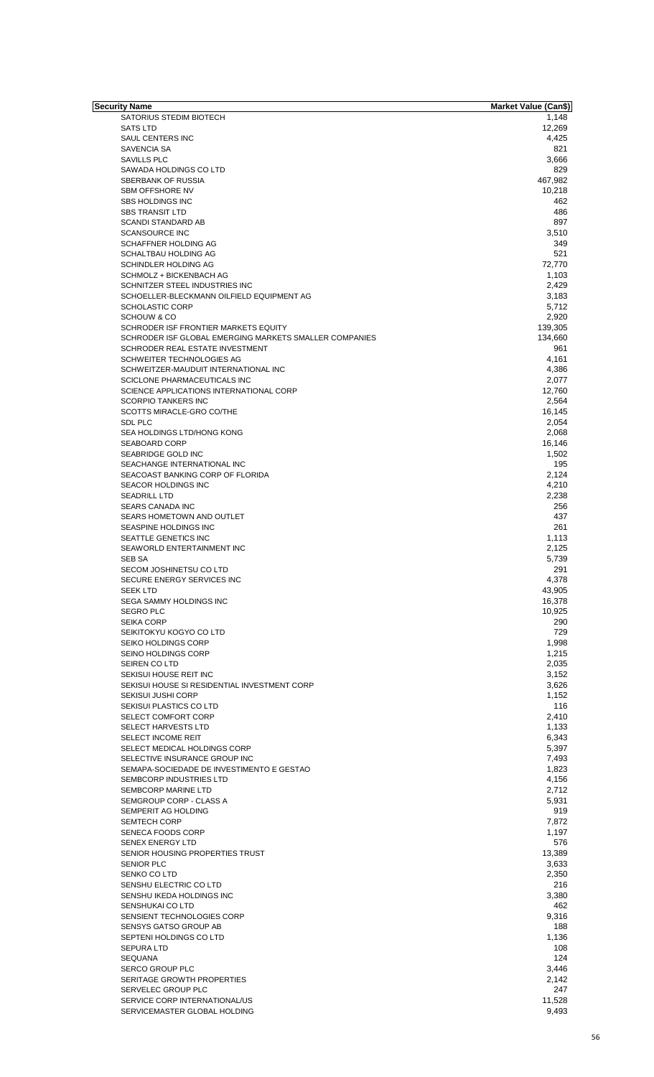| <b>Security Name</b>                                   | <b>Market Value (Can\$)</b> |
|--------------------------------------------------------|-----------------------------|
| SATORIUS STEDIM BIOTECH                                | 1,148                       |
| <b>SATS LTD</b>                                        | 12,269                      |
| SAUL CENTERS INC                                       | 4,425                       |
| SAVENCIA SA                                            | 821                         |
| <b>SAVILLS PLC</b>                                     | 3,666<br>829                |
| SAWADA HOLDINGS CO LTD<br>SBERBANK OF RUSSIA           | 467,982                     |
| <b>SBM OFFSHORE NV</b>                                 | 10,218                      |
| <b>SBS HOLDINGS INC</b>                                | 462                         |
| <b>SBS TRANSIT LTD</b>                                 | 486                         |
| <b>SCANDI STANDARD AB</b>                              | 897                         |
| <b>SCANSOURCE INC</b>                                  | 3,510                       |
| SCHAFFNER HOLDING AG                                   | 349                         |
| SCHALTBAU HOLDING AG                                   | 521                         |
| SCHINDLER HOLDING AG                                   | 72,770                      |
| SCHMOLZ + BICKENBACH AG                                | 1,103                       |
| SCHNITZER STEEL INDUSTRIES INC                         | 2,429                       |
| SCHOELLER-BLECKMANN OILFIELD EQUIPMENT AG              | 3,183                       |
| <b>SCHOLASTIC CORP</b>                                 | 5,712                       |
| <b>SCHOUW &amp; CO</b>                                 | 2,920                       |
| SCHRODER ISF FRONTIER MARKETS EQUITY                   | 139,305                     |
| SCHRODER ISF GLOBAL EMERGING MARKETS SMALLER COMPANIES | 134,660                     |
| SCHRODER REAL ESTATE INVESTMENT                        | 961                         |
| SCHWEITER TECHNOLOGIES AG                              | 4,161                       |
| SCHWEITZER-MAUDUIT INTERNATIONAL INC                   | 4,386                       |
| SCICLONE PHARMACEUTICALS INC                           | 2,077                       |
| SCIENCE APPLICATIONS INTERNATIONAL CORP                | 12,760                      |
| <b>SCORPIO TANKERS INC</b>                             | 2,564                       |
| SCOTTS MIRACLE-GRO CO/THE                              | 16,145                      |
| <b>SDL PLC</b>                                         | 2,054                       |
| SEA HOLDINGS LTD/HONG KONG                             | 2,068                       |
| SEABOARD CORP                                          | 16,146                      |
| SEABRIDGE GOLD INC                                     | 1,502                       |
| SEACHANGE INTERNATIONAL INC                            | 195                         |
| SEACOAST BANKING CORP OF FLORIDA                       | 2,124                       |
| <b>SEACOR HOLDINGS INC</b>                             | 4,210                       |
| <b>SEADRILL LTD</b>                                    | 2,238                       |
| SEARS CANADA INC                                       | 256                         |
| SEARS HOMETOWN AND OUTLET                              | 437                         |
| SEASPINE HOLDINGS INC                                  | 261                         |
| <b>SEATTLE GENETICS INC</b>                            | 1,113                       |
| SEAWORLD ENTERTAINMENT INC                             | 2,125                       |
| SEB SA                                                 | 5,739                       |
| SECOM JOSHINETSU CO LTD                                | 291                         |
| SECURE ENERGY SERVICES INC                             | 4,378                       |
| <b>SEEK LTD</b>                                        | 43,905                      |
| SEGA SAMMY HOLDINGS INC                                | 16,378                      |
| <b>SEGRO PLC</b>                                       | 10,925                      |
| <b>SEIKA CORP</b>                                      | 290<br>729                  |
| SEIKITOKYU KOGYO CO LTD<br>SEIKO HOLDINGS CORP         | 1,998                       |
| <b>SEINO HOLDINGS CORP</b>                             | 1,215                       |
| SEIREN CO LTD                                          | 2,035                       |
| SEKISUI HOUSE REIT INC                                 | 3,152                       |
| SEKISUI HOUSE SI RESIDENTIAL INVESTMENT CORP           | 3,626                       |
| <b>SEKISUI JUSHI CORP</b>                              | 1,152                       |
| SEKISUI PLASTICS CO LTD                                | 116                         |
| SELECT COMFORT CORP                                    | 2,410                       |
| <b>SELECT HARVESTS LTD</b>                             | 1,133                       |
| SELECT INCOME REIT                                     | 6,343                       |
| SELECT MEDICAL HOLDINGS CORP                           | 5,397                       |
| SELECTIVE INSURANCE GROUP INC                          | 7,493                       |
| SEMAPA-SOCIEDADE DE INVESTIMENTO E GESTAO              | 1,823                       |
| SEMBCORP INDUSTRIES LTD                                | 4,156                       |
| SEMBCORP MARINE LTD                                    | 2,712                       |
| SEMGROUP CORP - CLASS A                                | 5,931                       |
| SEMPERIT AG HOLDING                                    | 919                         |
| <b>SEMTECH CORP</b>                                    | 7,872                       |
| SENECA FOODS CORP                                      | 1,197                       |
| <b>SENEX ENERGY LTD</b>                                | 576                         |
| SENIOR HOUSING PROPERTIES TRUST                        | 13,389                      |
| <b>SENIOR PLC</b>                                      | 3,633                       |
| SENKO CO LTD                                           | 2,350                       |
| SENSHU ELECTRIC CO LTD                                 | 216                         |
| SENSHU IKEDA HOLDINGS INC                              | 3,380                       |
| SENSHUKAI CO LTD                                       | 462                         |
| SENSIENT TECHNOLOGIES CORP                             | 9,316                       |
| SENSYS GATSO GROUP AB                                  | 188                         |
| SEPTENI HOLDINGS CO LTD                                | 1,136                       |
| <b>SEPURA LTD</b>                                      | 108                         |
|                                                        | 124                         |
| <b>SEQUANA</b>                                         |                             |
| <b>SERCO GROUP PLC</b><br>SERITAGE GROWTH PROPERTIES   | 3,446<br>2,142              |
|                                                        | 247                         |
| SERVELEC GROUP PLC                                     |                             |
| SERVICE CORP INTERNATIONAL/US                          | 11,528                      |
| SERVICEMASTER GLOBAL HOLDING                           | 9,493                       |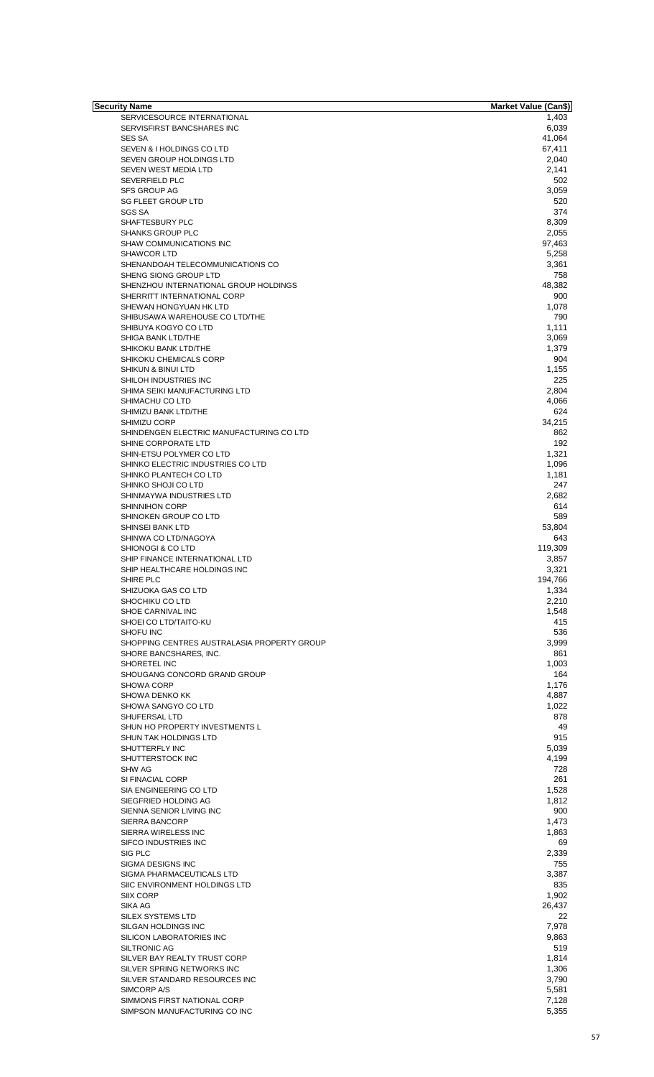| Security Name                               | <b>Market Value (Can\$)</b> |
|---------------------------------------------|-----------------------------|
| SERVICESOURCE INTERNATIONAL                 | 1,403                       |
| SERVISFIRST BANCSHARES INC                  | 6,039                       |
| <b>SES SA</b>                               | 41,064                      |
| SEVEN & I HOLDINGS CO LTD                   | 67,411                      |
| SEVEN GROUP HOLDINGS LTD                    | 2,040                       |
| SEVEN WEST MEDIA LTD                        | 2,141                       |
| <b>SEVERFIELD PLC</b>                       | 502                         |
| <b>SFS GROUP AG</b>                         | 3,059                       |
| <b>SG FLEET GROUP LTD</b>                   | 520                         |
| <b>SGS SA</b>                               | 374                         |
| SHAFTESBURY PLC                             | 8,309                       |
| <b>SHANKS GROUP PLC</b>                     | 2,055                       |
| SHAW COMMUNICATIONS INC                     | 97,463                      |
| <b>SHAWCOR LTD</b>                          | 5,258                       |
| SHENANDOAH TELECOMMUNICATIONS CO            | 3,361                       |
| SHENG SIONG GROUP LTD                       | 758                         |
| SHENZHOU INTERNATIONAL GROUP HOLDINGS       | 48,382                      |
| SHERRITT INTERNATIONAL CORP                 | 900                         |
| SHEWAN HONGYUAN HK LTD                      | 1,078                       |
| SHIBUSAWA WAREHOUSE CO LTD/THE              | 790                         |
| SHIBUYA KOGYO CO LTD                        | 1,111                       |
| SHIGA BANK LTD/THE                          | 3,069                       |
| SHIKOKU BANK LTD/THE                        | 1,379                       |
| SHIKOKU CHEMICALS CORP                      | 904                         |
|                                             |                             |
| SHIKUN & BINUI LTD                          | 1,155                       |
| SHILOH INDUSTRIES INC                       | 225                         |
| SHIMA SEIKI MANUFACTURING LTD               | 2,804                       |
| SHIMACHU CO LTD                             | 4,066                       |
| SHIMIZU BANK LTD/THE                        | 624                         |
| <b>SHIMIZU CORP</b>                         | 34,215                      |
| SHINDENGEN ELECTRIC MANUFACTURING CO LTD    | 862                         |
| SHINE CORPORATE LTD                         | 192                         |
| SHIN-ETSU POLYMER CO LTD                    | 1,321                       |
| SHINKO ELECTRIC INDUSTRIES CO LTD           | 1,096                       |
| SHINKO PLANTECH CO LTD                      | 1,181                       |
| SHINKO SHOJI CO LTD                         | 247                         |
| SHINMAYWA INDUSTRIES LTD                    | 2,682                       |
| <b>SHINNIHON CORP</b>                       | 614                         |
| SHINOKEN GROUP CO LTD                       | 589                         |
| <b>SHINSEI BANK LTD</b>                     | 53,804                      |
| SHINWA CO LTD/NAGOYA                        | 643                         |
| SHIONOGI & CO LTD                           | 119,309                     |
| SHIP FINANCE INTERNATIONAL LTD              | 3,857                       |
| SHIP HEALTHCARE HOLDINGS INC                | 3,321                       |
|                                             |                             |
| SHIRE PLC                                   | 194,766                     |
| SHIZUOKA GAS CO LTD                         | 1,334                       |
| SHOCHIKU CO LTD                             | 2,210                       |
| SHOE CARNIVAL INC                           | 1,548                       |
| SHOEI CO LTD/TAITO-KU                       | 415                         |
| SHOFU INC                                   | 536                         |
| SHOPPING CENTRES AUSTRALASIA PROPERTY GROUP | 3,999                       |
| SHORE BANCSHARES, INC.                      | 861                         |
| SHORETEL INC                                | 1,003                       |
| SHOUGANG CONCORD GRAND GROUP                | 164                         |
| <b>SHOWA CORP</b>                           | 1,176                       |
| SHOWA DENKO KK                              | 4,887                       |
| SHOWA SANGYO CO LTD                         | 1,022                       |
| SHUFERSAL LTD                               | 878                         |
| SHUN HO PROPERTY INVESTMENTS L              | 49                          |
| SHUN TAK HOLDINGS LTD                       | 915                         |
| SHUTTERFLY INC                              |                             |
|                                             | 5,039                       |
| SHUTTERSTOCK INC                            | 4,199                       |
| <b>SHW AG</b>                               | 728                         |
| SI FINACIAL CORP                            | 261                         |
| SIA ENGINEERING CO LTD                      | 1,528                       |
| SIEGFRIED HOLDING AG                        | 1,812                       |
| SIENNA SENIOR LIVING INC                    | 900                         |
| SIERRA BANCORP                              | 1,473                       |
| SIERRA WIRELESS INC                         | 1,863                       |
| <b>SIFCO INDUSTRIES INC</b>                 | 69                          |
| SIG PLC                                     | 2,339                       |
| SIGMA DESIGNS INC                           | 755                         |
| SIGMA PHARMACEUTICALS LTD                   | 3,387                       |
| SIIC ENVIRONMENT HOLDINGS LTD               | 835                         |
| SIIX CORP                                   | 1,902                       |
|                                             |                             |
| SIKA AG                                     | 26,437                      |
| SILEX SYSTEMS LTD                           | 22                          |
| SILGAN HOLDINGS INC                         | 7,978                       |
| SILICON LABORATORIES INC                    | 9,863                       |
| SILTRONIC AG                                | 519                         |
| SILVER BAY REALTY TRUST CORP                | 1,814                       |
| SILVER SPRING NETWORKS INC                  | 1,306                       |
| SILVER STANDARD RESOURCES INC               | 3,790                       |
| SIMCORP A/S                                 | 5,581                       |
| SIMMONS FIRST NATIONAL CORP                 | 7,128                       |
| SIMPSON MANUFACTURING CO INC                | 5,355                       |
|                                             |                             |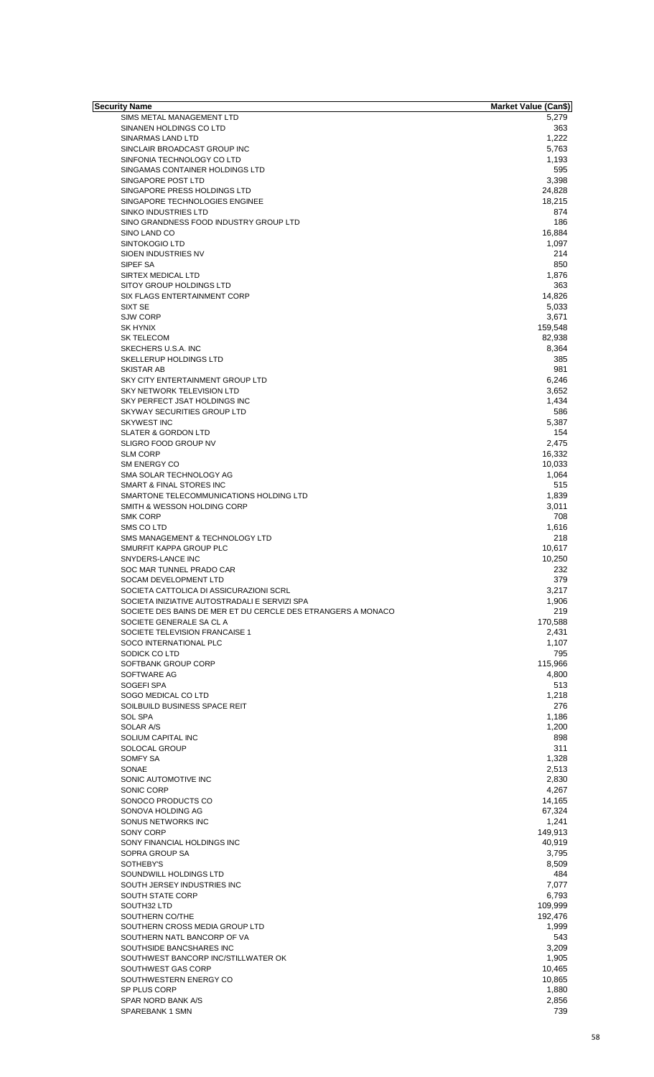| Security Name                                                | <b>Market Value (Can\$)</b> |
|--------------------------------------------------------------|-----------------------------|
| SIMS METAL MANAGEMENT LTD                                    | 5,279                       |
| SINANEN HOLDINGS CO LTD                                      | 363                         |
| SINARMAS LAND LTD                                            | 1,222                       |
| SINCLAIR BROADCAST GROUP INC                                 | 5,763                       |
| SINFONIA TECHNOLOGY CO LTD                                   | 1,193                       |
| SINGAMAS CONTAINER HOLDINGS LTD                              | 595                         |
| SINGAPORE POST LTD                                           | 3,398                       |
| SINGAPORE PRESS HOLDINGS LTD                                 | 24,828                      |
| SINGAPORE TECHNOLOGIES ENGINEE                               | 18,215                      |
| <b>SINKO INDUSTRIES LTD</b>                                  | 874                         |
| SINO GRANDNESS FOOD INDUSTRY GROUP LTD                       | 186                         |
| SINO LAND CO                                                 | 16,884                      |
| <b>SINTOKOGIO LTD</b>                                        | 1,097                       |
| SIOEN INDUSTRIES NV                                          | 214                         |
| SIPEF SA                                                     | 850                         |
| SIRTEX MEDICAL LTD                                           | 1,876                       |
| SITOY GROUP HOLDINGS LTD                                     | 363                         |
| SIX FLAGS ENTERTAINMENT CORP                                 | 14,826                      |
| SIXT SE                                                      | 5,033                       |
| <b>SJW CORP</b>                                              | 3,671                       |
| <b>SK HYNIX</b>                                              | 159,548                     |
| <b>SK TELECOM</b>                                            | 82,938                      |
| SKECHERS U.S.A. INC                                          | 8,364                       |
| <b>SKELLERUP HOLDINGS LTD</b>                                | 385                         |
| <b>SKISTAR AB</b>                                            | 981                         |
| SKY CITY ENTERTAINMENT GROUP LTD                             | 6,246                       |
| SKY NETWORK TELEVISION LTD                                   | 3,652                       |
| SKY PERFECT JSAT HOLDINGS INC                                | 1,434                       |
| SKYWAY SECURITIES GROUP LTD                                  | 586                         |
| <b>SKYWEST INC</b>                                           | 5,387                       |
|                                                              | 154                         |
| <b>SLATER &amp; GORDON LTD</b>                               |                             |
| SLIGRO FOOD GROUP NV                                         | 2,475                       |
| <b>SLM CORP</b>                                              | 16,332                      |
| SM ENERGY CO                                                 | 10,033                      |
| SMA SOLAR TECHNOLOGY AG                                      | 1,064                       |
| SMART & FINAL STORES INC                                     | 515                         |
| SMARTONE TELECOMMUNICATIONS HOLDING LTD                      | 1,839                       |
| SMITH & WESSON HOLDING CORP                                  | 3,011                       |
| <b>SMK CORP</b>                                              | 708                         |
| SMS CO LTD                                                   | 1,616                       |
| SMS MANAGEMENT & TECHNOLOGY LTD                              | 218                         |
| SMURFIT KAPPA GROUP PLC                                      | 10,617                      |
| SNYDERS-LANCE INC                                            | 10,250                      |
| SOC MAR TUNNEL PRADO CAR                                     | 232                         |
| SOCAM DEVELOPMENT LTD                                        | 379                         |
| SOCIETA CATTOLICA DI ASSICURAZIONI SCRL                      | 3,217                       |
| SOCIETA INIZIATIVE AUTOSTRADALI E SERVIZI SPA                | 1,906                       |
| SOCIETE DES BAINS DE MER ET DU CERCLE DES ETRANGERS A MONACO | 219                         |
| SOCIETE GENERALE SA CL A                                     | 170,588                     |
| SOCIETE TELEVISION FRANCAISE 1                               | 2,431                       |
| SOCO INTERNATIONAL PLC                                       | 1,107                       |
| SODICK COLTD                                                 | 795                         |
| SOFTBANK GROUP CORP                                          | 115,966                     |
| SOFTWARE AG                                                  | 4,800                       |
| SOGEFI SPA                                                   | 513                         |
| SOGO MEDICAL CO LTD                                          | 1,218                       |
| SOILBUILD BUSINESS SPACE REIT                                | 276                         |
| <b>SOL SPA</b>                                               | 1,186                       |
| SOLAR A/S                                                    | 1,200                       |
| SOLIUM CAPITAL INC                                           | 898                         |
| SOLOCAL GROUP                                                | 311                         |
| SOMFY SA                                                     | 1,328                       |
| SONAE                                                        | 2,513                       |
| SONIC AUTOMOTIVE INC                                         | 2,830                       |
| SONIC CORP                                                   | 4,267                       |
| SONOCO PRODUCTS CO                                           | 14,165                      |
| SONOVA HOLDING AG                                            | 67,324                      |
| SONUS NETWORKS INC                                           | 1,241                       |
| SONY CORP                                                    | 149,913                     |
| SONY FINANCIAL HOLDINGS INC                                  | 40,919                      |
| SOPRA GROUP SA                                               | 3,795                       |
| SOTHEBY'S                                                    | 8,509                       |
| SOUNDWILL HOLDINGS LTD                                       | 484                         |
| SOUTH JERSEY INDUSTRIES INC                                  | 7,077                       |
| SOUTH STATE CORP                                             | 6,793                       |
| SOUTH32 LTD                                                  | 109,999                     |
| SOUTHERN CO/THE                                              | 192,476                     |
|                                                              |                             |
| SOUTHERN CROSS MEDIA GROUP LTD                               | 1,999                       |
| SOUTHERN NATL BANCORP OF VA                                  | 543                         |
| SOUTHSIDE BANCSHARES INC                                     | 3,209                       |
| SOUTHWEST BANCORP INC/STILLWATER OK                          | 1,905                       |
| SOUTHWEST GAS CORP                                           | 10,465                      |
| SOUTHWESTERN ENERGY CO                                       | 10,865                      |
| SP PLUS CORP                                                 | 1,880                       |
| SPAR NORD BANK A/S                                           | 2,856                       |
| SPAREBANK 1 SMN                                              | 739                         |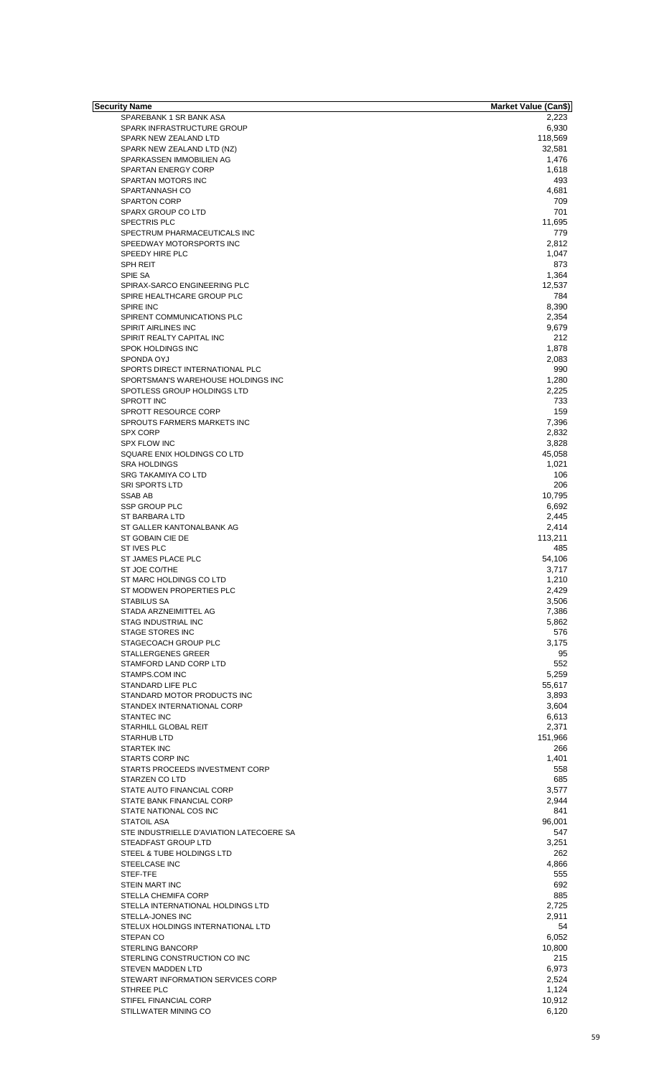| Security Name                            | <b>Market Value (Can\$)</b> |
|------------------------------------------|-----------------------------|
| SPAREBANK 1 SR BANK ASA                  | 2,223                       |
| SPARK INFRASTRUCTURE GROUP               | 6,930                       |
| SPARK NEW ZEALAND LTD                    | 118,569                     |
| SPARK NEW ZEALAND LTD (NZ)               | 32,581                      |
| SPARKASSEN IMMOBILIEN AG                 | 1,476                       |
| <b>SPARTAN ENERGY CORP</b>               | 1,618                       |
|                                          |                             |
| SPARTAN MOTORS INC                       | 493                         |
| SPARTANNASH CO                           | 4,681                       |
| <b>SPARTON CORP</b>                      | 709                         |
| SPARX GROUP CO LTD                       | 701                         |
| <b>SPECTRIS PLC</b>                      | 11,695                      |
| SPECTRUM PHARMACEUTICALS INC             | 779                         |
| SPEEDWAY MOTORSPORTS INC                 | 2,812                       |
| SPEEDY HIRE PLC                          | 1,047                       |
|                                          |                             |
| SPH REIT                                 | 873                         |
| SPIE SA                                  | 1,364                       |
| SPIRAX-SARCO ENGINEERING PLC             | 12,537                      |
| SPIRE HEALTHCARE GROUP PLC               | 784                         |
| <b>SPIRE INC</b>                         | 8,390                       |
| SPIRENT COMMUNICATIONS PLC               | 2,354                       |
| SPIRIT AIRLINES INC                      | 9,679                       |
|                                          |                             |
| SPIRIT REALTY CAPITAL INC                | 212                         |
| SPOK HOLDINGS INC                        | 1,878                       |
| SPONDA OYJ                               | 2,083                       |
| SPORTS DIRECT INTERNATIONAL PLC          | 990                         |
| SPORTSMAN'S WAREHOUSE HOLDINGS INC       | 1,280                       |
| SPOTLESS GROUP HOLDINGS LTD              | 2,225                       |
| SPROTT INC                               | 733                         |
| SPROTT RESOURCE CORP                     | 159                         |
|                                          |                             |
| SPROUTS FARMERS MARKETS INC              | 7,396                       |
| <b>SPX CORP</b>                          | 2,832                       |
| <b>SPX FLOW INC</b>                      | 3,828                       |
| SQUARE ENIX HOLDINGS CO LTD              | 45,058                      |
| <b>SRA HOLDINGS</b>                      | 1,021                       |
| <b>SRG TAKAMIYA CO LTD</b>               | 106                         |
|                                          | 206                         |
| <b>SRI SPORTS LTD</b>                    |                             |
| <b>SSAB AB</b>                           | 10,795                      |
| <b>SSP GROUP PLC</b>                     | 6,692                       |
| <b>ST BARBARA LTD</b>                    | 2,445                       |
| ST GALLER KANTONALBANK AG                | 2,414                       |
| ST GOBAIN CIE DE                         | 113,211                     |
| <b>ST IVES PLC</b>                       | 485                         |
|                                          |                             |
| ST JAMES PLACE PLC                       | 54,106                      |
| ST JOE CO/THE                            | 3,717                       |
| ST MARC HOLDINGS CO LTD                  | 1,210                       |
| ST MODWEN PROPERTIES PLC                 | 2,429                       |
| <b>STABILUS SA</b>                       | 3,506                       |
| STADA ARZNEIMITTEL AG                    | 7,386                       |
| STAG INDUSTRIAL INC                      | 5,862                       |
|                                          |                             |
| <b>STAGE STORES INC</b>                  | 576                         |
| STAGECOACH GROUP PLC                     | 3,175                       |
| <b>STALLERGENES GREER</b>                | 95                          |
| STAMFORD LAND CORP LTD                   | 552                         |
| STAMPS.COM INC                           | 5,259                       |
| STANDARD LIFE PLC                        | 55,617                      |
| STANDARD MOTOR PRODUCTS INC              |                             |
|                                          | 3,893                       |
| STANDEX INTERNATIONAL CORP               | 3,604                       |
| STANTEC INC                              | 6,613                       |
| STARHILL GLOBAL REIT                     | 2,371                       |
| <b>STARHUB LTD</b>                       | 151,966                     |
| <b>STARTEK INC</b>                       | 266                         |
|                                          |                             |
| STARTS CORP INC                          | 1,401                       |
| STARTS PROCEEDS INVESTMENT CORP          | 558                         |
| STARZEN CO LTD                           | 685                         |
| STATE AUTO FINANCIAL CORP                | 3,577                       |
| STATE BANK FINANCIAL CORP                | 2,944                       |
| STATE NATIONAL COS INC                   | 841                         |
|                                          |                             |
| <b>STATOIL ASA</b>                       | 96,001                      |
| STE INDUSTRIELLE D'AVIATION LATECOERE SA | 547                         |
| STEADFAST GROUP LTD                      | 3,251                       |
| STEEL & TUBE HOLDINGS LTD                | 262                         |
| <b>STEELCASE INC</b>                     | 4,866                       |
| STEF-TFE                                 | 555                         |
| <b>STEIN MART INC</b>                    | 692                         |
|                                          |                             |
| STELLA CHEMIFA CORP                      | 885                         |
| STELLA INTERNATIONAL HOLDINGS LTD        | 2,725                       |
| STELLA-JONES INC                         | 2,911                       |
| STELUX HOLDINGS INTERNATIONAL LTD        | 54                          |
| <b>STEPAN CO</b>                         | 6,052                       |
|                                          |                             |
| <b>STERLING BANCORP</b>                  | 10,800                      |
| STERLING CONSTRUCTION CO INC             | 215                         |
| STEVEN MADDEN LTD                        | 6,973                       |
| STEWART INFORMATION SERVICES CORP        | 2,524                       |
| STHREE PLC                               | 1,124                       |
|                                          | 10,912                      |
| STIFEL FINANCIAL CORP                    |                             |
| STILLWATER MINING CO                     | 6,120                       |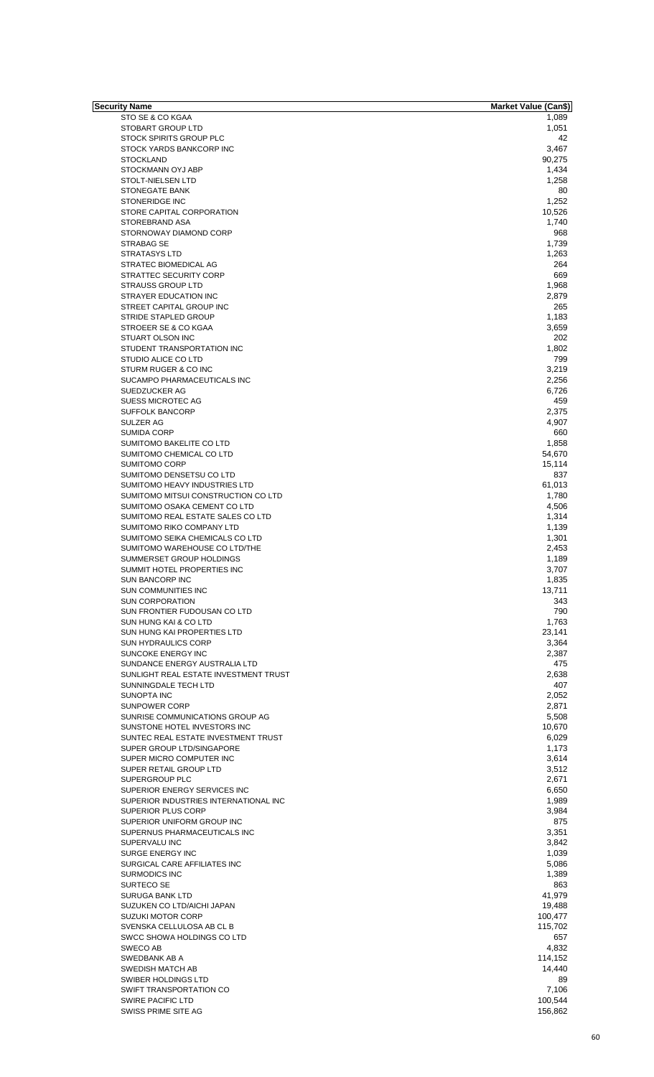| Security Name                         | Market Value (Can\$) |
|---------------------------------------|----------------------|
| STO SE & CO KGAA                      | 1,089                |
| STOBART GROUP LTD                     | 1,051                |
| <b>STOCK SPIRITS GROUP PLC</b>        | 42                   |
| STOCK YARDS BANKCORP INC              | 3,467                |
| <b>STOCKLAND</b>                      | 90,275               |
| STOCKMANN OYJ ABP                     | 1,434                |
| STOLT-NIELSEN LTD                     | 1,258                |
| STONEGATE BANK                        | 80                   |
| STONERIDGE INC                        | 1,252                |
| STORE CAPITAL CORPORATION             | 10,526               |
| STOREBRAND ASA                        | 1,740                |
| STORNOWAY DIAMOND CORP                | 968                  |
| STRABAG SE                            | 1,739                |
| <b>STRATASYS LTD</b>                  | 1,263                |
| STRATEC BIOMEDICAL AG                 | 264                  |
| STRATTEC SECURITY CORP                | 669                  |
| <b>STRAUSS GROUP LTD</b>              | 1,968                |
| STRAYER EDUCATION INC                 | 2,879                |
| STREET CAPITAL GROUP INC              | 265                  |
| STRIDE STAPLED GROUP                  | 1,183                |
| STROEER SE & CO KGAA                  | 3,659                |
| STUART OLSON INC                      | 202                  |
| STUDENT TRANSPORTATION INC            | 1,802                |
| STUDIO ALICE CO LTD                   | 799                  |
| STURM RUGER & CO INC                  | 3,219                |
| SUCAMPO PHARMACEUTICALS INC           | 2,256                |
| SUEDZUCKER AG                         | 6,726                |
| SUESS MICROTEC AG                     | 459                  |
| <b>SUFFOLK BANCORP</b>                | 2,375                |
| SULZER AG                             | 4,907                |
| <b>SUMIDA CORP</b>                    | 660                  |
| SUMITOMO BAKELITE CO LTD              |                      |
|                                       | 1,858                |
| SUMITOMO CHEMICAL CO LTD              | 54,670               |
| <b>SUMITOMO CORP</b>                  | 15,114               |
| SUMITOMO DENSETSU CO LTD              | 837                  |
| SUMITOMO HEAVY INDUSTRIES LTD         | 61,013               |
| SUMITOMO MITSUI CONSTRUCTION CO LTD   | 1,780                |
| SUMITOMO OSAKA CEMENT CO LTD          | 4,506                |
| SUMITOMO REAL ESTATE SALES CO LTD     | 1,314                |
| SUMITOMO RIKO COMPANY LTD             | 1,139                |
| SUMITOMO SEIKA CHEMICALS CO LTD       | 1,301                |
| SUMITOMO WAREHOUSE CO LTD/THE         | 2,453                |
| SUMMERSET GROUP HOLDINGS              | 1,189                |
| SUMMIT HOTEL PROPERTIES INC           | 3,707                |
| SUN BANCORP INC                       | 1,835                |
| SUN COMMUNITIES INC                   | 13,711               |
| <b>SUN CORPORATION</b>                | 343                  |
| SUN FRONTIER FUDOUSAN CO LTD          | 790                  |
| SUN HUNG KAI & CO LTD                 | 1,763                |
| SUN HUNG KAI PROPERTIES LTD           | 23,141               |
| <b>SUN HYDRAULICS CORP</b>            | 3,364                |
| SUNCOKE ENERGY INC                    | 2,387                |
| SUNDANCE ENERGY AUSTRALIA LTD         | 475                  |
| SUNLIGHT REAL ESTATE INVESTMENT TRUST | 2,638                |
| SUNNINGDALE TECH LTD                  | 407                  |
| SUNOPTA INC                           | 2,052                |
| SUNPOWER CORP                         | 2.871                |
| SUNRISE COMMUNICATIONS GROUP AG       | 5,508                |
| SUNSTONE HOTEL INVESTORS INC          | 10,670               |
| SUNTEC REAL ESTATE INVESTMENT TRUST   | 6,029                |
| SUPER GROUP LTD/SINGAPORE             | 1,173                |
| SUPER MICRO COMPUTER INC              | 3,614                |
| SUPER RETAIL GROUP LTD                | 3,512                |
| SUPERGROUP PLC                        | 2,671                |
| SUPERIOR ENERGY SERVICES INC          | 6,650                |
| SUPERIOR INDUSTRIES INTERNATIONAL INC | 1,989                |
| SUPERIOR PLUS CORP                    | 3,984                |
| SUPERIOR UNIFORM GROUP INC            | 875                  |
| SUPERNUS PHARMACEUTICALS INC          | 3,351                |
| SUPERVALU INC                         | 3,842                |
| SURGE ENERGY INC                      | 1,039                |
| SURGICAL CARE AFFILIATES INC          | 5,086                |
| <b>SURMODICS INC</b>                  | 1,389                |
| SURTECO SE                            | 863                  |
| <b>SURUGA BANK LTD</b>                | 41,979               |
|                                       |                      |
| SUZUKEN CO LTD/AICHI JAPAN            | 19,488               |
| <b>SUZUKI MOTOR CORP</b>              | 100,477              |
| SVENSKA CELLULOSA AB CL B             | 115,702              |
| SWCC SHOWA HOLDINGS CO LTD            | 657                  |
| SWECO AB                              | 4,832                |
| SWEDBANK AB A                         | 114,152              |
| SWEDISH MATCH AB                      | 14,440               |
| SWIBER HOLDINGS LTD                   | 89                   |
| SWIFT TRANSPORTATION CO               | 7,106                |
| SWIRE PACIFIC LTD                     | 100,544              |
| SWISS PRIME SITE AG                   | 156,862              |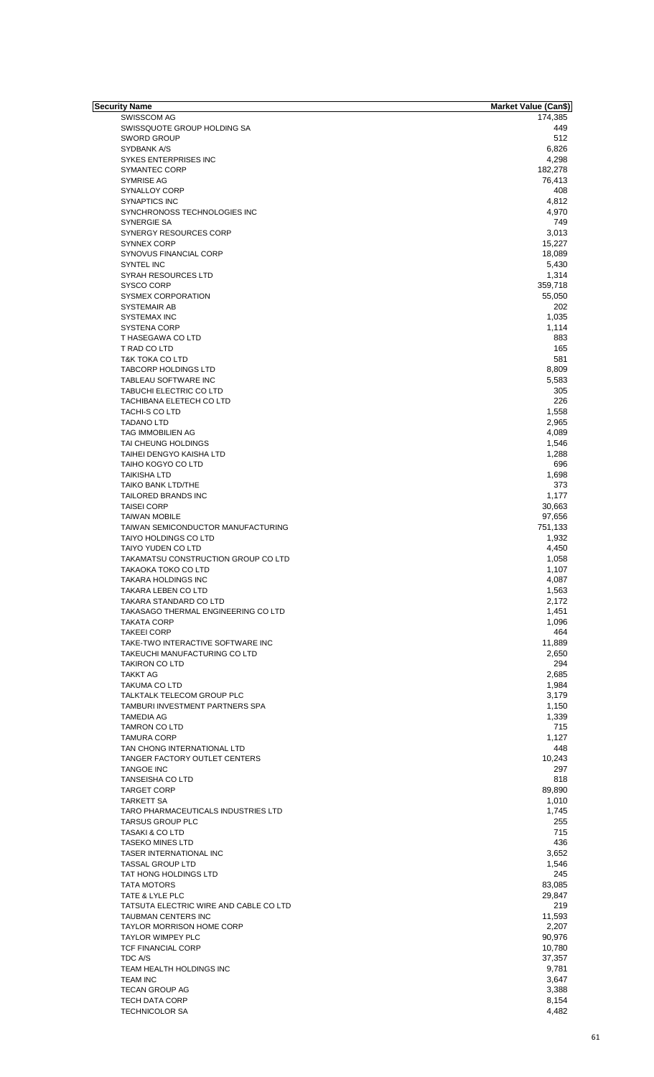| <b>Security Name</b>                   | <b>Market Value (Can\$)</b> |
|----------------------------------------|-----------------------------|
| <b>SWISSCOM AG</b>                     | 174,385                     |
| SWISSQUOTE GROUP HOLDING SA            | 449                         |
| <b>SWORD GROUP</b>                     | 512                         |
| SYDBANK A/S                            | 6,826                       |
| SYKES ENTERPRISES INC                  | 4,298                       |
| <b>SYMANTEC CORP</b>                   | 182,278                     |
| SYMRISE AG                             | 76,413                      |
| SYNALLOY CORP                          | 408                         |
| <b>SYNAPTICS INC</b>                   | 4,812                       |
| SYNCHRONOSS TECHNOLOGIES INC           | 4,970                       |
| <b>SYNERGIE SA</b>                     | 749                         |
| <b>SYNERGY RESOURCES CORP</b>          | 3,013                       |
| <b>SYNNEX CORP</b>                     | 15,227                      |
| SYNOVUS FINANCIAL CORP                 | 18,089                      |
| <b>SYNTEL INC</b>                      | 5,430                       |
| <b>SYRAH RESOURCES LTD</b>             | 1,314                       |
| <b>SYSCO CORP</b>                      | 359,718                     |
| SYSMEX CORPORATION                     | 55,050                      |
|                                        | 202                         |
| SYSTEMAIR AB                           |                             |
| <b>SYSTEMAX INC</b>                    | 1,035                       |
| SYSTENA CORP                           | 1,114                       |
| T HASEGAWA CO LTD                      | 883                         |
| T RAD CO LTD                           | 165                         |
| <b>T&amp;K TOKA CO LTD</b>             | 581                         |
| <b>TABCORP HOLDINGS LTD</b>            | 8,809                       |
| TABLEAU SOFTWARE INC                   | 5,583                       |
| TABUCHI ELECTRIC CO LTD                | 305                         |
| TACHIBANA ELETECH CO LTD               | 226                         |
| <b>TACHI-S CO LTD</b>                  | 1,558                       |
| <b>TADANO LTD</b>                      | 2,965                       |
| TAG IMMOBILIEN AG                      | 4,089                       |
| TAI CHEUNG HOLDINGS                    | 1,546                       |
| TAIHEI DENGYO KAISHA LTD               | 1,288                       |
| TAIHO KOGYO CO LTD                     | 696                         |
|                                        |                             |
| <b>TAIKISHA LTD</b>                    | 1,698                       |
| <b>TAIKO BANK LTD/THE</b>              | 373                         |
| TAILORED BRANDS INC                    | 1,177                       |
| <b>TAISEI CORP</b>                     | 30,663                      |
| <b>TAIWAN MOBILE</b>                   | 97,656                      |
| TAIWAN SEMICONDUCTOR MANUFACTURING     | 751,133                     |
| <b>TAIYO HOLDINGS CO LTD</b>           | 1,932                       |
| TAIYO YUDEN CO LTD                     | 4,450                       |
| TAKAMATSU CONSTRUCTION GROUP CO LTD    | 1,058                       |
| <b>TAKAOKA TOKO CO LTD</b>             | 1,107                       |
| <b>TAKARA HOLDINGS INC</b>             | 4,087                       |
| <b>TAKARA LEBEN CO LTD</b>             | 1,563                       |
| TAKARA STANDARD CO LTD                 | 2,172                       |
| TAKASAGO THERMAL ENGINEERING CO LTD    | 1,451                       |
| <b>TAKATA CORP</b>                     | 1,096                       |
| <b>TAKEEI CORP</b>                     | 464                         |
|                                        |                             |
| TAKE-TWO INTERACTIVE SOFTWARE INC      | 11,889                      |
| TAKEUCHI MANUFACTURING CO LTD          | 2,650                       |
| <b>TAKIRON CO LTD</b>                  | 294                         |
| <b>TAKKT AG</b>                        | 2,685                       |
| <b>TAKUMA CO LTD</b>                   | 1,984                       |
| TALKTALK TELECOM GROUP PLC             | 3,179                       |
| TAMBURI INVESTMENT PARTNERS SPA        | 1,150                       |
| <b>TAMEDIA AG</b>                      | 1,339                       |
| <b>TAMRON CO LTD</b>                   | 715                         |
| <b>TAMURA CORP</b>                     | 1,127                       |
| TAN CHONG INTERNATIONAL LTD            | 448                         |
| TANGER FACTORY OUTLET CENTERS          | 10,243                      |
| <b>TANGOE INC</b>                      | 297                         |
| <b>TANSEISHA CO LTD</b>                | 818                         |
|                                        |                             |
| <b>TARGET CORP</b>                     | 89,890                      |
| <b>TARKETT SA</b>                      | 1,010                       |
| TARO PHARMACEUTICALS INDUSTRIES LTD    | 1,745                       |
| <b>TARSUS GROUP PLC</b>                | 255                         |
| <b>TASAKI &amp; CO LTD</b>             | 715                         |
| <b>TASEKO MINES LTD</b>                | 436                         |
| TASER INTERNATIONAL INC                | 3,652                       |
| <b>TASSAL GROUP LTD</b>                | 1,546                       |
| TAT HONG HOLDINGS LTD                  | 245                         |
| <b>TATA MOTORS</b>                     | 83,085                      |
| TATE & LYLE PLC                        | 29,847                      |
| TATSUTA ELECTRIC WIRE AND CABLE CO LTD | 219                         |
| TAUBMAN CENTERS INC                    | 11,593                      |
| <b>TAYLOR MORRISON HOME CORP</b>       | 2,207                       |
| <b>TAYLOR WIMPEY PLC</b>               | 90,976                      |
|                                        |                             |
| TCF FINANCIAL CORP                     | 10,780                      |
| TDC A/S                                | 37,357                      |
| TEAM HEALTH HOLDINGS INC               | 9,781                       |
| <b>TEAM INC</b>                        | 3,647                       |
| <b>TECAN GROUP AG</b>                  | 3,388                       |
| <b>TECH DATA CORP</b>                  | 8,154                       |
| <b>TECHNICOLOR SA</b>                  | 4,482                       |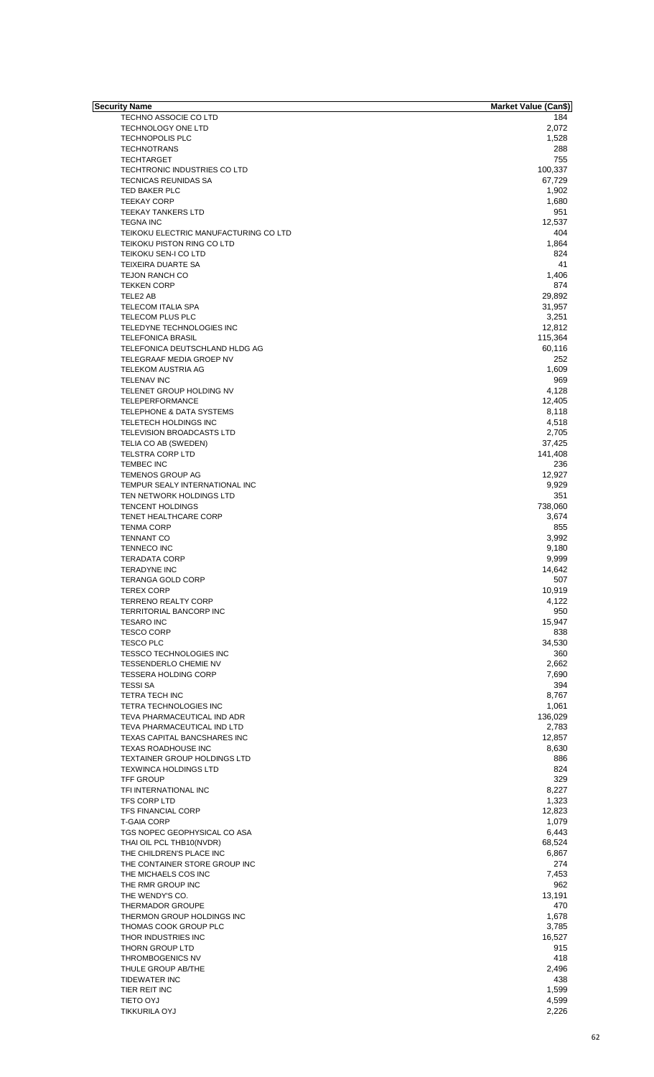| <b>Security Name</b>                  | <b>Market Value (Can\$)</b> |
|---------------------------------------|-----------------------------|
| TECHNO ASSOCIE CO LTD                 | 184                         |
| TECHNOLOGY ONE LTD                    | 2,072                       |
|                                       |                             |
| <b>TECHNOPOLIS PLC</b>                | 1,528                       |
| <b>TECHNOTRANS</b>                    | 288                         |
| <b>TECHTARGET</b>                     | 755                         |
| TECHTRONIC INDUSTRIES CO LTD          | 100,337                     |
|                                       |                             |
| TECNICAS REUNIDAS SA                  | 67,729                      |
| TED BAKER PLC                         | 1,902                       |
|                                       |                             |
| <b>TEEKAY CORP</b>                    | 1,680                       |
| <b>TEEKAY TANKERS LTD</b>             | 951                         |
| <b>TEGNA INC</b>                      | 12,537                      |
|                                       |                             |
| TEIKOKU ELECTRIC MANUFACTURING CO LTD | 404                         |
| TEIKOKU PISTON RING CO LTD            | 1,864                       |
| TEIKOKU SEN-I CO LTD                  | 824                         |
|                                       |                             |
| TEIXEIRA DUARTE SA                    | 41                          |
| <b>TEJON RANCH CO</b>                 | 1,406                       |
|                                       |                             |
| <b>TEKKEN CORP</b>                    | 874                         |
| TELE2 AB                              | 29,892                      |
| <b>TELECOM ITALIA SPA</b>             | 31,957                      |
|                                       |                             |
| TELECOM PLUS PLC                      | 3,251                       |
| TELEDYNE TECHNOLOGIES INC             | 12,812                      |
|                                       |                             |
| <b>TELEFONICA BRASIL</b>              | 115,364                     |
| TELEFONICA DEUTSCHLAND HLDG AG        | 60,116                      |
| TELEGRAAF MEDIA GROEP NV              | 252                         |
|                                       |                             |
| TELEKOM AUSTRIA AG                    | 1,609                       |
| <b>TELENAV INC</b>                    | 969                         |
|                                       |                             |
| TELENET GROUP HOLDING NV              | 4,128                       |
| TELEPERFORMANCE                       | 12,405                      |
| TELEPHONE & DATA SYSTEMS              |                             |
|                                       | 8,118                       |
| TELETECH HOLDINGS INC                 | 4,518                       |
| TELEVISION BROADCASTS LTD             | 2,705                       |
|                                       |                             |
| TELIA CO AB (SWEDEN)                  | 37,425                      |
| <b>TELSTRA CORP LTD</b>               | 141,408                     |
|                                       |                             |
| <b>TEMBEC INC</b>                     | 236                         |
| <b>TEMENOS GROUP AG</b>               | 12,927                      |
| TEMPUR SEALY INTERNATIONAL INC        |                             |
|                                       | 9,929                       |
| TEN NETWORK HOLDINGS LTD              | 351                         |
| <b>TENCENT HOLDINGS</b>               | 738,060                     |
|                                       |                             |
| TENET HEALTHCARE CORP                 | 3,674                       |
| <b>TENMA CORP</b>                     | 855                         |
|                                       |                             |
| <b>TENNANT CO</b>                     | 3,992                       |
| <b>TENNECO INC</b>                    | 9,180                       |
| <b>TERADATA CORP</b>                  | 9,999                       |
|                                       |                             |
| <b>TERADYNE INC</b>                   | 14,642                      |
| <b>TERANGA GOLD CORP</b>              | 507                         |
|                                       |                             |
| <b>TEREX CORP</b>                     | 10,919                      |
| <b>TERRENO REALTY CORP</b>            | 4,122                       |
| TERRITORIAL BANCORP INC               | 950                         |
|                                       |                             |
| <b>TESARO INC</b>                     | 15,947                      |
| <b>TESCO CORP</b>                     | 838                         |
|                                       |                             |
| <b>TESCO PLC</b>                      | 34,530                      |
| <b>TESSCO TECHNOLOGIES INC</b>        | 360                         |
| TESSENDERLO CHEMIE NV                 | 2,662                       |
|                                       |                             |
| <b>TESSERA HOLDING CORP</b>           | 7,690                       |
| <b>TESSI SA</b>                       | 394                         |
|                                       |                             |
| <b>TETRA TECH INC</b>                 | 8,767                       |
| <b>TETRA TECHNOLOGIES INC</b>         | 1,061                       |
|                                       |                             |
| TEVA PHARMACEUTICAL IND ADR           | 136,029                     |
| TEVA PHARMACEUTICAL IND LTD           | 2,783                       |
| TEXAS CAPITAL BANCSHARES INC          | 12,857                      |
|                                       |                             |
| TEXAS ROADHOUSE INC                   | 8,630                       |
| <b>TEXTAINER GROUP HOLDINGS LTD</b>   | 886                         |
| <b>TEXWINCA HOLDINGS LTD</b>          | 824                         |
|                                       |                             |
| TFF GROUP                             | 329                         |
| TFI INTERNATIONAL INC                 | 8,227                       |
|                                       |                             |
| TFS CORP LTD                          | 1,323                       |
| <b>TFS FINANCIAL CORP</b>             | 12,823                      |
|                                       |                             |
| <b>T-GAIA CORP</b>                    | 1,079                       |
| TGS NOPEC GEOPHYSICAL CO ASA          | 6,443                       |
|                                       |                             |
| THAI OIL PCL THB10(NVDR)              | 68,524                      |
| THE CHILDREN'S PLACE INC              | 6,867                       |
| THE CONTAINER STORE GROUP INC         | 274                         |
|                                       |                             |
| THE MICHAELS COS INC                  | 7,453                       |
| THE RMR GROUP INC                     | 962                         |
|                                       |                             |
| THE WENDY'S CO.                       | 13,191                      |
| THERMADOR GROUPE                      | 470                         |
|                                       |                             |
| THERMON GROUP HOLDINGS INC            | 1,678                       |
| THOMAS COOK GROUP PLC                 | 3,785                       |
|                                       |                             |
| THOR INDUSTRIES INC                   | 16,527                      |
| <b>THORN GROUP LTD</b>                | 915                         |
|                                       |                             |
| THROMBOGENICS NV                      | 418                         |
| THULE GROUP AB/THE                    | 2,496                       |
| <b>TIDEWATER INC</b>                  | 438                         |
|                                       |                             |
| TIER REIT INC                         | 1,599                       |
| TIETO OYJ                             | 4,599                       |
|                                       |                             |
| <b>TIKKURILA OYJ</b>                  | 2,226                       |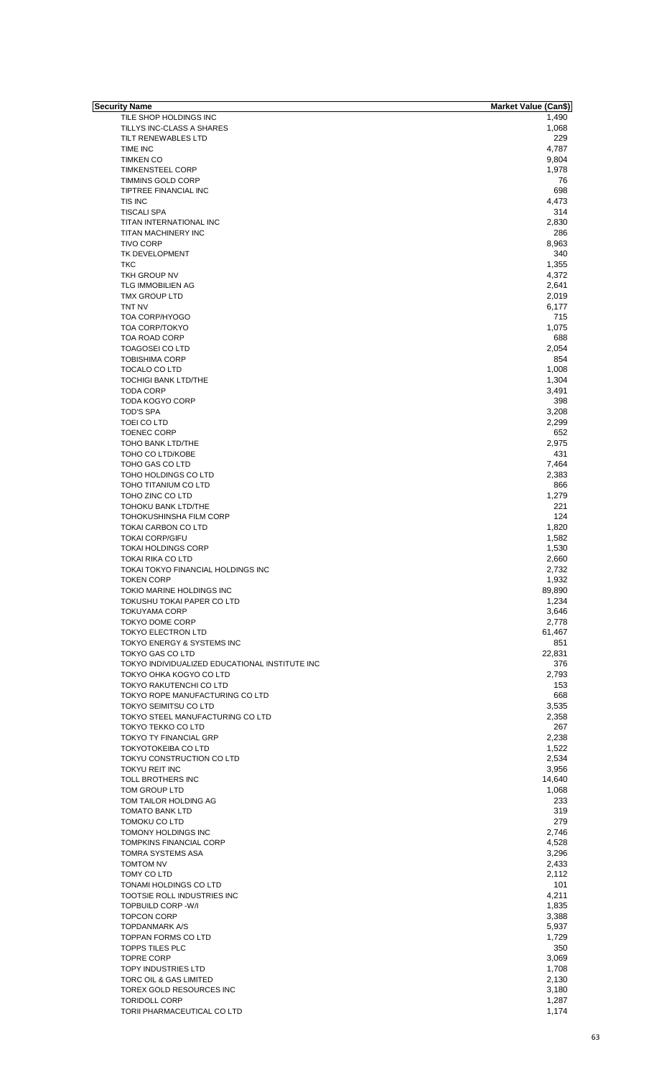| Security Name                                  | <b>Market Value (Can\$)</b> |
|------------------------------------------------|-----------------------------|
| TILE SHOP HOLDINGS INC                         | 1,490                       |
| TILLYS INC-CLASS A SHARES                      | 1,068                       |
| TILT RENEWABLES LTD                            | 229                         |
| TIME INC                                       | 4,787                       |
| <b>TIMKEN CO</b>                               | 9,804                       |
| <b>TIMKENSTEEL CORP</b>                        | 1,978                       |
| TIMMINS GOLD CORP                              | 76                          |
| TIPTREE FINANCIAL INC                          | 698                         |
| TIS INC                                        | 4,473                       |
| <b>TISCALI SPA</b>                             | 314                         |
| TITAN INTERNATIONAL INC                        | 2,830                       |
|                                                |                             |
| TITAN MACHINERY INC                            | 286                         |
| <b>TIVO CORP</b>                               | 8,963                       |
| TK DEVELOPMENT                                 | 340                         |
| <b>TKC</b>                                     | 1,355                       |
| TKH GROUP NV                                   | 4,372                       |
| <b>TLG IMMOBILIEN AG</b>                       | 2,641                       |
| <b>TMX GROUP LTD</b>                           | 2,019                       |
| TNT NV                                         | 6,177                       |
| TOA CORP/HYOGO                                 | 715                         |
| <b>TOA CORP/TOKYO</b>                          | 1,075                       |
| <b>TOA ROAD CORP</b>                           |                             |
|                                                | 688                         |
| <b>TOAGOSEI CO LTD</b>                         | 2,054                       |
| <b>TOBISHIMA CORP</b>                          | 854                         |
| TOCALO CO LTD                                  | 1,008                       |
| <b>TOCHIGI BANK LTD/THE</b>                    | 1,304                       |
| <b>TODA CORP</b>                               | 3,491                       |
| <b>TODA KOGYO CORP</b>                         | 398                         |
| <b>TOD'S SPA</b>                               | 3,208                       |
| TOEI CO LTD                                    | 2,299                       |
| <b>TOENEC CORP</b>                             | 652                         |
|                                                |                             |
| TOHO BANK LTD/THE                              | 2,975                       |
| TOHO CO LTD/KOBE                               | 431                         |
| TOHO GAS CO LTD                                | 7,464                       |
| TOHO HOLDINGS CO LTD                           | 2,383                       |
| TOHO TITANIUM CO LTD                           | 866                         |
| TOHO ZINC CO LTD                               | 1,279                       |
| TOHOKU BANK LTD/THE                            | 221                         |
| <b>TOHOKUSHINSHA FILM CORP</b>                 | 124                         |
| TOKAI CARBON CO LTD                            | 1,820                       |
| <b>TOKAI CORP/GIFU</b>                         | 1,582                       |
| <b>TOKAI HOLDINGS CORP</b>                     |                             |
|                                                | 1,530                       |
| <b>TOKAI RIKA CO LTD</b>                       | 2,660                       |
| TOKAI TOKYO FINANCIAL HOLDINGS INC             | 2,732                       |
| <b>TOKEN CORP</b>                              | 1,932                       |
| TOKIO MARINE HOLDINGS INC                      | 89,890                      |
| TOKUSHU TOKAI PAPER CO LTD                     | 1,234                       |
| <b>TOKUYAMA CORP</b>                           | 3,646                       |
| TOKYO DOME CORP                                | 2,778                       |
| TOKYO ELECTRON LTD                             | 61,467                      |
| TOKYO ENERGY & SYSTEMS INC                     | 851                         |
| TOKYO GAS CO LTD                               | 22,831                      |
| TOKYO INDIVIDUALIZED EDUCATIONAL INSTITUTE INC | 376                         |
| TOKYO OHKA KOGYO CO LTD                        |                             |
|                                                | 2,793                       |
| TOKYO RAKUTENCHI CO LTD                        | 153                         |
| TOKYO ROPE MANUFACTURING CO LTD                | 668                         |
| TOKYO SEIMITSU CO LTD                          | 3,535                       |
| TOKYO STEEL MANUFACTURING CO LTD               | 2,358                       |
| TOKYO TEKKO CO LTD                             | 267                         |
| <b>TOKYO TY FINANCIAL GRP</b>                  | 2,238                       |
| <b>TOKYOTOKEIBA CO LTD</b>                     | 1,522                       |
| TOKYU CONSTRUCTION CO LTD                      | 2,534                       |
| <b>TOKYU REIT INC</b>                          | 3,956                       |
| TOLL BROTHERS INC                              | 14,640                      |
|                                                |                             |
| TOM GROUP LTD                                  | 1,068                       |
| TOM TAILOR HOLDING AG                          | 233                         |
| <b>TOMATO BANK LTD</b>                         | 319                         |
| TOMOKU CO LTD                                  | 279                         |
| TOMONY HOLDINGS INC                            | 2,746                       |
| TOMPKINS FINANCIAL CORP                        | 4,528                       |
| TOMRA SYSTEMS ASA                              | 3,296                       |
| TOMTOM NV                                      | 2,433                       |
| TOMY CO LTD                                    | 2,112                       |
| TONAMI HOLDINGS CO LTD                         | 101                         |
|                                                |                             |
| TOOTSIE ROLL INDUSTRIES INC                    | 4,211                       |
| <b>TOPBUILD CORP -W/I</b>                      | 1,835                       |
| <b>TOPCON CORP</b>                             | 3,388                       |
| <b>TOPDANMARK A/S</b>                          | 5,937                       |
| <b>TOPPAN FORMS CO LTD</b>                     | 1,729                       |
| <b>TOPPS TILES PLC</b>                         | 350                         |
| <b>TOPRE CORP</b>                              | 3,069                       |
| <b>TOPY INDUSTRIES LTD</b>                     |                             |
|                                                | 1,708                       |
| TORC OIL & GAS LIMITED                         | 2,130                       |
| TOREX GOLD RESOURCES INC                       | 3,180                       |
| <b>TORIDOLL CORP</b>                           | 1,287                       |
| TORII PHARMACEUTICAL CO LTD                    | 1,174                       |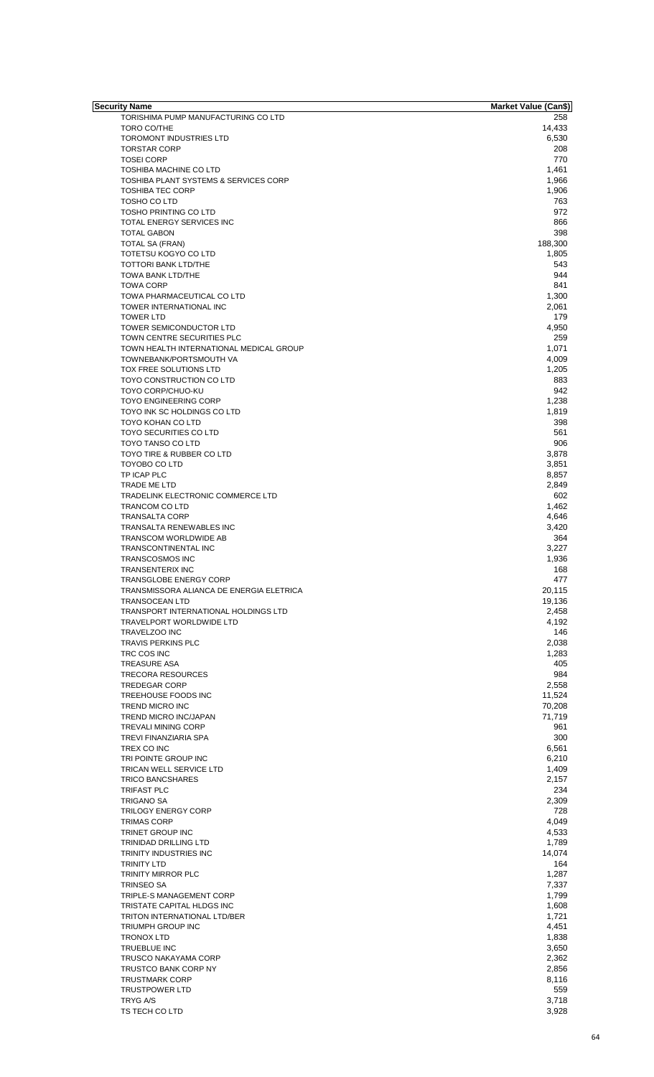| Security Name                                     | <b>Market Value (Can\$)</b> |
|---------------------------------------------------|-----------------------------|
| TORISHIMA PUMP MANUFACTURING CO LTD               | 258                         |
| TORO CO/THE                                       | 14,433                      |
| <b>TOROMONT INDUSTRIES LTD</b>                    | 6,530                       |
| <b>TORSTAR CORP</b>                               | 208                         |
| <b>TOSEI CORP</b>                                 | 770                         |
| <b>TOSHIBA MACHINE CO LTD</b>                     | 1,461                       |
|                                                   |                             |
| TOSHIBA PLANT SYSTEMS & SERVICES CORP             | 1,966                       |
| <b>TOSHIBA TEC CORP</b>                           | 1,906                       |
| TOSHO CO LTD                                      | 763                         |
| <b>TOSHO PRINTING CO LTD</b>                      | 972                         |
| TOTAL ENERGY SERVICES INC                         | 866                         |
| <b>TOTAL GABON</b>                                | 398                         |
| <b>TOTAL SA (FRAN)</b>                            | 188,300                     |
| <b>TOTETSU KOGYO CO LTD</b>                       | 1,805                       |
| <b>TOTTORI BANK LTD/THE</b>                       | 543                         |
| TOWA BANK LTD/THE                                 | 944                         |
| <b>TOWA CORP</b>                                  | 841                         |
| TOWA PHARMACEUTICAL CO LTD                        | 1,300                       |
| TOWER INTERNATIONAL INC                           | 2,061                       |
| <b>TOWER LTD</b>                                  | 179                         |
| TOWER SEMICONDUCTOR LTD                           | 4,950                       |
|                                                   |                             |
| TOWN CENTRE SECURITIES PLC                        | 259                         |
| TOWN HEALTH INTERNATIONAL MEDICAL GROUP           | 1.071                       |
| TOWNEBANK/PORTSMOUTH VA                           | 4,009                       |
| TOX FREE SOLUTIONS LTD                            | 1,205                       |
| TOYO CONSTRUCTION CO LTD                          | 883                         |
| TOYO CORP/CHUO-KU                                 | 942                         |
| <b>TOYO ENGINEERING CORP</b>                      | 1,238                       |
| TOYO INK SC HOLDINGS CO LTD                       | 1,819                       |
| TOYO KOHAN CO LTD                                 | 398                         |
| TOYO SECURITIES CO LTD                            | 561                         |
| TOYO TANSO CO LTD                                 | 906                         |
| TOYO TIRE & RUBBER CO LTD                         | 3,878                       |
| TOYOBO CO LTD                                     | 3,851                       |
| TP ICAP PLC                                       | 8,857                       |
|                                                   |                             |
| TRADE ME LTD<br>TRADELINK ELECTRONIC COMMERCE LTD | 2,849<br>602                |
| TRANCOM CO LTD                                    | 1,462                       |
|                                                   |                             |
| <b>TRANSALTA CORP</b>                             | 4,646                       |
| TRANSALTA RENEWABLES INC                          | 3,420                       |
| TRANSCOM WORLDWIDE AB                             | 364                         |
| <b>TRANSCONTINENTAL INC</b>                       | 3,227                       |
| <b>TRANSCOSMOS INC</b>                            | 1,936                       |
| <b>TRANSENTERIX INC</b>                           | 168                         |
| <b>TRANSGLOBE ENERGY CORP</b>                     | 477                         |
| TRANSMISSORA ALIANCA DE ENERGIA ELETRICA          | 20,115                      |
| <b>TRANSOCEAN LTD</b>                             | 19,136                      |
| TRANSPORT INTERNATIONAL HOLDINGS LTD              | 2,458                       |
| TRAVELPORT WORLDWIDE LTD                          | 4,192                       |
| <b>TRAVELZOO INC</b>                              | 146                         |
| <b>TRAVIS PERKINS PLC</b>                         | 2,038                       |
| TRC COS INC                                       | 1,283                       |
| <b>TREASURE ASA</b>                               | 405                         |
| <b>TRECORA RESOURCES</b>                          | 984                         |
| <b>TREDEGAR CORP</b>                              | 2,558                       |
| TREEHOUSE FOODS INC                               | 11,524                      |
| TREND MICRO INC                                   | 70,208                      |
| TREND MICRO INC/JAPAN                             | 71,719                      |
| <b>TREVALI MINING CORP</b>                        | 961                         |
| TREVI FINANZIARIA SPA                             | 300                         |
| TREX CO INC                                       | 6,561                       |
| TRI POINTE GROUP INC                              | 6,210                       |
| TRICAN WELL SERVICE LTD                           | 1,409                       |
| TRICO BANCSHARES                                  | 2,157                       |
| <b>TRIFAST PLC</b>                                | 234                         |
| <b>TRIGANO SA</b>                                 | 2,309                       |
| <b>TRILOGY ENERGY CORP</b>                        | 728                         |
|                                                   | 4,049                       |
| <b>TRIMAS CORP</b><br>TRINET GROUP INC            | 4,533                       |
|                                                   | 1,789                       |
| TRINIDAD DRILLING LTD                             |                             |
| TRINITY INDUSTRIES INC                            | 14,074                      |
| <b>TRINITY LTD</b>                                | 164<br>1,287                |
| TRINITY MIRROR PLC                                |                             |
| <b>TRINSEO SA</b>                                 | 7,337                       |
| TRIPLE-S MANAGEMENT CORP                          | 1,799                       |
| TRISTATE CAPITAL HLDGS INC                        | 1,608                       |
| TRITON INTERNATIONAL LTD/BER                      | 1,721                       |
| TRIUMPH GROUP INC                                 | 4,451                       |
| <b>TRONOX LTD</b>                                 | 1,838                       |
| TRUEBLUE INC                                      | 3,650                       |
| TRUSCO NAKAYAMA CORP                              | 2,362                       |
| TRUSTCO BANK CORP NY                              | 2,856                       |
| <b>TRUSTMARK CORP</b>                             | 8,116                       |
| <b>TRUSTPOWER LTD</b>                             | 559                         |
| TRYG A/S                                          | 3,718                       |
| TS TECH CO LTD                                    | 3,928                       |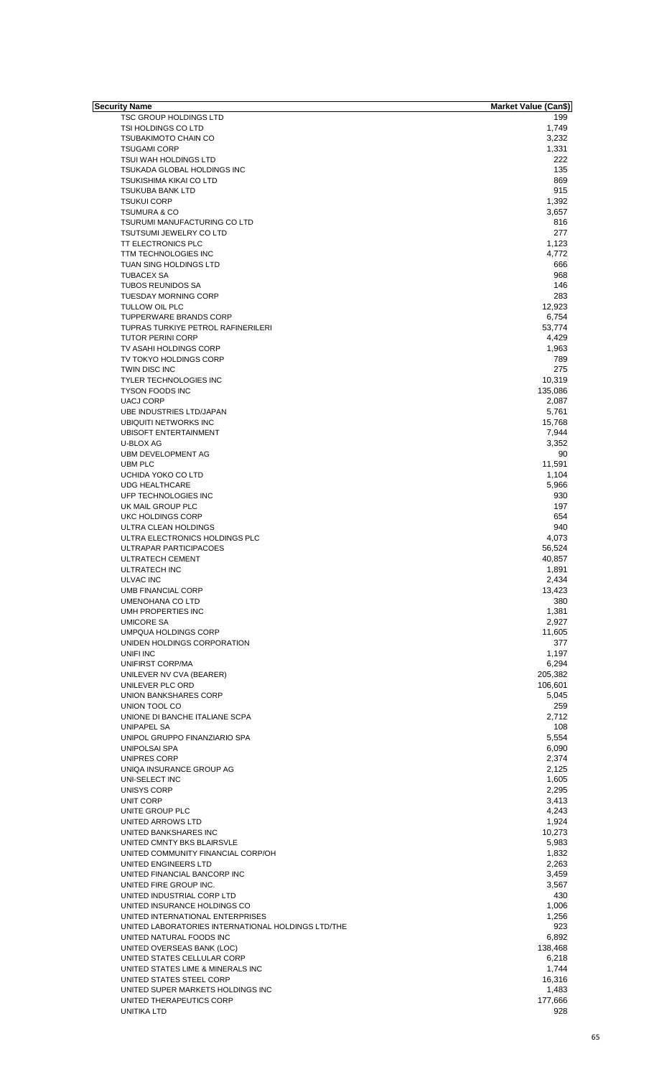| Security Name                                      | Market Value (Can\$) |
|----------------------------------------------------|----------------------|
| <b>TSC GROUP HOLDINGS LTD</b>                      | 199                  |
| TSI HOLDINGS CO LTD                                | 1,749                |
| <b>TSUBAKIMOTO CHAIN CO</b>                        | 3,232                |
| <b>TSUGAMI CORP</b>                                | 1,331                |
| <b>TSUI WAH HOLDINGS LTD</b>                       | 222                  |
|                                                    | 135                  |
| TSUKADA GLOBAL HOLDINGS INC                        |                      |
| <b>TSUKISHIMA KIKAI CO LTD</b>                     | 869                  |
| <b>TSUKUBA BANK LTD</b>                            | 915                  |
| <b>TSUKUI CORP</b>                                 | 1,392                |
| <b>TSUMURA &amp; CO</b>                            | 3,657                |
| TSURUMI MANUFACTURING CO LTD                       | 816                  |
| <b>TSUTSUMI JEWELRY CO LTD</b>                     | 277                  |
|                                                    |                      |
| <b>TT ELECTRONICS PLC</b>                          | 1,123                |
| TTM TECHNOLOGIES INC                               | 4,772                |
| TUAN SING HOLDINGS LTD                             | 666                  |
| <b>TUBACEX SA</b>                                  | 968                  |
| <b>TUBOS REUNIDOS SA</b>                           | 146                  |
| <b>TUESDAY MORNING CORP</b>                        | 283                  |
| TULLOW OIL PLC                                     | 12,923               |
|                                                    | 6,754                |
| TUPPERWARE BRANDS CORP                             |                      |
| TUPRAS TURKIYE PETROL RAFINERILERI                 | 53,774               |
| <b>TUTOR PERINI CORP</b>                           | 4,429                |
| TV ASAHI HOLDINGS CORP                             | 1,963                |
| TV TOKYO HOLDINGS CORP                             | 789                  |
| TWIN DISC INC                                      | 275                  |
| <b>TYLER TECHNOLOGIES INC</b>                      | 10,319               |
|                                                    |                      |
| <b>TYSON FOODS INC</b>                             | 135,086              |
| <b>UACJ CORP</b>                                   | 2,087                |
| UBE INDUSTRIES LTD/JAPAN                           | 5,761                |
| UBIQUITI NETWORKS INC                              | 15,768               |
| <b>UBISOFT ENTERTAINMENT</b>                       | 7,944                |
| U-BLOX AG                                          | 3,352                |
| UBM DEVELOPMENT AG                                 | 90                   |
|                                                    |                      |
| <b>UBM PLC</b>                                     | 11,591               |
| UCHIDA YOKO CO LTD                                 | 1,104                |
| <b>UDG HEALTHCARE</b>                              | 5,966                |
| UFP TECHNOLOGIES INC                               | 930                  |
| UK MAIL GROUP PLC                                  | 197                  |
| UKC HOLDINGS CORP                                  | 654                  |
|                                                    | 940                  |
| ULTRA CLEAN HOLDINGS                               |                      |
| ULTRA ELECTRONICS HOLDINGS PLC                     | 4,073                |
| ULTRAPAR PARTICIPACOES                             | 56,524               |
| <b>ULTRATECH CEMENT</b>                            | 40,857               |
| <b>ULTRATECH INC</b>                               | 1,891                |
| <b>ULVAC INC</b>                                   | 2,434                |
| <b>UMB FINANCIAL CORP</b>                          | 13,423               |
|                                                    |                      |
| UMENOHANA CO LTD                                   | 380                  |
| UMH PROPERTIES INC                                 | 1,381                |
| <b>UMICORE SA</b>                                  | 2,927                |
| <b>UMPQUA HOLDINGS CORP</b>                        | 11,605               |
| UNIDEN HOLDINGS CORPORATION                        | 377                  |
| UNIFI INC                                          | 1,197                |
| UNIFIRST CORP/MA                                   | 6,294                |
|                                                    |                      |
| UNILEVER NV CVA (BEARER)                           | 205,382              |
| UNILEVER PLC ORD                                   | 106,601              |
| <b>UNION BANKSHARES CORP</b>                       | 5,045                |
| UNION TOOL CO                                      | 259                  |
| UNIONE DI BANCHE ITALIANE SCPA                     | 2,712                |
| UNIPAPEL SA                                        | 108                  |
|                                                    | 5,554                |
| UNIPOL GRUPPO FINANZIARIO SPA                      |                      |
| <b>UNIPOLSAI SPA</b>                               | 6,090                |
| UNIPRES CORP                                       | 2,374                |
| UNIQA INSURANCE GROUP AG                           | 2,125                |
| UNI-SELECT INC                                     | 1,605                |
| UNISYS CORP                                        | 2,295                |
|                                                    |                      |
| UNIT CORP                                          | 3,413                |
| UNITE GROUP PLC                                    | 4,243                |
| UNITED ARROWS LTD                                  | 1,924                |
| UNITED BANKSHARES INC                              | 10,273               |
| UNITED CMNTY BKS BLAIRSVLE                         | 5,983                |
| UNITED COMMUNITY FINANCIAL CORP/OH                 | 1,832                |
| UNITED ENGINEERS LTD                               | 2,263                |
|                                                    |                      |
| UNITED FINANCIAL BANCORP INC                       | 3,459                |
| UNITED FIRE GROUP INC.                             | 3,567                |
| UNITED INDUSTRIAL CORP LTD                         | 430                  |
| UNITED INSURANCE HOLDINGS CO                       | 1,006                |
| UNITED INTERNATIONAL ENTERPRISES                   | 1,256                |
| UNITED LABORATORIES INTERNATIONAL HOLDINGS LTD/THE | 923                  |
|                                                    |                      |
| UNITED NATURAL FOODS INC                           | 6,892                |
| UNITED OVERSEAS BANK (LOC)                         | 138,468              |
| UNITED STATES CELLULAR CORP                        | 6,218                |
| UNITED STATES LIME & MINERALS INC                  | 1,744                |
| UNITED STATES STEEL CORP                           | 16,316               |
| UNITED SUPER MARKETS HOLDINGS INC                  | 1,483                |
|                                                    |                      |
| UNITED THERAPEUTICS CORP                           | 177,666              |
| UNITIKA LTD                                        | 928                  |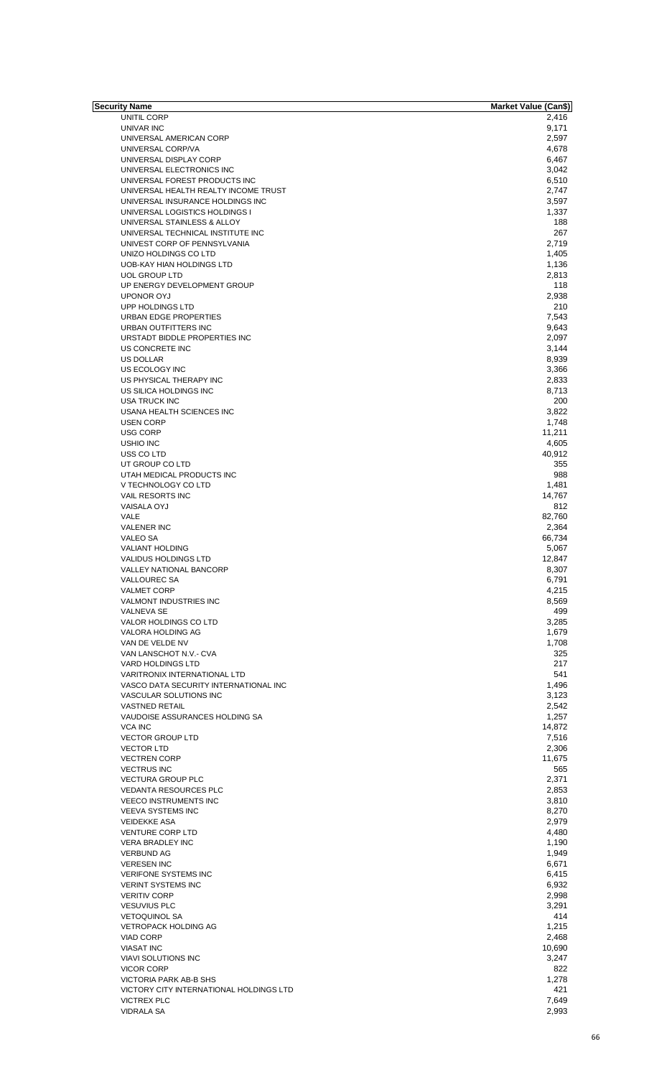| Security Name                           | Market Value (Can\$) |
|-----------------------------------------|----------------------|
| UNITIL CORP                             | 2,416                |
| UNIVAR INC                              | 9,171                |
| UNIVERSAL AMERICAN CORP                 | 2,597                |
| UNIVERSAL CORP/VA                       | 4,678                |
| UNIVERSAL DISPLAY CORP                  | 6,467                |
| UNIVERSAL ELECTRONICS INC               | 3,042                |
| UNIVERSAL FOREST PRODUCTS INC           | 6,510                |
| UNIVERSAL HEALTH REALTY INCOME TRUST    | 2,747                |
| UNIVERSAL INSURANCE HOLDINGS INC        | 3,597                |
|                                         |                      |
| UNIVERSAL LOGISTICS HOLDINGS I          | 1,337                |
| UNIVERSAL STAINLESS & ALLOY             | 188                  |
| UNIVERSAL TECHNICAL INSTITUTE INC       | 267                  |
| UNIVEST CORP OF PENNSYLVANIA            | 2,719                |
| UNIZO HOLDINGS CO LTD                   | 1,405                |
| UOB-KAY HIAN HOLDINGS LTD               | 1,136                |
| <b>UOL GROUP LTD</b>                    | 2,813                |
| UP ENERGY DEVELOPMENT GROUP             | 118                  |
| <b>UPONOR OYJ</b>                       | 2,938                |
| UPP HOLDINGS LTD                        | 210                  |
| URBAN EDGE PROPERTIES                   | 7,543                |
|                                         |                      |
| URBAN OUTFITTERS INC                    | 9,643                |
| URSTADT BIDDLE PROPERTIES INC           | 2,097                |
| US CONCRETE INC                         | 3,144                |
| <b>US DOLLAR</b>                        | 8,939                |
| US ECOLOGY INC                          | 3,366                |
| US PHYSICAL THERAPY INC                 | 2,833                |
| US SILICA HOLDINGS INC                  | 8,713                |
| <b>USA TRUCK INC</b>                    | 200                  |
| USANA HEALTH SCIENCES INC               | 3,822                |
| <b>USEN CORP</b>                        | 1,748                |
| <b>USG CORP</b>                         |                      |
|                                         | 11,211               |
| <b>USHIO INC</b>                        | 4,605                |
| USS CO LTD                              | 40,912               |
| UT GROUP CO LTD                         | 355                  |
| UTAH MEDICAL PRODUCTS INC               | 988                  |
| V TECHNOLOGY CO LTD                     | 1,481                |
| VAIL RESORTS INC                        | 14,767               |
| <b>VAISALA OYJ</b>                      | 812                  |
| VALE                                    | 82,760               |
| <b>VALENER INC</b>                      | 2,364                |
| <b>VALEO SA</b>                         |                      |
|                                         | 66,734               |
| <b>VALIANT HOLDING</b>                  | 5,067                |
| <b>VALIDUS HOLDINGS LTD</b>             | 12,847               |
| <b>VALLEY NATIONAL BANCORP</b>          | 8,307                |
| <b>VALLOUREC SA</b>                     | 6,791                |
| <b>VALMET CORP</b>                      | 4,215                |
| VALMONT INDUSTRIES INC                  | 8,569                |
| <b>VALNEVA SE</b>                       | 499                  |
| VALOR HOLDINGS CO LTD                   | 3,285                |
| VALORA HOLDING AG                       | 1,679                |
| VAN DE VELDE NV                         | 1,708                |
| VAN LANSCHOT N.V.- CVA                  | 325                  |
| <b>VARD HOLDINGS LTD</b>                | 217                  |
|                                         |                      |
| <b>VARITRONIX INTERNATIONAL LTD</b>     | 541                  |
| VASCO DATA SECURITY INTERNATIONAL INC   | 1,496                |
| VASCULAR SOLUTIONS INC                  | 3,123                |
| <b>VASTNED RETAIL</b>                   | 2,542                |
| VAUDOISE ASSURANCES HOLDING SA          | 1,257                |
| <b>VCA INC</b>                          | 14,872               |
| <b>VECTOR GROUP LTD</b>                 | 7,516                |
| <b>VECTOR LTD</b>                       | 2,306                |
| <b>VECTREN CORP</b>                     | 11,675               |
| <b>VECTRUS INC</b>                      | 565                  |
| <b>VECTURA GROUP PLC</b>                | 2,371                |
| <b>VEDANTA RESOURCES PLC</b>            | 2,853                |
| <b>VEECO INSTRUMENTS INC</b>            | 3,810                |
|                                         |                      |
| <b>VEEVA SYSTEMS INC</b>                | 8,270                |
| <b>VEIDEKKE ASA</b>                     | 2,979                |
| <b>VENTURE CORP LTD</b>                 | 4,480                |
| <b>VERA BRADLEY INC</b>                 | 1,190                |
| <b>VERBUND AG</b>                       | 1,949                |
| <b>VERESEN INC</b>                      | 6,671                |
| <b>VERIFONE SYSTEMS INC</b>             | 6,415                |
| <b>VERINT SYSTEMS INC</b>               | 6,932                |
| <b>VERITIV CORP</b>                     | 2,998                |
| <b>VESUVIUS PLC</b>                     | 3,291                |
|                                         |                      |
| <b>VETOQUINOL SA</b>                    | 414                  |
| <b>VETROPACK HOLDING AG</b>             | 1,215                |
| VIAD CORP                               | 2,468                |
| <b>VIASAT INC</b>                       | 10,690               |
| <b>VIAVI SOLUTIONS INC</b>              | 3,247                |
| <b>VICOR CORP</b>                       | 822                  |
| VICTORIA PARK AB-B SHS                  | 1,278                |
| VICTORY CITY INTERNATIONAL HOLDINGS LTD | 421                  |
| <b>VICTREX PLC</b>                      | 7,649                |
|                                         |                      |
| <b>VIDRALA SA</b>                       | 2,993                |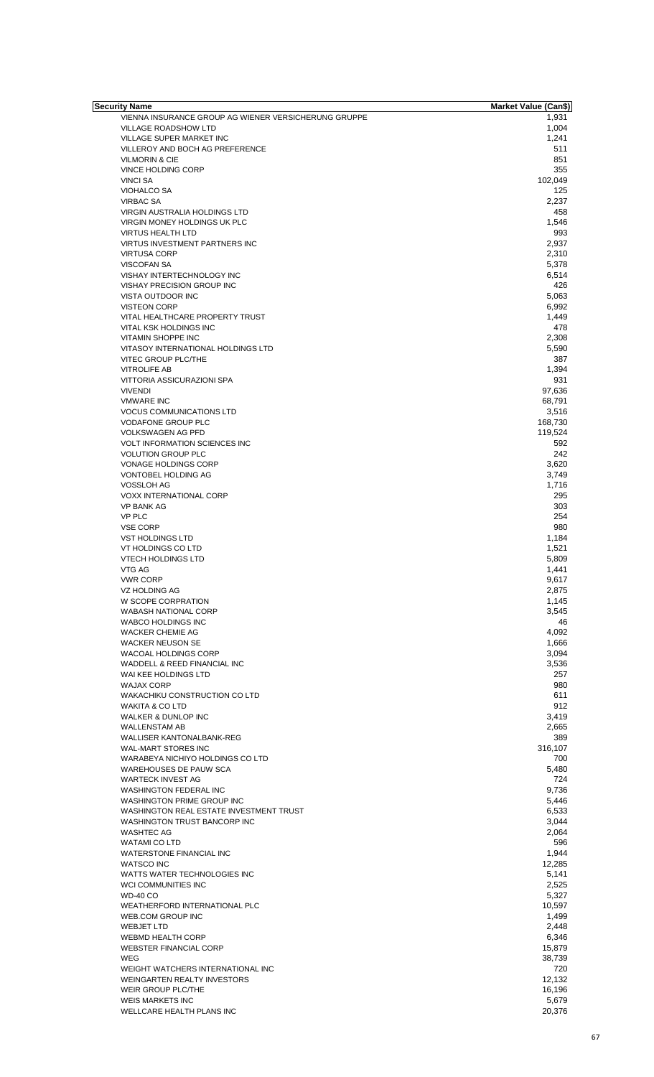| Security Name                                        | <b>Market Value (Can\$)</b> |
|------------------------------------------------------|-----------------------------|
| VIENNA INSURANCE GROUP AG WIENER VERSICHERUNG GRUPPE | 1,931                       |
| VILLAGE ROADSHOW LTD                                 | 1,004                       |
| VILLAGE SUPER MARKET INC                             | 1,241                       |
| VILLEROY AND BOCH AG PREFERENCE                      | 511                         |
| <b>VILMORIN &amp; CIE</b>                            | 851                         |
| VINCE HOLDING CORP                                   | 355                         |
| <b>VINCI SA</b>                                      | 102,049                     |
| <b>VIOHALCO SA</b>                                   | 125                         |
| <b>VIRBAC SA</b>                                     | 2,237                       |
| <b>VIRGIN AUSTRALIA HOLDINGS LTD</b>                 | 458                         |
| VIRGIN MONEY HOLDINGS UK PLC                         | 1,546                       |
| <b>VIRTUS HEALTH LTD</b>                             | 993                         |
| VIRTUS INVESTMENT PARTNERS INC                       | 2,937<br>2,310              |
| <b>VIRTUSA CORP</b><br><b>VISCOFAN SA</b>            | 5,378                       |
| VISHAY INTERTECHNOLOGY INC                           | 6,514                       |
| VISHAY PRECISION GROUP INC                           | 426                         |
| VISTA OUTDOOR INC                                    | 5,063                       |
| <b>VISTEON CORP</b>                                  | 6,992                       |
| VITAL HEALTHCARE PROPERTY TRUST                      | 1,449                       |
| VITAL KSK HOLDINGS INC                               | 478                         |
| <b>VITAMIN SHOPPE INC</b>                            | 2,308                       |
| VITASOY INTERNATIONAL HOLDINGS LTD                   | 5,590                       |
| VITEC GROUP PLC/THE                                  | 387                         |
| <b>VITROLIFE AB</b>                                  | 1,394                       |
| VITTORIA ASSICURAZIONI SPA                           | 931                         |
| <b>VIVENDI</b>                                       | 97,636                      |
| <b>VMWARE INC</b>                                    | 68,791                      |
| <b>VOCUS COMMUNICATIONS LTD</b>                      | 3,516                       |
| <b>VODAFONE GROUP PLC</b>                            | 168,730                     |
| <b>VOLKSWAGEN AG PFD</b>                             | 119,524                     |
| <b>VOLT INFORMATION SCIENCES INC</b>                 | 592                         |
| <b>VOLUTION GROUP PLC</b>                            | 242                         |
| VONAGE HOLDINGS CORP                                 | 3,620                       |
| VONTOBEL HOLDING AG                                  | 3,749                       |
| <b>VOSSLOH AG</b>                                    | 1,716                       |
| <b>VOXX INTERNATIONAL CORP</b>                       | 295                         |
| <b>VP BANK AG</b>                                    | 303                         |
| <b>VP PLC</b>                                        | 254                         |
| <b>VSE CORP</b>                                      | 980                         |
| <b>VST HOLDINGS LTD</b>                              | 1,184                       |
| VT HOLDINGS CO LTD                                   | 1,521                       |
| <b>VTECH HOLDINGS LTD</b>                            | 5,809                       |
| VTG AG                                               | 1,441                       |
| <b>VWR CORP</b>                                      | 9,617                       |
| <b>VZ HOLDING AG</b>                                 | 2,875                       |
| W SCOPE CORPRATION                                   | 1,145                       |
| <b>WABASH NATIONAL CORP</b>                          | 3,545                       |
| WABCO HOLDINGS INC                                   | 46                          |
| <b>WACKER CHEMIE AG</b>                              | 4,092                       |
| <b>WACKER NEUSON SE</b>                              | 1,666                       |
| <b>WACOAL HOLDINGS CORP</b>                          | 3,094                       |
| WADDELL & REED FINANCIAL INC                         | 3,536                       |
| WAI KEE HOLDINGS LTD                                 | 257                         |
| <b>WAJAX CORP</b>                                    | 980                         |
| WAKACHIKU CONSTRUCTION CO LTD                        | 611                         |
| <b>WAKITA &amp; CO LTD</b>                           | 912                         |
| WALKER & DUNLOP INC                                  | 3,419                       |
| <b>WALLENSTAM AB</b>                                 | 2,665                       |
| WALLISER KANTONALBANK-REG                            | 389                         |
| <b>WAL-MART STORES INC</b>                           | 316,107                     |
| WARABEYA NICHIYO HOLDINGS CO LTD                     | 700                         |
| <b>WAREHOUSES DE PAUW SCA</b>                        | 5,480                       |
| <b>WARTECK INVEST AG</b>                             | 724                         |
| <b>WASHINGTON FEDERAL INC</b>                        | 9,736                       |
| WASHINGTON PRIME GROUP INC                           | 5,446                       |
| WASHINGTON REAL ESTATE INVESTMENT TRUST              | 6,533                       |
| WASHINGTON TRUST BANCORP INC                         | 3,044                       |
| <b>WASHTEC AG</b>                                    | 2,064                       |
| <b>WATAMI CO LTD</b>                                 | 596                         |
| WATERSTONE FINANCIAL INC                             | 1,944                       |
| <b>WATSCO INC</b>                                    | 12,285                      |
| WATTS WATER TECHNOLOGIES INC                         | 5,141                       |
| WCI COMMUNITIES INC                                  | 2,525                       |
| <b>WD-40 CO</b>                                      | 5,327                       |
| WEATHERFORD INTERNATIONAL PLC                        | 10,597                      |
| WEB.COM GROUP INC                                    | 1,499                       |
| <b>WEBJET LTD</b>                                    | 2,448                       |
| <b>WEBMD HEALTH CORP</b>                             | 6,346                       |
| <b>WEBSTER FINANCIAL CORP</b>                        | 15,879                      |
| WEG                                                  | 38,739                      |
| WEIGHT WATCHERS INTERNATIONAL INC                    | 720                         |
| WEINGARTEN REALTY INVESTORS                          | 12,132                      |
| <b>WEIR GROUP PLC/THE</b>                            | 16,196                      |
| <b>WEIS MARKETS INC</b>                              | 5,679                       |
| WELLCARE HEALTH PLANS INC                            | 20,376                      |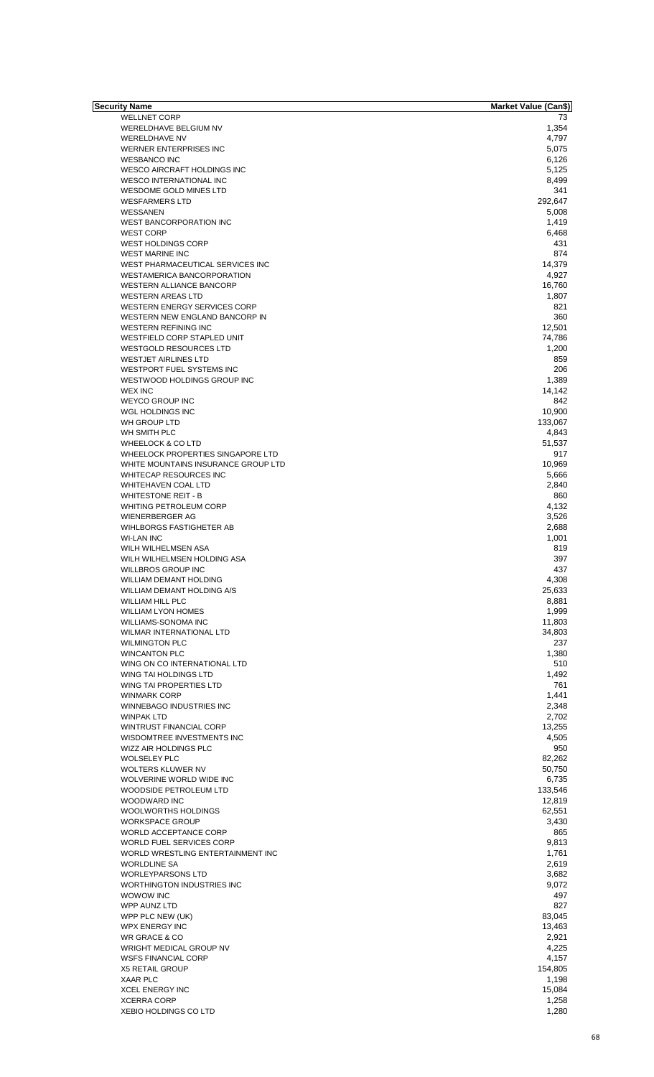| Security Name                       | <b>Market Value (Can\$)</b> |
|-------------------------------------|-----------------------------|
| <b>WELLNET CORP</b>                 | 73                          |
| WERELDHAVE BELGIUM NV               | 1,354                       |
| <b>WERELDHAVE NV</b>                | 4.797                       |
| WERNER ENTERPRISES INC              | 5,075                       |
| <b>WESBANCO INC</b>                 | 6,126                       |
| <b>WESCO AIRCRAFT HOLDINGS INC</b>  | 5,125                       |
| <b>WESCO INTERNATIONAL INC</b>      | 8,499                       |
| WESDOME GOLD MINES LTD              | 341                         |
| <b>WESFARMERS LTD</b>               | 292,647                     |
| WESSANEN                            |                             |
|                                     | 5,008                       |
| <b>WEST BANCORPORATION INC</b>      | 1,419                       |
| <b>WEST CORP</b>                    | 6,468                       |
| WEST HOLDINGS CORP                  | 431                         |
| <b>WEST MARINE INC</b>              | 874                         |
| WEST PHARMACEUTICAL SERVICES INC    | 14,379                      |
| WESTAMERICA BANCORPORATION          | 4,927                       |
| WESTERN ALLIANCE BANCORP            | 16,760                      |
| <b>WESTERN AREAS LTD</b>            | 1,807                       |
| <b>WESTERN ENERGY SERVICES CORP</b> | 821                         |
| WESTERN NEW ENGLAND BANCORP IN      | 360                         |
| <b>WESTERN REFINING INC</b>         |                             |
|                                     | 12,501                      |
| WESTFIELD CORP STAPLED UNIT         | 74,786                      |
| <b>WESTGOLD RESOURCES LTD</b>       | 1,200                       |
| <b>WESTJET AIRLINES LTD</b>         | 859                         |
| <b>WESTPORT FUEL SYSTEMS INC</b>    | 206                         |
| WESTWOOD HOLDINGS GROUP INC         | 1,389                       |
| <b>WEX INC</b>                      | 14,142                      |
| <b>WEYCO GROUP INC</b>              | 842                         |
| WGL HOLDINGS INC                    | 10,900                      |
|                                     |                             |
| WH GROUP LTD                        | 133,067                     |
| WH SMITH PLC                        | 4,843                       |
| <b>WHEELOCK &amp; CO LTD</b>        | 51,537                      |
| WHEELOCK PROPERTIES SINGAPORE LTD   | 917                         |
| WHITE MOUNTAINS INSURANCE GROUP LTD | 10,969                      |
| WHITECAP RESOURCES INC              | 5,666                       |
| <b>WHITEHAVEN COAL LTD</b>          | 2,840                       |
| <b>WHITESTONE REIT - B</b>          | 860                         |
| WHITING PETROLEUM CORP              | 4,132                       |
|                                     |                             |
| <b>WIENERBERGER AG</b>              | 3,526                       |
| WIHLBORGS FASTIGHETER AB            | 2,688                       |
| <b>WI-LAN INC</b>                   | 1,001                       |
| WILH WILHELMSEN ASA                 | 819                         |
| WILH WILHELMSEN HOLDING ASA         | 397                         |
| <b>WILLBROS GROUP INC</b>           | 437                         |
| WILLIAM DEMANT HOLDING              | 4,308                       |
| WILLIAM DEMANT HOLDING A/S          | 25,633                      |
|                                     |                             |
| <b>WILLIAM HILL PLC</b>             | 8,881                       |
| <b>WILLIAM LYON HOMES</b>           | 1,999                       |
| WILLIAMS-SONOMA INC                 | 11,803                      |
| <b>WILMAR INTERNATIONAL LTD</b>     | 34,803                      |
| <b>WILMINGTON PLC</b>               | 237                         |
| <b>WINCANTON PLC</b>                | 1,380                       |
| WING ON CO INTERNATIONAL LTD        | 510                         |
| WING TAI HOLDINGS LTD               | 1,492                       |
| WING TAI PROPERTIES LTD             | 761                         |
|                                     |                             |
| <b>WINMARK CORP</b>                 | 1,441                       |
| WINNEBAGO INDUSTRIES INC            | 2,348                       |
| <b>WINPAK LTD</b>                   | 2,702                       |
| WINTRUST FINANCIAL CORP             | 13,255                      |
| WISDOMTREE INVESTMENTS INC          | 4,505                       |
| WIZZ AIR HOLDINGS PLC               | 950                         |
| <b>WOLSELEY PLC</b>                 | 82,262                      |
| WOLTERS KLUWER NV                   | 50,750                      |
| WOLVERINE WORLD WIDE INC            | 6,735                       |
|                                     |                             |
| WOODSIDE PETROLEUM LTD              | 133,546                     |
| WOODWARD INC                        | 12,819                      |
| WOOLWORTHS HOLDINGS                 | 62,551                      |
| <b>WORKSPACE GROUP</b>              | 3,430                       |
| WORLD ACCEPTANCE CORP               | 865                         |
| WORLD FUEL SERVICES CORP            | 9,813                       |
| WORLD WRESTLING ENTERTAINMENT INC   | 1,761                       |
| <b>WORLDLINE SA</b>                 | 2,619                       |
| <b>WORLEYPARSONS LTD</b>            | 3,682                       |
| WORTHINGTON INDUSTRIES INC          | 9,072                       |
|                                     |                             |
| WOWOW INC                           | 497                         |
| WPP AUNZ LTD                        | 827                         |
| WPP PLC NEW (UK)                    | 83,045                      |
| <b>WPX ENERGY INC</b>               | 13,463                      |
| WR GRACE & CO                       | 2,921                       |
| <b>WRIGHT MEDICAL GROUP NV</b>      | 4,225                       |
| <b>WSFS FINANCIAL CORP</b>          | 4,157                       |
|                                     |                             |
| <b>X5 RETAIL GROUP</b>              | 154,805                     |
| <b>XAAR PLC</b>                     | 1,198                       |
| <b>XCEL ENERGY INC</b>              | 15,084                      |
| <b>XCERRA CORP</b>                  | 1,258                       |
| <b>XEBIO HOLDINGS CO LTD</b>        | 1,280                       |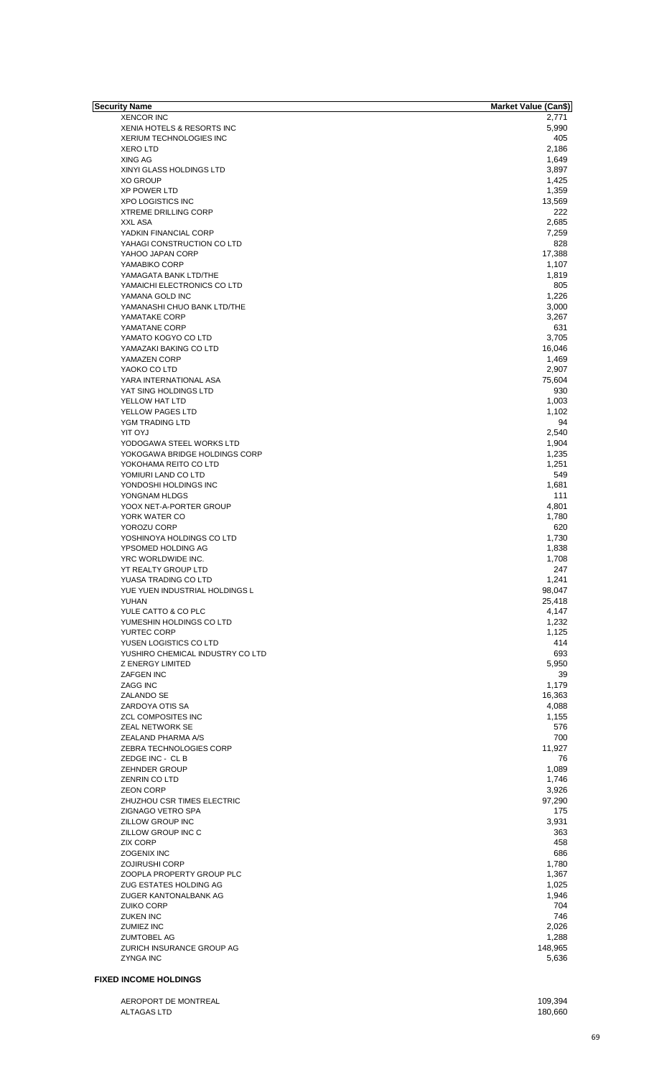| Security Name                    | <b>Market Value (Can\$)</b> |
|----------------------------------|-----------------------------|
| <b>XENCOR INC</b>                | 2,771                       |
| XENIA HOTELS & RESORTS INC       | 5,990                       |
| <b>XERIUM TECHNOLOGIES INC</b>   | 405                         |
| <b>XERO LTD</b>                  | 2,186                       |
| XING AG                          | 1,649                       |
| XINYI GLASS HOLDINGS LTD         | 3,897                       |
| <b>XO GROUP</b>                  | 1,425                       |
| <b>XP POWER LTD</b>              | 1,359                       |
| <b>XPO LOGISTICS INC</b>         | 13,569                      |
| <b>XTREME DRILLING CORP</b>      | 222                         |
| <b>XXL ASA</b>                   | 2,685                       |
|                                  |                             |
| YADKIN FINANCIAL CORP            | 7,259                       |
| YAHAGI CONSTRUCTION CO LTD       | 828                         |
| YAHOO JAPAN CORP                 | 17,388                      |
| YAMABIKO CORP                    | 1,107                       |
| YAMAGATA BANK LTD/THE            | 1,819                       |
| YAMAICHI ELECTRONICS CO LTD      | 805                         |
| YAMANA GOLD INC                  | 1,226                       |
| YAMANASHI CHUO BANK LTD/THE      | 3,000                       |
| YAMATAKE CORP                    | 3,267                       |
| YAMATANE CORP                    | 631                         |
| YAMATO KOGYO CO LTD              | 3,705                       |
| YAMAZAKI BAKING CO LTD           | 16,046                      |
| YAMAZEN CORP                     | 1,469                       |
| YAOKO CO LTD                     | 2,907                       |
| YARA INTERNATIONAL ASA           | 75,604                      |
| YAT SING HOLDINGS LTD            | 930                         |
|                                  |                             |
| YELLOW HAT LTD                   | 1,003                       |
| <b>YELLOW PAGES LTD</b>          | 1,102                       |
| YGM TRADING LTD                  | 94                          |
| <b>YIT OYJ</b>                   | 2,540                       |
| YODOGAWA STEEL WORKS LTD         | 1,904                       |
| YOKOGAWA BRIDGE HOLDINGS CORP    | 1,235                       |
| YOKOHAMA REITO CO LTD            | 1,251                       |
| YOMIURI LAND CO LTD              | 549                         |
| YONDOSHI HOLDINGS INC            | 1,681                       |
| YONGNAM HLDGS                    | 111                         |
| YOOX NET-A-PORTER GROUP          | 4,801                       |
| YORK WATER CO                    | 1,780                       |
| YOROZU CORP                      | 620                         |
| YOSHINOYA HOLDINGS CO LTD        | 1,730                       |
| YPSOMED HOLDING AG               | 1,838                       |
|                                  |                             |
| YRC WORLDWIDE INC.               | 1,708                       |
| YT REALTY GROUP LTD              | 247                         |
| YUASA TRADING CO LTD             | 1,241                       |
| YUE YUEN INDUSTRIAL HOLDINGS L   | 98,047                      |
| YUHAN                            | 25,418                      |
| YULE CATTO & CO PLC              | 4,147                       |
| YUMESHIN HOLDINGS CO LTD         | 1,232                       |
| YURTEC CORP                      | 1,125                       |
| YUSEN LOGISTICS CO LTD           | 414                         |
| YUSHIRO CHEMICAL INDUSTRY CO LTD | 693                         |
| <b>Z ENERGY LIMITED</b>          | 5,950                       |
| ZAFGEN INC                       | 39                          |
| ZAGG INC                         | 1,179                       |
| ZALANDO SE                       | 16,363                      |
| ZARDOYA OTIS SA                  | 4,088                       |
| <b>ZCL COMPOSITES INC</b>        | 1,155                       |
| ZEAL NETWORK SE                  | 576                         |
| ZEALAND PHARMA A/S               | 700                         |
|                                  |                             |
| ZEBRA TECHNOLOGIES CORP          | 11,927                      |
| ZEDGE INC - CL B                 | 76                          |
| <b>ZEHNDER GROUP</b>             | 1,089                       |
| ZENRIN CO LTD                    | 1,746                       |
| <b>ZEON CORP</b>                 | 3,926                       |
| ZHUZHOU CSR TIMES ELECTRIC       | 97,290                      |
| ZIGNAGO VETRO SPA                | 175                         |
| ZILLOW GROUP INC                 | 3,931                       |
| ZILLOW GROUP INC C               | 363                         |
| <b>ZIX CORP</b>                  | 458                         |
| ZOGENIX INC                      | 686                         |
| <b>ZOJIRUSHI CORP</b>            | 1,780                       |
| ZOOPLA PROPERTY GROUP PLC        | 1,367                       |
|                                  |                             |
| ZUG ESTATES HOLDING AG           | 1,025                       |
| ZUGER KANTONALBANK AG            | 1,946                       |
| <b>ZUIKO CORP</b>                | 704                         |
| <b>ZUKEN INC</b>                 | 746                         |
| ZUMIEZ INC                       | 2,026                       |
| <b>ZUMTOBEL AG</b>               | 1,288                       |
| ZURICH INSURANCE GROUP AG        | 148,965                     |
| <b>ZYNGA INC</b>                 | 5,636                       |
|                                  |                             |

## **FIXED INCOME HOLDINGS**

| AEROPORT DE MONTREAL | 109.394 |
|----------------------|---------|
| ALTAGAS LTD          | 180,660 |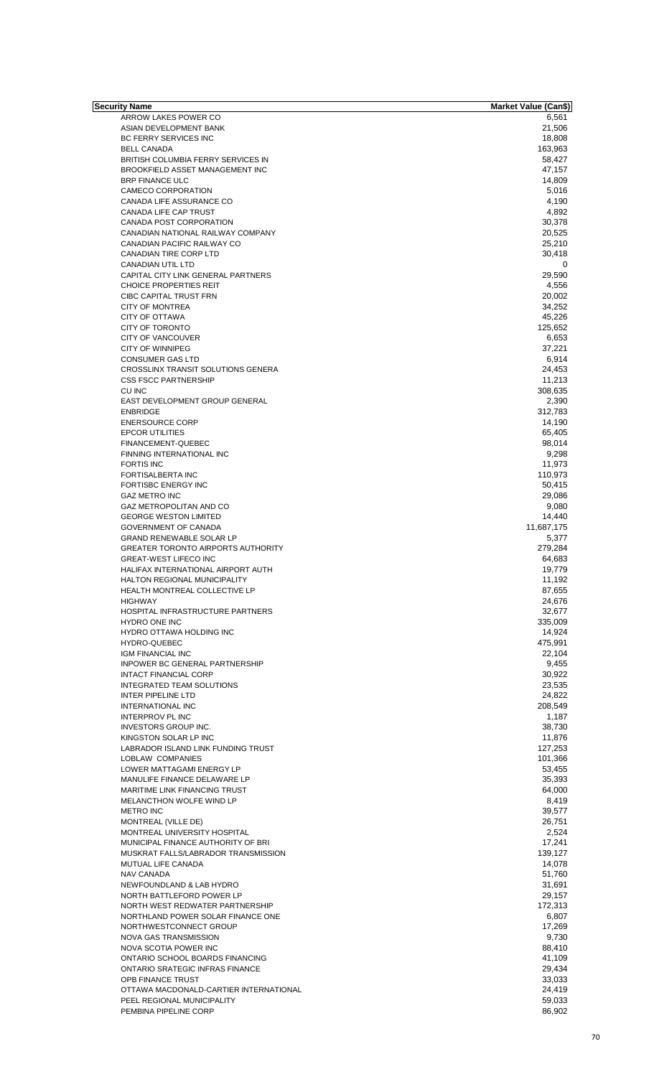| Security Name                             | <b>Market Value (Can\$)</b> |
|-------------------------------------------|-----------------------------|
| ARROW LAKES POWER CO                      | 6,561                       |
| ASIAN DEVELOPMENT BANK                    | 21,506                      |
| BC FERRY SERVICES INC                     | 18,808                      |
| <b>BELL CANADA</b>                        | 163,963                     |
| BRITISH COLUMBIA FERRY SERVICES IN        | 58,427                      |
| BROOKFIELD ASSET MANAGEMENT INC           | 47,157                      |
| <b>BRP FINANCE ULC</b>                    | 14,809                      |
|                                           | 5,016                       |
| CAMECO CORPORATION                        |                             |
| CANADA LIFE ASSURANCE CO                  | 4,190                       |
| <b>CANADA LIFE CAP TRUST</b>              | 4,892                       |
| CANADA POST CORPORATION                   | 30,378                      |
| CANADIAN NATIONAL RAILWAY COMPANY         | 20,525                      |
| CANADIAN PACIFIC RAILWAY CO               | 25,210                      |
| CANADIAN TIRE CORP LTD                    | 30.418                      |
| CANADIAN UTIL LTD                         | 0                           |
| CAPITAL CITY LINK GENERAL PARTNERS        | 29,590                      |
| <b>CHOICE PROPERTIES REIT</b>             | 4,556                       |
| CIBC CAPITAL TRUST FRN                    | 20,002                      |
| <b>CITY OF MONTREA</b>                    | 34,252                      |
|                                           |                             |
| <b>CITY OF OTTAWA</b>                     | 45.226                      |
| <b>CITY OF TORONTO</b>                    | 125,652                     |
| CITY OF VANCOUVER                         | 6,653                       |
| <b>CITY OF WINNIPEG</b>                   | 37,221                      |
| <b>CONSUMER GAS LTD</b>                   | 6,914                       |
| CROSSLINX TRANSIT SOLUTIONS GENERA        | 24,453                      |
| <b>CSS FSCC PARTNERSHIP</b>               | 11,213                      |
| <b>CU INC</b>                             | 308,635                     |
| EAST DEVELOPMENT GROUP GENERAL            | 2,390                       |
| <b>ENBRIDGE</b>                           | 312,783                     |
|                                           |                             |
| <b>ENERSOURCE CORP</b>                    | 14,190                      |
| <b>EPCOR UTILITIES</b>                    | 65,405                      |
| FINANCEMENT-QUEBEC                        | 98,014                      |
| FINNING INTERNATIONAL INC                 | 9,298                       |
| <b>FORTIS INC</b>                         | 11,973                      |
| <b>FORTISALBERTA INC</b>                  | 110,973                     |
| <b>FORTISBC ENERGY INC</b>                | 50,415                      |
| <b>GAZ METRO INC</b>                      | 29,086                      |
| <b>GAZ METROPOLITAN AND CO</b>            | 9,080                       |
| <b>GEORGE WESTON LIMITED</b>              | 14,440                      |
| <b>GOVERNMENT OF CANADA</b>               | 11,687,175                  |
|                                           |                             |
| <b>GRAND RENEWABLE SOLAR LP</b>           | 5,377                       |
| <b>GREATER TORONTO AIRPORTS AUTHORITY</b> | 279,284                     |
| <b>GREAT-WEST LIFECO INC</b>              | 64,683                      |
| HALIFAX INTERNATIONAL AIRPORT AUTH        | 19,779                      |
| HALTON REGIONAL MUNICIPALITY              | 11,192                      |
| HEALTH MONTREAL COLLECTIVE LP             | 87,655                      |
| <b>HIGHWAY</b>                            | 24,676                      |
| HOSPITAL INFRASTRUCTURE PARTNERS          | 32,677                      |
| <b>HYDRO ONE INC</b>                      | 335,009                     |
| <b>HYDRO OTTAWA HOLDING INC</b>           | 14,924                      |
| HYDRO-QUEBEC                              | 475,991                     |
| <b>IGM FINANCIAL INC</b>                  | 22,104                      |
|                                           |                             |
| <b>INPOWER BC GENERAL PARTNERSHIP</b>     | 9,455                       |
| <b>INTACT FINANCIAL CORP</b>              | 30,922                      |
| <b>INTEGRATED TEAM SOLUTIONS</b>          | 23,535                      |
| <b>INTER PIPELINE LTD</b>                 | 24,822                      |
| <b>INTERNATIONAL INC</b>                  | 208,549                     |
| <b>INTERPROV PL INC</b>                   | 1,187                       |
| INVESTORS GROUP INC.                      | 38,730                      |
| KINGSTON SOLAR LP INC                     | 11,876                      |
| LABRADOR ISLAND LINK FUNDING TRUST        | 127,253                     |
| LOBLAW COMPANIES                          | 101,366                     |
| LOWER MATTAGAMI ENERGY LP                 | 53,455                      |
| MANULIFE FINANCE DELAWARE LP              | 35,393                      |
|                                           |                             |
| MARITIME LINK FINANCING TRUST             | 64,000                      |
| MELANCTHON WOLFE WIND LP                  | 8,419                       |
| <b>METRO INC</b>                          | 39,577                      |
| MONTREAL (VILLE DE)                       | 26,751                      |
| MONTREAL UNIVERSITY HOSPITAL              | 2,524                       |
| MUNICIPAL FINANCE AUTHORITY OF BRI        | 17,241                      |
| MUSKRAT FALLS/LABRADOR TRANSMISSION       | 139,127                     |
| MUTUAL LIFE CANADA                        | 14,078                      |
| NAV CANADA                                | 51,760                      |
| NEWFOUNDLAND & LAB HYDRO                  | 31,691                      |
| NORTH BATTLEFORD POWER LP                 | 29,157                      |
| NORTH WEST REDWATER PARTNERSHIP           | 172,313                     |
| NORTHLAND POWER SOLAR FINANCE ONE         | 6,807                       |
|                                           |                             |
| NORTHWESTCONNECT GROUP                    | 17,269                      |
| NOVA GAS TRANSMISSION                     | 9,730                       |
| NOVA SCOTIA POWER INC                     | 88,410                      |
| ONTARIO SCHOOL BOARDS FINANCING           | 41,109                      |
| <b>ONTARIO SRATEGIC INFRAS FINANCE</b>    | 29,434                      |
| OPB FINANCE TRUST                         | 33,033                      |
| OTTAWA MACDONALD-CARTIER INTERNATIONAL    | 24,419                      |
| PEEL REGIONAL MUNICIPALITY                | 59,033                      |
| PEMBINA PIPELINE CORP                     | 86,902                      |
|                                           |                             |